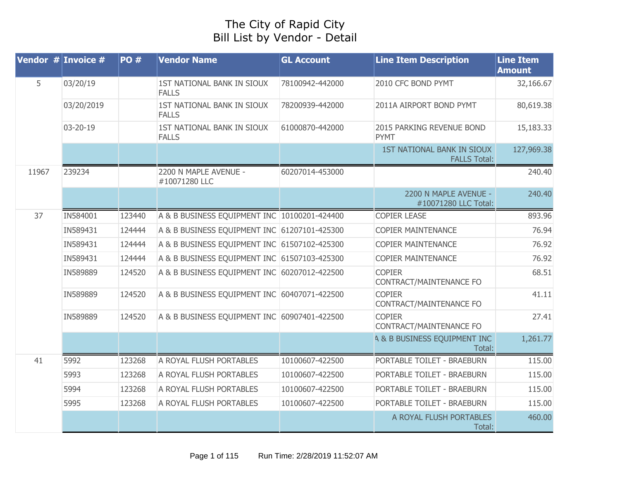## The City of Rapid City Bill List by Vendor - Detail

| Vendor $#$ Invoice $#$ |            | <b>PO#</b> | <b>Vendor Name</b>                           | <b>GL Account</b> | <b>Line Item Description</b>                             | <b>Line Item</b><br><b>Amount</b> |
|------------------------|------------|------------|----------------------------------------------|-------------------|----------------------------------------------------------|-----------------------------------|
| 5                      | 03/20/19   |            | 1ST NATIONAL BANK IN SIOUX<br><b>FALLS</b>   | 78100942-442000   | 2010 CFC BOND PYMT                                       | 32,166.67                         |
|                        | 03/20/2019 |            | 1ST NATIONAL BANK IN SIOUX<br><b>FALLS</b>   | 78200939-442000   | 2011A AIRPORT BOND PYMT                                  | 80,619.38                         |
|                        | 03-20-19   |            | 1ST NATIONAL BANK IN SIOUX<br><b>FALLS</b>   | 61000870-442000   | 2015 PARKING REVENUE BOND<br><b>PYMT</b>                 | 15,183.33                         |
|                        |            |            |                                              |                   | <b>1ST NATIONAL BANK IN SIOUX</b><br><b>FALLS Total:</b> | 127,969.38                        |
| 11967                  | 239234     |            | 2200 N MAPLE AVENUE -<br>#10071280 LLC       | 60207014-453000   |                                                          | 240.40                            |
|                        |            |            |                                              |                   | 2200 N MAPLE AVENUE -<br>#10071280 LLC Total:            | 240.40                            |
| 37                     | IN584001   | 123440     | A & B BUSINESS EQUIPMENT INC 10100201-424400 |                   | <b>COPIER LEASE</b>                                      | 893.96                            |
|                        | IN589431   | 124444     | A & B BUSINESS EQUIPMENT INC 61207101-425300 |                   | <b>COPIER MAINTENANCE</b>                                | 76.94                             |
|                        | IN589431   | 124444     | A & B BUSINESS EQUIPMENT INC 61507102-425300 |                   | <b>COPIER MAINTENANCE</b>                                | 76.92                             |
|                        | IN589431   | 124444     | A & B BUSINESS EQUIPMENT INC 61507103-425300 |                   | <b>COPIER MAINTENANCE</b>                                | 76.92                             |
|                        | IN589889   | 124520     | A & B BUSINESS EQUIPMENT INC 60207012-422500 |                   | <b>COPIER</b><br>CONTRACT/MAINTENANCE FO                 | 68.51                             |
|                        | IN589889   | 124520     | A & B BUSINESS EQUIPMENT INC 60407071-422500 |                   | <b>COPIER</b><br>CONTRACT/MAINTENANCE FO                 | 41.11                             |
|                        | IN589889   | 124520     | A & B BUSINESS EQUIPMENT INC 60907401-422500 |                   | <b>COPIER</b><br>CONTRACT/MAINTENANCE FO                 | 27.41                             |
|                        |            |            |                                              |                   | <b>4 &amp; B BUSINESS EQUIPMENT INC</b><br>Total:        | 1,261.77                          |
| 41                     | 5992       | 123268     | A ROYAL FLUSH PORTABLES                      | 10100607-422500   | PORTABLE TOILET - BRAEBURN                               | 115.00                            |
|                        | 5993       | 123268     | A ROYAL FLUSH PORTABLES                      | 10100607-422500   | PORTABLE TOILET - BRAEBURN                               | 115.00                            |
|                        | 5994       | 123268     | A ROYAL FLUSH PORTABLES                      | 10100607-422500   | PORTABLE TOILET - BRAEBURN                               | 115.00                            |
|                        | 5995       | 123268     | A ROYAL FLUSH PORTABLES                      | 10100607-422500   | PORTABLE TOILET - BRAEBURN                               | 115.00                            |
|                        |            |            |                                              |                   | A ROYAL FLUSH PORTABLES<br>Total:                        | 460.00                            |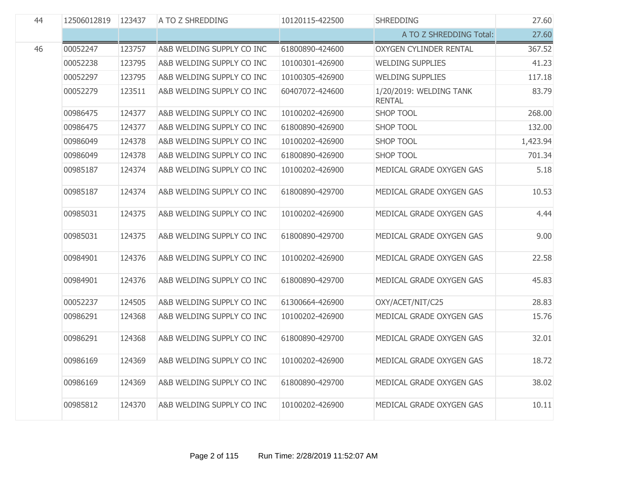| 44 | 12506012819 | 123437 | A TO Z SHREDDING          | 10120115-422500 | <b>SHREDDING</b>                         | 27.60    |
|----|-------------|--------|---------------------------|-----------------|------------------------------------------|----------|
|    |             |        |                           |                 | A TO Z SHREDDING Total:                  | 27.60    |
| 46 | 00052247    | 123757 | A&B WELDING SUPPLY CO INC | 61800890-424600 | <b>OXYGEN CYLINDER RENTAL</b>            | 367.52   |
|    | 00052238    | 123795 | A&B WELDING SUPPLY CO INC | 10100301-426900 | <b>WELDING SUPPLIES</b>                  | 41.23    |
|    | 00052297    | 123795 | A&B WELDING SUPPLY CO INC | 10100305-426900 | <b>WELDING SUPPLIES</b>                  | 117.18   |
|    | 00052279    | 123511 | A&B WELDING SUPPLY CO INC | 60407072-424600 | 1/20/2019: WELDING TANK<br><b>RENTAL</b> | 83.79    |
|    | 00986475    | 124377 | A&B WELDING SUPPLY CO INC | 10100202-426900 | <b>SHOP TOOL</b>                         | 268.00   |
|    | 00986475    | 124377 | A&B WELDING SUPPLY CO INC | 61800890-426900 | <b>SHOP TOOL</b>                         | 132.00   |
|    | 00986049    | 124378 | A&B WELDING SUPPLY CO INC | 10100202-426900 | <b>SHOP TOOL</b>                         | 1,423.94 |
|    | 00986049    | 124378 | A&B WELDING SUPPLY CO INC | 61800890-426900 | <b>SHOP TOOL</b>                         | 701.34   |
|    | 00985187    | 124374 | A&B WELDING SUPPLY CO INC | 10100202-426900 | MEDICAL GRADE OXYGEN GAS                 | 5.18     |
|    | 00985187    | 124374 | A&B WELDING SUPPLY CO INC | 61800890-429700 | MEDICAL GRADE OXYGEN GAS                 | 10.53    |
|    | 00985031    | 124375 | A&B WELDING SUPPLY CO INC | 10100202-426900 | MEDICAL GRADE OXYGEN GAS                 | 4.44     |
|    | 00985031    | 124375 | A&B WELDING SUPPLY CO INC | 61800890-429700 | MEDICAL GRADE OXYGEN GAS                 | 9.00     |
|    | 00984901    | 124376 | A&B WELDING SUPPLY CO INC | 10100202-426900 | MEDICAL GRADE OXYGEN GAS                 | 22.58    |
|    | 00984901    | 124376 | A&B WELDING SUPPLY CO INC | 61800890-429700 | MEDICAL GRADE OXYGEN GAS                 | 45.83    |
|    | 00052237    | 124505 | A&B WELDING SUPPLY CO INC | 61300664-426900 | OXY/ACET/NIT/C25                         | 28.83    |
|    | 00986291    | 124368 | A&B WELDING SUPPLY CO INC | 10100202-426900 | MEDICAL GRADE OXYGEN GAS                 | 15.76    |
|    | 00986291    | 124368 | A&B WELDING SUPPLY CO INC | 61800890-429700 | MEDICAL GRADE OXYGEN GAS                 | 32.01    |
|    | 00986169    | 124369 | A&B WELDING SUPPLY CO INC | 10100202-426900 | MEDICAL GRADE OXYGEN GAS                 | 18.72    |
|    | 00986169    | 124369 | A&B WELDING SUPPLY CO INC | 61800890-429700 | MEDICAL GRADE OXYGEN GAS                 | 38.02    |
|    | 00985812    | 124370 | A&B WELDING SUPPLY CO INC | 10100202-426900 | MEDICAL GRADE OXYGEN GAS                 | 10.11    |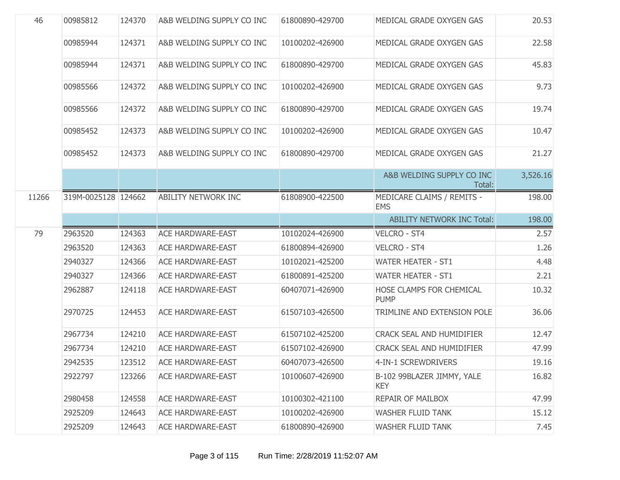| 46    | 00985812            | 124370 | A&B WELDING SUPPLY CO INC  | 61800890-429700 | MEDICAL GRADE OXYGEN GAS                 | 20.53    |
|-------|---------------------|--------|----------------------------|-----------------|------------------------------------------|----------|
|       | 00985944            | 124371 | A&B WELDING SUPPLY CO INC  | 10100202-426900 | MEDICAL GRADE OXYGEN GAS                 | 22.58    |
|       | 00985944            | 124371 | A&B WELDING SUPPLY CO INC  | 61800890-429700 | MEDICAL GRADE OXYGEN GAS                 | 45.83    |
|       | 00985566            | 124372 | A&B WELDING SUPPLY CO INC  | 10100202-426900 | MEDICAL GRADE OXYGEN GAS                 | 9.73     |
|       | 00985566            | 124372 | A&B WELDING SUPPLY CO INC  | 61800890-429700 | MEDICAL GRADE OXYGEN GAS                 | 19.74    |
|       | 00985452            | 124373 | A&B WELDING SUPPLY CO INC  | 10100202-426900 | MEDICAL GRADE OXYGEN GAS                 | 10.47    |
|       | 00985452            | 124373 | A&B WELDING SUPPLY CO INC  | 61800890-429700 | MEDICAL GRADE OXYGEN GAS                 | 21.27    |
|       |                     |        |                            |                 | A&B WELDING SUPPLY CO INC<br>Total:      | 3,526.16 |
| 11266 | 319M-0025128 124662 |        | <b>ABILITY NETWORK INC</b> | 61808900-422500 | MEDICARE CLAIMS / REMITS -<br><b>EMS</b> | 198.00   |
|       |                     |        |                            |                 | <b>ABILITY NETWORK INC Total:</b>        | 198.00   |
|       |                     |        |                            |                 |                                          |          |
| 79    | 2963520             | 124363 | <b>ACE HARDWARE-EAST</b>   | 10102024-426900 | <b>VELCRO - ST4</b>                      | 2.57     |
|       | 2963520             | 124363 | <b>ACE HARDWARE-EAST</b>   | 61800894-426900 | VELCRO - ST4                             | 1.26     |
|       | 2940327             | 124366 | <b>ACE HARDWARE-EAST</b>   | 10102021-425200 | <b>WATER HEATER - ST1</b>                | 4.48     |
|       | 2940327             | 124366 | <b>ACE HARDWARE-EAST</b>   | 61800891-425200 | <b>WATER HEATER - ST1</b>                | 2.21     |
|       | 2962887             | 124118 | <b>ACE HARDWARE-EAST</b>   | 60407071-426900 | HOSE CLAMPS FOR CHEMICAL<br><b>PUMP</b>  | 10.32    |
|       | 2970725             | 124453 | <b>ACE HARDWARE-EAST</b>   | 61507103-426500 | TRIMLINE AND EXTENSION POLE              | 36.06    |
|       | 2967734             | 124210 | <b>ACE HARDWARE-EAST</b>   | 61507102-425200 | CRACK SEAL AND HUMIDIFIER                | 12.47    |
|       | 2967734             | 124210 | <b>ACE HARDWARE-EAST</b>   | 61507102-426900 | CRACK SEAL AND HUMIDIFIER                | 47.99    |
|       | 2942535             | 123512 | <b>ACE HARDWARE-EAST</b>   | 60407073-426500 | 4-IN-1 SCREWDRIVERS                      | 19.16    |
|       | 2922797             | 123266 | <b>ACE HARDWARE-EAST</b>   | 10100607-426900 | B-102 99BLAZER JIMMY, YALE<br><b>KEY</b> | 16.82    |
|       | 2980458             | 124558 | <b>ACE HARDWARE-EAST</b>   | 10100302-421100 | REPAIR OF MAILBOX                        | 47.99    |
|       | 2925209             | 124643 | <b>ACE HARDWARE-EAST</b>   | 10100202-426900 | <b>WASHER FLUID TANK</b>                 | 15.12    |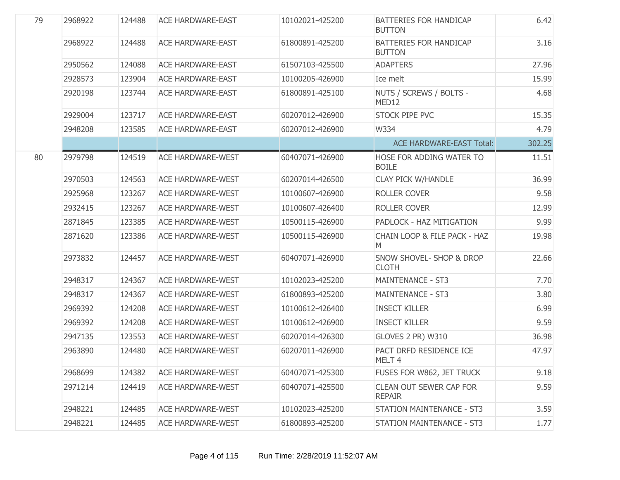| 79 | 2968922 | 124488 | <b>ACE HARDWARE-EAST</b> | 10102021-425200 | BATTERIES FOR HANDICAP<br><b>BUTTON</b>         | 6.42   |
|----|---------|--------|--------------------------|-----------------|-------------------------------------------------|--------|
|    | 2968922 | 124488 | <b>ACE HARDWARE-EAST</b> | 61800891-425200 | BATTERIES FOR HANDICAP<br><b>BUTTON</b>         | 3.16   |
|    | 2950562 | 124088 | <b>ACE HARDWARE-EAST</b> | 61507103-425500 | <b>ADAPTERS</b>                                 | 27.96  |
|    | 2928573 | 123904 | <b>ACE HARDWARE-EAST</b> | 10100205-426900 | Ice melt                                        | 15.99  |
|    | 2920198 | 123744 | <b>ACE HARDWARE-EAST</b> | 61800891-425100 | NUTS / SCREWS / BOLTS -<br>MED12                | 4.68   |
|    | 2929004 | 123717 | <b>ACE HARDWARE-EAST</b> | 60207012-426900 | STOCK PIPE PVC                                  | 15.35  |
|    | 2948208 | 123585 | <b>ACE HARDWARE-EAST</b> | 60207012-426900 | W334                                            | 4.79   |
|    |         |        |                          |                 | <b>ACE HARDWARE-EAST Total:</b>                 | 302.25 |
| 80 | 2979798 | 124519 | <b>ACE HARDWARE-WEST</b> | 60407071-426900 | HOSE FOR ADDING WATER TO<br><b>BOILE</b>        | 11.51  |
|    | 2970503 | 124563 | <b>ACE HARDWARE-WEST</b> | 60207014-426500 | <b>CLAY PICK W/HANDLE</b>                       | 36.99  |
|    | 2925968 | 123267 | <b>ACE HARDWARE-WEST</b> | 10100607-426900 | <b>ROLLER COVER</b>                             | 9.58   |
|    | 2932415 | 123267 | <b>ACE HARDWARE-WEST</b> | 10100607-426400 | ROLLER COVER                                    | 12.99  |
|    | 2871845 | 123385 | <b>ACE HARDWARE-WEST</b> | 10500115-426900 | PADLOCK - HAZ MITIGATION                        | 9.99   |
|    | 2871620 | 123386 | <b>ACE HARDWARE-WEST</b> | 10500115-426900 | CHAIN LOOP & FILE PACK - HAZ<br>M               | 19.98  |
|    | 2973832 | 124457 | <b>ACE HARDWARE-WEST</b> | 60407071-426900 | SNOW SHOVEL- SHOP & DROP<br><b>CLOTH</b>        | 22.66  |
|    | 2948317 | 124367 | <b>ACE HARDWARE-WEST</b> | 10102023-425200 | <b>MAINTENANCE - ST3</b>                        | 7.70   |
|    | 2948317 | 124367 | <b>ACE HARDWARE-WEST</b> | 61800893-425200 | <b>MAINTENANCE - ST3</b>                        | 3.80   |
|    | 2969392 | 124208 | <b>ACE HARDWARE-WEST</b> | 10100612-426400 | <b>INSECT KILLER</b>                            | 6.99   |
|    | 2969392 | 124208 | <b>ACE HARDWARE-WEST</b> | 10100612-426900 | <b>INSECT KILLER</b>                            | 9.59   |
|    | 2947135 | 123553 | <b>ACE HARDWARE-WEST</b> | 60207014-426300 | GLOVES 2 PR) W310                               | 36.98  |
|    | 2963890 | 124480 | <b>ACE HARDWARE-WEST</b> | 60207011-426900 | PACT DRFD RESIDENCE ICE<br>MELT <sub>4</sub>    | 47.97  |
|    | 2968699 | 124382 | <b>ACE HARDWARE-WEST</b> | 60407071-425300 | FUSES FOR W862, JET TRUCK                       | 9.18   |
|    | 2971214 | 124419 | <b>ACE HARDWARE-WEST</b> | 60407071-425500 | <b>CLEAN OUT SEWER CAP FOR</b><br><b>REPAIR</b> | 9.59   |
|    | 2948221 | 124485 | <b>ACE HARDWARE-WEST</b> | 10102023-425200 | <b>STATION MAINTENANCE - ST3</b>                | 3.59   |
|    | 2948221 | 124485 | <b>ACE HARDWARE-WEST</b> | 61800893-425200 | <b>STATION MAINTENANCE - ST3</b>                | 1.77   |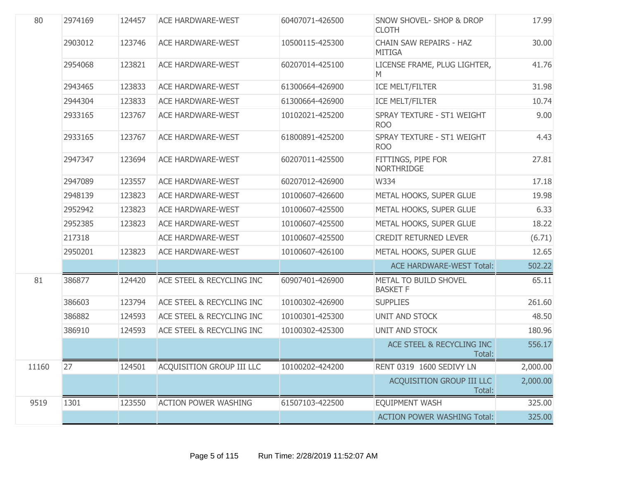| 80    | 2974169 | 124457 | <b>ACE HARDWARE-WEST</b>         | 60407071-426500 | <b>SNOW SHOVEL- SHOP &amp; DROP</b><br><b>CLOTH</b> | 17.99    |
|-------|---------|--------|----------------------------------|-----------------|-----------------------------------------------------|----------|
|       | 2903012 | 123746 | <b>ACE HARDWARE-WEST</b>         | 10500115-425300 | <b>CHAIN SAW REPAIRS - HAZ</b><br><b>MITIGA</b>     | 30.00    |
|       | 2954068 | 123821 | <b>ACE HARDWARE-WEST</b>         | 60207014-425100 | LICENSE FRAME, PLUG LIGHTER,<br>M                   | 41.76    |
|       | 2943465 | 123833 | <b>ACE HARDWARE-WEST</b>         | 61300664-426900 | ICE MELT/FILTER                                     | 31.98    |
|       | 2944304 | 123833 | <b>ACE HARDWARE-WEST</b>         | 61300664-426900 | <b>ICE MELT/FILTER</b>                              | 10.74    |
|       | 2933165 | 123767 | <b>ACE HARDWARE-WEST</b>         | 10102021-425200 | SPRAY TEXTURE - ST1 WEIGHT<br><b>ROO</b>            | 9.00     |
|       | 2933165 | 123767 | <b>ACE HARDWARE-WEST</b>         | 61800891-425200 | SPRAY TEXTURE - ST1 WEIGHT<br><b>ROO</b>            | 4.43     |
|       | 2947347 | 123694 | <b>ACE HARDWARE-WEST</b>         | 60207011-425500 | FITTINGS, PIPE FOR<br><b>NORTHRIDGE</b>             | 27.81    |
|       | 2947089 | 123557 | <b>ACE HARDWARE-WEST</b>         | 60207012-426900 | W334                                                | 17.18    |
|       | 2948139 | 123823 | <b>ACE HARDWARE-WEST</b>         | 10100607-426600 | METAL HOOKS, SUPER GLUE                             | 19.98    |
|       | 2952942 | 123823 | <b>ACE HARDWARE-WEST</b>         | 10100607-425500 | METAL HOOKS, SUPER GLUE                             | 6.33     |
|       | 2952385 | 123823 | <b>ACE HARDWARE-WEST</b>         | 10100607-425500 | METAL HOOKS, SUPER GLUE                             | 18.22    |
|       | 217318  |        | <b>ACE HARDWARE-WEST</b>         | 10100607-425500 | <b>CREDIT RETURNED LEVER</b>                        | (6.71)   |
|       | 2950201 | 123823 | <b>ACE HARDWARE-WEST</b>         | 10100607-426100 | METAL HOOKS, SUPER GLUE                             | 12.65    |
|       |         |        |                                  |                 | <b>ACE HARDWARE-WEST Total:</b>                     | 502.22   |
| 81    | 386877  | 124420 | ACE STEEL & RECYCLING INC        | 60907401-426900 | METAL TO BUILD SHOVEL<br><b>BASKET F</b>            | 65.11    |
|       | 386603  | 123794 | ACE STEEL & RECYCLING INC        | 10100302-426900 | <b>SUPPLIES</b>                                     | 261.60   |
|       | 386882  | 124593 | ACE STEEL & RECYCLING INC        | 10100301-425300 | UNIT AND STOCK                                      | 48.50    |
|       | 386910  | 124593 | ACE STEEL & RECYCLING INC        | 10100302-425300 | <b>UNIT AND STOCK</b>                               | 180.96   |
|       |         |        |                                  |                 | ACE STEEL & RECYCLING INC<br>Total:                 | 556.17   |
| 11160 | 27      |        | 124501 ACQUISITION GROUP III LLC | 10100202-424200 | RENT 0319 1600 SEDIVY LN                            | 2,000.00 |
|       |         |        |                                  |                 | ACQUISITION GROUP III LLC<br>Total:                 | 2,000.00 |
| 9519  | 1301    | 123550 | <b>ACTION POWER WASHING</b>      | 61507103-422500 | <b>EQUIPMENT WASH</b>                               | 325.00   |
|       |         |        |                                  |                 | <b>ACTION POWER WASHING Total:</b>                  | 325.00   |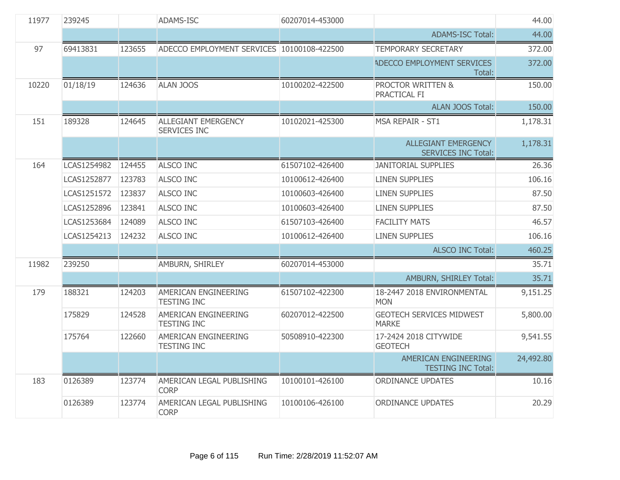| 11977 | 239245      |        | <b>ADAMS-ISC</b>                           | 60207014-453000 |                                                          | 44.00     |
|-------|-------------|--------|--------------------------------------------|-----------------|----------------------------------------------------------|-----------|
|       |             |        |                                            |                 | <b>ADAMS-ISC Total:</b>                                  | 44.00     |
| 97    | 69413831    | 123655 | ADECCO EMPLOYMENT SERVICES 10100108-422500 |                 | <b>TEMPORARY SECRETARY</b>                               | 372.00    |
|       |             |        |                                            |                 | ADECCO EMPLOYMENT SERVICES<br>Total:                     | 372.00    |
| 10220 | 01/18/19    | 124636 | <b>ALAN JOOS</b>                           | 10100202-422500 | PROCTOR WRITTEN &<br>PRACTICAL FI                        | 150.00    |
|       |             |        |                                            |                 | <b>ALAN JOOS Total:</b>                                  | 150.00    |
| 151   | 189328      | 124645 | ALLEGIANT EMERGENCY<br><b>SERVICES INC</b> | 10102021-425300 | MSA REPAIR - ST1                                         | 1,178.31  |
|       |             |        |                                            |                 | <b>ALLEGIANT EMERGENCY</b><br><b>SERVICES INC Total:</b> | 1,178.31  |
| 164   | LCAS1254982 | 124455 | <b>ALSCO INC</b>                           | 61507102-426400 | <b>JANITORIAL SUPPLIES</b>                               | 26.36     |
|       | LCAS1252877 | 123783 | <b>ALSCO INC</b>                           | 10100612-426400 | <b>LINEN SUPPLIES</b>                                    | 106.16    |
|       | LCAS1251572 | 123837 | <b>ALSCO INC</b>                           | 10100603-426400 | <b>LINEN SUPPLIES</b>                                    | 87.50     |
|       | LCAS1252896 | 123841 | <b>ALSCO INC</b>                           | 10100603-426400 | <b>LINEN SUPPLIES</b>                                    | 87.50     |
|       | LCAS1253684 | 124089 | <b>ALSCO INC</b>                           | 61507103-426400 | <b>FACILITY MATS</b>                                     | 46.57     |
|       | LCAS1254213 | 124232 | <b>ALSCO INC</b>                           | 10100612-426400 | <b>LINEN SUPPLIES</b>                                    | 106.16    |
|       |             |        |                                            |                 | <b>ALSCO INC Total:</b>                                  | 460.25    |
| 11982 | 239250      |        | AMBURN, SHIRLEY                            | 60207014-453000 |                                                          | 35.71     |
|       |             |        |                                            |                 | AMBURN, SHIRLEY Total:                                   | 35.71     |
| 179   | 188321      | 124203 | AMERICAN ENGINEERING<br><b>TESTING INC</b> | 61507102-422300 | 18-2447 2018 ENVIRONMENTAL<br><b>MON</b>                 | 9,151.25  |
|       | 175829      | 124528 | AMERICAN ENGINEERING<br><b>TESTING INC</b> | 60207012-422500 | <b>GEOTECH SERVICES MIDWEST</b><br><b>MARKE</b>          | 5,800.00  |
|       | 175764      | 122660 | AMERICAN ENGINEERING<br><b>TESTING INC</b> | 50508910-422300 | 17-2424 2018 CITYWIDE<br><b>GEOTECH</b>                  | 9,541.55  |
|       |             |        |                                            |                 | AMERICAN ENGINEERING<br><b>TESTING INC Total:</b>        | 24,492.80 |
| 183   | 0126389     | 123774 | AMERICAN LEGAL PUBLISHING<br><b>CORP</b>   | 10100101-426100 | <b>ORDINANCE UPDATES</b>                                 | 10.16     |
|       | 0126389     | 123774 | AMERICAN LEGAL PUBLISHING<br><b>CORP</b>   | 10100106-426100 | <b>ORDINANCE UPDATES</b>                                 | 20.29     |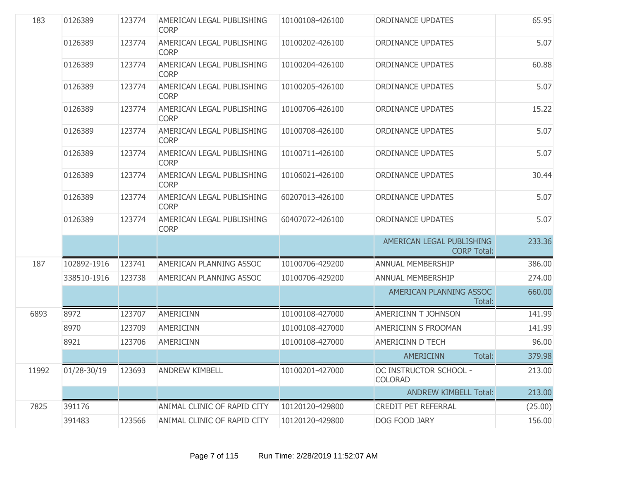| 183   | 0126389         | 123774 | AMERICAN LEGAL PUBLISHING<br><b>CORP</b> | 10100108-426100 | <b>ORDINANCE UPDATES</b>                        | 65.95   |
|-------|-----------------|--------|------------------------------------------|-----------------|-------------------------------------------------|---------|
|       | 0126389         | 123774 | AMERICAN LEGAL PUBLISHING<br><b>CORP</b> | 10100202-426100 | <b>ORDINANCE UPDATES</b>                        | 5.07    |
|       | 0126389         | 123774 | AMERICAN LEGAL PUBLISHING<br><b>CORP</b> | 10100204-426100 | <b>ORDINANCE UPDATES</b>                        | 60.88   |
|       | 0126389         | 123774 | AMERICAN LEGAL PUBLISHING<br><b>CORP</b> | 10100205-426100 | <b>ORDINANCE UPDATES</b>                        | 5.07    |
|       | 0126389         | 123774 | AMERICAN LEGAL PUBLISHING<br><b>CORP</b> | 10100706-426100 | <b>ORDINANCE UPDATES</b>                        | 15.22   |
|       | 0126389         | 123774 | AMERICAN LEGAL PUBLISHING<br><b>CORP</b> | 10100708-426100 | <b>ORDINANCE UPDATES</b>                        | 5.07    |
|       | 0126389         | 123774 | AMERICAN LEGAL PUBLISHING<br><b>CORP</b> | 10100711-426100 | <b>ORDINANCE UPDATES</b>                        | 5.07    |
|       | 0126389         | 123774 | AMERICAN LEGAL PUBLISHING<br><b>CORP</b> | 10106021-426100 | <b>ORDINANCE UPDATES</b>                        | 30.44   |
|       | 0126389         | 123774 | AMERICAN LEGAL PUBLISHING<br><b>CORP</b> | 60207013-426100 | <b>ORDINANCE UPDATES</b>                        | 5.07    |
|       | 0126389         | 123774 | AMERICAN LEGAL PUBLISHING<br><b>CORP</b> | 60407072-426100 | <b>ORDINANCE UPDATES</b>                        | 5.07    |
|       |                 |        |                                          |                 | AMERICAN LEGAL PUBLISHING<br><b>CORP Total:</b> | 233.36  |
| 187   | 102892-1916     | 123741 | AMERICAN PLANNING ASSOC                  | 10100706-429200 | ANNUAL MEMBERSHIP                               | 386.00  |
|       | 338510-1916     | 123738 | AMERICAN PLANNING ASSOC                  | 10100706-429200 | ANNUAL MEMBERSHIP                               | 274.00  |
|       |                 |        |                                          |                 | AMERICAN PLANNING ASSOC<br>Total:               | 660.00  |
| 6893  | 8972            | 123707 | <b>AMERICINN</b>                         | 10100108-427000 | <b>AMERICINN T JOHNSON</b>                      | 141.99  |
|       | 8970            | 123709 | <b>AMERICINN</b>                         | 10100108-427000 | <b>AMERICINN S FROOMAN</b>                      | 141.99  |
|       | 8921            | 123706 | <b>AMERICINN</b>                         | 10100108-427000 | <b>AMERICINN D TECH</b>                         | 96.00   |
|       |                 |        |                                          |                 | Total:<br><b>AMERICINN</b>                      | 379.98  |
| 11992 | $01/28 - 30/19$ | 123693 | <b>ANDREW KIMBELL</b>                    | 10100201-427000 | OC INSTRUCTOR SCHOOL -<br><b>COLORAD</b>        | 213.00  |
|       |                 |        |                                          |                 | <b>ANDREW KIMBELL Total:</b>                    | 213.00  |
| 7825  | 391176          |        | ANIMAL CLINIC OF RAPID CITY              | 10120120-429800 | <b>CREDIT PET REFERRAL</b>                      | (25.00) |
|       | 391483          | 123566 | ANIMAL CLINIC OF RAPID CITY              | 10120120-429800 | DOG FOOD JARY                                   | 156.00  |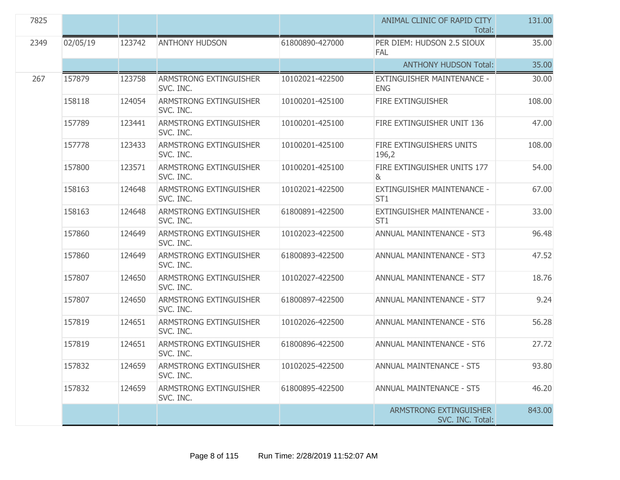| 7825 |          |        |                                            |                 | ANIMAL CLINIC OF RAPID CITY<br>Total:         | 131.00 |
|------|----------|--------|--------------------------------------------|-----------------|-----------------------------------------------|--------|
| 2349 | 02/05/19 | 123742 | <b>ANTHONY HUDSON</b>                      | 61800890-427000 | PER DIEM: HUDSON 2.5 SIOUX<br><b>FAL</b>      | 35.00  |
|      |          |        |                                            |                 | <b>ANTHONY HUDSON Total:</b>                  | 35.00  |
| 267  | 157879   | 123758 | ARMSTRONG EXTINGUISHER<br>SVC. INC.        | 10102021-422500 | EXTINGUISHER MAINTENANCE -<br><b>ENG</b>      | 30.00  |
|      | 158118   | 124054 | ARMSTRONG EXTINGUISHER<br>SVC. INC.        | 10100201-425100 | <b>FIRE EXTINGUISHER</b>                      | 108.00 |
|      | 157789   | 123441 | <b>ARMSTRONG EXTINGUISHER</b><br>SVC. INC. | 10100201-425100 | FIRE EXTINGUISHER UNIT 136                    | 47.00  |
|      | 157778   | 123433 | <b>ARMSTRONG EXTINGUISHER</b><br>SVC. INC. | 10100201-425100 | FIRE EXTINGUISHERS UNITS<br>196,2             | 108.00 |
|      | 157800   | 123571 | ARMSTRONG EXTINGUISHER<br>SVC. INC.        | 10100201-425100 | FIRE EXTINGUISHER UNITS 177<br>&              | 54.00  |
|      | 158163   | 124648 | ARMSTRONG EXTINGUISHER<br>SVC. INC.        | 10102021-422500 | EXTINGUISHER MAINTENANCE -<br>ST <sub>1</sub> | 67.00  |
|      | 158163   | 124648 | <b>ARMSTRONG EXTINGUISHER</b><br>SVC. INC. | 61800891-422500 | EXTINGUISHER MAINTENANCE -<br>ST <sub>1</sub> | 33.00  |
|      | 157860   | 124649 | ARMSTRONG EXTINGUISHER<br>SVC. INC.        | 10102023-422500 | <b>ANNUAL MANINTENANCE - ST3</b>              | 96.48  |
|      | 157860   | 124649 | ARMSTRONG EXTINGUISHER<br>SVC. INC.        | 61800893-422500 | <b>ANNUAL MANINTENANCE - ST3</b>              | 47.52  |
|      | 157807   | 124650 | ARMSTRONG EXTINGUISHER<br>SVC. INC.        | 10102027-422500 | <b>ANNUAL MANINTENANCE - ST7</b>              | 18.76  |
|      | 157807   | 124650 | ARMSTRONG EXTINGUISHER<br>SVC. INC.        | 61800897-422500 | <b>ANNUAL MANINTENANCE - ST7</b>              | 9.24   |
|      | 157819   | 124651 | <b>ARMSTRONG EXTINGUISHER</b><br>SVC. INC. | 10102026-422500 | <b>ANNUAL MANINTENANCE - ST6</b>              | 56.28  |
|      | 157819   | 124651 | <b>ARMSTRONG EXTINGUISHER</b><br>SVC. INC. | 61800896-422500 | <b>ANNUAL MANINTENANCE - ST6</b>              | 27.72  |
|      | 157832   | 124659 | ARMSTRONG EXTINGUISHER<br>SVC. INC.        | 10102025-422500 | ANNUAL MAINTENANCE - ST5                      | 93.80  |
|      | 157832   | 124659 | ARMSTRONG EXTINGUISHER<br>SVC. INC.        | 61800895-422500 | <b>ANNUAL MAINTENANCE - ST5</b>               | 46.20  |
|      |          |        |                                            |                 | ARMSTRONG EXTINGUISHER<br>SVC. INC. Total:    | 843.00 |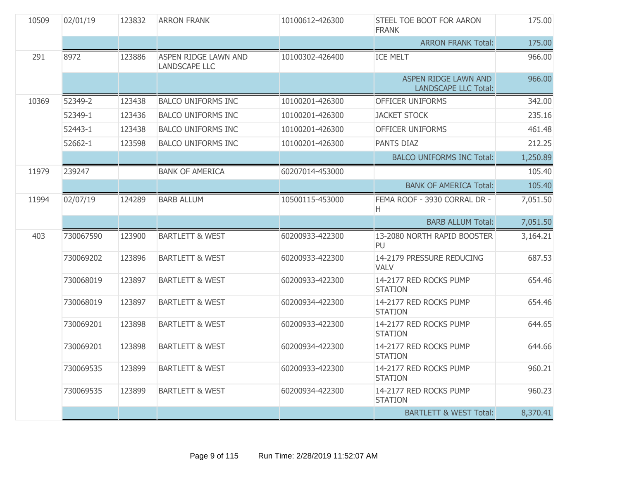| 10509 | 02/01/19  | 123832 | <b>ARRON FRANK</b>                                  | 10100612-426300 | STEEL TOE BOOT FOR AARON<br><b>FRANK</b>            | 175.00   |
|-------|-----------|--------|-----------------------------------------------------|-----------------|-----------------------------------------------------|----------|
|       |           |        |                                                     |                 | <b>ARRON FRANK Total:</b>                           | 175.00   |
| 291   | 8972      | 123886 | <b>ASPEN RIDGE LAWN AND</b><br><b>LANDSCAPE LLC</b> | 10100302-426400 | <b>ICE MELT</b>                                     | 966.00   |
|       |           |        |                                                     |                 | ASPEN RIDGE LAWN AND<br><b>LANDSCAPE LLC Total:</b> | 966.00   |
| 10369 | 52349-2   | 123438 | <b>BALCO UNIFORMS INC</b>                           | 10100201-426300 | <b>OFFICER UNIFORMS</b>                             | 342.00   |
|       | 52349-1   | 123436 | <b>BALCO UNIFORMS INC</b>                           | 10100201-426300 | <b>JACKET STOCK</b>                                 | 235.16   |
|       | 52443-1   | 123438 | <b>BALCO UNIFORMS INC</b>                           | 10100201-426300 | OFFICER UNIFORMS                                    | 461.48   |
|       | 52662-1   | 123598 | <b>BALCO UNIFORMS INC</b>                           | 10100201-426300 | PANTS DIAZ                                          | 212.25   |
|       |           |        |                                                     |                 | <b>BALCO UNIFORMS INC Total:</b>                    | 1,250.89 |
| 11979 | 239247    |        | <b>BANK OF AMERICA</b>                              | 60207014-453000 |                                                     | 105.40   |
|       |           |        |                                                     |                 | <b>BANK OF AMERICA Total:</b>                       | 105.40   |
| 11994 | 02/07/19  | 124289 | <b>BARB ALLUM</b>                                   | 10500115-453000 | FEMA ROOF - 3930 CORRAL DR -<br>H.                  | 7,051.50 |
|       |           |        |                                                     |                 |                                                     |          |
|       |           |        |                                                     |                 | <b>BARB ALLUM Total:</b>                            | 7,051.50 |
| 403   | 730067590 | 123900 | <b>BARTLETT &amp; WEST</b>                          | 60200933-422300 | 13-2080 NORTH RAPID BOOSTER<br>PU                   | 3,164.21 |
|       | 730069202 | 123896 | <b>BARTLETT &amp; WEST</b>                          | 60200933-422300 | 14-2179 PRESSURE REDUCING<br><b>VALV</b>            | 687.53   |
|       | 730068019 | 123897 | <b>BARTLETT &amp; WEST</b>                          | 60200933-422300 | 14-2177 RED ROCKS PUMP<br><b>STATION</b>            | 654.46   |
|       | 730068019 | 123897 | <b>BARTLETT &amp; WEST</b>                          | 60200934-422300 | 14-2177 RED ROCKS PUMP<br><b>STATION</b>            | 654.46   |
|       | 730069201 | 123898 | <b>BARTLETT &amp; WEST</b>                          | 60200933-422300 | 14-2177 RED ROCKS PUMP<br><b>STATION</b>            | 644.65   |
|       | 730069201 | 123898 | <b>BARTLETT &amp; WEST</b>                          | 60200934-422300 | 14-2177 RED ROCKS PUMP<br><b>STATION</b>            | 644.66   |
|       | 730069535 | 123899 | <b>BARTLETT &amp; WEST</b>                          | 60200933-422300 | 14-2177 RED ROCKS PUMP<br><b>STATION</b>            | 960.21   |
|       | 730069535 | 123899 | <b>BARTLETT &amp; WEST</b>                          | 60200934-422300 | 14-2177 RED ROCKS PUMP<br><b>STATION</b>            | 960.23   |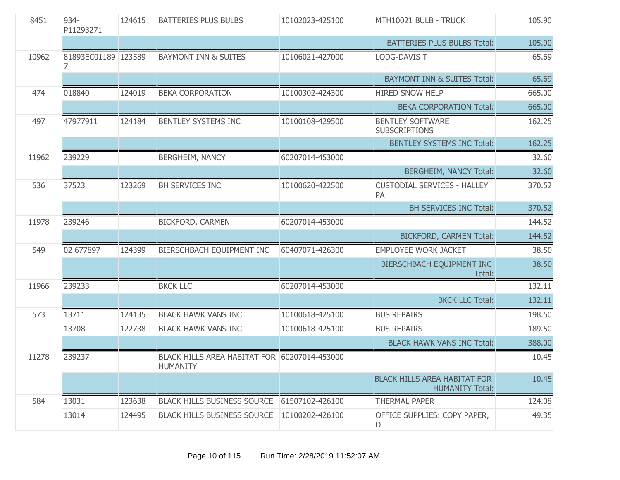| 8451  | 934-<br>P11293271   | 124615 | <b>BATTERIES PLUS BULBS</b>                                     | 10102023-425100 | MTH10021 BULB - TRUCK                                         | 105.90 |
|-------|---------------------|--------|-----------------------------------------------------------------|-----------------|---------------------------------------------------------------|--------|
|       |                     |        |                                                                 |                 | <b>BATTERIES PLUS BULBS Total:</b>                            | 105.90 |
| 10962 | 81893EC01189 123589 |        | <b>BAYMONT INN &amp; SUITES</b>                                 | 10106021-427000 | <b>LODG-DAVIS T</b>                                           | 65.69  |
|       |                     |        |                                                                 |                 | <b>BAYMONT INN &amp; SUITES Total:</b>                        | 65.69  |
| 474   | 018840              | 124019 | <b>BEKA CORPORATION</b>                                         | 10100302-424300 | <b>HIRED SNOW HELP</b>                                        | 665.00 |
|       |                     |        |                                                                 |                 | <b>BEKA CORPORATION Total:</b>                                | 665.00 |
| 497   | 47977911            | 124184 | <b>BENTLEY SYSTEMS INC</b>                                      | 10100108-429500 | <b>BENTLEY SOFTWARE</b><br><b>SUBSCRIPTIONS</b>               | 162.25 |
|       |                     |        |                                                                 |                 | <b>BENTLEY SYSTEMS INC Total:</b>                             | 162.25 |
| 11962 | 239229              |        | <b>BERGHEIM, NANCY</b>                                          | 60207014-453000 |                                                               | 32.60  |
|       |                     |        |                                                                 |                 | <b>BERGHEIM, NANCY Total:</b>                                 | 32.60  |
| 536   | 37523               | 123269 | BH SERVICES INC                                                 | 10100620-422500 | <b>CUSTODIAL SERVICES - HALLEY</b><br>PA                      | 370.52 |
|       |                     |        |                                                                 |                 | <b>BH SERVICES INC Total:</b>                                 | 370.52 |
| 11978 | 239246              |        | <b>BICKFORD, CARMEN</b>                                         | 60207014-453000 |                                                               | 144.52 |
|       |                     |        |                                                                 |                 | <b>BICKFORD, CARMEN Total:</b>                                | 144.52 |
| 549   | 02 677897           | 124399 | BIERSCHBACH EQUIPMENT INC                                       | 60407071-426300 | <b>EMPLOYEE WORK JACKET</b>                                   | 38.50  |
|       |                     |        |                                                                 |                 | BIERSCHBACH EQUIPMENT INC<br>Total:                           | 38.50  |
| 11966 | 239233              |        | <b>BKCK LLC</b>                                                 | 60207014-453000 |                                                               | 132.11 |
|       |                     |        |                                                                 |                 | <b>BKCK LLC Total:</b>                                        | 132.11 |
| 573   | 13711               | 124135 | <b>BLACK HAWK VANS INC</b>                                      | 10100618-425100 | <b>BUS REPAIRS</b>                                            | 198.50 |
|       | 13708               | 122738 | <b>BLACK HAWK VANS INC</b>                                      | 10100618-425100 | <b>BUS REPAIRS</b>                                            | 189.50 |
|       |                     |        |                                                                 |                 | <b>BLACK HAWK VANS INC Total:</b>                             | 388.00 |
| 11278 | 239237              |        | BLACK HILLS AREA HABITAT FOR 60207014-453000<br><b>HUMANITY</b> |                 |                                                               | 10.45  |
|       |                     |        |                                                                 |                 | <b>BLACK HILLS AREA HABITAT FOR</b><br><b>HUMANITY Total:</b> | 10.45  |
| 584   | 13031               | 123638 | <b>BLACK HILLS BUSINESS SOURCE</b>                              | 61507102-426100 | <b>THERMAL PAPER</b>                                          | 124.08 |
|       | 13014               | 124495 | <b>BLACK HILLS BUSINESS SOURCE</b>                              | 10100202-426100 | OFFICE SUPPLIES: COPY PAPER,<br>D                             | 49.35  |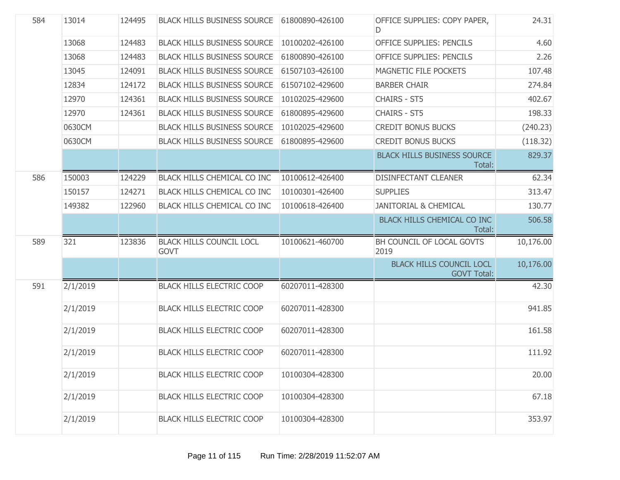| 584 | 13014    | 124495 | <b>BLACK HILLS BUSINESS SOURCE</b>             | 61800890-426100 | OFFICE SUPPLIES: COPY PAPER,<br>D.                    | 24.31     |
|-----|----------|--------|------------------------------------------------|-----------------|-------------------------------------------------------|-----------|
|     | 13068    | 124483 | <b>BLACK HILLS BUSINESS SOURCE</b>             | 10100202-426100 | <b>OFFICE SUPPLIES: PENCILS</b>                       | 4.60      |
|     | 13068    | 124483 | <b>BLACK HILLS BUSINESS SOURCE</b>             | 61800890-426100 | <b>OFFICE SUPPLIES: PENCILS</b>                       | 2.26      |
|     | 13045    | 124091 | <b>BLACK HILLS BUSINESS SOURCE</b>             | 61507103-426100 | MAGNETIC FILE POCKETS                                 | 107.48    |
|     | 12834    | 124172 | <b>BLACK HILLS BUSINESS SOURCE</b>             | 61507102-429600 | <b>BARBER CHAIR</b>                                   | 274.84    |
|     | 12970    | 124361 | <b>BLACK HILLS BUSINESS SOURCE</b>             | 10102025-429600 | <b>CHAIRS - ST5</b>                                   | 402.67    |
|     | 12970    | 124361 | <b>BLACK HILLS BUSINESS SOURCE</b>             | 61800895-429600 | <b>CHAIRS - ST5</b>                                   | 198.33    |
|     | 0630CM   |        | <b>BLACK HILLS BUSINESS SOURCE</b>             | 10102025-429600 | <b>CREDIT BONUS BUCKS</b>                             | (240.23)  |
|     | 0630CM   |        | <b>BLACK HILLS BUSINESS SOURCE</b>             | 61800895-429600 | <b>CREDIT BONUS BUCKS</b>                             | (118.32)  |
|     |          |        |                                                |                 | <b>BLACK HILLS BUSINESS SOURCE</b><br>Total:          | 829.37    |
| 586 | 150003   | 124229 | BLACK HILLS CHEMICAL CO INC                    | 10100612-426400 | <b>DISINFECTANT CLEANER</b>                           | 62.34     |
|     | 150157   | 124271 | <b>BLACK HILLS CHEMICAL CO INC</b>             | 10100301-426400 | <b>SUPPLIES</b>                                       | 313.47    |
|     | 149382   | 122960 | BLACK HILLS CHEMICAL CO INC                    | 10100618-426400 | <b>JANITORIAL &amp; CHEMICAL</b>                      | 130.77    |
|     |          |        |                                                |                 | BLACK HILLS CHEMICAL CO INC<br>Total:                 | 506.58    |
| 589 | 321      | 123836 | <b>BLACK HILLS COUNCIL LOCL</b><br><b>GOVT</b> | 10100621-460700 | BH COUNCIL OF LOCAL GOVTS<br>2019                     | 10,176.00 |
|     |          |        |                                                |                 | <b>BLACK HILLS COUNCIL LOCL</b><br><b>GOVT Total:</b> | 10,176.00 |
| 591 | 2/1/2019 |        | <b>BLACK HILLS ELECTRIC COOP</b>               | 60207011-428300 |                                                       | 42.30     |
|     | 2/1/2019 |        | <b>BLACK HILLS ELECTRIC COOP</b>               | 60207011-428300 |                                                       | 941.85    |
|     | 2/1/2019 |        | <b>BLACK HILLS ELECTRIC COOP</b>               | 60207011-428300 |                                                       | 161.58    |
|     | 2/1/2019 |        | <b>BLACK HILLS ELECTRIC COOP</b>               | 60207011-428300 |                                                       | 111.92    |
|     | 2/1/2019 |        | <b>BLACK HILLS ELECTRIC COOP</b>               | 10100304-428300 |                                                       | 20.00     |
|     | 2/1/2019 |        | <b>BLACK HILLS ELECTRIC COOP</b>               | 10100304-428300 |                                                       | 67.18     |
|     | 2/1/2019 |        | <b>BLACK HILLS ELECTRIC COOP</b>               | 10100304-428300 |                                                       | 353.97    |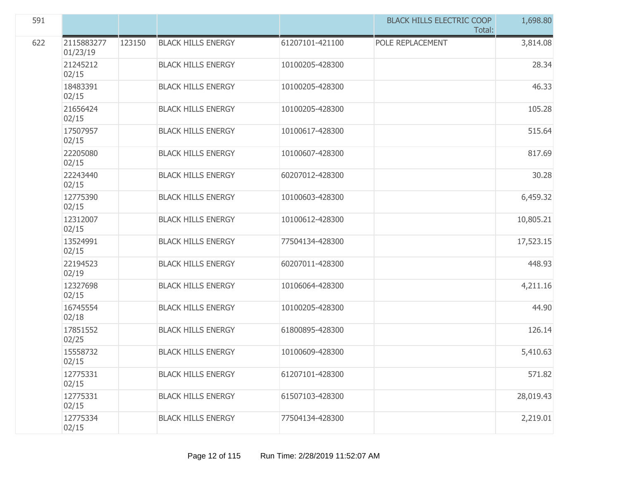| 591 |                        |        |                           |                 | <b>BLACK HILLS ELECTRIC COOP</b><br>Total: | 1,698.80  |
|-----|------------------------|--------|---------------------------|-----------------|--------------------------------------------|-----------|
| 622 | 2115883277<br>01/23/19 | 123150 | <b>BLACK HILLS ENERGY</b> | 61207101-421100 | POLE REPLACEMENT                           | 3,814.08  |
|     | 21245212<br>02/15      |        | <b>BLACK HILLS ENERGY</b> | 10100205-428300 |                                            | 28.34     |
|     | 18483391<br>02/15      |        | <b>BLACK HILLS ENERGY</b> | 10100205-428300 |                                            | 46.33     |
|     | 21656424<br>02/15      |        | <b>BLACK HILLS ENERGY</b> | 10100205-428300 |                                            | 105.28    |
|     | 17507957<br>02/15      |        | <b>BLACK HILLS ENERGY</b> | 10100617-428300 |                                            | 515.64    |
|     | 22205080<br>02/15      |        | <b>BLACK HILLS ENERGY</b> | 10100607-428300 |                                            | 817.69    |
|     | 22243440<br>02/15      |        | <b>BLACK HILLS ENERGY</b> | 60207012-428300 |                                            | 30.28     |
|     | 12775390<br>02/15      |        | <b>BLACK HILLS ENERGY</b> | 10100603-428300 |                                            | 6,459.32  |
|     | 12312007<br>02/15      |        | <b>BLACK HILLS ENERGY</b> | 10100612-428300 |                                            | 10,805.21 |
|     | 13524991<br>02/15      |        | <b>BLACK HILLS ENERGY</b> | 77504134-428300 |                                            | 17,523.15 |
|     | 22194523<br>02/19      |        | <b>BLACK HILLS ENERGY</b> | 60207011-428300 |                                            | 448.93    |
|     | 12327698<br>02/15      |        | <b>BLACK HILLS ENERGY</b> | 10106064-428300 |                                            | 4,211.16  |
|     | 16745554<br>02/18      |        | <b>BLACK HILLS ENERGY</b> | 10100205-428300 |                                            | 44.90     |
|     | 17851552<br>02/25      |        | <b>BLACK HILLS ENERGY</b> | 61800895-428300 |                                            | 126.14    |
|     | 15558732<br>02/15      |        | <b>BLACK HILLS ENERGY</b> | 10100609-428300 |                                            | 5,410.63  |
|     | 12775331<br>02/15      |        | <b>BLACK HILLS ENERGY</b> | 61207101-428300 |                                            | 571.82    |
|     | 12775331<br>02/15      |        | <b>BLACK HILLS ENERGY</b> | 61507103-428300 |                                            | 28,019.43 |
|     | 12775334<br>02/15      |        | <b>BLACK HILLS ENERGY</b> | 77504134-428300 |                                            | 2,219.01  |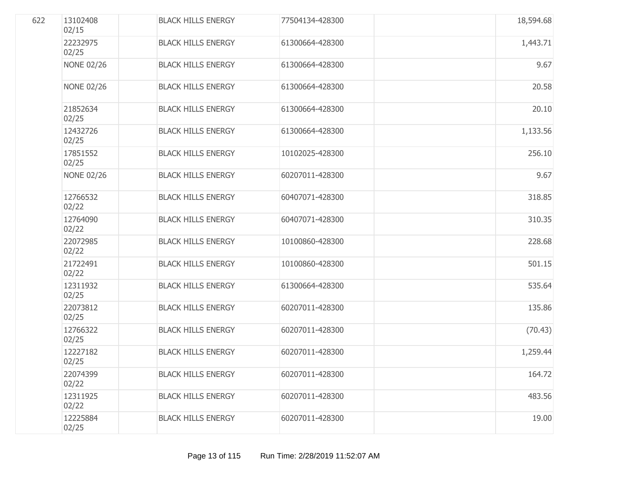| 622 | 13102408<br>02/15 | <b>BLACK HILLS ENERGY</b> | 77504134-428300 | 18,594.68 |
|-----|-------------------|---------------------------|-----------------|-----------|
|     | 22232975<br>02/25 | <b>BLACK HILLS ENERGY</b> | 61300664-428300 | 1,443.71  |
|     | <b>NONE 02/26</b> | <b>BLACK HILLS ENERGY</b> | 61300664-428300 | 9.67      |
|     | <b>NONE 02/26</b> | <b>BLACK HILLS ENERGY</b> | 61300664-428300 | 20.58     |
|     | 21852634<br>02/25 | <b>BLACK HILLS ENERGY</b> | 61300664-428300 | 20.10     |
|     | 12432726<br>02/25 | <b>BLACK HILLS ENERGY</b> | 61300664-428300 | 1,133.56  |
|     | 17851552<br>02/25 | <b>BLACK HILLS ENERGY</b> | 10102025-428300 | 256.10    |
|     | <b>NONE 02/26</b> | <b>BLACK HILLS ENERGY</b> | 60207011-428300 | 9.67      |
|     | 12766532<br>02/22 | <b>BLACK HILLS ENERGY</b> | 60407071-428300 | 318.85    |
|     | 12764090<br>02/22 | <b>BLACK HILLS ENERGY</b> | 60407071-428300 | 310.35    |
|     | 22072985<br>02/22 | <b>BLACK HILLS ENERGY</b> | 10100860-428300 | 228.68    |
|     | 21722491<br>02/22 | <b>BLACK HILLS ENERGY</b> | 10100860-428300 | 501.15    |
|     | 12311932<br>02/25 | <b>BLACK HILLS ENERGY</b> | 61300664-428300 | 535.64    |
|     | 22073812<br>02/25 | <b>BLACK HILLS ENERGY</b> | 60207011-428300 | 135.86    |
|     | 12766322<br>02/25 | <b>BLACK HILLS ENERGY</b> | 60207011-428300 | (70.43)   |
|     | 12227182<br>02/25 | <b>BLACK HILLS ENERGY</b> | 60207011-428300 | 1,259.44  |
|     | 22074399<br>02/22 | <b>BLACK HILLS ENERGY</b> | 60207011-428300 | 164.72    |
|     | 12311925<br>02/22 | <b>BLACK HILLS ENERGY</b> | 60207011-428300 | 483.56    |
|     | 12225884<br>02/25 | <b>BLACK HILLS ENERGY</b> | 60207011-428300 | 19.00     |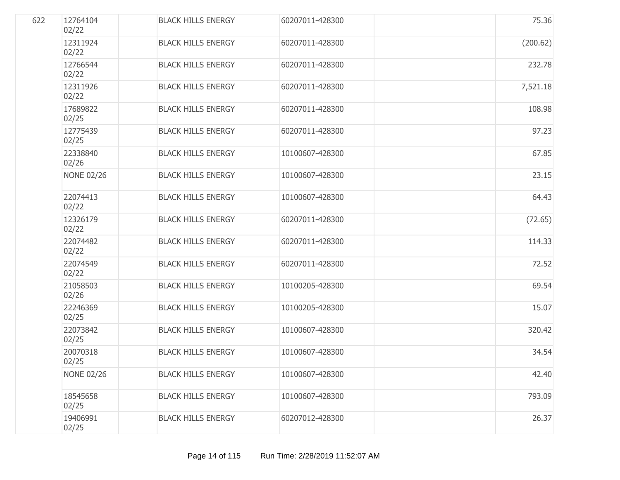| 622 | 12764104<br>02/22 | <b>BLACK HILLS ENERGY</b> | 60207011-428300 | 75.36    |
|-----|-------------------|---------------------------|-----------------|----------|
|     | 12311924<br>02/22 | <b>BLACK HILLS ENERGY</b> | 60207011-428300 | (200.62) |
|     | 12766544<br>02/22 | <b>BLACK HILLS ENERGY</b> | 60207011-428300 | 232.78   |
|     | 12311926<br>02/22 | <b>BLACK HILLS ENERGY</b> | 60207011-428300 | 7,521.18 |
|     | 17689822<br>02/25 | <b>BLACK HILLS ENERGY</b> | 60207011-428300 | 108.98   |
|     | 12775439<br>02/25 | <b>BLACK HILLS ENERGY</b> | 60207011-428300 | 97.23    |
|     | 22338840<br>02/26 | <b>BLACK HILLS ENERGY</b> | 10100607-428300 | 67.85    |
|     | <b>NONE 02/26</b> | <b>BLACK HILLS ENERGY</b> | 10100607-428300 | 23.15    |
|     | 22074413<br>02/22 | <b>BLACK HILLS ENERGY</b> | 10100607-428300 | 64.43    |
|     | 12326179<br>02/22 | <b>BLACK HILLS ENERGY</b> | 60207011-428300 | (72.65)  |
|     | 22074482<br>02/22 | <b>BLACK HILLS ENERGY</b> | 60207011-428300 | 114.33   |
|     | 22074549<br>02/22 | <b>BLACK HILLS ENERGY</b> | 60207011-428300 | 72.52    |
|     | 21058503<br>02/26 | <b>BLACK HILLS ENERGY</b> | 10100205-428300 | 69.54    |
|     | 22246369<br>02/25 | <b>BLACK HILLS ENERGY</b> | 10100205-428300 | 15.07    |
|     | 22073842<br>02/25 | <b>BLACK HILLS ENERGY</b> | 10100607-428300 | 320.42   |
|     | 20070318<br>02/25 | <b>BLACK HILLS ENERGY</b> | 10100607-428300 | 34.54    |
|     | <b>NONE 02/26</b> | <b>BLACK HILLS ENERGY</b> | 10100607-428300 | 42.40    |
|     | 18545658<br>02/25 | <b>BLACK HILLS ENERGY</b> | 10100607-428300 | 793.09   |
|     | 19406991<br>02/25 | <b>BLACK HILLS ENERGY</b> | 60207012-428300 | 26.37    |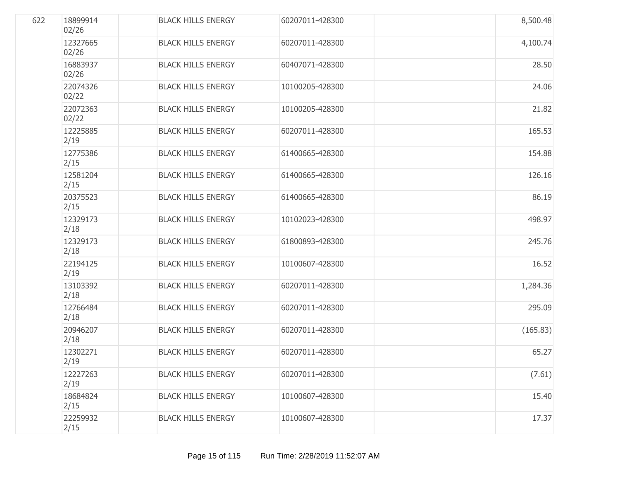| 622 | 18899914<br>02/26 | <b>BLACK HILLS ENERGY</b> | 60207011-428300 | 8,500.48 |
|-----|-------------------|---------------------------|-----------------|----------|
|     | 12327665<br>02/26 | <b>BLACK HILLS ENERGY</b> | 60207011-428300 | 4,100.74 |
|     | 16883937<br>02/26 | <b>BLACK HILLS ENERGY</b> | 60407071-428300 | 28.50    |
|     | 22074326<br>02/22 | <b>BLACK HILLS ENERGY</b> | 10100205-428300 | 24.06    |
|     | 22072363<br>02/22 | <b>BLACK HILLS ENERGY</b> | 10100205-428300 | 21.82    |
|     | 12225885<br>2/19  | <b>BLACK HILLS ENERGY</b> | 60207011-428300 | 165.53   |
|     | 12775386<br>2/15  | <b>BLACK HILLS ENERGY</b> | 61400665-428300 | 154.88   |
|     | 12581204<br>2/15  | <b>BLACK HILLS ENERGY</b> | 61400665-428300 | 126.16   |
|     | 20375523<br>2/15  | <b>BLACK HILLS ENERGY</b> | 61400665-428300 | 86.19    |
|     | 12329173<br>2/18  | <b>BLACK HILLS ENERGY</b> | 10102023-428300 | 498.97   |
|     | 12329173<br>2/18  | <b>BLACK HILLS ENERGY</b> | 61800893-428300 | 245.76   |
|     | 22194125<br>2/19  | <b>BLACK HILLS ENERGY</b> | 10100607-428300 | 16.52    |
|     | 13103392<br>2/18  | <b>BLACK HILLS ENERGY</b> | 60207011-428300 | 1,284.36 |
|     | 12766484<br>2/18  | <b>BLACK HILLS ENERGY</b> | 60207011-428300 | 295.09   |
|     | 20946207<br>2/18  | <b>BLACK HILLS ENERGY</b> | 60207011-428300 | (165.83) |
|     | 12302271<br>2/19  | <b>BLACK HILLS ENERGY</b> | 60207011-428300 | 65.27    |
|     | 12227263<br>2/19  | <b>BLACK HILLS ENERGY</b> | 60207011-428300 | (7.61)   |
|     | 18684824<br>2/15  | <b>BLACK HILLS ENERGY</b> | 10100607-428300 | 15.40    |
|     | 22259932<br>2/15  | <b>BLACK HILLS ENERGY</b> | 10100607-428300 | 17.37    |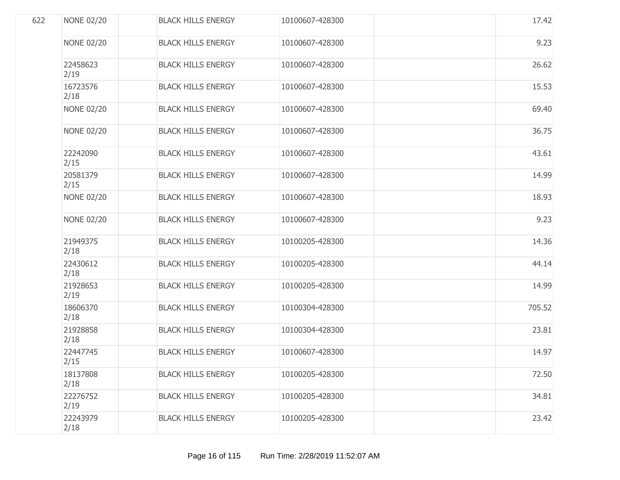|     | <b>NONE 02/20</b> | <b>BLACK HILLS ENERGY</b> | 10100607-428300 | 17.42  |
|-----|-------------------|---------------------------|-----------------|--------|
| 622 | <b>NONE 02/20</b> | <b>BLACK HILLS ENERGY</b> | 10100607-428300 | 9.23   |
|     | 22458623<br>2/19  | <b>BLACK HILLS ENERGY</b> | 10100607-428300 | 26.62  |
|     | 16723576<br>2/18  | <b>BLACK HILLS ENERGY</b> | 10100607-428300 | 15.53  |
|     | <b>NONE 02/20</b> | <b>BLACK HILLS ENERGY</b> | 10100607-428300 | 69.40  |
|     | <b>NONE 02/20</b> | <b>BLACK HILLS ENERGY</b> | 10100607-428300 | 36.75  |
|     | 22242090<br>2/15  | <b>BLACK HILLS ENERGY</b> | 10100607-428300 | 43.61  |
|     | 20581379<br>2/15  | <b>BLACK HILLS ENERGY</b> | 10100607-428300 | 14.99  |
|     | <b>NONE 02/20</b> | <b>BLACK HILLS ENERGY</b> | 10100607-428300 | 18.93  |
|     | <b>NONE 02/20</b> | <b>BLACK HILLS ENERGY</b> | 10100607-428300 | 9.23   |
|     | 21949375<br>2/18  | <b>BLACK HILLS ENERGY</b> | 10100205-428300 | 14.36  |
|     | 22430612<br>2/18  | <b>BLACK HILLS ENERGY</b> | 10100205-428300 | 44.14  |
|     | 21928653<br>2/19  | <b>BLACK HILLS ENERGY</b> | 10100205-428300 | 14.99  |
|     | 18606370<br>2/18  | <b>BLACK HILLS ENERGY</b> | 10100304-428300 | 705.52 |
|     | 21928858<br>2/18  | <b>BLACK HILLS ENERGY</b> | 10100304-428300 | 23.81  |
|     | 22447745<br>2/15  | <b>BLACK HILLS ENERGY</b> | 10100607-428300 | 14.97  |
|     | 18137808<br>2/18  | <b>BLACK HILLS ENERGY</b> | 10100205-428300 | 72.50  |
|     | 22276752<br>2/19  | <b>BLACK HILLS ENERGY</b> | 10100205-428300 | 34.81  |
|     | 22243979<br>2/18  | <b>BLACK HILLS ENERGY</b> | 10100205-428300 | 23.42  |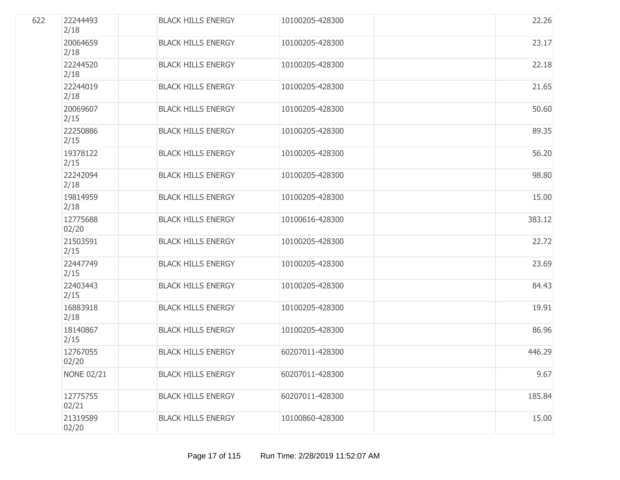| 622 | 22244493<br>2/18  | <b>BLACK HILLS ENERGY</b> | 10100205-428300 | 22.26  |
|-----|-------------------|---------------------------|-----------------|--------|
|     | 20064659<br>2/18  | <b>BLACK HILLS ENERGY</b> | 10100205-428300 | 23.17  |
|     | 22244520<br>2/18  | <b>BLACK HILLS ENERGY</b> | 10100205-428300 | 22.18  |
|     | 22244019<br>2/18  | <b>BLACK HILLS ENERGY</b> | 10100205-428300 | 21.65  |
|     | 20069607<br>2/15  | <b>BLACK HILLS ENERGY</b> | 10100205-428300 | 50.60  |
|     | 22250886<br>2/15  | <b>BLACK HILLS ENERGY</b> | 10100205-428300 | 89.35  |
|     | 19378122<br>2/15  | <b>BLACK HILLS ENERGY</b> | 10100205-428300 | 56.20  |
|     | 22242094<br>2/18  | <b>BLACK HILLS ENERGY</b> | 10100205-428300 | 98.80  |
|     | 19814959<br>2/18  | <b>BLACK HILLS ENERGY</b> | 10100205-428300 | 15.00  |
|     | 12775688<br>02/20 | <b>BLACK HILLS ENERGY</b> | 10100616-428300 | 383.12 |
|     | 21503591<br>2/15  | <b>BLACK HILLS ENERGY</b> | 10100205-428300 | 22.72  |
|     | 22447749<br>2/15  | <b>BLACK HILLS ENERGY</b> | 10100205-428300 | 23.69  |
|     | 22403443<br>2/15  | <b>BLACK HILLS ENERGY</b> | 10100205-428300 | 84.43  |
|     | 16883918<br>2/18  | <b>BLACK HILLS ENERGY</b> | 10100205-428300 | 19.91  |
|     | 18140867<br>2/15  | <b>BLACK HILLS ENERGY</b> | 10100205-428300 | 86.96  |
|     | 12767055<br>02/20 | <b>BLACK HILLS ENERGY</b> | 60207011-428300 | 446.29 |
|     | <b>NONE 02/21</b> | <b>BLACK HILLS ENERGY</b> | 60207011-428300 | 9.67   |
|     | 12775755<br>02/21 | <b>BLACK HILLS ENERGY</b> | 60207011-428300 | 185.84 |
|     | 21319589<br>02/20 | <b>BLACK HILLS ENERGY</b> | 10100860-428300 | 15.00  |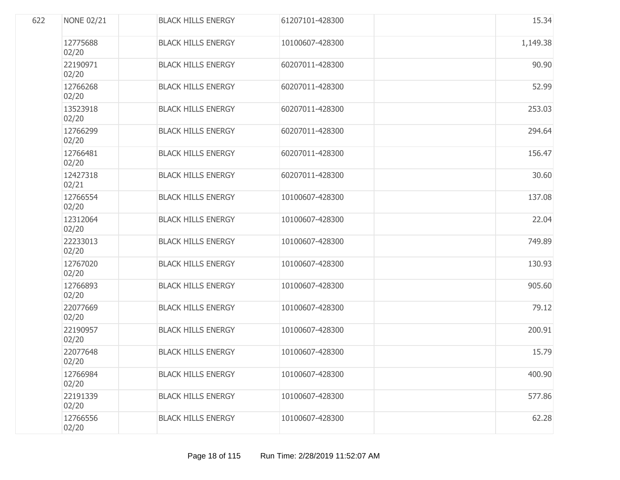| 622 | <b>NONE 02/21</b> | <b>BLACK HILLS ENERGY</b> | 61207101-428300 | 15.34    |
|-----|-------------------|---------------------------|-----------------|----------|
|     | 12775688<br>02/20 | <b>BLACK HILLS ENERGY</b> | 10100607-428300 | 1,149.38 |
|     | 22190971<br>02/20 | <b>BLACK HILLS ENERGY</b> | 60207011-428300 | 90.90    |
|     | 12766268<br>02/20 | <b>BLACK HILLS ENERGY</b> | 60207011-428300 | 52.99    |
|     | 13523918<br>02/20 | <b>BLACK HILLS ENERGY</b> | 60207011-428300 | 253.03   |
|     | 12766299<br>02/20 | <b>BLACK HILLS ENERGY</b> | 60207011-428300 | 294.64   |
|     | 12766481<br>02/20 | <b>BLACK HILLS ENERGY</b> | 60207011-428300 | 156.47   |
|     | 12427318<br>02/21 | <b>BLACK HILLS ENERGY</b> | 60207011-428300 | 30.60    |
|     | 12766554<br>02/20 | <b>BLACK HILLS ENERGY</b> | 10100607-428300 | 137.08   |
|     | 12312064<br>02/20 | <b>BLACK HILLS ENERGY</b> | 10100607-428300 | 22.04    |
|     | 22233013<br>02/20 | <b>BLACK HILLS ENERGY</b> | 10100607-428300 | 749.89   |
|     | 12767020<br>02/20 | <b>BLACK HILLS ENERGY</b> | 10100607-428300 | 130.93   |
|     | 12766893<br>02/20 | <b>BLACK HILLS ENERGY</b> | 10100607-428300 | 905.60   |
|     | 22077669<br>02/20 | <b>BLACK HILLS ENERGY</b> | 10100607-428300 | 79.12    |
|     | 22190957<br>02/20 | <b>BLACK HILLS ENERGY</b> | 10100607-428300 | 200.91   |
|     | 22077648<br>02/20 | <b>BLACK HILLS ENERGY</b> | 10100607-428300 | 15.79    |
|     | 12766984<br>02/20 | <b>BLACK HILLS ENERGY</b> | 10100607-428300 | 400.90   |
|     | 22191339<br>02/20 | <b>BLACK HILLS ENERGY</b> | 10100607-428300 | 577.86   |
|     | 12766556<br>02/20 | <b>BLACK HILLS ENERGY</b> | 10100607-428300 | 62.28    |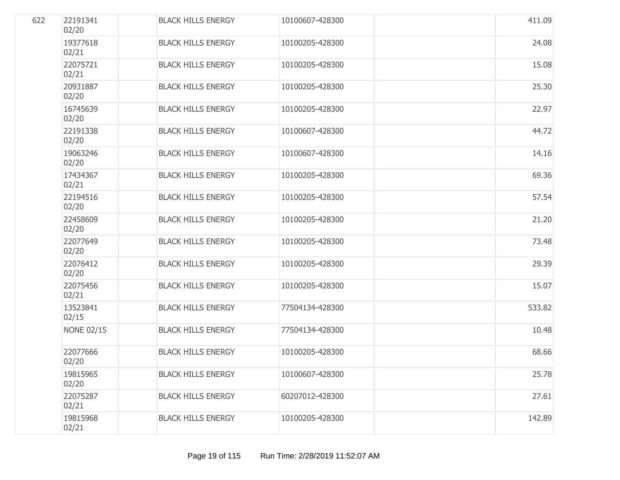| 622 | 22191341<br>02/20 | <b>BLACK HILLS ENERGY</b> | 10100607-428300 | 411.09 |
|-----|-------------------|---------------------------|-----------------|--------|
|     | 19377618<br>02/21 | <b>BLACK HILLS ENERGY</b> | 10100205-428300 | 24.08  |
|     | 22075721<br>02/21 | <b>BLACK HILLS ENERGY</b> | 10100205-428300 | 15.08  |
|     | 20931887<br>02/20 | <b>BLACK HILLS ENERGY</b> | 10100205-428300 | 25.30  |
|     | 16745639<br>02/20 | <b>BLACK HILLS ENERGY</b> | 10100205-428300 | 22.97  |
|     | 22191338<br>02/20 | <b>BLACK HILLS ENERGY</b> | 10100607-428300 | 44.72  |
|     | 19063246<br>02/20 | <b>BLACK HILLS ENERGY</b> | 10100607-428300 | 14.16  |
|     | 17434367<br>02/21 | <b>BLACK HILLS ENERGY</b> | 10100205-428300 | 69.36  |
|     | 22194516<br>02/20 | <b>BLACK HILLS ENERGY</b> | 10100205-428300 | 57.54  |
|     | 22458609<br>02/20 | <b>BLACK HILLS ENERGY</b> | 10100205-428300 | 21.20  |
|     | 22077649<br>02/20 | <b>BLACK HILLS ENERGY</b> | 10100205-428300 | 73.48  |
|     | 22076412<br>02/20 | <b>BLACK HILLS ENERGY</b> | 10100205-428300 | 29.39  |
|     | 22075456<br>02/21 | <b>BLACK HILLS ENERGY</b> | 10100205-428300 | 15.07  |
|     | 13523841<br>02/15 | <b>BLACK HILLS ENERGY</b> | 77504134-428300 | 533.82 |
|     | <b>NONE 02/15</b> | <b>BLACK HILLS ENERGY</b> | 77504134-428300 | 10.48  |
|     | 22077666<br>02/20 | <b>BLACK HILLS ENERGY</b> | 10100205-428300 | 68.66  |
|     | 19815965<br>02/20 | <b>BLACK HILLS ENERGY</b> | 10100607-428300 | 25.78  |
|     | 22075287<br>02/21 | <b>BLACK HILLS ENERGY</b> | 60207012-428300 | 27.61  |
|     | 19815968<br>02/21 | <b>BLACK HILLS ENERGY</b> | 10100205-428300 | 142.89 |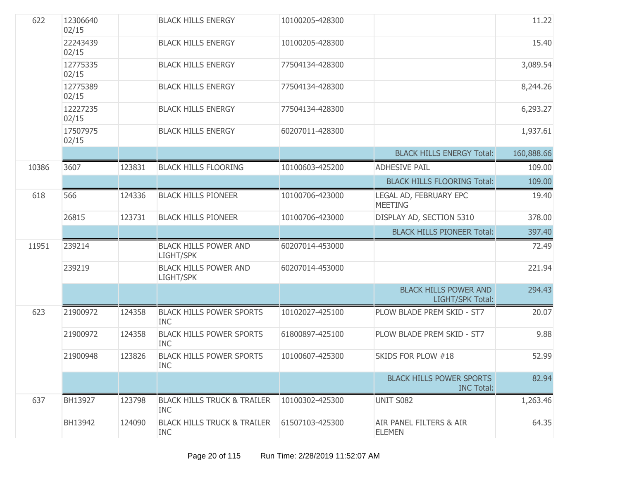| 622   | 12306640<br>02/15 |        | <b>BLACK HILLS ENERGY</b>                            | 10100205-428300 |                                                         | 11.22      |
|-------|-------------------|--------|------------------------------------------------------|-----------------|---------------------------------------------------------|------------|
|       | 22243439<br>02/15 |        | <b>BLACK HILLS ENERGY</b>                            | 10100205-428300 |                                                         | 15.40      |
|       | 12775335<br>02/15 |        | <b>BLACK HILLS ENERGY</b>                            | 77504134-428300 |                                                         | 3,089.54   |
|       | 12775389<br>02/15 |        | <b>BLACK HILLS ENERGY</b>                            | 77504134-428300 |                                                         | 8,244.26   |
|       | 12227235<br>02/15 |        | <b>BLACK HILLS ENERGY</b>                            | 77504134-428300 |                                                         | 6,293.27   |
|       | 17507975<br>02/15 |        | <b>BLACK HILLS ENERGY</b>                            | 60207011-428300 |                                                         | 1,937.61   |
|       |                   |        |                                                      |                 | <b>BLACK HILLS ENERGY Total:</b>                        | 160,888.66 |
| 10386 | 3607              | 123831 | <b>BLACK HILLS FLOORING</b>                          | 10100603-425200 | <b>ADHESIVE PAIL</b>                                    | 109.00     |
|       |                   |        |                                                      |                 | <b>BLACK HILLS FLOORING Total:</b>                      | 109.00     |
| 618   | 566               | 124336 | <b>BLACK HILLS PIONEER</b>                           | 10100706-423000 | LEGAL AD, FEBRUARY EPC<br><b>MEETING</b>                | 19.40      |
|       | 26815             | 123731 | <b>BLACK HILLS PIONEER</b>                           | 10100706-423000 | DISPLAY AD, SECTION 5310                                | 378.00     |
|       |                   |        |                                                      |                 | <b>BLACK HILLS PIONEER Total:</b>                       | 397.40     |
| 11951 | 239214            |        | <b>BLACK HILLS POWER AND</b><br>LIGHT/SPK            | 60207014-453000 |                                                         | 72.49      |
|       | 239219            |        | <b>BLACK HILLS POWER AND</b><br>LIGHT/SPK            | 60207014-453000 |                                                         | 221.94     |
|       |                   |        |                                                      |                 | <b>BLACK HILLS POWER AND</b><br><b>LIGHT/SPK Total:</b> | 294.43     |
| 623   | 21900972          | 124358 | <b>BLACK HILLS POWER SPORTS</b><br><b>INC</b>        | 10102027-425100 | PLOW BLADE PREM SKID - ST7                              | 20.07      |
|       | 21900972          | 124358 | <b>BLACK HILLS POWER SPORTS</b><br><b>INC</b>        | 61800897-425100 | PLOW BLADE PREM SKID - ST7                              | 9.88       |
|       | 21900948          | 123826 | <b>BLACK HILLS POWER SPORTS</b><br><b>INC</b>        | 10100607-425300 | SKIDS FOR PLOW #18                                      | 52.99      |
|       |                   |        |                                                      |                 | <b>BLACK HILLS POWER SPORTS</b><br><b>INC Total:</b>    | 82.94      |
| 637   | BH13927           | 123798 | <b>BLACK HILLS TRUCK &amp; TRAILER</b><br><b>INC</b> | 10100302-425300 | UNIT S082                                               | 1,263.46   |
|       | BH13942           | 124090 | <b>BLACK HILLS TRUCK &amp; TRAILER</b><br><b>INC</b> | 61507103-425300 | AIR PANEL FILTERS & AIR<br><b>ELEMEN</b>                | 64.35      |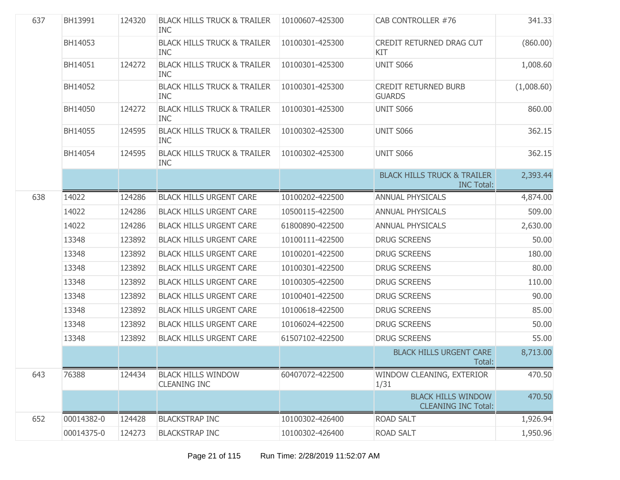| 637 | BH13991    | 124320 | <b>BLACK HILLS TRUCK &amp; TRAILER</b><br><b>INC</b> | 10100607-425300 | CAB CONTROLLER #76                                          | 341.33     |
|-----|------------|--------|------------------------------------------------------|-----------------|-------------------------------------------------------------|------------|
|     | BH14053    |        | <b>BLACK HILLS TRUCK &amp; TRAILER</b><br><b>INC</b> | 10100301-425300 | CREDIT RETURNED DRAG CUT<br>KIT                             | (860.00)   |
|     | BH14051    | 124272 | <b>BLACK HILLS TRUCK &amp; TRAILER</b><br><b>INC</b> | 10100301-425300 | UNIT S066                                                   | 1,008.60   |
|     | BH14052    |        | <b>BLACK HILLS TRUCK &amp; TRAILER</b><br><b>INC</b> | 10100301-425300 | <b>CREDIT RETURNED BURB</b><br><b>GUARDS</b>                | (1,008.60) |
|     | BH14050    | 124272 | <b>BLACK HILLS TRUCK &amp; TRAILER</b><br><b>INC</b> | 10100301-425300 | UNIT S066                                                   | 860.00     |
|     | BH14055    | 124595 | <b>BLACK HILLS TRUCK &amp; TRAILER</b><br><b>INC</b> | 10100302-425300 | UNIT S066                                                   | 362.15     |
|     | BH14054    | 124595 | <b>BLACK HILLS TRUCK &amp; TRAILER</b><br><b>INC</b> | 10100302-425300 | <b>UNIT S066</b>                                            | 362.15     |
|     |            |        |                                                      |                 | <b>BLACK HILLS TRUCK &amp; TRAILER</b><br><b>INC Total:</b> | 2,393.44   |
| 638 | 14022      | 124286 | <b>BLACK HILLS URGENT CARE</b>                       | 10100202-422500 | <b>ANNUAL PHYSICALS</b>                                     | 4,874.00   |
|     | 14022      | 124286 | <b>BLACK HILLS URGENT CARE</b>                       | 10500115-422500 | <b>ANNUAL PHYSICALS</b>                                     | 509.00     |
|     | 14022      | 124286 | <b>BLACK HILLS URGENT CARE</b>                       | 61800890-422500 | <b>ANNUAL PHYSICALS</b>                                     | 2,630.00   |
|     | 13348      | 123892 | <b>BLACK HILLS URGENT CARE</b>                       | 10100111-422500 | <b>DRUG SCREENS</b>                                         | 50.00      |
|     | 13348      | 123892 | <b>BLACK HILLS URGENT CARE</b>                       | 10100201-422500 | <b>DRUG SCREENS</b>                                         | 180.00     |
|     | 13348      | 123892 | <b>BLACK HILLS URGENT CARE</b>                       | 10100301-422500 | <b>DRUG SCREENS</b>                                         | 80.00      |
|     | 13348      | 123892 | <b>BLACK HILLS URGENT CARE</b>                       | 10100305-422500 | <b>DRUG SCREENS</b>                                         | 110.00     |
|     | 13348      | 123892 | <b>BLACK HILLS URGENT CARE</b>                       | 10100401-422500 | <b>DRUG SCREENS</b>                                         | 90.00      |
|     | 13348      | 123892 | <b>BLACK HILLS URGENT CARE</b>                       | 10100618-422500 | <b>DRUG SCREENS</b>                                         | 85.00      |
|     | 13348      | 123892 | <b>BLACK HILLS URGENT CARE</b>                       | 10106024-422500 | <b>DRUG SCREENS</b>                                         | 50.00      |
|     | 13348      | 123892 | <b>BLACK HILLS URGENT CARE</b>                       | 61507102-422500 | <b>DRUG SCREENS</b>                                         | 55.00      |
|     |            |        |                                                      |                 | <b>BLACK HILLS URGENT CARE</b><br>Total:                    | 8,713.00   |
| 643 | 76388      | 124434 | <b>BLACK HILLS WINDOW</b><br><b>CLEANING INC</b>     | 60407072-422500 | WINDOW CLEANING, EXTERIOR<br>1/31                           | 470.50     |
|     |            |        |                                                      |                 | <b>BLACK HILLS WINDOW</b><br><b>CLEANING INC Total:</b>     | 470.50     |
| 652 | 00014382-0 | 124428 | <b>BLACKSTRAP INC</b>                                | 10100302-426400 | <b>ROAD SALT</b>                                            | 1,926.94   |
|     | 00014375-0 | 124273 | <b>BLACKSTRAP INC</b>                                | 10100302-426400 | <b>ROAD SALT</b>                                            | 1,950.96   |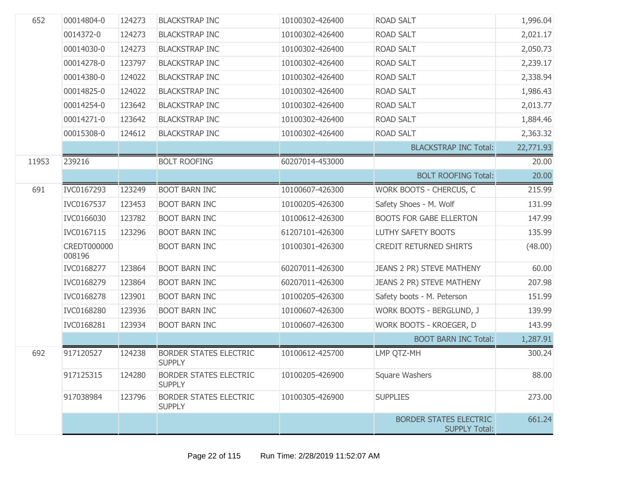| 652   | 00014804-0            | 124273 | <b>BLACKSTRAP INC</b>                          | 10100302-426400 | <b>ROAD SALT</b>                                      | 1,996.04  |
|-------|-----------------------|--------|------------------------------------------------|-----------------|-------------------------------------------------------|-----------|
|       | 0014372-0             | 124273 | <b>BLACKSTRAP INC</b>                          | 10100302-426400 | <b>ROAD SALT</b>                                      | 2,021.17  |
|       | 00014030-0            | 124273 | <b>BLACKSTRAP INC</b>                          | 10100302-426400 | ROAD SALT                                             | 2,050.73  |
|       | 00014278-0            | 123797 | <b>BLACKSTRAP INC</b>                          | 10100302-426400 | <b>ROAD SALT</b>                                      | 2,239.17  |
|       | 00014380-0            | 124022 | <b>BLACKSTRAP INC</b>                          | 10100302-426400 | <b>ROAD SALT</b>                                      | 2,338.94  |
|       | 00014825-0            | 124022 | <b>BLACKSTRAP INC</b>                          | 10100302-426400 | <b>ROAD SALT</b>                                      | 1,986.43  |
|       | 00014254-0            | 123642 | <b>BLACKSTRAP INC</b>                          | 10100302-426400 | <b>ROAD SALT</b>                                      | 2,013.77  |
|       | 00014271-0            | 123642 | <b>BLACKSTRAP INC</b>                          | 10100302-426400 | <b>ROAD SALT</b>                                      | 1,884.46  |
|       | 00015308-0            | 124612 | <b>BLACKSTRAP INC</b>                          | 10100302-426400 | ROAD SALT                                             | 2,363.32  |
|       |                       |        |                                                |                 | <b>BLACKSTRAP INC Total:</b>                          | 22,771.93 |
| 11953 | 239216                |        | <b>BOLT ROOFING</b>                            | 60207014-453000 |                                                       | 20.00     |
|       |                       |        |                                                |                 | <b>BOLT ROOFING Total:</b>                            | 20.00     |
| 691   | IVC0167293            | 123249 | <b>BOOT BARN INC</b>                           | 10100607-426300 | WORK BOOTS - CHERCUS, C                               | 215.99    |
|       | IVC0167537            | 123453 | <b>BOOT BARN INC</b>                           | 10100205-426300 | Safety Shoes - M. Wolf                                | 131.99    |
|       | IVC0166030            | 123782 | <b>BOOT BARN INC</b>                           | 10100612-426300 | <b>BOOTS FOR GABE ELLERTON</b>                        | 147.99    |
|       | IVC0167115            | 123296 | <b>BOOT BARN INC</b>                           | 61207101-426300 | <b>LUTHY SAFETY BOOTS</b>                             | 135.99    |
|       | CREDT000000<br>008196 |        | <b>BOOT BARN INC</b>                           | 10100301-426300 | <b>CREDIT RETURNED SHIRTS</b>                         | (48.00)   |
|       | IVC0168277            | 123864 | <b>BOOT BARN INC</b>                           | 60207011-426300 | JEANS 2 PR) STEVE MATHENY                             | 60.00     |
|       | IVC0168279            | 123864 | <b>BOOT BARN INC</b>                           | 60207011-426300 | JEANS 2 PR) STEVE MATHENY                             | 207.98    |
|       | IVC0168278            | 123901 | <b>BOOT BARN INC</b>                           | 10100205-426300 | Safety boots - M. Peterson                            | 151.99    |
|       | IVC0168280            | 123936 | <b>BOOT BARN INC</b>                           | 10100607-426300 | WORK BOOTS - BERGLUND, J                              | 139.99    |
|       | IVC0168281            | 123934 | <b>BOOT BARN INC</b>                           | 10100607-426300 | WORK BOOTS - KROEGER, D                               | 143.99    |
|       |                       |        |                                                |                 | <b>BOOT BARN INC Total:</b>                           | 1,287.91  |
| 692   | 917120527             | 124238 | <b>BORDER STATES ELECTRIC</b><br><b>SUPPLY</b> | 10100612-425700 | LMP QTZ-MH                                            | 300.24    |
|       | 917125315             | 124280 | <b>BORDER STATES ELECTRIC</b><br><b>SUPPLY</b> | 10100205-426900 | <b>Square Washers</b>                                 | 88.00     |
|       | 917038984             | 123796 | <b>BORDER STATES ELECTRIC</b><br><b>SUPPLY</b> | 10100305-426900 | <b>SUPPLIES</b>                                       | 273.00    |
|       |                       |        |                                                |                 | <b>BORDER STATES ELECTRIC</b><br><b>SUPPLY Total:</b> | 661.24    |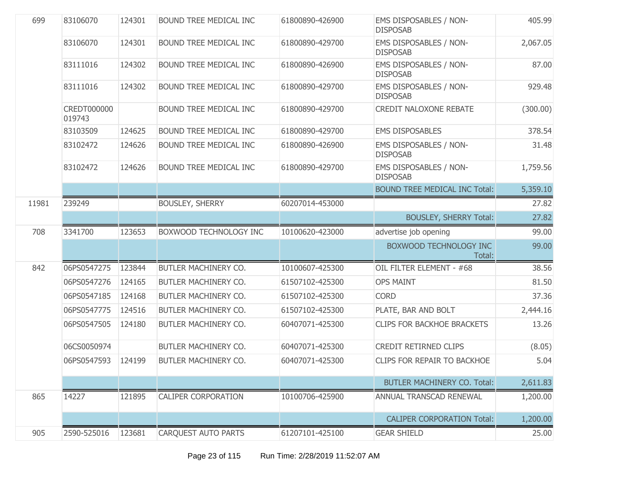| 699   | 83106070              | 124301 | BOUND TREE MEDICAL INC     | 61800890-426900 | EMS DISPOSABLES / NON-<br><b>DISPOSAB</b>        | 405.99   |
|-------|-----------------------|--------|----------------------------|-----------------|--------------------------------------------------|----------|
|       | 83106070              | 124301 | BOUND TREE MEDICAL INC     | 61800890-429700 | EMS DISPOSABLES / NON-<br><b>DISPOSAB</b>        | 2,067.05 |
|       | 83111016              | 124302 | BOUND TREE MEDICAL INC     | 61800890-426900 | <b>EMS DISPOSABLES / NON-</b><br><b>DISPOSAB</b> | 87.00    |
|       | 83111016              | 124302 | BOUND TREE MEDICAL INC     | 61800890-429700 | EMS DISPOSABLES / NON-<br><b>DISPOSAB</b>        | 929.48   |
|       | CREDT000000<br>019743 |        | BOUND TREE MEDICAL INC     | 61800890-429700 | <b>CREDIT NALOXONE REBATE</b>                    | (300.00) |
|       | 83103509              | 124625 | BOUND TREE MEDICAL INC     | 61800890-429700 | <b>EMS DISPOSABLES</b>                           | 378.54   |
|       | 83102472              | 124626 | BOUND TREE MEDICAL INC     | 61800890-426900 | EMS DISPOSABLES / NON-<br><b>DISPOSAB</b>        | 31.48    |
|       | 83102472              | 124626 | BOUND TREE MEDICAL INC     | 61800890-429700 | EMS DISPOSABLES / NON-<br><b>DISPOSAB</b>        | 1,759.56 |
|       |                       |        |                            |                 | <b>BOUND TREE MEDICAL INC Total:</b>             | 5,359.10 |
| 11981 | 239249                |        | <b>BOUSLEY, SHERRY</b>     | 60207014-453000 |                                                  | 27.82    |
|       |                       |        |                            |                 | <b>BOUSLEY, SHERRY Total:</b>                    | 27.82    |
| 708   | 3341700               | 123653 | BOXWOOD TECHNOLOGY INC     | 10100620-423000 | advertise job opening                            | 99.00    |
|       |                       |        |                            |                 | BOXWOOD TECHNOLOGY INC<br>Total:                 | 99.00    |
| 842   | 06PS0547275           | 123844 | BUTLER MACHINERY CO.       | 10100607-425300 | OIL FILTER ELEMENT - #68                         | 38.56    |
|       | 06PS0547276           | 124165 | BUTLER MACHINERY CO.       | 61507102-425300 | <b>OPS MAINT</b>                                 | 81.50    |
|       | 06PS0547185           | 124168 | BUTLER MACHINERY CO.       | 61507102-425300 | <b>CORD</b>                                      | 37.36    |
|       | 06PS0547775           | 124516 | BUTLER MACHINERY CO.       | 61507102-425300 | PLATE, BAR AND BOLT                              | 2,444.16 |
|       | 06PS0547505           | 124180 | BUTLER MACHINERY CO.       | 60407071-425300 | <b>CLIPS FOR BACKHOE BRACKETS</b>                | 13.26    |
|       | 06CS0050974           |        | BUTLER MACHINERY CO.       | 60407071-425300 | CREDIT RETIRNED CLIPS                            | (8.05)   |
|       | 06PS0547593           | 124199 | BUTLER MACHINERY CO.       | 60407071-425300 | <b>CLIPS FOR REPAIR TO BACKHOE</b>               | 5.04     |
|       |                       |        |                            |                 | <b>BUTLER MACHINERY CO. Total:</b>               | 2,611.83 |
| 865   | 14227                 | 121895 | <b>CALIPER CORPORATION</b> | 10100706-425900 | ANNUAL TRANSCAD RENEWAL                          | 1,200.00 |
|       |                       |        |                            |                 | <b>CALIPER CORPORATION Total:</b>                | 1,200.00 |
| 905   | 2590-525016           | 123681 | <b>CARQUEST AUTO PARTS</b> | 61207101-425100 | <b>GEAR SHIELD</b>                               | 25.00    |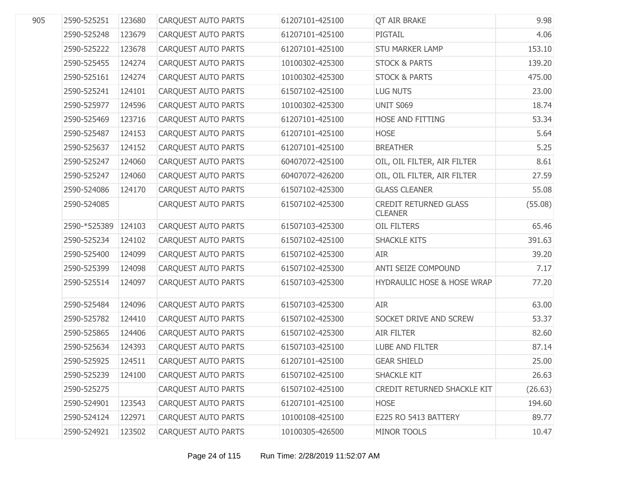| 905 | 2590-525251  | 123680 | <b>CARQUEST AUTO PARTS</b> | 61207101-425100 | <b>QT AIR BRAKE</b>                            | 9.98    |
|-----|--------------|--------|----------------------------|-----------------|------------------------------------------------|---------|
|     | 2590-525248  | 123679 | CARQUEST AUTO PARTS        | 61207101-425100 | PIGTAIL                                        | 4.06    |
|     | 2590-525222  | 123678 | CARQUEST AUTO PARTS        | 61207101-425100 | <b>STU MARKER LAMP</b>                         | 153.10  |
|     | 2590-525455  | 124274 | CARQUEST AUTO PARTS        | 10100302-425300 | <b>STOCK &amp; PARTS</b>                       | 139.20  |
|     | 2590-525161  | 124274 | CARQUEST AUTO PARTS        | 10100302-425300 | <b>STOCK &amp; PARTS</b>                       | 475.00  |
|     | 2590-525241  | 124101 | CARQUEST AUTO PARTS        | 61507102-425100 | <b>LUG NUTS</b>                                | 23.00   |
|     | 2590-525977  | 124596 | CARQUEST AUTO PARTS        | 10100302-425300 | <b>UNIT S069</b>                               | 18.74   |
|     | 2590-525469  | 123716 | CARQUEST AUTO PARTS        | 61207101-425100 | HOSE AND FITTING                               | 53.34   |
|     | 2590-525487  | 124153 | CARQUEST AUTO PARTS        | 61207101-425100 | <b>HOSE</b>                                    | 5.64    |
|     | 2590-525637  | 124152 | CARQUEST AUTO PARTS        | 61207101-425100 | <b>BREATHER</b>                                | 5.25    |
|     | 2590-525247  | 124060 | CARQUEST AUTO PARTS        | 60407072-425100 | OIL, OIL FILTER, AIR FILTER                    | 8.61    |
|     | 2590-525247  | 124060 | CARQUEST AUTO PARTS        | 60407072-426200 | OIL, OIL FILTER, AIR FILTER                    | 27.59   |
|     | 2590-524086  | 124170 | CARQUEST AUTO PARTS        | 61507102-425300 | <b>GLASS CLEANER</b>                           | 55.08   |
|     | 2590-524085  |        | CARQUEST AUTO PARTS        | 61507102-425300 | <b>CREDIT RETURNED GLASS</b><br><b>CLEANER</b> | (55.08) |
|     | 2590-*525389 | 124103 | CARQUEST AUTO PARTS        | 61507103-425300 | OIL FILTERS                                    | 65.46   |
|     | 2590-525234  | 124102 | <b>CARQUEST AUTO PARTS</b> | 61507102-425100 | <b>SHACKLE KITS</b>                            | 391.63  |
|     | 2590-525400  | 124099 | CARQUEST AUTO PARTS        | 61507102-425300 | <b>AIR</b>                                     | 39.20   |
|     | 2590-525399  | 124098 | CARQUEST AUTO PARTS        | 61507102-425300 | ANTI SEIZE COMPOUND                            | 7.17    |
|     | 2590-525514  | 124097 | <b>CARQUEST AUTO PARTS</b> | 61507103-425300 | <b>HYDRAULIC HOSE &amp; HOSE WRAP</b>          | 77.20   |
|     | 2590-525484  | 124096 | CARQUEST AUTO PARTS        | 61507103-425300 | <b>AIR</b>                                     | 63.00   |
|     | 2590-525782  | 124410 | CARQUEST AUTO PARTS        | 61507102-425300 | SOCKET DRIVE AND SCREW                         | 53.37   |
|     | 2590-525865  | 124406 | CARQUEST AUTO PARTS        | 61507102-425300 | <b>AIR FILTER</b>                              | 82.60   |
|     | 2590-525634  | 124393 | CARQUEST AUTO PARTS        | 61507103-425100 | LUBE AND FILTER                                | 87.14   |
|     | 2590-525925  | 124511 | <b>CAROUEST AUTO PARTS</b> | 61207101-425100 | <b>GEAR SHIELD</b>                             | 25.00   |
|     | 2590-525239  | 124100 | <b>CARQUEST AUTO PARTS</b> | 61507102-425100 | <b>SHACKLE KIT</b>                             | 26.63   |
|     | 2590-525275  |        | <b>CARQUEST AUTO PARTS</b> | 61507102-425100 | CREDIT RETURNED SHACKLE KIT                    | (26.63) |
|     | 2590-524901  | 123543 | <b>CARQUEST AUTO PARTS</b> | 61207101-425100 | <b>HOSE</b>                                    | 194.60  |
|     | 2590-524124  | 122971 | CARQUEST AUTO PARTS        | 10100108-425100 | E225 RO 5413 BATTERY                           | 89.77   |
|     | 2590-524921  | 123502 | CARQUEST AUTO PARTS        | 10100305-426500 | MINOR TOOLS                                    | 10.47   |
|     |              |        |                            |                 |                                                |         |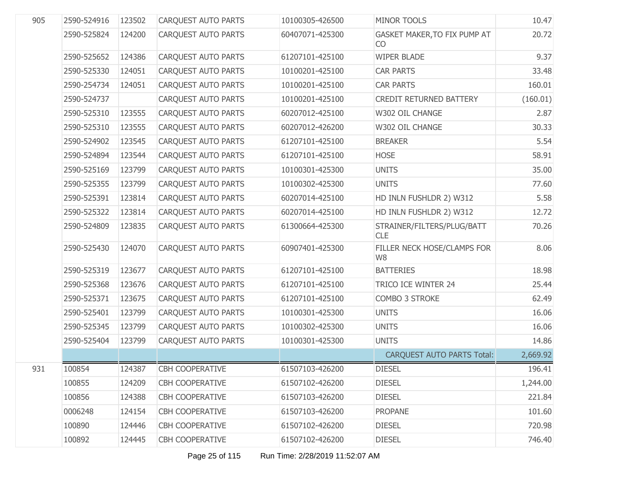| 905 | 2590-524916 | 123502 | <b>CARQUEST AUTO PARTS</b> | 10100305-426500 | MINOR TOOLS                              | 10.47    |
|-----|-------------|--------|----------------------------|-----------------|------------------------------------------|----------|
|     | 2590-525824 | 124200 | <b>CARQUEST AUTO PARTS</b> | 60407071-425300 | GASKET MAKER, TO FIX PUMP AT<br>CO       | 20.72    |
|     | 2590-525652 | 124386 | CARQUEST AUTO PARTS        | 61207101-425100 | <b>WIPER BLADE</b>                       | 9.37     |
|     | 2590-525330 | 124051 | <b>CARQUEST AUTO PARTS</b> | 10100201-425100 | <b>CAR PARTS</b>                         | 33.48    |
|     | 2590-254734 | 124051 | CARQUEST AUTO PARTS        | 10100201-425100 | <b>CAR PARTS</b>                         | 160.01   |
|     | 2590-524737 |        | <b>CARQUEST AUTO PARTS</b> | 10100201-425100 | <b>CREDIT RETURNED BATTERY</b>           | (160.01) |
|     | 2590-525310 | 123555 | CARQUEST AUTO PARTS        | 60207012-425100 | W302 OIL CHANGE                          | 2.87     |
|     | 2590-525310 | 123555 | <b>CAROUEST AUTO PARTS</b> | 60207012-426200 | W302 OIL CHANGE                          | 30.33    |
|     | 2590-524902 | 123545 | CARQUEST AUTO PARTS        | 61207101-425100 | <b>BREAKER</b>                           | 5.54     |
|     | 2590-524894 | 123544 | <b>CARQUEST AUTO PARTS</b> | 61207101-425100 | <b>HOSE</b>                              | 58.91    |
|     | 2590-525169 | 123799 | CARQUEST AUTO PARTS        | 10100301-425300 | <b>UNITS</b>                             | 35.00    |
|     | 2590-525355 | 123799 | <b>CARQUEST AUTO PARTS</b> | 10100302-425300 | <b>UNITS</b>                             | 77.60    |
|     | 2590-525391 | 123814 | <b>CARQUEST AUTO PARTS</b> | 60207014-425100 | HD INLN FUSHLDR 2) W312                  | 5.58     |
|     | 2590-525322 | 123814 | CARQUEST AUTO PARTS        | 60207014-425100 | HD INLN FUSHLDR 2) W312                  | 12.72    |
|     | 2590-524809 | 123835 | CARQUEST AUTO PARTS        | 61300664-425300 | STRAINER/FILTERS/PLUG/BATT<br><b>CLE</b> | 70.26    |
|     | 2590-525430 | 124070 | <b>CARQUEST AUTO PARTS</b> | 60907401-425300 | FILLER NECK HOSE/CLAMPS FOR<br>W8        | 8.06     |
|     | 2590-525319 | 123677 | CARQUEST AUTO PARTS        | 61207101-425100 | <b>BATTERIES</b>                         | 18.98    |
|     | 2590-525368 | 123676 | CARQUEST AUTO PARTS        | 61207101-425100 | TRICO ICE WINTER 24                      | 25.44    |
|     | 2590-525371 | 123675 | CARQUEST AUTO PARTS        | 61207101-425100 | COMBO 3 STROKE                           | 62.49    |
|     | 2590-525401 | 123799 | CARQUEST AUTO PARTS        | 10100301-425300 | <b>UNITS</b>                             | 16.06    |
|     | 2590-525345 | 123799 | CARQUEST AUTO PARTS        | 10100302-425300 | <b>UNITS</b>                             | 16.06    |
|     | 2590-525404 | 123799 | <b>CARQUEST AUTO PARTS</b> | 10100301-425300 | <b>UNITS</b>                             | 14.86    |
|     |             |        |                            |                 | <b>CARQUEST AUTO PARTS Total:</b>        | 2,669.92 |
| 931 | 100854      | 124387 | CBH COOPERATIVE            | 61507103-426200 | <b>DIESEL</b>                            | 196.41   |
|     | 100855      | 124209 | <b>CBH COOPERATIVE</b>     | 61507102-426200 | <b>DIESEL</b>                            | 1,244.00 |
|     | 100856      | 124388 | <b>CBH COOPERATIVE</b>     | 61507103-426200 | <b>DIESEL</b>                            | 221.84   |
|     | 0006248     | 124154 | <b>CBH COOPERATIVE</b>     | 61507103-426200 | <b>PROPANE</b>                           | 101.60   |
|     | 100890      | 124446 | <b>CBH COOPERATIVE</b>     | 61507102-426200 | <b>DIESEL</b>                            | 720.98   |
|     | 100892      | 124445 | <b>CBH COOPERATIVE</b>     | 61507102-426200 | <b>DIESEL</b>                            | 746.40   |
|     |             |        |                            |                 |                                          |          |

Page 25 of 115 Run Time: 2/28/2019 11:52:07 AM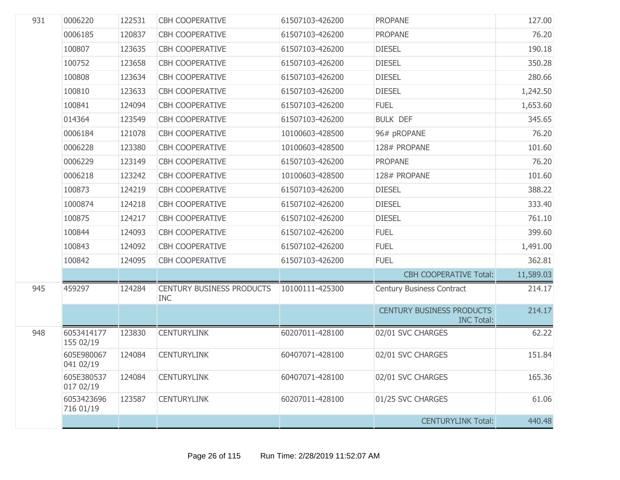| 931 | 0006220                 | 122531 | <b>CBH COOPERATIVE</b>                         | 61507103-426200 | <b>PROPANE</b>                                        | 127.00    |
|-----|-------------------------|--------|------------------------------------------------|-----------------|-------------------------------------------------------|-----------|
|     | 0006185                 | 120837 | <b>CBH COOPERATIVE</b>                         | 61507103-426200 | <b>PROPANE</b>                                        | 76.20     |
|     | 100807                  | 123635 | <b>CBH COOPERATIVE</b>                         | 61507103-426200 | <b>DIESEL</b>                                         | 190.18    |
|     | 100752                  | 123658 | <b>CBH COOPERATIVE</b>                         | 61507103-426200 | <b>DIESEL</b>                                         | 350.28    |
|     | 100808                  | 123634 | <b>CBH COOPERATIVE</b>                         | 61507103-426200 | <b>DIESEL</b>                                         | 280.66    |
|     | 100810                  | 123633 | <b>CBH COOPERATIVE</b>                         | 61507103-426200 | <b>DIESEL</b>                                         | 1,242.50  |
|     | 100841                  | 124094 | <b>CBH COOPERATIVE</b>                         | 61507103-426200 | <b>FUEL</b>                                           | 1,653.60  |
|     | 014364                  | 123549 | <b>CBH COOPERATIVE</b>                         | 61507103-426200 | <b>BULK DEF</b>                                       | 345.65    |
|     | 0006184                 | 121078 | <b>CBH COOPERATIVE</b>                         | 10100603-428500 | 96# pROPANE                                           | 76.20     |
|     | 0006228                 | 123380 | <b>CBH COOPERATIVE</b>                         | 10100603-428500 | 128# PROPANE                                          | 101.60    |
|     | 0006229                 | 123149 | <b>CBH COOPERATIVE</b>                         | 61507103-426200 | <b>PROPANE</b>                                        | 76.20     |
|     | 0006218                 | 123242 | <b>CBH COOPERATIVE</b>                         | 10100603-428500 | 128# PROPANE                                          | 101.60    |
|     | 100873                  | 124219 | <b>CBH COOPERATIVE</b>                         | 61507103-426200 | <b>DIESEL</b>                                         | 388.22    |
|     | 1000874                 | 124218 | <b>CBH COOPERATIVE</b>                         | 61507102-426200 | <b>DIESEL</b>                                         | 333.40    |
|     | 100875                  | 124217 | <b>CBH COOPERATIVE</b>                         | 61507102-426200 | <b>DIESEL</b>                                         | 761.10    |
|     | 100844                  | 124093 | <b>CBH COOPERATIVE</b>                         | 61507102-426200 | <b>FUEL</b>                                           | 399.60    |
|     | 100843                  | 124092 | <b>CBH COOPERATIVE</b>                         | 61507102-426200 | <b>FUEL</b>                                           | 1,491.00  |
|     | 100842                  | 124095 | <b>CBH COOPERATIVE</b>                         | 61507103-426200 | <b>FUEL</b>                                           | 362.81    |
|     |                         |        |                                                |                 | <b>CBH COOPERATIVE Total:</b>                         | 11,589.03 |
| 945 | 459297                  | 124284 | <b>CENTURY BUSINESS PRODUCTS</b><br><b>INC</b> | 10100111-425300 | Century Business Contract                             | 214.17    |
|     |                         |        |                                                |                 | <b>CENTURY BUSINESS PRODUCTS</b><br><b>INC Total:</b> | 214.17    |
| 948 | 6053414177<br>155 02/19 | 123830 | <b>CENTURYLINK</b>                             | 60207011-428100 | 02/01 SVC CHARGES                                     | 62.22     |
|     | 605E980067<br>041 02/19 | 124084 | <b>CENTURYLINK</b>                             | 60407071-428100 | 02/01 SVC CHARGES                                     | 151.84    |
|     | 605E380537<br>017 02/19 | 124084 | <b>CENTURYLINK</b>                             | 60407071-428100 | 02/01 SVC CHARGES                                     | 165.36    |
|     | 6053423696<br>716 01/19 | 123587 | <b>CENTURYLINK</b>                             | 60207011-428100 | 01/25 SVC CHARGES                                     | 61.06     |
|     |                         |        |                                                |                 | <b>CENTURYLINK Total:</b>                             | 440.48    |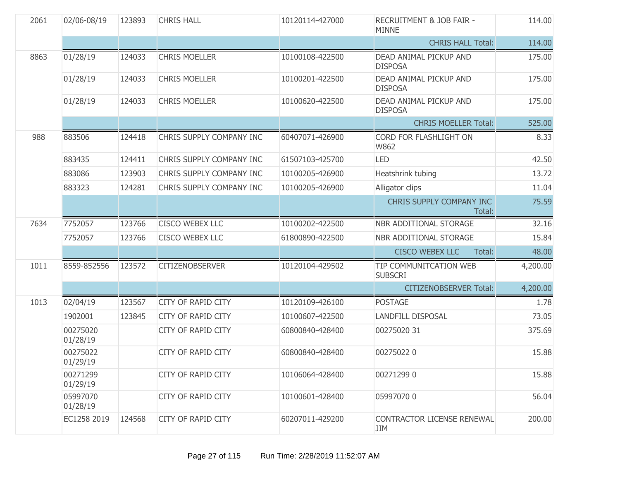| 2061 | 02/06-08/19          | 123893 | <b>CHRIS HALL</b>         | 10120114-427000 | <b>RECRUITMENT &amp; JOB FAIR -</b><br><b>MINNE</b> | 114.00   |
|------|----------------------|--------|---------------------------|-----------------|-----------------------------------------------------|----------|
|      |                      |        |                           |                 | <b>CHRIS HALL Total:</b>                            | 114.00   |
| 8863 | 01/28/19             | 124033 | <b>CHRIS MOELLER</b>      | 10100108-422500 | DEAD ANIMAL PICKUP AND<br><b>DISPOSA</b>            | 175.00   |
|      | 01/28/19             | 124033 | <b>CHRIS MOELLER</b>      | 10100201-422500 | DEAD ANIMAL PICKUP AND<br><b>DISPOSA</b>            | 175.00   |
|      | 01/28/19             | 124033 | <b>CHRIS MOELLER</b>      | 10100620-422500 | DEAD ANIMAL PICKUP AND<br><b>DISPOSA</b>            | 175.00   |
|      |                      |        |                           |                 | <b>CHRIS MOELLER Total:</b>                         | 525.00   |
| 988  | 883506               | 124418 | CHRIS SUPPLY COMPANY INC  | 60407071-426900 | CORD FOR FLASHLIGHT ON<br>W862                      | 8.33     |
|      | 883435               | 124411 | CHRIS SUPPLY COMPANY INC  | 61507103-425700 | <b>LED</b>                                          | 42.50    |
|      | 883086               | 123903 | CHRIS SUPPLY COMPANY INC  | 10100205-426900 | Heatshrink tubing                                   | 13.72    |
|      | 883323               | 124281 | CHRIS SUPPLY COMPANY INC  | 10100205-426900 | Alligator clips                                     | 11.04    |
|      |                      |        |                           |                 | CHRIS SUPPLY COMPANY INC<br>Total:                  | 75.59    |
| 7634 | 7752057              | 123766 | <b>CISCO WEBEX LLC</b>    | 10100202-422500 | NBR ADDITIONAL STORAGE                              | 32.16    |
|      | 7752057              | 123766 | <b>CISCO WEBEX LLC</b>    | 61800890-422500 | NBR ADDITIONAL STORAGE                              | 15.84    |
|      |                      |        |                           |                 | <b>CISCO WEBEX LLC</b><br>Total:                    | 48.00    |
| 1011 | 8559-852556          | 123572 | <b>CITIZENOBSERVER</b>    | 10120104-429502 | TIP COMMUNITCATION WEB<br><b>SUBSCRI</b>            | 4,200.00 |
|      |                      |        |                           |                 | <b>CITIZENOBSERVER Total:</b>                       | 4,200.00 |
| 1013 | 02/04/19             | 123567 | <b>CITY OF RAPID CITY</b> | 10120109-426100 | <b>POSTAGE</b>                                      | 1.78     |
|      | 1902001              | 123845 | <b>CITY OF RAPID CITY</b> | 10100607-422500 | <b>LANDFILL DISPOSAL</b>                            | 73.05    |
|      | 00275020<br>01/28/19 |        | <b>CITY OF RAPID CITY</b> | 60800840-428400 | 00275020 31                                         | 375.69   |
|      | 00275022<br>01/29/19 |        | <b>CITY OF RAPID CITY</b> | 60800840-428400 | 002750220                                           | 15.88    |
|      | 00271299<br>01/29/19 |        | <b>CITY OF RAPID CITY</b> | 10106064-428400 | 002712990                                           | 15.88    |
|      | 05997070<br>01/28/19 |        | CITY OF RAPID CITY        | 10100601-428400 | 059970700                                           | 56.04    |
|      | EC1258 2019          | 124568 | <b>CITY OF RAPID CITY</b> | 60207011-429200 | CONTRACTOR LICENSE RENEWAL<br>JIM                   | 200.00   |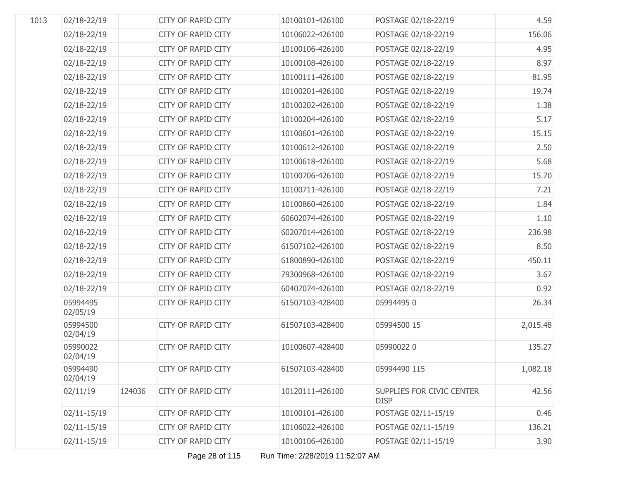| 1013 | 02/18-22/19          |        | CITY OF RAPID CITY        | 10100101-426100 | POSTAGE 02/18-22/19                             | 4.59     |
|------|----------------------|--------|---------------------------|-----------------|-------------------------------------------------|----------|
|      | 02/18-22/19          |        | CITY OF RAPID CITY        | 10106022-426100 | POSTAGE 02/18-22/19                             | 156.06   |
|      | 02/18-22/19          |        | CITY OF RAPID CITY        | 10100106-426100 | POSTAGE 02/18-22/19                             | 4.95     |
|      | 02/18-22/19          |        | <b>CITY OF RAPID CITY</b> | 10100108-426100 | POSTAGE 02/18-22/19                             | 8.97     |
|      | 02/18-22/19          |        | CITY OF RAPID CITY        | 10100111-426100 | POSTAGE 02/18-22/19                             | 81.95    |
|      | 02/18-22/19          |        | CITY OF RAPID CITY        | 10100201-426100 | POSTAGE 02/18-22/19                             | 19.74    |
|      | 02/18-22/19          |        | CITY OF RAPID CITY        | 10100202-426100 | POSTAGE 02/18-22/19                             | 1.38     |
|      | 02/18-22/19          |        | <b>CITY OF RAPID CITY</b> | 10100204-426100 | POSTAGE 02/18-22/19                             | 5.17     |
|      | 02/18-22/19          |        | CITY OF RAPID CITY        | 10100601-426100 | POSTAGE 02/18-22/19                             | 15.15    |
|      | 02/18-22/19          |        | CITY OF RAPID CITY        | 10100612-426100 | POSTAGE 02/18-22/19                             | 2.50     |
|      | 02/18-22/19          |        | CITY OF RAPID CITY        | 10100618-426100 | POSTAGE 02/18-22/19                             | 5.68     |
|      | 02/18-22/19          |        | CITY OF RAPID CITY        | 10100706-426100 | POSTAGE 02/18-22/19                             | 15.70    |
|      | 02/18-22/19          |        | CITY OF RAPID CITY        | 10100711-426100 | POSTAGE 02/18-22/19                             | 7.21     |
|      | 02/18-22/19          |        | CITY OF RAPID CITY        | 10100860-426100 | POSTAGE 02/18-22/19                             | 1.84     |
|      | 02/18-22/19          |        | CITY OF RAPID CITY        | 60602074-426100 | POSTAGE 02/18-22/19                             | 1.10     |
|      | 02/18-22/19          |        | <b>CITY OF RAPID CITY</b> | 60207014-426100 | POSTAGE 02/18-22/19                             | 236.98   |
|      | 02/18-22/19          |        | <b>CITY OF RAPID CITY</b> | 61507102-426100 | POSTAGE 02/18-22/19                             | 8.50     |
|      | 02/18-22/19          |        | CITY OF RAPID CITY        | 61800890-426100 | POSTAGE 02/18-22/19                             | 450.11   |
|      | 02/18-22/19          |        | CITY OF RAPID CITY        | 79300968-426100 | POSTAGE 02/18-22/19                             | 3.67     |
|      | 02/18-22/19          |        | CITY OF RAPID CITY        | 60407074-426100 | POSTAGE 02/18-22/19                             | 0.92     |
|      | 05994495<br>02/05/19 |        | <b>CITY OF RAPID CITY</b> | 61507103-428400 | 059944950                                       | 26.34    |
|      | 05994500<br>02/04/19 |        | <b>CITY OF RAPID CITY</b> | 61507103-428400 | 05994500 15                                     | 2,015.48 |
|      | 05990022<br>02/04/19 |        | <b>CITY OF RAPID CITY</b> | 10100607-428400 | 059900220                                       | 135.27   |
|      | 05994490<br>02/04/19 |        | CITY OF RAPID CITY        | 61507103-428400 | 05994490 115                                    | 1,082.18 |
|      | 02/11/19             | 124036 | <b>CITY OF RAPID CITY</b> | 10120111-426100 | <b>SUPPLIES FOR CIVIC CENTER</b><br><b>DISP</b> | 42.56    |
|      | 02/11-15/19          |        | <b>CITY OF RAPID CITY</b> | 10100101-426100 | POSTAGE 02/11-15/19                             | 0.46     |
|      | 02/11-15/19          |        | <b>CITY OF RAPID CITY</b> | 10106022-426100 | POSTAGE 02/11-15/19                             | 136.21   |
|      | 02/11-15/19          |        | CITY OF RAPID CITY        | 10100106-426100 | POSTAGE 02/11-15/19                             | 3.90     |

Page 28 of 115 Run Time: 2/28/2019 11:52:07 AM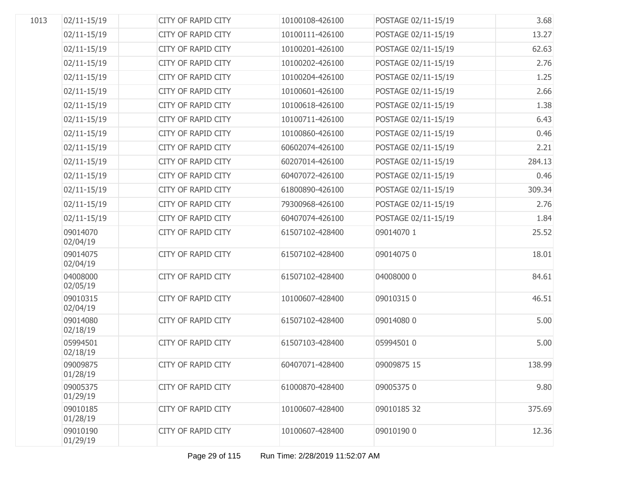| 1013 | 02/11-15/19          | <b>CITY OF RAPID CITY</b> | 10100108-426100 | POSTAGE 02/11-15/19 | 3.68   |
|------|----------------------|---------------------------|-----------------|---------------------|--------|
|      | 02/11-15/19          | CITY OF RAPID CITY        | 10100111-426100 | POSTAGE 02/11-15/19 | 13.27  |
|      | 02/11-15/19          | CITY OF RAPID CITY        | 10100201-426100 | POSTAGE 02/11-15/19 | 62.63  |
|      | 02/11-15/19          | CITY OF RAPID CITY        | 10100202-426100 | POSTAGE 02/11-15/19 | 2.76   |
|      | 02/11-15/19          | CITY OF RAPID CITY        | 10100204-426100 | POSTAGE 02/11-15/19 | 1.25   |
|      | 02/11-15/19          | CITY OF RAPID CITY        | 10100601-426100 | POSTAGE 02/11-15/19 | 2.66   |
|      | 02/11-15/19          | CITY OF RAPID CITY        | 10100618-426100 | POSTAGE 02/11-15/19 | 1.38   |
|      | 02/11-15/19          | CITY OF RAPID CITY        | 10100711-426100 | POSTAGE 02/11-15/19 | 6.43   |
|      | 02/11-15/19          | CITY OF RAPID CITY        | 10100860-426100 | POSTAGE 02/11-15/19 | 0.46   |
|      | 02/11-15/19          | CITY OF RAPID CITY        | 60602074-426100 | POSTAGE 02/11-15/19 | 2.21   |
|      | 02/11-15/19          | CITY OF RAPID CITY        | 60207014-426100 | POSTAGE 02/11-15/19 | 284.13 |
|      | 02/11-15/19          | CITY OF RAPID CITY        | 60407072-426100 | POSTAGE 02/11-15/19 | 0.46   |
|      | 02/11-15/19          | CITY OF RAPID CITY        | 61800890-426100 | POSTAGE 02/11-15/19 | 309.34 |
|      | 02/11-15/19          | CITY OF RAPID CITY        | 79300968-426100 | POSTAGE 02/11-15/19 | 2.76   |
|      | 02/11-15/19          | CITY OF RAPID CITY        | 60407074-426100 | POSTAGE 02/11-15/19 | 1.84   |
|      | 09014070<br>02/04/19 | <b>CITY OF RAPID CITY</b> | 61507102-428400 | 09014070 1          | 25.52  |
|      | 09014075<br>02/04/19 | CITY OF RAPID CITY        | 61507102-428400 | 090140750           | 18.01  |
|      | 04008000<br>02/05/19 | <b>CITY OF RAPID CITY</b> | 61507102-428400 | 04008000 0          | 84.61  |
|      | 09010315<br>02/04/19 | CITY OF RAPID CITY        | 10100607-428400 | 090103150           | 46.51  |
|      | 09014080<br>02/18/19 | <b>CITY OF RAPID CITY</b> | 61507102-428400 | 09014080 0          | 5.00   |
|      | 05994501<br>02/18/19 | <b>CITY OF RAPID CITY</b> | 61507103-428400 | 05994501 0          | 5.00   |
|      | 09009875<br>01/28/19 | CITY OF RAPID CITY        | 60407071-428400 | 09009875 15         | 138.99 |
|      | 09005375<br>01/29/19 | <b>CITY OF RAPID CITY</b> | 61000870-428400 | 090053750           | 9.80   |
|      | 09010185<br>01/28/19 | CITY OF RAPID CITY        | 10100607-428400 | 09010185 32         | 375.69 |
|      | 09010190<br>01/29/19 | <b>CITY OF RAPID CITY</b> | 10100607-428400 | 09010190 0          | 12.36  |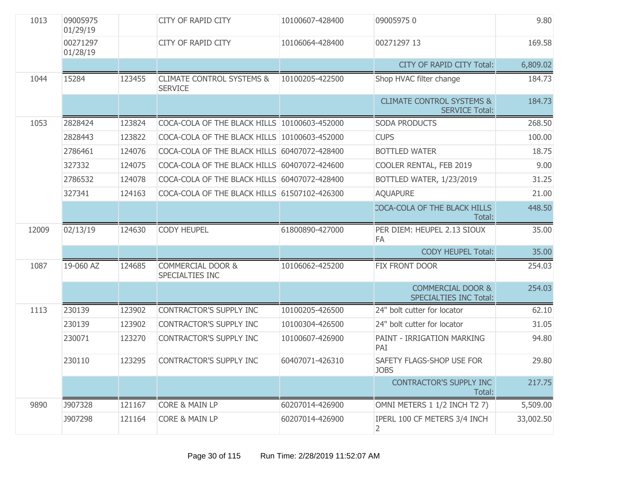| 1013  | 09005975<br>01/29/19 |        | <b>CITY OF RAPID CITY</b>                              | 10100607-428400 | 090059750                                                     | 9.80      |
|-------|----------------------|--------|--------------------------------------------------------|-----------------|---------------------------------------------------------------|-----------|
|       | 00271297<br>01/28/19 |        | CITY OF RAPID CITY                                     | 10106064-428400 | 00271297 13                                                   | 169.58    |
|       |                      |        |                                                        |                 | <b>CITY OF RAPID CITY Total:</b>                              | 6,809.02  |
| 1044  | 15284                | 123455 | <b>CLIMATE CONTROL SYSTEMS &amp;</b><br><b>SERVICE</b> | 10100205-422500 | Shop HVAC filter change                                       | 184.73    |
|       |                      |        |                                                        |                 | <b>CLIMATE CONTROL SYSTEMS &amp;</b><br><b>SERVICE Total:</b> | 184.73    |
| 1053  | 2828424              | 123824 | COCA-COLA OF THE BLACK HILLS 10100603-452000           |                 | <b>SODA PRODUCTS</b>                                          | 268.50    |
|       | 2828443              | 123822 | COCA-COLA OF THE BLACK HILLS 10100603-452000           |                 | <b>CUPS</b>                                                   | 100.00    |
|       | 2786461              | 124076 | COCA-COLA OF THE BLACK HILLS 60407072-428400           |                 | <b>BOTTLED WATER</b>                                          | 18.75     |
|       | 327332               | 124075 | COCA-COLA OF THE BLACK HILLS 60407072-424600           |                 | COOLER RENTAL, FEB 2019                                       | 9.00      |
|       | 2786532              | 124078 | COCA-COLA OF THE BLACK HILLS 60407072-428400           |                 | BOTTLED WATER, 1/23/2019                                      | 31.25     |
|       | 327341               | 124163 | COCA-COLA OF THE BLACK HILLS 61507102-426300           |                 | <b>AQUAPURE</b>                                               | 21.00     |
|       |                      |        |                                                        |                 | COCA-COLA OF THE BLACK HILLS<br>Total:                        | 448.50    |
| 12009 | 02/13/19             | 124630 | <b>CODY HEUPEL</b>                                     | 61800890-427000 | PER DIEM: HEUPEL 2.13 SIOUX<br>FA                             | 35.00     |
|       |                      |        |                                                        |                 | <b>CODY HEUPEL Total:</b>                                     | 35.00     |
| 1087  | 19-060 AZ            | 124685 | COMMERCIAL DOOR &<br>SPECIALTIES INC                   | 10106062-425200 | FIX FRONT DOOR                                                | 254.03    |
|       |                      |        |                                                        |                 | <b>COMMERCIAL DOOR &amp;</b><br><b>SPECIALTIES INC Total:</b> | 254.03    |
| 1113  | 230139               | 123902 | CONTRACTOR'S SUPPLY INC                                | 10100205-426500 | 24" bolt cutter for locator                                   | 62.10     |
|       | 230139               | 123902 | <b>CONTRACTOR'S SUPPLY INC</b>                         | 10100304-426500 | 24" bolt cutter for locator                                   | 31.05     |
|       | 230071               | 123270 | <b>CONTRACTOR'S SUPPLY INC</b>                         | 10100607-426900 | PAINT - IRRIGATION MARKING<br>PAI                             | 94.80     |
|       | 230110               | 123295 | CONTRACTOR'S SUPPLY INC                                | 60407071-426310 | SAFETY FLAGS-SHOP USE FOR<br><b>JOBS</b>                      | 29.80     |
|       |                      |        |                                                        |                 | <b>CONTRACTOR'S SUPPLY INC</b><br>Total:                      | 217.75    |
| 9890  | J907328              | 121167 | <b>CORE &amp; MAIN LP</b>                              | 60207014-426900 | OMNI METERS 1 1/2 INCH T2 7)                                  | 5,509.00  |
|       | J907298              | 121164 | <b>CORE &amp; MAIN LP</b>                              | 60207014-426900 | IPERL 100 CF METERS 3/4 INCH<br>2                             | 33,002.50 |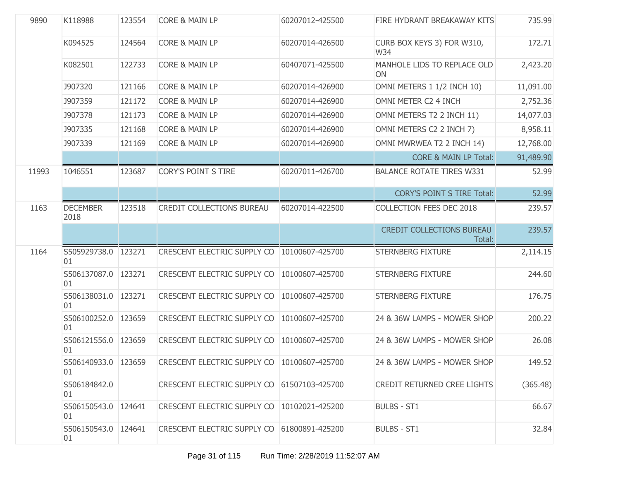| 9890  | K118988                   | 123554 | <b>CORE &amp; MAIN LP</b>                     | 60207012-425500 | FIRE HYDRANT BREAKAWAY KITS                | 735.99    |
|-------|---------------------------|--------|-----------------------------------------------|-----------------|--------------------------------------------|-----------|
|       | K094525                   | 124564 | <b>CORE &amp; MAIN LP</b>                     | 60207014-426500 | CURB BOX KEYS 3) FOR W310,<br>W34          | 172.71    |
|       | K082501                   | 122733 | <b>CORE &amp; MAIN LP</b>                     | 60407071-425500 | MANHOLE LIDS TO REPLACE OLD<br>ON          | 2,423.20  |
|       | <b>J907320</b>            | 121166 | <b>CORE &amp; MAIN LP</b>                     | 60207014-426900 | OMNI METERS 1 1/2 INCH 10)                 | 11,091.00 |
|       | J907359                   | 121172 | <b>CORE &amp; MAIN LP</b>                     | 60207014-426900 | OMNI METER C2 4 INCH                       | 2,752.36  |
|       | <b>J907378</b>            | 121173 | <b>CORE &amp; MAIN LP</b>                     | 60207014-426900 | OMNI METERS T2 2 INCH 11)                  | 14,077.03 |
|       | <b>J907335</b>            | 121168 | <b>CORE &amp; MAIN LP</b>                     | 60207014-426900 | OMNI METERS C2 2 INCH 7)                   | 8,958.11  |
|       | J907339                   | 121169 | <b>CORE &amp; MAIN LP</b>                     | 60207014-426900 | OMNI MWRWEA T2 2 INCH 14)                  | 12,768.00 |
|       |                           |        |                                               |                 | <b>CORE &amp; MAIN LP Total:</b>           | 91,489.90 |
| 11993 | 1046551                   | 123687 | <b>CORY'S POINT S TIRE</b>                    | 60207011-426700 | <b>BALANCE ROTATE TIRES W331</b>           | 52.99     |
|       |                           |        |                                               |                 | <b>CORY'S POINT S TIRE Total:</b>          | 52.99     |
| 1163  | <b>DECEMBER</b><br>2018   | 123518 | CREDIT COLLECTIONS BUREAU                     | 60207014-422500 | <b>COLLECTION FEES DEC 2018</b>            | 239.57    |
|       |                           |        |                                               |                 | <b>CREDIT COLLECTIONS BUREAU</b><br>Total: | 239.57    |
| 1164  | S505929738.0 123271<br>01 |        | CRESCENT ELECTRIC SUPPLY CO   10100607-425700 |                 | <b>STERNBERG FIXTURE</b>                   | 2,114.15  |
|       | S506137087.0<br>01        | 123271 | CRESCENT ELECTRIC SUPPLY CO                   | 10100607-425700 | <b>STERNBERG FIXTURE</b>                   | 244.60    |
|       | S506138031.0 123271<br>01 |        | CRESCENT ELECTRIC SUPPLY CO                   | 10100607-425700 | <b>STERNBERG FIXTURE</b>                   | 176.75    |
|       | S506100252.0<br>01        | 123659 | CRESCENT ELECTRIC SUPPLY CO                   | 10100607-425700 | 24 & 36W LAMPS - MOWER SHOP                | 200.22    |
|       | S506121556.0 123659<br>01 |        | CRESCENT ELECTRIC SUPPLY CO                   | 10100607-425700 | 24 & 36W LAMPS - MOWER SHOP                | 26.08     |
|       | S506140933.0 123659<br>01 |        | CRESCENT ELECTRIC SUPPLY CO   10100607-425700 |                 | 24 & 36W LAMPS - MOWER SHOP                | 149.52    |
|       | S506184842.0<br>01        |        | CRESCENT ELECTRIC SUPPLY CO 61507103-425700   |                 | <b>CREDIT RETURNED CREE LIGHTS</b>         | (365.48)  |
|       | S506150543.0 124641<br>01 |        | CRESCENT ELECTRIC SUPPLY CO   10102021-425200 |                 | <b>BULBS - ST1</b>                         | 66.67     |
|       | S506150543.0<br>01        | 124641 | CRESCENT ELECTRIC SUPPLY CO 61800891-425200   |                 | <b>BULBS - ST1</b>                         | 32.84     |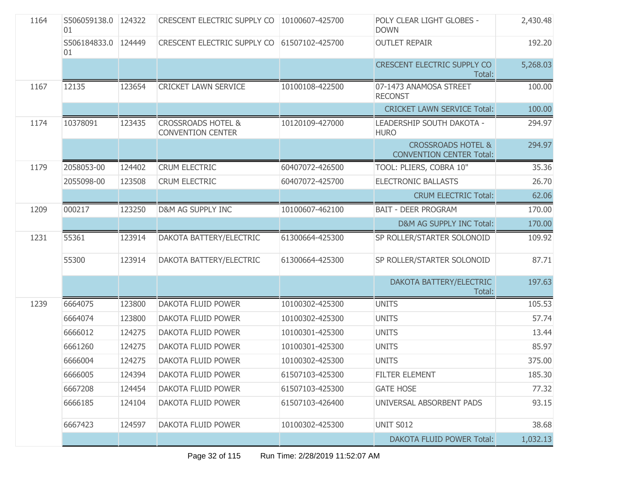| 1164 | S506059138.0 124322<br>01 |        | CRESCENT ELECTRIC SUPPLY CO   10100607-425700             |                 | POLY CLEAR LIGHT GLOBES -<br><b>DOWN</b>                         | 2,430.48 |
|------|---------------------------|--------|-----------------------------------------------------------|-----------------|------------------------------------------------------------------|----------|
|      | S506184833.0 124449<br>01 |        | CRESCENT ELECTRIC SUPPLY CO 61507102-425700               |                 | <b>OUTLET REPAIR</b>                                             | 192.20   |
|      |                           |        |                                                           |                 | <b>CRESCENT ELECTRIC SUPPLY CO</b><br>Total:                     | 5,268.03 |
| 1167 | 12135                     | 123654 | <b>CRICKET LAWN SERVICE</b>                               | 10100108-422500 | 07-1473 ANAMOSA STREET<br><b>RECONST</b>                         | 100.00   |
|      |                           |        |                                                           |                 | <b>CRICKET LAWN SERVICE Total:</b>                               | 100.00   |
| 1174 | 10378091                  | 123435 | <b>CROSSROADS HOTEL &amp;</b><br><b>CONVENTION CENTER</b> | 10120109-427000 | LEADERSHIP SOUTH DAKOTA -<br><b>HURO</b>                         | 294.97   |
|      |                           |        |                                                           |                 | <b>CROSSROADS HOTEL &amp;</b><br><b>CONVENTION CENTER Total:</b> | 294.97   |
| 1179 | 2058053-00                | 124402 | <b>CRUM ELECTRIC</b>                                      | 60407072-426500 | TOOL: PLIERS, COBRA 10"                                          | 35.36    |
|      | 2055098-00                | 123508 | <b>CRUM ELECTRIC</b>                                      | 60407072-425700 | <b>ELECTRONIC BALLASTS</b>                                       | 26.70    |
|      |                           |        |                                                           |                 | <b>CRUM ELECTRIC Total:</b>                                      | 62.06    |
| 1209 | 000217                    | 123250 | <b>D&amp;M AG SUPPLY INC</b>                              | 10100607-462100 | <b>BAIT - DEER PROGRAM</b>                                       | 170.00   |
|      |                           |        |                                                           |                 | D&M AG SUPPLY INC Total:                                         | 170.00   |
| 1231 | 55361                     | 123914 | DAKOTA BATTERY/ELECTRIC                                   | 61300664-425300 | SP ROLLER/STARTER SOLONOID                                       | 109.92   |
|      | 55300                     | 123914 | DAKOTA BATTERY/ELECTRIC                                   | 61300664-425300 | SP ROLLER/STARTER SOLONOID                                       | 87.71    |
|      |                           |        |                                                           |                 | DAKOTA BATTERY/ELECTRIC<br>Total:                                | 197.63   |
| 1239 | 6664075                   | 123800 | DAKOTA FLUID POWER                                        | 10100302-425300 | <b>UNITS</b>                                                     | 105.53   |
|      | 6664074                   | 123800 | DAKOTA FLUID POWER                                        | 10100302-425300 | <b>UNITS</b>                                                     | 57.74    |
|      | 6666012                   | 124275 | DAKOTA FLUID POWER                                        | 10100301-425300 | <b>UNITS</b>                                                     | 13.44    |
|      | 6661260                   | 124275 | DAKOTA FLUID POWER                                        | 10100301-425300 | <b>UNITS</b>                                                     | 85.97    |
|      | 6666004                   | 124275 | <b>DAKOTA FLUID POWER</b>                                 | 10100302-425300 | <b>UNITS</b>                                                     | 375.00   |
|      | 6666005                   | 124394 | DAKOTA FLUID POWER                                        | 61507103-425300 | <b>FILTER ELEMENT</b>                                            | 185.30   |
|      | 6667208                   | 124454 | DAKOTA FLUID POWER                                        | 61507103-425300 | <b>GATE HOSE</b>                                                 | 77.32    |
|      | 6666185                   | 124104 | DAKOTA FLUID POWER                                        | 61507103-426400 | UNIVERSAL ABSORBENT PADS                                         | 93.15    |
|      | 6667423                   | 124597 | <b>DAKOTA FLUID POWER</b>                                 | 10100302-425300 | <b>UNIT S012</b>                                                 | 38.68    |
|      |                           |        |                                                           |                 | <b>DAKOTA FLUID POWER Total:</b>                                 | 1,032.13 |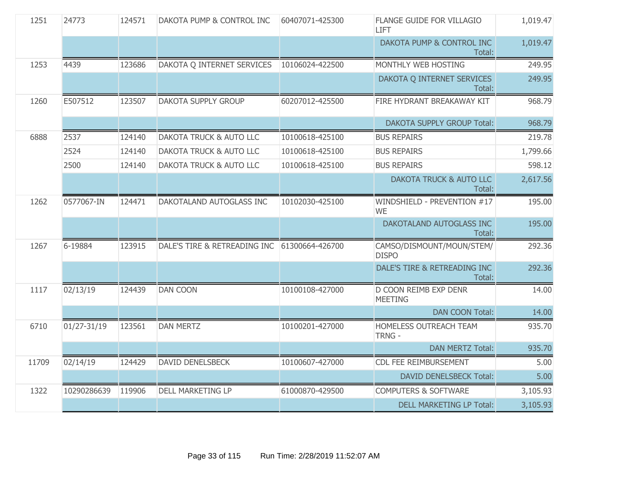| 1251  | 24773       | 124571 | DAKOTA PUMP & CONTROL INC                    | 60407071-425300 | FLANGE GUIDE FOR VILLAGIO<br>LIFT         | 1,019.47 |
|-------|-------------|--------|----------------------------------------------|-----------------|-------------------------------------------|----------|
|       |             |        |                                              |                 | DAKOTA PUMP & CONTROL INC<br>Total:       | 1,019.47 |
| 1253  | 4439        | 123686 | DAKOTA Q INTERNET SERVICES                   | 10106024-422500 | MONTHLY WEB HOSTING                       | 249.95   |
|       |             |        |                                              |                 | DAKOTA Q INTERNET SERVICES<br>Total:      | 249.95   |
| 1260  | E507512     | 123507 | <b>DAKOTA SUPPLY GROUP</b>                   | 60207012-425500 | FIRE HYDRANT BREAKAWAY KIT                | 968.79   |
|       |             |        |                                              |                 | <b>DAKOTA SUPPLY GROUP Total:</b>         | 968.79   |
| 6888  | 2537        | 124140 | DAKOTA TRUCK & AUTO LLC                      | 10100618-425100 | <b>BUS REPAIRS</b>                        | 219.78   |
|       | 2524        | 124140 | <b>DAKOTA TRUCK &amp; AUTO LLC</b>           | 10100618-425100 | <b>BUS REPAIRS</b>                        | 1,799.66 |
|       | 2500        | 124140 | <b>DAKOTA TRUCK &amp; AUTO LLC</b>           | 10100618-425100 | <b>BUS REPAIRS</b>                        | 598.12   |
|       |             |        |                                              |                 | DAKOTA TRUCK & AUTO LLC<br>Total:         | 2,617.56 |
| 1262  | 0577067-IN  | 124471 | DAKOTALAND AUTOGLASS INC                     | 10102030-425100 | WINDSHIELD - PREVENTION #17<br><b>WE</b>  | 195.00   |
|       |             |        |                                              |                 | DAKOTALAND AUTOGLASS INC<br>Total:        | 195.00   |
| 1267  | 6-19884     | 123915 | DALE'S TIRE & RETREADING INC 61300664-426700 |                 | CAMSO/DISMOUNT/MOUN/STEM/<br><b>DISPO</b> | 292.36   |
|       |             |        |                                              |                 | DALE'S TIRE & RETREADING INC<br>Total:    | 292.36   |
| 1117  | 02/13/19    | 124439 | <b>DAN COON</b>                              | 10100108-427000 | D COON REIMB EXP DENR<br><b>MEETING</b>   | 14.00    |
|       |             |        |                                              |                 | <b>DAN COON Total:</b>                    | 14.00    |
| 6710  | 01/27-31/19 | 123561 | <b>DAN MERTZ</b>                             | 10100201-427000 | HOMELESS OUTREACH TEAM<br><b>TRNG -</b>   | 935.70   |
|       |             |        |                                              |                 | <b>DAN MERTZ Total:</b>                   | 935.70   |
| 11709 | 02/14/19    | 124429 | DAVID DENELSBECK                             | 10100607-427000 | CDL FEE REIMBURSEMENT                     | 5.00     |
|       |             |        |                                              |                 | <b>DAVID DENELSBECK Total:</b>            | 5.00     |
| 1322  | 10290286639 | 119906 | <b>DELL MARKETING LP</b>                     | 61000870-429500 | <b>COMPUTERS &amp; SOFTWARE</b>           | 3,105.93 |
|       |             |        |                                              |                 | <b>DELL MARKETING LP Total:</b>           | 3,105.93 |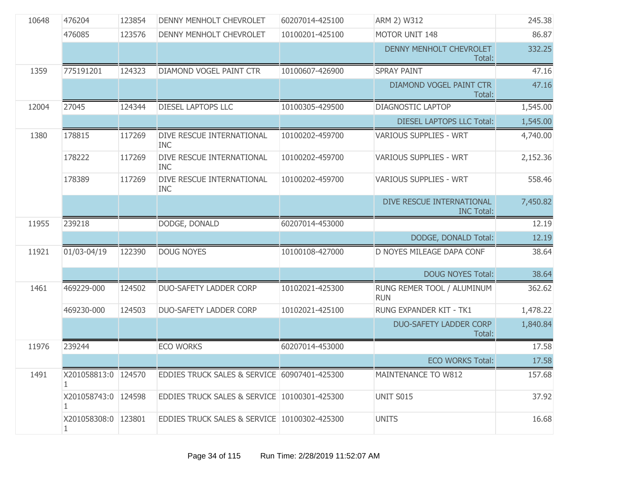| 10648 | 476204                   | 123854 | DENNY MENHOLT CHEVROLET                      | 60207014-425100 | ARM 2) W312                                    | 245.38   |
|-------|--------------------------|--------|----------------------------------------------|-----------------|------------------------------------------------|----------|
|       | 476085                   | 123576 | DENNY MENHOLT CHEVROLET                      | 10100201-425100 | MOTOR UNIT 148                                 | 86.87    |
|       |                          |        |                                              |                 | DENNY MENHOLT CHEVROLET<br>Total:              | 332.25   |
| 1359  | 775191201                | 124323 | DIAMOND VOGEL PAINT CTR                      | 10100607-426900 | <b>SPRAY PAINT</b>                             | 47.16    |
|       |                          |        |                                              |                 | DIAMOND VOGEL PAINT CTR<br>Total:              | 47.16    |
| 12004 | 27045                    | 124344 | <b>DIESEL LAPTOPS LLC</b>                    | 10100305-429500 | <b>DIAGNOSTIC LAPTOP</b>                       | 1,545.00 |
|       |                          |        |                                              |                 | <b>DIESEL LAPTOPS LLC Total:</b>               | 1,545.00 |
| 1380  | 178815                   | 117269 | DIVE RESCUE INTERNATIONAL<br><b>INC</b>      | 10100202-459700 | <b>VARIOUS SUPPLIES - WRT</b>                  | 4,740.00 |
|       | 178222                   | 117269 | DIVE RESCUE INTERNATIONAL<br><b>INC</b>      | 10100202-459700 | <b>VARIOUS SUPPLIES - WRT</b>                  | 2,152.36 |
|       | 178389                   | 117269 | DIVE RESCUE INTERNATIONAL<br><b>INC</b>      | 10100202-459700 | <b>VARIOUS SUPPLIES - WRT</b>                  | 558.46   |
|       |                          |        |                                              |                 | DIVE RESCUE INTERNATIONAL<br><b>INC Total:</b> | 7,450.82 |
| 11955 | 239218                   |        | DODGE, DONALD                                | 60207014-453000 |                                                | 12.19    |
|       |                          |        |                                              |                 | DODGE, DONALD Total:                           | 12.19    |
| 11921 | 01/03-04/19              | 122390 | <b>DOUG NOYES</b>                            | 10100108-427000 | D NOYES MILEAGE DAPA CONF                      | 38.64    |
|       |                          |        |                                              |                 | <b>DOUG NOYES Total:</b>                       | 38.64    |
| 1461  | 469229-000               | 124502 | <b>DUO-SAFETY LADDER CORP</b>                | 10102021-425300 | RUNG REMER TOOL / ALUMINUM<br><b>RUN</b>       | 362.62   |
|       | 469230-000               | 124503 | <b>DUO-SAFETY LADDER CORP</b>                | 10102021-425100 | RUNG EXPANDER KIT - TK1                        | 1,478.22 |
|       |                          |        |                                              |                 | <b>DUO-SAFETY LADDER CORP</b><br>Total:        | 1,840.84 |
| 11976 | 239244                   |        | <b>ECO WORKS</b>                             | 60207014-453000 |                                                | 17.58    |
|       |                          |        |                                              |                 | <b>ECO WORKS Total:</b>                        | 17.58    |
| 1491  | X201058813:0   124570    |        | EDDIES TRUCK SALES & SERVICE 60907401-425300 |                 | MAINTENANCE TO W812                            | 157.68   |
|       | X201058743:0 124598<br>1 |        | EDDIES TRUCK SALES & SERVICE 10100301-425300 |                 | <b>UNIT S015</b>                               | 37.92    |
|       | X201058308:0 123801<br>1 |        | EDDIES TRUCK SALES & SERVICE 10100302-425300 |                 | <b>UNITS</b>                                   | 16.68    |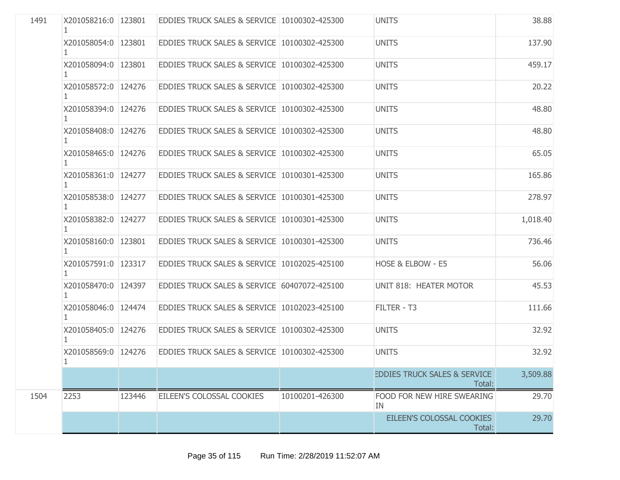| 1491 | X201058216:0 123801       |        | EDDIES TRUCK SALES & SERVICE 10100302-425300 |                 | <b>UNITS</b>                                      | 38.88    |
|------|---------------------------|--------|----------------------------------------------|-----------------|---------------------------------------------------|----------|
|      | X201058054:0 123801       |        | EDDIES TRUCK SALES & SERVICE 10100302-425300 |                 | <b>UNITS</b>                                      | 137.90   |
|      | X201058094:0 123801       |        | EDDIES TRUCK SALES & SERVICE 10100302-425300 |                 | <b>UNITS</b>                                      | 459.17   |
|      | X201058572:0 124276       |        | EDDIES TRUCK SALES & SERVICE 10100302-425300 |                 | <b>UNITS</b>                                      | 20.22    |
|      | X201058394:0 124276       |        | EDDIES TRUCK SALES & SERVICE 10100302-425300 |                 | <b>UNITS</b>                                      | 48.80    |
|      | X201058408:0   124276     |        | EDDIES TRUCK SALES & SERVICE 10100302-425300 |                 | <b>UNITS</b>                                      | 48.80    |
|      | X201058465:0 124276       |        | EDDIES TRUCK SALES & SERVICE 10100302-425300 |                 | <b>UNITS</b>                                      | 65.05    |
|      | X201058361:0 124277       |        | EDDIES TRUCK SALES & SERVICE 10100301-425300 |                 | <b>UNITS</b>                                      | 165.86   |
|      | X201058538:0 124277       |        | EDDIES TRUCK SALES & SERVICE 10100301-425300 |                 | <b>UNITS</b>                                      | 278.97   |
|      | X201058382:0 124277       |        | EDDIES TRUCK SALES & SERVICE 10100301-425300 |                 | <b>UNITS</b>                                      | 1,018.40 |
|      | X201058160:0 123801<br>1. |        | EDDIES TRUCK SALES & SERVICE 10100301-425300 |                 | <b>UNITS</b>                                      | 736.46   |
|      | X201057591:0 123317       |        | EDDIES TRUCK SALES & SERVICE 10102025-425100 |                 | HOSE & ELBOW - E5                                 | 56.06    |
|      | X201058470:0 124397       |        | EDDIES TRUCK SALES & SERVICE 60407072-425100 |                 | UNIT 818: HEATER MOTOR                            | 45.53    |
|      | X201058046:0 124474       |        | EDDIES TRUCK SALES & SERVICE 10102023-425100 |                 | FILTER - T3                                       | 111.66   |
|      | X201058405:0 124276       |        | EDDIES TRUCK SALES & SERVICE 10100302-425300 |                 | <b>UNITS</b>                                      | 32.92    |
|      | X201058569:0 124276<br>1  |        | EDDIES TRUCK SALES & SERVICE 10100302-425300 |                 | <b>UNITS</b>                                      | 32.92    |
|      |                           |        |                                              |                 | <b>EDDIES TRUCK SALES &amp; SERVICE</b><br>Total: | 3,509.88 |
| 1504 | 2253                      | 123446 | EILEEN'S COLOSSAL COOKIES                    | 10100201-426300 | FOOD FOR NEW HIRE SWEARING<br>IN                  | 29.70    |
|      |                           |        |                                              |                 | EILEEN'S COLOSSAL COOKIES<br>Total:               | 29.70    |
|      |                           |        |                                              |                 |                                                   |          |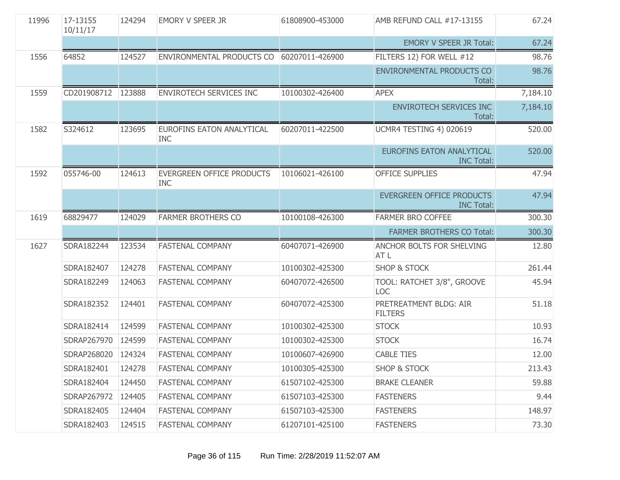| 11996 | 17-13155<br>10/11/17 | 124294 | <b>EMORY V SPEER JR</b>                        | 61808900-453000 | AMB REFUND CALL #17-13155                             | 67.24    |
|-------|----------------------|--------|------------------------------------------------|-----------------|-------------------------------------------------------|----------|
|       |                      |        |                                                |                 | <b>EMORY V SPEER JR Total:</b>                        | 67.24    |
| 1556  | 64852                | 124527 | ENVIRONMENTAL PRODUCTS CO                      | 60207011-426900 | FILTERS 12) FOR WELL #12                              | 98.76    |
|       |                      |        |                                                |                 | <b>ENVIRONMENTAL PRODUCTS CO</b><br>Total:            | 98.76    |
| 1559  | CD201908712 123888   |        | ENVIROTECH SERVICES INC                        | 10100302-426400 | <b>APEX</b>                                           | 7,184.10 |
|       |                      |        |                                                |                 | <b>ENVIROTECH SERVICES INC</b><br>Total:              | 7,184.10 |
| 1582  | S324612              | 123695 | EUROFINS EATON ANALYTICAL<br><b>INC</b>        | 60207011-422500 | UCMR4 TESTING 4) 020619                               | 520.00   |
|       |                      |        |                                                |                 | <b>EUROFINS EATON ANALYTICAL</b><br><b>INC Total:</b> | 520.00   |
| 1592  | 055746-00            | 124613 | <b>EVERGREEN OFFICE PRODUCTS</b><br><b>INC</b> | 10106021-426100 | <b>OFFICE SUPPLIES</b>                                | 47.94    |
|       |                      |        |                                                |                 | <b>EVERGREEN OFFICE PRODUCTS</b><br><b>INC Total:</b> | 47.94    |
| 1619  | 68829477             | 124029 | <b>FARMER BROTHERS CO</b>                      | 10100108-426300 | FARMER BRO COFFEE                                     | 300.30   |
|       |                      |        |                                                |                 | <b>FARMER BROTHERS CO Total:</b>                      | 300.30   |
| 1627  | SDRA182244           | 123534 | <b>FASTENAL COMPANY</b>                        | 60407071-426900 | ANCHOR BOLTS FOR SHELVING<br>AT L                     | 12.80    |
|       | SDRA182407           | 124278 | <b>FASTENAL COMPANY</b>                        | 10100302-425300 | <b>SHOP &amp; STOCK</b>                               | 261.44   |
|       | SDRA182249           | 124063 | <b>FASTENAL COMPANY</b>                        | 60407072-426500 | TOOL: RATCHET 3/8", GROOVE<br><b>LOC</b>              | 45.94    |
|       | SDRA182352           | 124401 | <b>FASTENAL COMPANY</b>                        | 60407072-425300 | PRETREATMENT BLDG: AIR<br><b>FILTERS</b>              | 51.18    |
|       | SDRA182414           | 124599 | FASTENAL COMPANY                               | 10100302-425300 | <b>STOCK</b>                                          | 10.93    |
|       | SDRAP267970          | 124599 | <b>FASTENAL COMPANY</b>                        | 10100302-425300 | <b>STOCK</b>                                          | 16.74    |
|       | SDRAP268020          | 124324 | <b>FASTENAL COMPANY</b>                        | 10100607-426900 | <b>CABLE TIES</b>                                     | 12.00    |
|       | SDRA182401           | 124278 | <b>FASTENAL COMPANY</b>                        | 10100305-425300 | <b>SHOP &amp; STOCK</b>                               | 213.43   |
|       | SDRA182404           | 124450 | <b>FASTENAL COMPANY</b>                        | 61507102-425300 | <b>BRAKE CLEANER</b>                                  | 59.88    |
|       |                      |        |                                                |                 |                                                       |          |
|       | SDRAP267972          | 124405 | <b>FASTENAL COMPANY</b>                        | 61507103-425300 | <b>FASTENERS</b>                                      | 9.44     |
|       | SDRA182405           | 124404 | <b>FASTENAL COMPANY</b>                        | 61507103-425300 | <b>FASTENERS</b>                                      | 148.97   |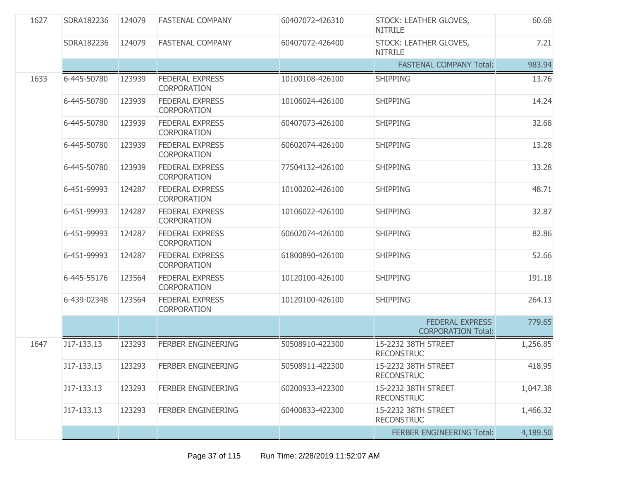| 1627 | SDRA182236  | 124079 | <b>FASTENAL COMPANY</b>                      | 60407072-426310 | STOCK: LEATHER GLOVES,<br><b>NITRILE</b>            | 60.68    |
|------|-------------|--------|----------------------------------------------|-----------------|-----------------------------------------------------|----------|
|      | SDRA182236  | 124079 | <b>FASTENAL COMPANY</b>                      | 60407072-426400 | STOCK: LEATHER GLOVES,<br><b>NITRILE</b>            | 7.21     |
|      |             |        |                                              |                 | <b>FASTENAL COMPANY Total:</b>                      | 983.94   |
| 1633 | 6-445-50780 | 123939 | <b>FEDERAL EXPRESS</b><br><b>CORPORATION</b> | 10100108-426100 | <b>SHIPPING</b>                                     | 13.76    |
|      | 6-445-50780 | 123939 | <b>FEDERAL EXPRESS</b><br><b>CORPORATION</b> | 10106024-426100 | <b>SHIPPING</b>                                     | 14.24    |
|      | 6-445-50780 | 123939 | <b>FEDERAL EXPRESS</b><br><b>CORPORATION</b> | 60407073-426100 | <b>SHIPPING</b>                                     | 32.68    |
|      | 6-445-50780 | 123939 | <b>FEDERAL EXPRESS</b><br><b>CORPORATION</b> | 60602074-426100 | <b>SHIPPING</b>                                     | 13.28    |
|      | 6-445-50780 | 123939 | <b>FEDERAL EXPRESS</b><br><b>CORPORATION</b> | 77504132-426100 | <b>SHIPPING</b>                                     | 33.28    |
|      | 6-451-99993 | 124287 | <b>FEDERAL EXPRESS</b><br><b>CORPORATION</b> | 10100202-426100 | <b>SHIPPING</b>                                     | 48.71    |
|      | 6-451-99993 | 124287 | <b>FEDERAL EXPRESS</b><br><b>CORPORATION</b> | 10106022-426100 | <b>SHIPPING</b>                                     | 32.87    |
|      | 6-451-99993 | 124287 | <b>FEDERAL EXPRESS</b><br><b>CORPORATION</b> | 60602074-426100 | <b>SHIPPING</b>                                     | 82.86    |
|      | 6-451-99993 | 124287 | <b>FEDERAL EXPRESS</b><br><b>CORPORATION</b> | 61800890-426100 | <b>SHIPPING</b>                                     | 52.66    |
|      | 6-445-55176 | 123564 | <b>FEDERAL EXPRESS</b><br><b>CORPORATION</b> | 10120100-426100 | <b>SHIPPING</b>                                     | 191.18   |
|      | 6-439-02348 | 123564 | <b>FEDERAL EXPRESS</b><br>CORPORATION        | 10120100-426100 | <b>SHIPPING</b>                                     | 264.13   |
|      |             |        |                                              |                 | <b>FEDERAL EXPRESS</b><br><b>CORPORATION Total:</b> | 779.65   |
| 1647 | J17-133.13  | 123293 | <b>FERBER ENGINEERING</b>                    | 50508910-422300 | 15-2232 38TH STREET<br><b>RECONSTRUC</b>            | 1,256.85 |
|      | J17-133.13  | 123293 | FERBER ENGINEERING                           | 50508911-422300 | 15-2232 38TH STREET<br><b>RECONSTRUC</b>            | 418.95   |
|      | J17-133.13  | 123293 | <b>FERBER ENGINEERING</b>                    | 60200933-422300 | 15-2232 38TH STREET<br><b>RECONSTRUC</b>            | 1,047.38 |
|      | J17-133.13  | 123293 | <b>FERBER ENGINEERING</b>                    | 60400833-422300 | 15-2232 38TH STREET<br><b>RECONSTRUC</b>            | 1,466.32 |
|      |             |        |                                              |                 | <b>FERBER ENGINEERING Total:</b>                    | 4,189.50 |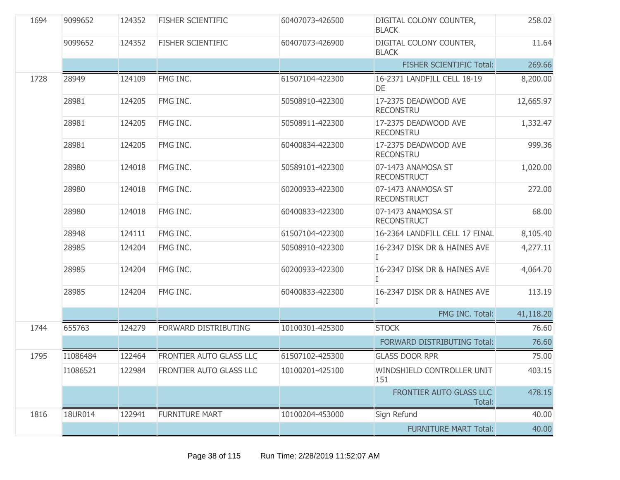| 1694 | 9099652  | 124352 | <b>FISHER SCIENTIFIC</b> | 60407073-426500 | DIGITAL COLONY COUNTER,<br><b>BLACK</b>  | 258.02    |
|------|----------|--------|--------------------------|-----------------|------------------------------------------|-----------|
|      | 9099652  | 124352 | <b>FISHER SCIENTIFIC</b> | 60407073-426900 | DIGITAL COLONY COUNTER,<br><b>BLACK</b>  | 11.64     |
|      |          |        |                          |                 | <b>FISHER SCIENTIFIC Total:</b>          | 269.66    |
| 1728 | 28949    | 124109 | FMG INC.                 | 61507104-422300 | 16-2371 LANDFILL CELL 18-19<br>DE        | 8,200.00  |
|      | 28981    | 124205 | FMG INC.                 | 50508910-422300 | 17-2375 DEADWOOD AVE<br><b>RECONSTRU</b> | 12,665.97 |
|      | 28981    | 124205 | FMG INC.                 | 50508911-422300 | 17-2375 DEADWOOD AVE<br><b>RECONSTRU</b> | 1,332.47  |
|      | 28981    | 124205 | FMG INC.                 | 60400834-422300 | 17-2375 DEADWOOD AVE<br><b>RECONSTRU</b> | 999.36    |
|      | 28980    | 124018 | FMG INC.                 | 50589101-422300 | 07-1473 ANAMOSA ST<br><b>RECONSTRUCT</b> | 1,020.00  |
|      | 28980    | 124018 | FMG INC.                 | 60200933-422300 | 07-1473 ANAMOSA ST<br><b>RECONSTRUCT</b> | 272.00    |
|      | 28980    | 124018 | FMG INC.                 | 60400833-422300 | 07-1473 ANAMOSA ST<br><b>RECONSTRUCT</b> | 68.00     |
|      | 28948    | 124111 | FMG INC.                 | 61507104-422300 | 16-2364 LANDFILL CELL 17 FINAL           | 8,105.40  |
|      | 28985    | 124204 | FMG INC.                 | 50508910-422300 | 16-2347 DISK DR & HAINES AVE<br>Ι        | 4,277.11  |
|      | 28985    | 124204 | FMG INC.                 | 60200933-422300 | 16-2347 DISK DR & HAINES AVE<br>T        | 4,064.70  |
|      | 28985    | 124204 | FMG INC.                 | 60400833-422300 | 16-2347 DISK DR & HAINES AVE             | 113.19    |
|      |          |        |                          |                 | FMG INC. Total:                          | 41,118.20 |
| 1744 | 655763   | 124279 | FORWARD DISTRIBUTING     | 10100301-425300 | <b>STOCK</b>                             | 76.60     |
|      |          |        |                          |                 | FORWARD DISTRIBUTING Total:              | 76.60     |
| 1795 | I1086484 | 122464 | FRONTIER AUTO GLASS LLC  | 61507102-425300 | <b>GLASS DOOR RPR</b>                    | 75.00     |
|      | I1086521 | 122984 | FRONTIER AUTO GLASS LLC  | 10100201-425100 | WINDSHIELD CONTROLLER UNIT<br>151        | 403.15    |
|      |          |        |                          |                 | FRONTIER AUTO GLASS LLC<br>Total:        | 478.15    |
| 1816 | 18UR014  | 122941 | <b>FURNITURE MART</b>    | 10100204-453000 | Sign Refund                              | 40.00     |
|      |          |        |                          |                 | <b>FURNITURE MART Total:</b>             | 40.00     |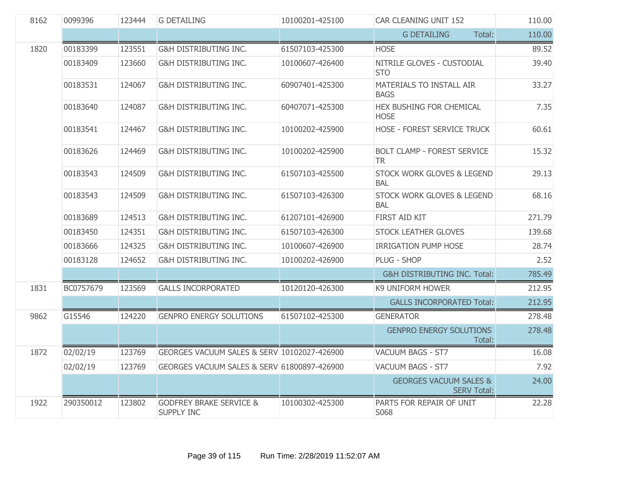| 8162 | 0099396   | 123444 | <b>G DETAILING</b>                               | 10100201-425100 | CAR CLEANING UNIT 152                                   | 110.00 |
|------|-----------|--------|--------------------------------------------------|-----------------|---------------------------------------------------------|--------|
|      |           |        |                                                  |                 | Total:<br><b>G DETAILING</b>                            | 110.00 |
| 1820 | 00183399  | 123551 | <b>G&amp;H DISTRIBUTING INC.</b>                 | 61507103-425300 | <b>HOSE</b>                                             | 89.52  |
|      | 00183409  | 123660 | G&H DISTRIBUTING INC.                            | 10100607-426400 | NITRILE GLOVES - CUSTODIAL<br><b>STO</b>                | 39.40  |
|      | 00183531  | 124067 | G&H DISTRIBUTING INC.                            | 60907401-425300 | MATERIALS TO INSTALL AIR<br><b>BAGS</b>                 | 33.27  |
|      | 00183640  | 124087 | G&H DISTRIBUTING INC.                            | 60407071-425300 | HEX BUSHING FOR CHEMICAL<br><b>HOSE</b>                 | 7.35   |
|      | 00183541  | 124467 | G&H DISTRIBUTING INC.                            | 10100202-425900 | HOSE - FOREST SERVICE TRUCK                             | 60.61  |
|      | 00183626  | 124469 | G&H DISTRIBUTING INC.                            | 10100202-425900 | <b>BOLT CLAMP - FOREST SERVICE</b><br>TR.               | 15.32  |
|      | 00183543  | 124509 | G&H DISTRIBUTING INC.                            | 61507103-425500 | STOCK WORK GLOVES & LEGEND<br><b>BAL</b>                | 29.13  |
|      | 00183543  | 124509 | G&H DISTRIBUTING INC.                            | 61507103-426300 | STOCK WORK GLOVES & LEGEND<br>BAL                       | 68.16  |
|      | 00183689  | 124513 | <b>G&amp;H DISTRIBUTING INC.</b>                 | 61207101-426900 | FIRST AID KIT                                           | 271.79 |
|      | 00183450  | 124351 | G&H DISTRIBUTING INC.                            | 61507103-426300 | STOCK LEATHER GLOVES                                    | 139.68 |
|      | 00183666  | 124325 | G&H DISTRIBUTING INC.                            | 10100607-426900 | <b>IRRIGATION PUMP HOSE</b>                             | 28.74  |
|      | 00183128  | 124652 | G&H DISTRIBUTING INC.                            | 10100202-426900 | PLUG - SHOP                                             | 2.52   |
|      |           |        |                                                  |                 | <b>G&amp;H DISTRIBUTING INC. Total:</b>                 | 785.49 |
| 1831 | BC0757679 | 123569 | <b>GALLS INCORPORATED</b>                        | 10120120-426300 | K9 UNIFORM HOWER                                        | 212.95 |
|      |           |        |                                                  |                 | <b>GALLS INCORPORATED Total:</b>                        | 212.95 |
| 9862 | G15546    | 124220 | <b>GENPRO ENERGY SOLUTIONS</b>                   | 61507102-425300 | <b>GENERATOR</b>                                        | 278.48 |
|      |           |        |                                                  |                 | <b>GENPRO ENERGY SOLUTIONS</b><br>Total:                | 278.48 |
| 1872 | 02/02/19  | 123769 | GEORGES VACUUM SALES & SERV 10102027-426900      |                 | <b>VACUUM BAGS - ST7</b>                                | 16.08  |
|      | 02/02/19  | 123769 | GEORGES VACUUM SALES & SERV 61800897-426900      |                 | <b>VACUUM BAGS - ST7</b>                                | 7.92   |
|      |           |        |                                                  |                 | <b>GEORGES VACUUM SALES &amp;</b><br><b>SERV Total:</b> | 24.00  |
| 1922 | 290350012 | 123802 | <b>GODFREY BRAKE SERVICE &amp;</b><br>SUPPLY INC | 10100302-425300 | PARTS FOR REPAIR OF UNIT<br>S068                        | 22.28  |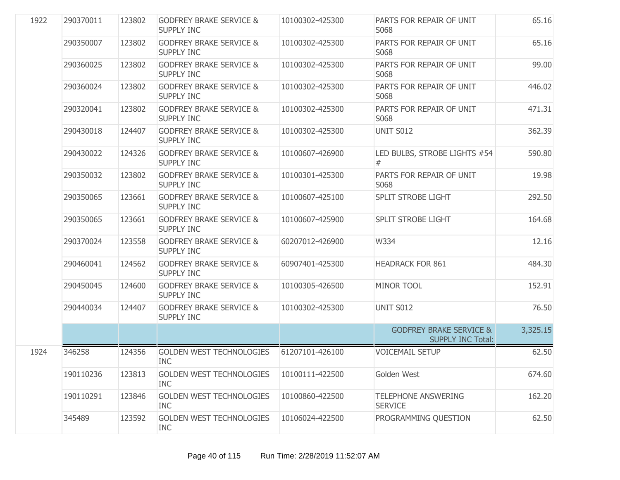| 1922 | 290370011 | 123802 | <b>GODFREY BRAKE SERVICE &amp;</b><br><b>SUPPLY INC</b> | 10100302-425300 | PARTS FOR REPAIR OF UNIT<br>S068                               | 65.16    |
|------|-----------|--------|---------------------------------------------------------|-----------------|----------------------------------------------------------------|----------|
|      | 290350007 | 123802 | <b>GODFREY BRAKE SERVICE &amp;</b><br><b>SUPPLY INC</b> | 10100302-425300 | PARTS FOR REPAIR OF UNIT<br>S068                               | 65.16    |
|      | 290360025 | 123802 | <b>GODFREY BRAKE SERVICE &amp;</b><br><b>SUPPLY INC</b> | 10100302-425300 | PARTS FOR REPAIR OF UNIT<br>S068                               | 99.00    |
|      | 290360024 | 123802 | <b>GODFREY BRAKE SERVICE &amp;</b><br><b>SUPPLY INC</b> | 10100302-425300 | PARTS FOR REPAIR OF UNIT<br>S068                               | 446.02   |
|      | 290320041 | 123802 | <b>GODFREY BRAKE SERVICE &amp;</b><br><b>SUPPLY INC</b> | 10100302-425300 | PARTS FOR REPAIR OF UNIT<br>S068                               | 471.31   |
|      | 290430018 | 124407 | <b>GODFREY BRAKE SERVICE &amp;</b><br><b>SUPPLY INC</b> | 10100302-425300 | <b>UNIT S012</b>                                               | 362.39   |
|      | 290430022 | 124326 | <b>GODFREY BRAKE SERVICE &amp;</b><br><b>SUPPLY INC</b> | 10100607-426900 | LED BULBS, STROBE LIGHTS #54<br>$^{\#}$                        | 590.80   |
|      | 290350032 | 123802 | <b>GODFREY BRAKE SERVICE &amp;</b><br><b>SUPPLY INC</b> | 10100301-425300 | PARTS FOR REPAIR OF UNIT<br>S068                               | 19.98    |
|      | 290350065 | 123661 | <b>GODFREY BRAKE SERVICE &amp;</b><br><b>SUPPLY INC</b> | 10100607-425100 | SPLIT STROBE LIGHT                                             | 292.50   |
|      | 290350065 | 123661 | <b>GODFREY BRAKE SERVICE &amp;</b><br><b>SUPPLY INC</b> | 10100607-425900 | <b>SPLIT STROBE LIGHT</b>                                      | 164.68   |
|      | 290370024 | 123558 | <b>GODFREY BRAKE SERVICE &amp;</b><br><b>SUPPLY INC</b> | 60207012-426900 | W334                                                           | 12.16    |
|      | 290460041 | 124562 | <b>GODFREY BRAKE SERVICE &amp;</b><br><b>SUPPLY INC</b> | 60907401-425300 | <b>HEADRACK FOR 861</b>                                        | 484.30   |
|      | 290450045 | 124600 | <b>GODFREY BRAKE SERVICE &amp;</b><br><b>SUPPLY INC</b> | 10100305-426500 | <b>MINOR TOOL</b>                                              | 152.91   |
|      | 290440034 | 124407 | <b>GODFREY BRAKE SERVICE &amp;</b><br>SUPPLY INC        | 10100302-425300 | <b>UNIT S012</b>                                               | 76.50    |
|      |           |        |                                                         |                 | <b>GODFREY BRAKE SERVICE &amp;</b><br><b>SUPPLY INC Total:</b> | 3,325.15 |
| 1924 | 346258    | 124356 | <b>GOLDEN WEST TECHNOLOGIES</b><br><b>INC</b>           | 61207101-426100 | <b>VOICEMAIL SETUP</b>                                         | 62.50    |
|      | 190110236 | 123813 | <b>GOLDEN WEST TECHNOLOGIES</b><br><b>INC</b>           | 10100111-422500 | Golden West                                                    | 674.60   |
|      | 190110291 | 123846 | <b>GOLDEN WEST TECHNOLOGIES</b><br><b>INC</b>           | 10100860-422500 | <b>TELEPHONE ANSWERING</b><br><b>SERVICE</b>                   | 162.20   |
|      | 345489    | 123592 | <b>GOLDEN WEST TECHNOLOGIES</b><br><b>INC</b>           | 10106024-422500 | PROGRAMMING QUESTION                                           | 62.50    |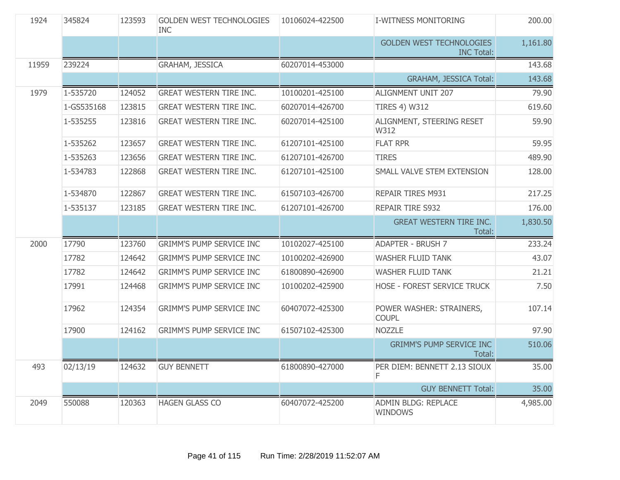| 1924  | 345824     | 123593 | <b>GOLDEN WEST TECHNOLOGIES</b><br><b>INC</b> | 10106024-422500 | <b>I-WITNESS MONITORING</b>                          | 200.00   |
|-------|------------|--------|-----------------------------------------------|-----------------|------------------------------------------------------|----------|
|       |            |        |                                               |                 | <b>GOLDEN WEST TECHNOLOGIES</b><br><b>INC Total:</b> | 1,161.80 |
| 11959 | 239224     |        | GRAHAM, JESSICA                               | 60207014-453000 |                                                      | 143.68   |
|       |            |        |                                               |                 | <b>GRAHAM, JESSICA Total:</b>                        | 143.68   |
| 1979  | 1-535720   | 124052 | <b>GREAT WESTERN TIRE INC.</b>                | 10100201-425100 | ALIGNMENT UNIT 207                                   | 79.90    |
|       | 1-GS535168 | 123815 | <b>GREAT WESTERN TIRE INC.</b>                | 60207014-426700 | <b>TIRES 4) W312</b>                                 | 619.60   |
|       | 1-535255   | 123816 | <b>GREAT WESTERN TIRE INC.</b>                | 60207014-425100 | ALIGNMENT, STEERING RESET<br>W312                    | 59.90    |
|       | 1-535262   | 123657 | <b>GREAT WESTERN TIRE INC.</b>                | 61207101-425100 | <b>FLAT RPR</b>                                      | 59.95    |
|       | 1-535263   | 123656 | <b>GREAT WESTERN TIRE INC.</b>                | 61207101-426700 | <b>TIRES</b>                                         | 489.90   |
|       | 1-534783   | 122868 | <b>GREAT WESTERN TIRE INC.</b>                | 61207101-425100 | SMALL VALVE STEM EXTENSION                           | 128.00   |
|       | 1-534870   | 122867 | <b>GREAT WESTERN TIRE INC.</b>                | 61507103-426700 | <b>REPAIR TIRES M931</b>                             | 217.25   |
|       | 1-535137   | 123185 | <b>GREAT WESTERN TIRE INC.</b>                | 61207101-426700 | REPAIR TIRE S932                                     | 176.00   |
|       |            |        |                                               |                 | <b>GREAT WESTERN TIRE INC.</b><br>Total:             | 1,830.50 |
| 2000  | 17790      | 123760 | <b>GRIMM'S PUMP SERVICE INC</b>               | 10102027-425100 | <b>ADAPTER - BRUSH 7</b>                             | 233.24   |
|       | 17782      | 124642 | <b>GRIMM'S PUMP SERVICE INC</b>               | 10100202-426900 | <b>WASHER FLUID TANK</b>                             | 43.07    |
|       | 17782      | 124642 | <b>GRIMM'S PUMP SERVICE INC</b>               | 61800890-426900 | <b>WASHER FLUID TANK</b>                             | 21.21    |
|       | 17991      | 124468 | <b>GRIMM'S PUMP SERVICE INC</b>               | 10100202-425900 | HOSE - FOREST SERVICE TRUCK                          | 7.50     |
|       | 17962      | 124354 | <b>GRIMM'S PUMP SERVICE INC</b>               | 60407072-425300 | POWER WASHER: STRAINERS,<br><b>COUPL</b>             | 107.14   |
|       | 17900      | 124162 | <b>GRIMM'S PUMP SERVICE INC</b>               | 61507102-425300 | <b>NOZZLE</b>                                        | 97.90    |
|       |            |        |                                               |                 | <b>GRIMM'S PUMP SERVICE INC</b><br>Total:            | 510.06   |
| 493   | 02/13/19   |        | 124632 GUY BENNETT                            | 61800890-427000 | PER DIEM: BENNETT 2.13 SIOUX<br>F                    | 35.00    |
|       |            |        |                                               |                 | <b>GUY BENNETT Total:</b>                            | 35.00    |
| 2049  | 550088     | 120363 | <b>HAGEN GLASS CO</b>                         | 60407072-425200 | ADMIN BLDG: REPLACE<br><b>WINDOWS</b>                | 4,985.00 |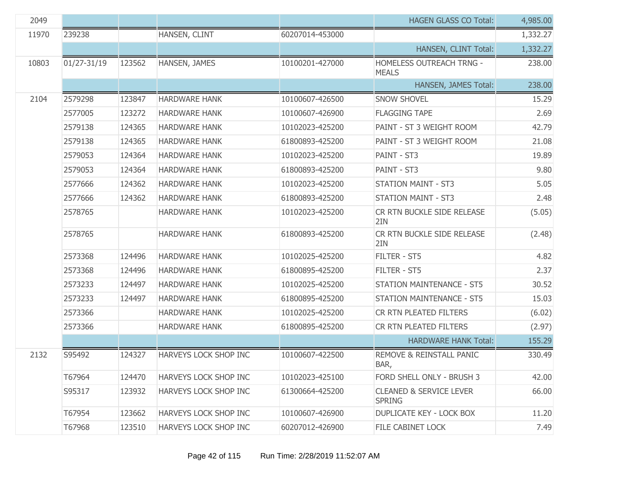| 2049  |                 |        |                              |                 | <b>HAGEN GLASS CO Total:</b>                        | 4,985.00 |
|-------|-----------------|--------|------------------------------|-----------------|-----------------------------------------------------|----------|
| 11970 | 239238          |        | HANSEN, CLINT                | 60207014-453000 |                                                     | 1,332.27 |
|       |                 |        |                              |                 | HANSEN, CLINT Total:                                | 1,332.27 |
| 10803 | $01/27 - 31/19$ | 123562 | HANSEN, JAMES                | 10100201-427000 | <b>HOMELESS OUTREACH TRNG -</b><br><b>MEALS</b>     | 238.00   |
|       |                 |        |                              |                 | HANSEN, JAMES Total:                                | 238.00   |
| 2104  | 2579298         | 123847 | <b>HARDWARE HANK</b>         | 10100607-426500 | <b>SNOW SHOVEL</b>                                  | 15.29    |
|       | 2577005         | 123272 | <b>HARDWARE HANK</b>         | 10100607-426900 | <b>FLAGGING TAPE</b>                                | 2.69     |
|       | 2579138         | 124365 | <b>HARDWARE HANK</b>         | 10102023-425200 | PAINT - ST 3 WEIGHT ROOM                            | 42.79    |
|       | 2579138         | 124365 | <b>HARDWARE HANK</b>         | 61800893-425200 | PAINT - ST 3 WEIGHT ROOM                            | 21.08    |
|       | 2579053         | 124364 | <b>HARDWARE HANK</b>         | 10102023-425200 | PAINT - ST3                                         | 19.89    |
|       | 2579053         | 124364 | <b>HARDWARE HANK</b>         | 61800893-425200 | PAINT - ST3                                         | 9.80     |
|       | 2577666         | 124362 | <b>HARDWARE HANK</b>         | 10102023-425200 | <b>STATION MAINT - ST3</b>                          | 5.05     |
|       | 2577666         | 124362 | <b>HARDWARE HANK</b>         | 61800893-425200 | <b>STATION MAINT - ST3</b>                          | 2.48     |
|       | 2578765         |        | <b>HARDWARE HANK</b>         | 10102023-425200 | CR RTN BUCKLE SIDE RELEASE<br>2IN                   | (5.05)   |
|       | 2578765         |        | <b>HARDWARE HANK</b>         | 61800893-425200 | CR RTN BUCKLE SIDE RELEASE<br>2IN                   | (2.48)   |
|       | 2573368         | 124496 | <b>HARDWARE HANK</b>         | 10102025-425200 | FILTER - ST5                                        | 4.82     |
|       | 2573368         | 124496 | <b>HARDWARE HANK</b>         | 61800895-425200 | FILTER - ST5                                        | 2.37     |
|       | 2573233         | 124497 | <b>HARDWARE HANK</b>         | 10102025-425200 | <b>STATION MAINTENANCE - ST5</b>                    | 30.52    |
|       | 2573233         | 124497 | <b>HARDWARE HANK</b>         | 61800895-425200 | <b>STATION MAINTENANCE - ST5</b>                    | 15.03    |
|       | 2573366         |        | <b>HARDWARE HANK</b>         | 10102025-425200 | CR RTN PLEATED FILTERS                              | (6.02)   |
|       | 2573366         |        | <b>HARDWARE HANK</b>         | 61800895-425200 | CR RTN PLEATED FILTERS                              | (2.97)   |
|       |                 |        |                              |                 | <b>HARDWARE HANK Total:</b>                         | 155.29   |
| 2132  | S95492          | 124327 | HARVEYS LOCK SHOP INC        | 10100607-422500 | REMOVE & REINSTALL PANIC<br>BAR,                    | 330.49   |
|       | T67964          | 124470 | <b>HARVEYS LOCK SHOP INC</b> | 10102023-425100 | FORD SHELL ONLY - BRUSH 3                           | 42.00    |
|       | S95317          | 123932 | HARVEYS LOCK SHOP INC        | 61300664-425200 | <b>CLEANED &amp; SERVICE LEVER</b><br><b>SPRING</b> | 66.00    |
|       | T67954          | 123662 | HARVEYS LOCK SHOP INC        | 10100607-426900 | <b>DUPLICATE KEY - LOCK BOX</b>                     | 11.20    |
|       | T67968          | 123510 | HARVEYS LOCK SHOP INC        | 60207012-426900 | FILE CABINET LOCK                                   | 7.49     |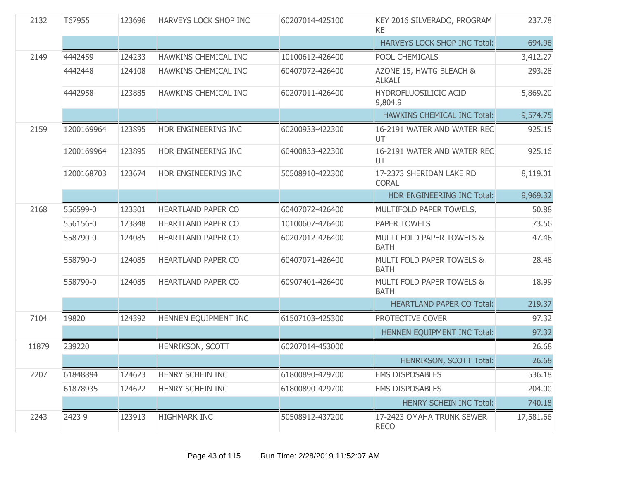| 2132  | T67955     | 123696 | HARVEYS LOCK SHOP INC     | 60207014-425100 | KEY 2016 SILVERADO, PROGRAM<br>KE.       | 237.78    |
|-------|------------|--------|---------------------------|-----------------|------------------------------------------|-----------|
|       |            |        |                           |                 | HARVEYS LOCK SHOP INC Total:             | 694.96    |
| 2149  | 4442459    | 124233 | HAWKINS CHEMICAL INC      | 10100612-426400 | POOL CHEMICALS                           | 3,412.27  |
|       | 4442448    | 124108 | HAWKINS CHEMICAL INC      | 60407072-426400 | AZONE 15, HWTG BLEACH &<br><b>ALKALI</b> | 293.28    |
|       | 4442958    | 123885 | HAWKINS CHEMICAL INC      | 60207011-426400 | HYDROFLUOSILICIC ACID<br>9,804.9         | 5,869.20  |
|       |            |        |                           |                 | <b>HAWKINS CHEMICAL INC Total:</b>       | 9,574.75  |
| 2159  | 1200169964 | 123895 | HDR ENGINEERING INC       | 60200933-422300 | 16-2191 WATER AND WATER REC<br>UT.       | 925.15    |
|       | 1200169964 | 123895 | HDR ENGINEERING INC       | 60400833-422300 | 16-2191 WATER AND WATER REC<br>UT        | 925.16    |
|       | 1200168703 | 123674 | HDR ENGINEERING INC       | 50508910-422300 | 17-2373 SHERIDAN LAKE RD<br><b>CORAL</b> | 8,119.01  |
|       |            |        |                           |                 | HDR ENGINEERING INC Total:               | 9,969.32  |
| 2168  | 556599-0   | 123301 | HEARTLAND PAPER CO        | 60407072-426400 | MULTIFOLD PAPER TOWELS,                  | 50.88     |
|       | 556156-0   | 123848 | HEARTLAND PAPER CO        | 10100607-426400 | <b>PAPER TOWELS</b>                      | 73.56     |
|       | 558790-0   | 124085 | <b>HEARTLAND PAPER CO</b> | 60207012-426400 | MULTI FOLD PAPER TOWELS &<br><b>BATH</b> | 47.46     |
|       | 558790-0   | 124085 | HEARTLAND PAPER CO        | 60407071-426400 | MULTI FOLD PAPER TOWELS &<br><b>BATH</b> | 28.48     |
|       | 558790-0   | 124085 | HEARTLAND PAPER CO        | 60907401-426400 | MULTI FOLD PAPER TOWELS &<br><b>BATH</b> | 18.99     |
|       |            |        |                           |                 | <b>HEARTLAND PAPER CO Total:</b>         | 219.37    |
| 7104  | 19820      | 124392 | HENNEN EQUIPMENT INC      | 61507103-425300 | PROTECTIVE COVER                         | 97.32     |
|       |            |        |                           |                 | HENNEN EQUIPMENT INC Total:              | 97.32     |
| 11879 | 239220     |        | HENRIKSON, SCOTT          | 60207014-453000 |                                          | 26.68     |
|       |            |        |                           |                 | HENRIKSON, SCOTT Total:                  | 26.68     |
| 2207  | 61848894   | 124623 | HENRY SCHEIN INC          | 61800890-429700 | <b>EMS DISPOSABLES</b>                   | 536.18    |
|       | 61878935   | 124622 | HENRY SCHEIN INC          | 61800890-429700 | <b>EMS DISPOSABLES</b>                   | 204.00    |
|       |            |        |                           |                 | <b>HENRY SCHEIN INC Total:</b>           | 740.18    |
| 2243  | 24239      | 123913 | <b>HIGHMARK INC</b>       | 50508912-437200 | 17-2423 OMAHA TRUNK SEWER<br><b>RECO</b> | 17,581.66 |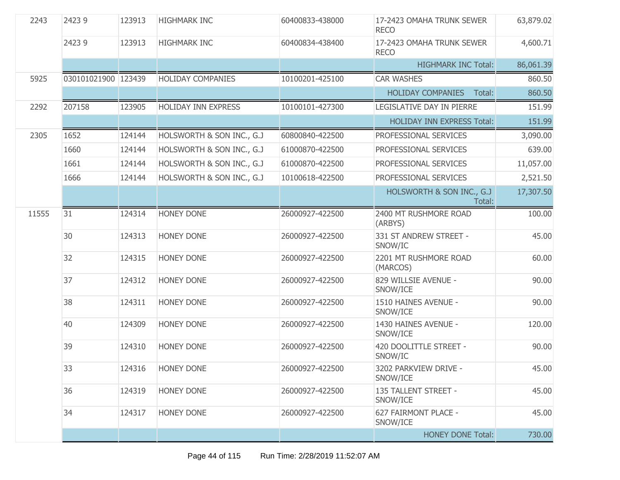| 2243  | 24239               | 123913 | <b>HIGHMARK INC</b>        | 60400833-438000 | 17-2423 OMAHA TRUNK SEWER<br><b>RECO</b> | 63,879.02 |
|-------|---------------------|--------|----------------------------|-----------------|------------------------------------------|-----------|
|       | 24239               | 123913 | <b>HIGHMARK INC</b>        | 60400834-438400 | 17-2423 OMAHA TRUNK SEWER<br><b>RECO</b> | 4,600.71  |
|       |                     |        |                            |                 | <b>HIGHMARK INC Total:</b>               | 86,061.39 |
| 5925  | 030101021900 123439 |        | <b>HOLIDAY COMPANIES</b>   | 10100201-425100 | <b>CAR WASHES</b>                        | 860.50    |
|       |                     |        |                            |                 | <b>HOLIDAY COMPANIES</b><br>Total:       | 860.50    |
| 2292  | 207158              | 123905 | <b>HOLIDAY INN EXPRESS</b> | 10100101-427300 | LEGISLATIVE DAY IN PIERRE                | 151.99    |
|       |                     |        |                            |                 | <b>HOLIDAY INN EXPRESS Total:</b>        | 151.99    |
| 2305  | 1652                | 124144 | HOLSWORTH & SON INC., G.J  | 60800840-422500 | PROFESSIONAL SERVICES                    | 3,090.00  |
|       | 1660                | 124144 | HOLSWORTH & SON INC., G.J. | 61000870-422500 | PROFESSIONAL SERVICES                    | 639.00    |
|       | 1661                | 124144 | HOLSWORTH & SON INC., G.J  | 61000870-422500 | PROFESSIONAL SERVICES                    | 11,057.00 |
|       | 1666                | 124144 | HOLSWORTH & SON INC., G.J. | 10100618-422500 | PROFESSIONAL SERVICES                    | 2,521.50  |
|       |                     |        |                            |                 | HOLSWORTH & SON INC., G.J<br>Total:      | 17,307.50 |
| 11555 | 31                  | 124314 | <b>HONEY DONE</b>          | 26000927-422500 | 2400 MT RUSHMORE ROAD<br>(ARBYS)         | 100.00    |
|       | 30                  | 124313 | <b>HONEY DONE</b>          | 26000927-422500 | 331 ST ANDREW STREET -<br>SNOW/IC        | 45.00     |
|       | 32                  | 124315 | <b>HONEY DONE</b>          | 26000927-422500 | 2201 MT RUSHMORE ROAD<br>(MARCOS)        | 60.00     |
|       | 37                  | 124312 | <b>HONEY DONE</b>          | 26000927-422500 | 829 WILLSIE AVENUE -<br>SNOW/ICE         | 90.00     |
|       | 38                  | 124311 | <b>HONEY DONE</b>          | 26000927-422500 | 1510 HAINES AVENUE -<br>SNOW/ICE         | 90.00     |
|       | 40                  | 124309 | <b>HONEY DONE</b>          | 26000927-422500 | 1430 HAINES AVENUE -<br>SNOW/ICE         | 120.00    |
|       | 39                  | 124310 | <b>HONEY DONE</b>          | 26000927-422500 | 420 DOOLITTLE STREET -<br>SNOW/IC        | 90.00     |
|       | 33                  | 124316 | <b>HONEY DONE</b>          | 26000927-422500 | 3202 PARKVIEW DRIVE -<br>SNOW/ICE        | 45.00     |
|       | 36                  | 124319 | <b>HONEY DONE</b>          | 26000927-422500 | 135 TALLENT STREET -<br>SNOW/ICE         | 45.00     |
|       | 34                  | 124317 | HONEY DONE                 | 26000927-422500 | 627 FAIRMONT PLACE -<br>SNOW/ICE         | 45.00     |
|       |                     |        |                            |                 | <b>HONEY DONE Total:</b>                 | 730.00    |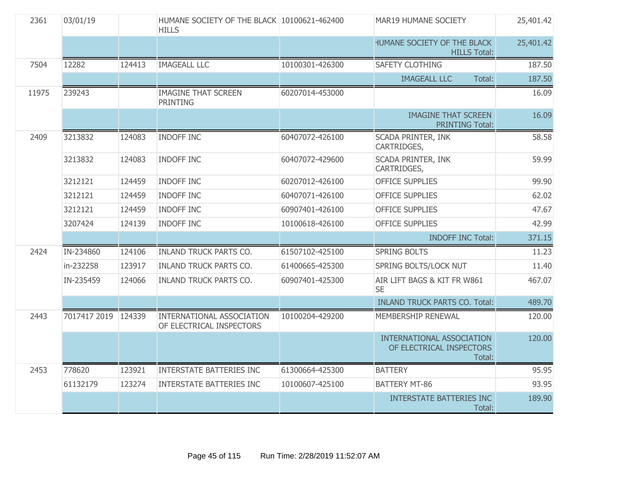| 2361  | 03/01/19            |        | HUMANE SOCIETY OF THE BLACK 10100621-462400<br><b>HILLS</b> |                 | MAR19 HUMANE SOCIETY                                                   | 25,401.42 |
|-------|---------------------|--------|-------------------------------------------------------------|-----------------|------------------------------------------------------------------------|-----------|
|       |                     |        |                                                             |                 | HUMANE SOCIETY OF THE BLACK<br><b>HILLS Total:</b>                     | 25,401.42 |
| 7504  | 12282               | 124413 | <b>IMAGEALL LLC</b>                                         | 10100301-426300 | SAFETY CLOTHING                                                        | 187.50    |
|       |                     |        |                                                             |                 | <b>IMAGEALL LLC</b><br>Total:                                          | 187.50    |
| 11975 | 239243              |        | <b>IMAGINE THAT SCREEN</b><br><b>PRINTING</b>               | 60207014-453000 |                                                                        | 16.09     |
|       |                     |        |                                                             |                 | <b>IMAGINE THAT SCREEN</b><br><b>PRINTING Total:</b>                   | 16.09     |
| 2409  | 3213832             | 124083 | INDOFF INC                                                  | 60407072-426100 | SCADA PRINTER, INK<br>CARTRIDGES,                                      | 58.58     |
|       | 3213832             | 124083 | <b>INDOFF INC</b>                                           | 60407072-429600 | SCADA PRINTER, INK<br>CARTRIDGES,                                      | 59.99     |
|       | 3212121             | 124459 | <b>INDOFF INC</b>                                           | 60207012-426100 | <b>OFFICE SUPPLIES</b>                                                 | 99.90     |
|       | 3212121             | 124459 | <b>INDOFF INC</b>                                           | 60407071-426100 | <b>OFFICE SUPPLIES</b>                                                 | 62.02     |
|       | 3212121             | 124459 | <b>INDOFF INC</b>                                           | 60907401-426100 | OFFICE SUPPLIES                                                        | 47.67     |
|       | 3207424             | 124139 | <b>INDOFF INC</b>                                           | 10100618-426100 | <b>OFFICE SUPPLIES</b>                                                 | 42.99     |
|       |                     |        |                                                             |                 | <b>INDOFF INC Total:</b>                                               | 371.15    |
| 2424  | IN-234860           | 124106 | <b>INLAND TRUCK PARTS CO.</b>                               | 61507102-425100 | <b>SPRING BOLTS</b>                                                    | 11.23     |
|       | in-232258           | 123917 | <b>INLAND TRUCK PARTS CO.</b>                               | 61400665-425300 | SPRING BOLTS/LOCK NUT                                                  | 11.40     |
|       | IN-235459           | 124066 | <b>INLAND TRUCK PARTS CO.</b>                               | 60907401-425300 | AIR LIFT BAGS & KIT FR W861<br><b>SE</b>                               | 467.07    |
|       |                     |        |                                                             |                 | <b>INLAND TRUCK PARTS CO. Total:</b>                                   | 489.70    |
| 2443  | 7017417 2019 124339 |        | INTERNATIONAL ASSOCIATION<br>OF ELECTRICAL INSPECTORS       | 10100204-429200 | MEMBERSHIP RENEWAL                                                     | 120.00    |
|       |                     |        |                                                             |                 | <b>INTERNATIONAL ASSOCIATION</b><br>OF ELECTRICAL INSPECTORS<br>Total: | 120.00    |
| 2453  | 778620              | 123921 | <b>INTERSTATE BATTERIES INC</b>                             | 61300664-425300 | <b>BATTERY</b>                                                         | 95.95     |
|       | 61132179            | 123274 | <b>INTERSTATE BATTERIES INC</b>                             | 10100607-425100 | <b>BATTERY MT-86</b>                                                   | 93.95     |
|       |                     |        |                                                             |                 | <b>INTERSTATE BATTERIES INC</b><br>Total:                              | 189.90    |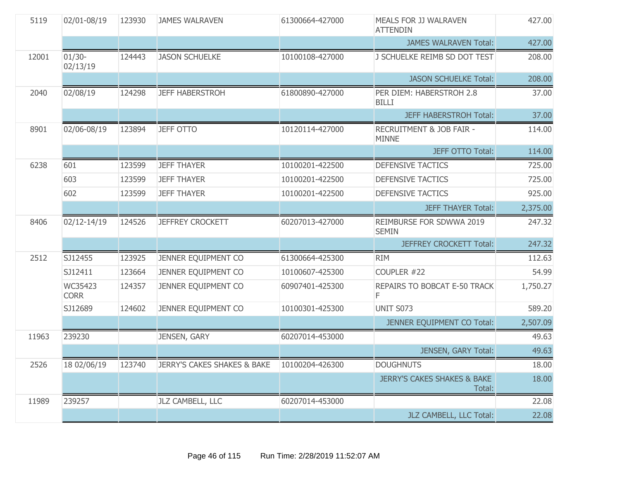| 5119  | 02/01-08/19            | 123930 | <b>JAMES WALRAVEN</b>                  | 61300664-427000 | MEALS FOR JJ WALRAVEN<br><b>ATTENDIN</b>         | 427.00   |
|-------|------------------------|--------|----------------------------------------|-----------------|--------------------------------------------------|----------|
|       |                        |        |                                        |                 | <b>JAMES WALRAVEN Total:</b>                     | 427.00   |
| 12001 | $01/30 -$<br>02/13/19  | 124443 | <b>JASON SCHUELKE</b>                  | 10100108-427000 | J SCHUELKE REIMB SD DOT TEST                     | 208.00   |
|       |                        |        |                                        |                 | <b>JASON SCHUELKE Total:</b>                     | 208.00   |
| 2040  | 02/08/19               | 124298 | <b>JEFF HABERSTROH</b>                 | 61800890-427000 | PER DIEM: HABERSTROH 2.8<br><b>BILLI</b>         | 37.00    |
|       |                        |        |                                        |                 | <b>JEFF HABERSTROH Total:</b>                    | 37.00    |
| 8901  | 02/06-08/19            | 123894 | <b>JEFF OTTO</b>                       | 10120114-427000 | RECRUITMENT & JOB FAIR -<br><b>MINNE</b>         | 114.00   |
|       |                        |        |                                        |                 | <b>JEFF OTTO Total:</b>                          | 114.00   |
| 6238  | 601                    | 123599 | <b>JEFF THAYER</b>                     | 10100201-422500 | <b>DEFENSIVE TACTICS</b>                         | 725.00   |
|       | 603                    | 123599 | <b>JEFF THAYER</b>                     | 10100201-422500 | <b>DEFENSIVE TACTICS</b>                         | 725.00   |
|       | 602                    | 123599 | <b>JEFF THAYER</b>                     | 10100201-422500 | <b>DEFENSIVE TACTICS</b>                         | 925.00   |
|       |                        |        |                                        |                 | <b>JEFF THAYER Total:</b>                        | 2,375.00 |
| 8406  | 02/12-14/19            | 124526 | <b>JEFFREY CROCKETT</b>                | 60207013-427000 | REIMBURSE FOR SDWWA 2019<br><b>SEMIN</b>         | 247.32   |
|       |                        |        |                                        |                 | <b>JEFFREY CROCKETT Total:</b>                   | 247.32   |
| 2512  | SJ12455                | 123925 | JENNER EQUIPMENT CO                    | 61300664-425300 | <b>RIM</b>                                       | 112.63   |
|       | SJ12411                | 123664 | JENNER EQUIPMENT CO                    | 10100607-425300 | COUPLER #22                                      | 54.99    |
|       | WC35423<br><b>CORR</b> | 124357 | JENNER EQUIPMENT CO                    | 60907401-425300 | REPAIRS TO BOBCAT E-50 TRACK<br>F                | 1,750.27 |
|       | SJ12689                | 124602 | JENNER EQUIPMENT CO                    | 10100301-425300 | <b>UNIT S073</b>                                 | 589.20   |
|       |                        |        |                                        |                 | JENNER EQUIPMENT CO Total:                       | 2,507.09 |
| 11963 | 239230                 |        | JENSEN, GARY                           | 60207014-453000 |                                                  | 49.63    |
|       |                        |        |                                        |                 | JENSEN, GARY Total:                              | 49.63    |
| 2526  | 18 02/06/19            | 123740 | <b>JERRY'S CAKES SHAKES &amp; BAKE</b> | 10100204-426300 | <b>DOUGHNUTS</b>                                 | 18.00    |
|       |                        |        |                                        |                 | <b>JERRY'S CAKES SHAKES &amp; BAKE</b><br>Total: | 18.00    |
| 11989 | 239257                 |        | JLZ CAMBELL, LLC                       | 60207014-453000 |                                                  | 22.08    |
|       |                        |        |                                        |                 | JLZ CAMBELL, LLC Total:                          | 22.08    |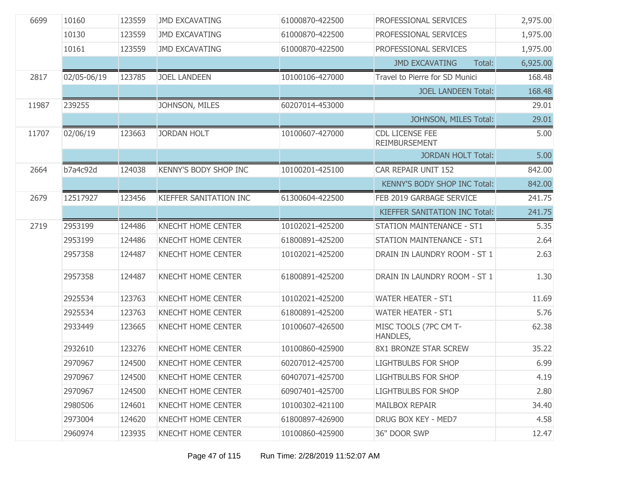| 6699  | 10160       | 123559 | <b>JMD EXCAVATING</b>     | 61000870-422500 | PROFESSIONAL SERVICES                          | 2,975.00 |
|-------|-------------|--------|---------------------------|-----------------|------------------------------------------------|----------|
|       | 10130       | 123559 | <b>JMD EXCAVATING</b>     | 61000870-422500 | PROFESSIONAL SERVICES                          | 1,975.00 |
|       | 10161       | 123559 | <b>JMD EXCAVATING</b>     | 61000870-422500 | PROFESSIONAL SERVICES                          | 1,975.00 |
|       |             |        |                           |                 | <b>JMD EXCAVATING</b><br>Total:                | 6,925.00 |
| 2817  | 02/05-06/19 | 123785 | <b>JOEL LANDEEN</b>       | 10100106-427000 | Travel to Pierre for SD Munici                 | 168.48   |
|       |             |        |                           |                 | <b>JOEL LANDEEN Total:</b>                     | 168.48   |
| 11987 | 239255      |        | JOHNSON, MILES            | 60207014-453000 |                                                | 29.01    |
|       |             |        |                           |                 | JOHNSON, MILES Total:                          | 29.01    |
| 11707 | 02/06/19    | 123663 | <b>JORDAN HOLT</b>        | 10100607-427000 | <b>CDL LICENSE FEE</b><br><b>REIMBURSEMENT</b> | 5.00     |
|       |             |        |                           |                 | <b>JORDAN HOLT Total:</b>                      | 5.00     |
| 2664  | b7a4c92d    | 124038 | KENNY'S BODY SHOP INC     | 10100201-425100 | CAR REPAIR UNIT 152                            | 842.00   |
|       |             |        |                           |                 | KENNY'S BODY SHOP INC Total:                   | 842.00   |
| 2679  | 12517927    | 123456 | KIEFFER SANITATION INC    | 61300604-422500 | FEB 2019 GARBAGE SERVICE                       | 241.75   |
|       |             |        |                           |                 | <b>KIEFFER SANITATION INC Total:</b>           | 241.75   |
| 2719  | 2953199     | 124486 | <b>KNECHT HOME CENTER</b> | 10102021-425200 | <b>STATION MAINTENANCE - ST1</b>               | 5.35     |
|       | 2953199     | 124486 | <b>KNECHT HOME CENTER</b> | 61800891-425200 | <b>STATION MAINTENANCE - ST1</b>               | 2.64     |
|       | 2957358     | 124487 | <b>KNECHT HOME CENTER</b> | 10102021-425200 | DRAIN IN LAUNDRY ROOM - ST 1                   | 2.63     |
|       | 2957358     | 124487 | <b>KNECHT HOME CENTER</b> | 61800891-425200 | DRAIN IN LAUNDRY ROOM - ST 1                   | 1.30     |
|       | 2925534     | 123763 | <b>KNECHT HOME CENTER</b> | 10102021-425200 | <b>WATER HEATER - ST1</b>                      | 11.69    |
|       | 2925534     | 123763 | KNECHT HOME CENTER        | 61800891-425200 | <b>WATER HEATER - ST1</b>                      | 5.76     |
|       | 2933449     | 123665 | KNECHT HOME CENTER        | 10100607-426500 | MISC TOOLS (7PC CM T-<br>HANDLES,              | 62.38    |
|       | 2932610     | 123276 | <b>KNECHT HOME CENTER</b> | 10100860-425900 | 8X1 BRONZE STAR SCREW                          | 35.22    |
|       | 2970967     | 124500 | <b>KNECHT HOME CENTER</b> | 60207012-425700 | <b>LIGHTBULBS FOR SHOP</b>                     | 6.99     |
|       | 2970967     | 124500 | <b>KNECHT HOME CENTER</b> | 60407071-425700 | <b>LIGHTBULBS FOR SHOP</b>                     | 4.19     |
|       | 2970967     | 124500 | <b>KNECHT HOME CENTER</b> | 60907401-425700 | <b>LIGHTBULBS FOR SHOP</b>                     | 2.80     |
|       | 2980506     | 124601 | <b>KNECHT HOME CENTER</b> | 10100302-421100 | <b>MAILBOX REPAIR</b>                          | 34.40    |
|       | 2973004     | 124620 | <b>KNECHT HOME CENTER</b> | 61800897-426900 | DRUG BOX KEY - MED7                            | 4.58     |
|       | 2960974     | 123935 | <b>KNECHT HOME CENTER</b> | 10100860-425900 | 36" DOOR SWP                                   | 12.47    |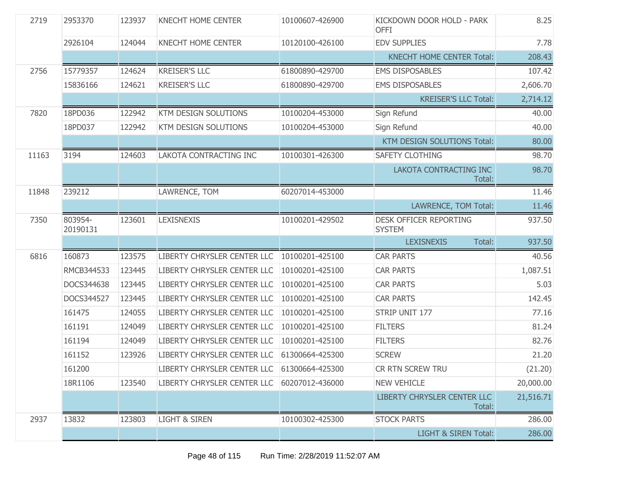| 2719  | 2953370             | 123937 | <b>KNECHT HOME CENTER</b>   | 10100607-426900 | KICKDOWN DOOR HOLD - PARK<br><b>OFFI</b>       | 8.25      |
|-------|---------------------|--------|-----------------------------|-----------------|------------------------------------------------|-----------|
|       | 2926104             | 124044 | <b>KNECHT HOME CENTER</b>   | 10120100-426100 | <b>EDV SUPPLIES</b>                            | 7.78      |
|       |                     |        |                             |                 | <b>KNECHT HOME CENTER Total:</b>               | 208.43    |
| 2756  | 15779357            | 124624 | <b>KREISER'S LLC</b>        | 61800890-429700 | <b>EMS DISPOSABLES</b>                         | 107.42    |
|       | 15836166            | 124621 | <b>KREISER'S LLC</b>        | 61800890-429700 | <b>EMS DISPOSABLES</b>                         | 2,606.70  |
|       |                     |        |                             |                 | <b>KREISER'S LLC Total:</b>                    | 2,714.12  |
| 7820  | 18PD036             | 122942 | KTM DESIGN SOLUTIONS        | 10100204-453000 | Sign Refund                                    | 40.00     |
|       | 18PD037             | 122942 | <b>KTM DESIGN SOLUTIONS</b> | 10100204-453000 | Sign Refund                                    | 40.00     |
|       |                     |        |                             |                 | KTM DESIGN SOLUTIONS Total:                    | 80.00     |
| 11163 | 3194                | 124603 | LAKOTA CONTRACTING INC      | 10100301-426300 | <b>SAFETY CLOTHING</b>                         | 98.70     |
|       |                     |        |                             |                 | LAKOTA CONTRACTING INC<br>Total:               | 98.70     |
| 11848 | 239212              |        | LAWRENCE, TOM               | 60207014-453000 |                                                | 11.46     |
|       |                     |        |                             |                 | LAWRENCE, TOM Total:                           | 11.46     |
| 7350  | 803954-<br>20190131 | 123601 | <b>LEXISNEXIS</b>           | 10100201-429502 | <b>DESK OFFICER REPORTING</b><br><b>SYSTEM</b> | 937.50    |
|       |                     |        |                             |                 | <b>LEXISNEXIS</b><br>Total:                    | 937.50    |
| 6816  | 160873              | 123575 | LIBERTY CHRYSLER CENTER LLC | 10100201-425100 | <b>CAR PARTS</b>                               | 40.56     |
|       | RMCB344533          | 123445 | LIBERTY CHRYSLER CENTER LLC | 10100201-425100 | <b>CAR PARTS</b>                               | 1,087.51  |
|       | DOCS344638          | 123445 | LIBERTY CHRYSLER CENTER LLC | 10100201-425100 | <b>CAR PARTS</b>                               | 5.03      |
|       | DOCS344527          | 123445 | LIBERTY CHRYSLER CENTER LLC | 10100201-425100 | <b>CAR PARTS</b>                               | 142.45    |
|       | 161475              | 124055 | LIBERTY CHRYSLER CENTER LLC | 10100201-425100 | STRIP UNIT 177                                 | 77.16     |
|       | 161191              | 124049 | LIBERTY CHRYSLER CENTER LLC | 10100201-425100 | <b>FILTERS</b>                                 | 81.24     |
|       | 161194              | 124049 | LIBERTY CHRYSLER CENTER LLC | 10100201-425100 | <b>FILTERS</b>                                 | 82.76     |
|       | 161152              | 123926 | LIBERTY CHRYSLER CENTER LLC | 61300664-425300 | <b>SCREW</b>                                   | 21.20     |
|       | 161200              |        | LIBERTY CHRYSLER CENTER LLC | 61300664-425300 | CR RTN SCREW TRU                               | (21.20)   |
|       | 18R1106             | 123540 | LIBERTY CHRYSLER CENTER LLC | 60207012-436000 | <b>NEW VEHICLE</b>                             | 20,000.00 |
|       |                     |        |                             |                 | <b>LIBERTY CHRYSLER CENTER LLC</b><br>Total:   | 21,516.71 |
| 2937  | 13832               | 123803 | <b>LIGHT &amp; SIREN</b>    | 10100302-425300 | <b>STOCK PARTS</b>                             | 286.00    |
|       |                     |        |                             |                 | <b>LIGHT &amp; SIREN Total:</b>                | 286.00    |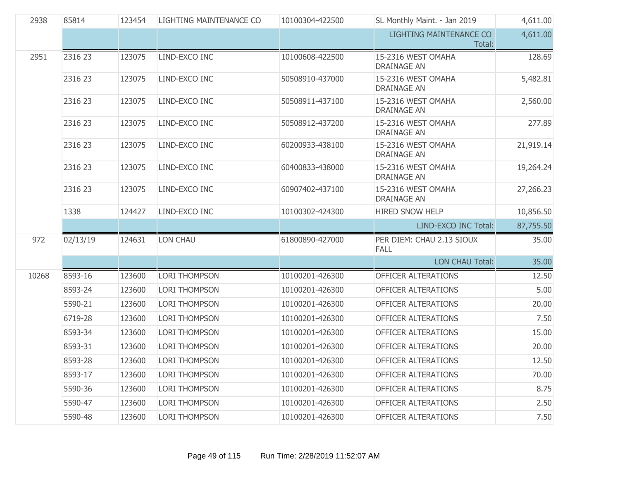| 2938  | 85814    | 123454 | LIGHTING MAINTENANCE CO | 10100304-422500 | SL Monthly Maint. - Jan 2019             | 4,611.00  |
|-------|----------|--------|-------------------------|-----------------|------------------------------------------|-----------|
|       |          |        |                         |                 | <b>LIGHTING MAINTENANCE CO</b><br>Total: | 4,611.00  |
| 2951  | 2316 23  | 123075 | LIND-EXCO INC           | 10100608-422500 | 15-2316 WEST OMAHA<br><b>DRAINAGE AN</b> | 128.69    |
|       | 2316 23  | 123075 | LIND-EXCO INC           | 50508910-437000 | 15-2316 WEST OMAHA<br><b>DRAINAGE AN</b> | 5,482.81  |
|       | 2316 23  | 123075 | LIND-EXCO INC           | 50508911-437100 | 15-2316 WEST OMAHA<br><b>DRAINAGE AN</b> | 2,560.00  |
|       | 2316 23  | 123075 | LIND-EXCO INC           | 50508912-437200 | 15-2316 WEST OMAHA<br><b>DRAINAGE AN</b> | 277.89    |
|       | 2316 23  | 123075 | LIND-EXCO INC           | 60200933-438100 | 15-2316 WEST OMAHA<br><b>DRAINAGE AN</b> | 21,919.14 |
|       | 2316 23  | 123075 | LIND-EXCO INC           | 60400833-438000 | 15-2316 WEST OMAHA<br><b>DRAINAGE AN</b> | 19,264.24 |
|       | 2316 23  | 123075 | LIND-EXCO INC           | 60907402-437100 | 15-2316 WEST OMAHA<br><b>DRAINAGE AN</b> | 27,266.23 |
|       | 1338     | 124427 | LIND-EXCO INC           | 10100302-424300 | HIRED SNOW HELP                          | 10,856.50 |
|       |          |        |                         |                 |                                          |           |
|       |          |        |                         |                 | LIND-EXCO INC Total:                     | 87,755.50 |
| 972   | 02/13/19 | 124631 | LON CHAU                | 61800890-427000 | PER DIEM: CHAU 2.13 SIOUX<br><b>FALL</b> | 35.00     |
|       |          |        |                         |                 | <b>LON CHAU Total:</b>                   | 35.00     |
| 10268 | 8593-16  | 123600 | <b>LORI THOMPSON</b>    | 10100201-426300 | OFFICER ALTERATIONS                      | 12.50     |
|       | 8593-24  | 123600 | <b>LORI THOMPSON</b>    | 10100201-426300 | OFFICER ALTERATIONS                      | 5.00      |
|       | 5590-21  | 123600 | <b>LORI THOMPSON</b>    | 10100201-426300 | OFFICER ALTERATIONS                      | 20.00     |
|       | 6719-28  | 123600 | <b>LORI THOMPSON</b>    | 10100201-426300 | OFFICER ALTERATIONS                      | 7.50      |
|       | 8593-34  | 123600 | <b>LORI THOMPSON</b>    | 10100201-426300 | OFFICER ALTERATIONS                      | 15.00     |
|       | 8593-31  | 123600 | <b>LORI THOMPSON</b>    | 10100201-426300 | OFFICER ALTERATIONS                      | 20.00     |
|       | 8593-28  | 123600 | <b>LORI THOMPSON</b>    | 10100201-426300 | OFFICER ALTERATIONS                      | 12.50     |
|       | 8593-17  | 123600 | <b>LORI THOMPSON</b>    | 10100201-426300 | OFFICER ALTERATIONS                      | 70.00     |
|       | 5590-36  | 123600 | <b>LORI THOMPSON</b>    | 10100201-426300 | OFFICER ALTERATIONS                      | 8.75      |
|       | 5590-47  | 123600 | <b>LORI THOMPSON</b>    | 10100201-426300 | OFFICER ALTERATIONS                      | 2.50      |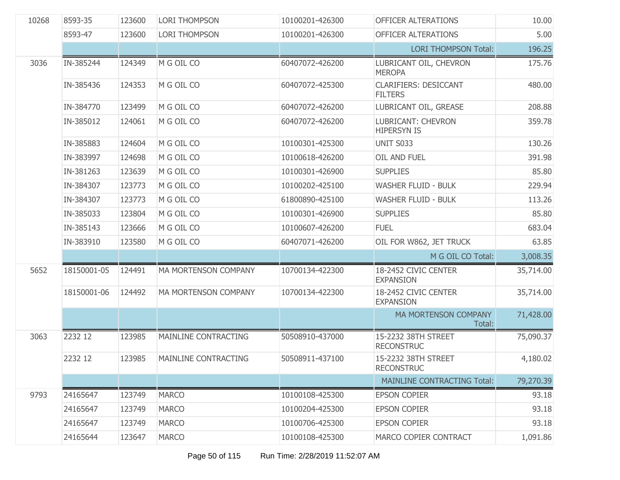| 10268 | 8593-35     | 123600 | <b>LORI THOMPSON</b>        | 10100201-426300 | OFFICER ALTERATIONS                             | 10.00     |
|-------|-------------|--------|-----------------------------|-----------------|-------------------------------------------------|-----------|
|       | 8593-47     | 123600 | <b>LORI THOMPSON</b>        | 10100201-426300 | OFFICER ALTERATIONS                             | 5.00      |
|       |             |        |                             |                 | <b>LORI THOMPSON Total:</b>                     | 196.25    |
| 3036  | IN-385244   | 124349 | M G OIL CO                  | 60407072-426200 | LUBRICANT OIL, CHEVRON<br><b>MEROPA</b>         | 175.76    |
|       | IN-385436   | 124353 | M G OIL CO                  | 60407072-425300 | <b>CLARIFIERS: DESICCANT</b><br><b>FILTERS</b>  | 480.00    |
|       | IN-384770   | 123499 | M G OIL CO                  | 60407072-426200 | LUBRICANT OIL, GREASE                           | 208.88    |
|       | IN-385012   | 124061 | M G OIL CO                  | 60407072-426200 | <b>LUBRICANT: CHEVRON</b><br><b>HIPERSYN IS</b> | 359.78    |
|       | IN-385883   | 124604 | M G OIL CO                  | 10100301-425300 | UNIT S033                                       | 130.26    |
|       | IN-383997   | 124698 | M G OIL CO                  | 10100618-426200 | OIL AND FUEL                                    | 391.98    |
|       | IN-381263   | 123639 | M G OIL CO                  | 10100301-426900 | <b>SUPPLIES</b>                                 | 85.80     |
|       | IN-384307   | 123773 | M G OIL CO                  | 10100202-425100 | <b>WASHER FLUID - BULK</b>                      | 229.94    |
|       | IN-384307   | 123773 | M G OIL CO                  | 61800890-425100 | <b>WASHER FLUID - BULK</b>                      | 113.26    |
|       | IN-385033   | 123804 | M G OIL CO                  | 10100301-426900 | <b>SUPPLIES</b>                                 | 85.80     |
|       | IN-385143   | 123666 | M G OIL CO                  | 10100607-426200 | <b>FUEL</b>                                     | 683.04    |
|       | IN-383910   | 123580 | M G OIL CO                  | 60407071-426200 | OIL FOR W862, JET TRUCK                         | 63.85     |
|       |             |        |                             |                 | M G OIL CO Total:                               | 3,008.35  |
| 5652  | 18150001-05 | 124491 | MA MORTENSON COMPANY        | 10700134-422300 | 18-2452 CIVIC CENTER<br><b>EXPANSION</b>        | 35,714.00 |
|       | 18150001-06 | 124492 | <b>MA MORTENSON COMPANY</b> | 10700134-422300 | 18-2452 CIVIC CENTER<br><b>EXPANSION</b>        | 35,714.00 |
|       |             |        |                             |                 | <b>MA MORTENSON COMPANY</b><br>Total:           | 71,428.00 |
| 3063  | 2232 12     | 123985 | MAINLINE CONTRACTING        | 50508910-437000 | 15-2232 38TH STREET<br><b>RECONSTRUC</b>        | 75,090.37 |
|       | 2232 12     | 123985 | MAINLINE CONTRACTING        |                 |                                                 | 4,180.02  |
|       |             |        |                             | 50508911-437100 | 15-2232 38TH STREET<br><b>RECONSTRUC</b>        |           |
|       |             |        |                             |                 | <b>MAINLINE CONTRACTING Total:</b>              | 79,270.39 |
| 9793  | 24165647    | 123749 | <b>MARCO</b>                | 10100108-425300 | <b>EPSON COPIER</b>                             | 93.18     |
|       | 24165647    | 123749 | <b>MARCO</b>                | 10100204-425300 | <b>EPSON COPIER</b>                             | 93.18     |
|       | 24165647    | 123749 | <b>MARCO</b>                | 10100706-425300 | <b>EPSON COPIER</b>                             | 93.18     |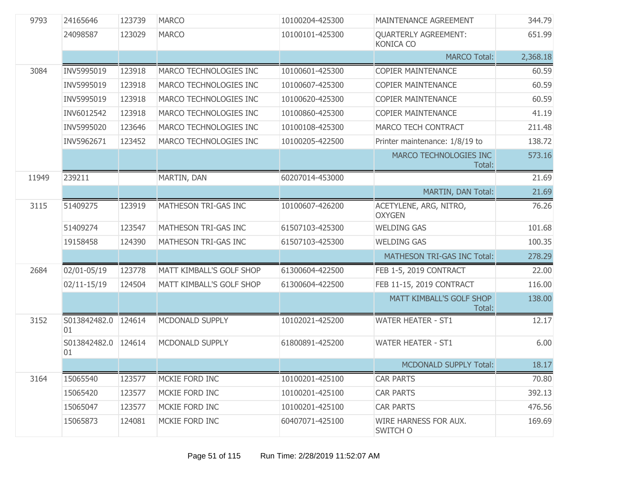| 9793  | 24165646                  | 123739 | <b>MARCO</b>             | 10100204-425300 | MAINTENANCE AGREEMENT                           | 344.79   |
|-------|---------------------------|--------|--------------------------|-----------------|-------------------------------------------------|----------|
|       | 24098587                  | 123029 | <b>MARCO</b>             | 10100101-425300 | <b>QUARTERLY AGREEMENT:</b><br><b>KONICA CO</b> | 651.99   |
|       |                           |        |                          |                 | <b>MARCO Total:</b>                             | 2,368.18 |
| 3084  | INV5995019                | 123918 | MARCO TECHNOLOGIES INC   | 10100601-425300 | <b>COPIER MAINTENANCE</b>                       | 60.59    |
|       | INV5995019                | 123918 | MARCO TECHNOLOGIES INC   | 10100607-425300 | <b>COPIER MAINTENANCE</b>                       | 60.59    |
|       | INV5995019                | 123918 | MARCO TECHNOLOGIES INC   | 10100620-425300 | <b>COPIER MAINTENANCE</b>                       | 60.59    |
|       | INV6012542                | 123918 | MARCO TECHNOLOGIES INC   | 10100860-425300 | <b>COPIER MAINTENANCE</b>                       | 41.19    |
|       | INV5995020                | 123646 | MARCO TECHNOLOGIES INC   | 10100108-425300 | MARCO TECH CONTRACT                             | 211.48   |
|       | INV5962671                | 123452 | MARCO TECHNOLOGIES INC   | 10100205-422500 | Printer maintenance: 1/8/19 to                  | 138.72   |
|       |                           |        |                          |                 | MARCO TECHNOLOGIES INC<br>Total:                | 573.16   |
| 11949 | 239211                    |        | MARTIN, DAN              | 60207014-453000 |                                                 | 21.69    |
|       |                           |        |                          |                 | MARTIN, DAN Total:                              | 21.69    |
| 3115  | 51409275                  | 123919 | MATHESON TRI-GAS INC     | 10100607-426200 | ACETYLENE, ARG, NITRO,<br><b>OXYGEN</b>         | 76.26    |
|       | 51409274                  | 123547 | MATHESON TRI-GAS INC     | 61507103-425300 | <b>WELDING GAS</b>                              | 101.68   |
|       | 19158458                  | 124390 | MATHESON TRI-GAS INC     | 61507103-425300 | <b>WELDING GAS</b>                              | 100.35   |
|       |                           |        |                          |                 | MATHESON TRI-GAS INC Total:                     | 278.29   |
| 2684  | 02/01-05/19               | 123778 | MATT KIMBALL'S GOLF SHOP | 61300604-422500 | FEB 1-5, 2019 CONTRACT                          | 22.00    |
|       | $02/11 - 15/19$           | 124504 | MATT KIMBALL'S GOLF SHOP | 61300604-422500 | FEB 11-15, 2019 CONTRACT                        | 116.00   |
|       |                           |        |                          |                 | MATT KIMBALL'S GOLF SHOP<br>Total:              | 138.00   |
| 3152  | S013842482.0 124614<br>01 |        | MCDONALD SUPPLY          | 10102021-425200 | <b>WATER HEATER - ST1</b>                       | 12.17    |
|       | S013842482.0 124614<br>01 |        | MCDONALD SUPPLY          | 61800891-425200 | <b>WATER HEATER - ST1</b>                       | 6.00     |
|       |                           |        |                          |                 | <b>MCDONALD SUPPLY Total:</b>                   | 18.17    |
| 3164  | 15065540                  | 123577 | MCKIE FORD INC           | 10100201-425100 | <b>CAR PARTS</b>                                | 70.80    |
|       | 15065420                  | 123577 | MCKIE FORD INC           | 10100201-425100 | <b>CAR PARTS</b>                                | 392.13   |
|       | 15065047                  | 123577 | MCKIE FORD INC           | 10100201-425100 | <b>CAR PARTS</b>                                | 476.56   |
|       | 15065873                  | 124081 | MCKIE FORD INC           | 60407071-425100 | WIRE HARNESS FOR AUX.<br>SWITCH O               | 169.69   |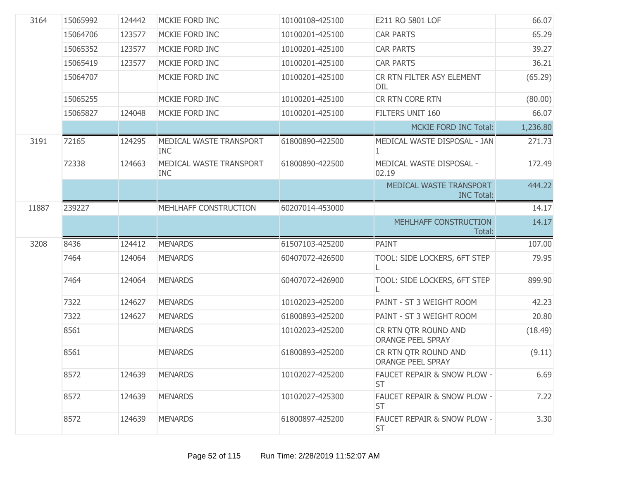| 3164  | 15065992 | 124442 | MCKIE FORD INC                        | 10100108-425100 | E211 RO 5801 LOF                                    | 66.07    |
|-------|----------|--------|---------------------------------------|-----------------|-----------------------------------------------------|----------|
|       | 15064706 | 123577 | MCKIE FORD INC                        | 10100201-425100 | <b>CAR PARTS</b>                                    | 65.29    |
|       | 15065352 | 123577 | MCKIE FORD INC                        | 10100201-425100 | <b>CAR PARTS</b>                                    | 39.27    |
|       | 15065419 | 123577 | MCKIE FORD INC                        | 10100201-425100 | <b>CAR PARTS</b>                                    | 36.21    |
|       | 15064707 |        | MCKIE FORD INC                        | 10100201-425100 | CR RTN FILTER ASY ELEMENT<br>OIL                    | (65.29)  |
|       | 15065255 |        | MCKIE FORD INC                        | 10100201-425100 | CR RTN CORE RTN                                     | (80.00)  |
|       | 15065827 | 124048 | MCKIE FORD INC                        | 10100201-425100 | FILTERS UNIT 160                                    | 66.07    |
|       |          |        |                                       |                 | <b>MCKIE FORD INC Total:</b>                        | 1,236.80 |
| 3191  | 72165    | 124295 | MEDICAL WASTE TRANSPORT<br><b>INC</b> | 61800890-422500 | MEDICAL WASTE DISPOSAL - JAN<br>$\mathbf{1}$        | 271.73   |
|       | 72338    | 124663 | MEDICAL WASTE TRANSPORT<br><b>INC</b> | 61800890-422500 | MEDICAL WASTE DISPOSAL -<br>02.19                   | 172.49   |
|       |          |        |                                       |                 | MEDICAL WASTE TRANSPORT<br><b>INC Total:</b>        | 444.22   |
| 11887 | 239227   |        | MEHLHAFF CONSTRUCTION                 | 60207014-453000 |                                                     | 14.17    |
|       |          |        |                                       |                 | MEHLHAFF CONSTRUCTION                               | 14.17    |
|       |          |        |                                       |                 | Total:                                              |          |
| 3208  | 8436     | 124412 | <b>MENARDS</b>                        | 61507103-425200 | <b>PAINT</b>                                        | 107.00   |
|       | 7464     | 124064 | <b>MENARDS</b>                        | 60407072-426500 | TOOL: SIDE LOCKERS, 6FT STEP                        | 79.95    |
|       | 7464     | 124064 | <b>MENARDS</b>                        | 60407072-426900 | TOOL: SIDE LOCKERS, 6FT STEP                        | 899.90   |
|       | 7322     | 124627 | <b>MENARDS</b>                        | 10102023-425200 | PAINT - ST 3 WEIGHT ROOM                            | 42.23    |
|       | 7322     | 124627 | <b>MENARDS</b>                        | 61800893-425200 | PAINT - ST 3 WEIGHT ROOM                            | 20.80    |
|       | 8561     |        | <b>MENARDS</b>                        | 10102023-425200 | CR RTN QTR ROUND AND<br><b>ORANGE PEEL SPRAY</b>    | (18.49)  |
|       | 8561     |        | <b>MENARDS</b>                        | 61800893-425200 | CR RTN QTR ROUND AND<br><b>ORANGE PEEL SPRAY</b>    | (9.11)   |
|       | 8572     | 124639 | <b>MENARDS</b>                        | 10102027-425200 | <b>FAUCET REPAIR &amp; SNOW PLOW -</b><br><b>ST</b> | 6.69     |
|       | 8572     | 124639 | <b>MENARDS</b>                        | 10102027-425300 | FAUCET REPAIR & SNOW PLOW -<br><b>ST</b>            | 7.22     |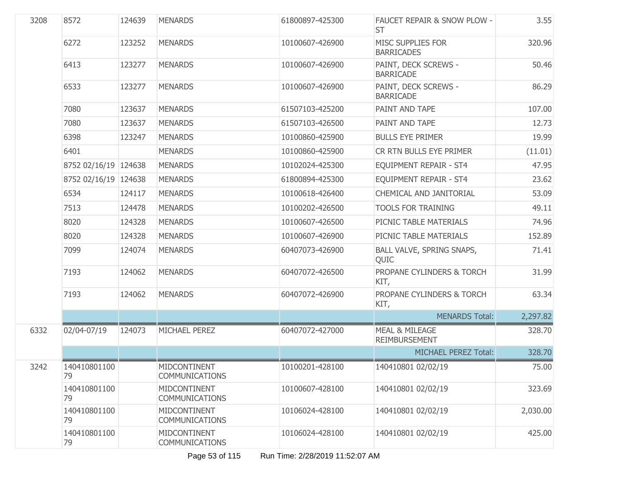| 3208 | 8572                 | 124639 | <b>MENARDS</b>                        | 61800897-425300 | FAUCET REPAIR & SNOW PLOW -<br><b>ST</b>   | 3.55     |
|------|----------------------|--------|---------------------------------------|-----------------|--------------------------------------------|----------|
|      | 6272                 | 123252 | <b>MENARDS</b>                        | 10100607-426900 | MISC SUPPLIES FOR<br><b>BARRICADES</b>     | 320.96   |
|      | 6413                 | 123277 | <b>MENARDS</b>                        | 10100607-426900 | PAINT, DECK SCREWS -<br><b>BARRICADE</b>   | 50.46    |
|      | 6533                 | 123277 | <b>MENARDS</b>                        | 10100607-426900 | PAINT, DECK SCREWS -<br><b>BARRICADE</b>   | 86.29    |
|      | 7080                 | 123637 | <b>MENARDS</b>                        | 61507103-425200 | PAINT AND TAPE                             | 107.00   |
|      | 7080                 | 123637 | <b>MENARDS</b>                        | 61507103-426500 | PAINT AND TAPE                             | 12.73    |
|      | 6398                 | 123247 | <b>MENARDS</b>                        | 10100860-425900 | <b>BULLS EYE PRIMER</b>                    | 19.99    |
|      | 6401                 |        | <b>MENARDS</b>                        | 10100860-425900 | CR RTN BULLS EYE PRIMER                    | (11.01)  |
|      | 8752 02/16/19 124638 |        | <b>MENARDS</b>                        | 10102024-425300 | EQUIPMENT REPAIR - ST4                     | 47.95    |
|      | 8752 02/16/19 124638 |        | <b>MENARDS</b>                        | 61800894-425300 | EQUIPMENT REPAIR - ST4                     | 23.62    |
|      | 6534                 | 124117 | <b>MENARDS</b>                        | 10100618-426400 | CHEMICAL AND JANITORIAL                    | 53.09    |
|      | 7513                 | 124478 | <b>MENARDS</b>                        | 10100202-426500 | <b>TOOLS FOR TRAINING</b>                  | 49.11    |
|      | 8020                 | 124328 | <b>MENARDS</b>                        | 10100607-426500 | PICNIC TABLE MATERIALS                     | 74.96    |
|      | 8020                 | 124328 | <b>MENARDS</b>                        | 10100607-426900 | PICNIC TABLE MATERIALS                     | 152.89   |
|      | 7099                 | 124074 | <b>MENARDS</b>                        | 60407073-426900 | BALL VALVE, SPRING SNAPS,<br>QUIC          | 71.41    |
|      | 7193                 | 124062 | <b>MENARDS</b>                        | 60407072-426500 | PROPANE CYLINDERS & TORCH<br>KIT,          | 31.99    |
|      | 7193                 | 124062 | <b>MENARDS</b>                        | 60407072-426900 | PROPANE CYLINDERS & TORCH<br>KIT,          | 63.34    |
|      |                      |        |                                       |                 | <b>MENARDS Total:</b>                      | 2,297.82 |
| 6332 | 02/04-07/19          | 124073 | MICHAEL PEREZ                         | 60407072-427000 | <b>MEAL &amp; MILEAGE</b><br>REIMBURSEMENT | 328.70   |
|      |                      |        |                                       |                 | <b>MICHAEL PEREZ Total:</b>                | 328.70   |
| 3242 | 140410801100<br>79   |        | MIDCONTINENT<br><b>COMMUNICATIONS</b> | 10100201-428100 | 140410801 02/02/19                         | 75.00    |
|      | 140410801100<br>79   |        | MIDCONTINENT<br><b>COMMUNICATIONS</b> | 10100607-428100 | 140410801 02/02/19                         | 323.69   |
|      | 140410801100<br>79   |        | MIDCONTINENT<br><b>COMMUNICATIONS</b> | 10106024-428100 | 140410801 02/02/19                         | 2,030.00 |
|      | 140410801100<br>79   |        | MIDCONTINENT<br><b>COMMUNICATIONS</b> | 10106024-428100 | 140410801 02/02/19                         | 425.00   |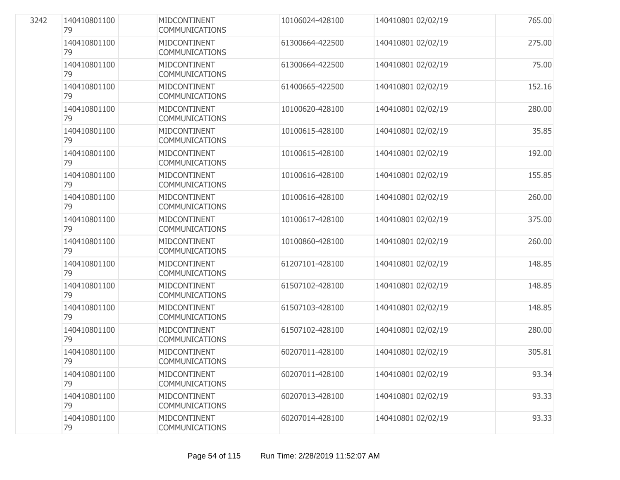| 3242 | 140410801100<br>79 | MIDCONTINENT<br>COMMUNICATIONS               | 10106024-428100 | 140410801 02/02/19 | 765.00 |
|------|--------------------|----------------------------------------------|-----------------|--------------------|--------|
|      | 140410801100<br>79 | MIDCONTINENT<br><b>COMMUNICATIONS</b>        | 61300664-422500 | 140410801 02/02/19 | 275.00 |
|      | 140410801100<br>79 | MIDCONTINENT<br><b>COMMUNICATIONS</b>        | 61300664-422500 | 140410801 02/02/19 | 75.00  |
|      | 140410801100<br>79 | MIDCONTINENT<br><b>COMMUNICATIONS</b>        | 61400665-422500 | 140410801 02/02/19 | 152.16 |
|      | 140410801100<br>79 | <b>MIDCONTINENT</b><br><b>COMMUNICATIONS</b> | 10100620-428100 | 140410801 02/02/19 | 280.00 |
|      | 140410801100<br>79 | MIDCONTINENT<br><b>COMMUNICATIONS</b>        | 10100615-428100 | 140410801 02/02/19 | 35.85  |
|      | 140410801100<br>79 | MIDCONTINENT<br><b>COMMUNICATIONS</b>        | 10100615-428100 | 140410801 02/02/19 | 192.00 |
|      | 140410801100<br>79 | <b>MIDCONTINENT</b><br><b>COMMUNICATIONS</b> | 10100616-428100 | 140410801 02/02/19 | 155.85 |
|      | 140410801100<br>79 | MIDCONTINENT<br><b>COMMUNICATIONS</b>        | 10100616-428100 | 140410801 02/02/19 | 260.00 |
|      | 140410801100<br>79 | <b>MIDCONTINENT</b><br><b>COMMUNICATIONS</b> | 10100617-428100 | 140410801 02/02/19 | 375.00 |
|      | 140410801100<br>79 | MIDCONTINENT<br><b>COMMUNICATIONS</b>        | 10100860-428100 | 140410801 02/02/19 | 260.00 |
|      | 140410801100<br>79 | MIDCONTINENT<br><b>COMMUNICATIONS</b>        | 61207101-428100 | 140410801 02/02/19 | 148.85 |
|      | 140410801100<br>79 | <b>MIDCONTINENT</b><br><b>COMMUNICATIONS</b> | 61507102-428100 | 140410801 02/02/19 | 148.85 |
|      | 140410801100<br>79 | MIDCONTINENT<br><b>COMMUNICATIONS</b>        | 61507103-428100 | 140410801 02/02/19 | 148.85 |
|      | 140410801100<br>79 | <b>MIDCONTINENT</b><br><b>COMMUNICATIONS</b> | 61507102-428100 | 140410801 02/02/19 | 280.00 |
|      | 140410801100<br>79 | MIDCONTINENT<br><b>COMMUNICATIONS</b>        | 60207011-428100 | 140410801 02/02/19 | 305.81 |
|      | 140410801100<br>79 | MIDCONTINENT<br><b>COMMUNICATIONS</b>        | 60207011-428100 | 140410801 02/02/19 | 93.34  |
|      | 140410801100<br>79 | MIDCONTINENT<br><b>COMMUNICATIONS</b>        | 60207013-428100 | 140410801 02/02/19 | 93.33  |
|      | 140410801100<br>79 | MIDCONTINENT<br><b>COMMUNICATIONS</b>        | 60207014-428100 | 140410801 02/02/19 | 93.33  |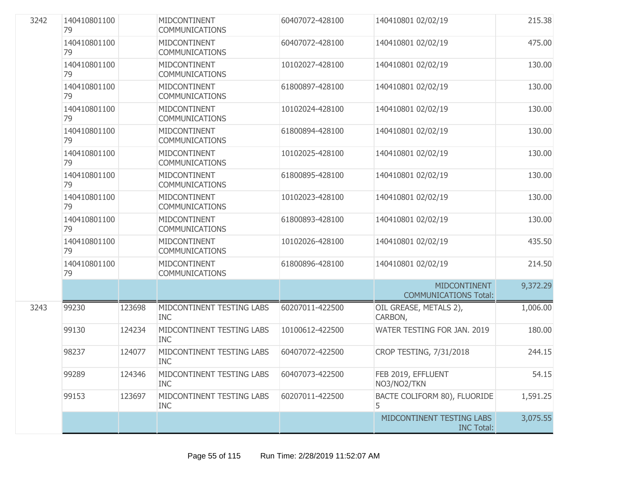| 3242 | 140410801100<br>79 |        | MIDCONTINENT<br><b>COMMUNICATIONS</b>   | 60407072-428100 | 140410801 02/02/19                                  | 215.38   |
|------|--------------------|--------|-----------------------------------------|-----------------|-----------------------------------------------------|----------|
|      | 140410801100<br>79 |        | MIDCONTINENT<br>COMMUNICATIONS          | 60407072-428100 | 140410801 02/02/19                                  | 475.00   |
|      | 140410801100<br>79 |        | MIDCONTINENT<br><b>COMMUNICATIONS</b>   | 10102027-428100 | 140410801 02/02/19                                  | 130.00   |
|      | 140410801100<br>79 |        | MIDCONTINENT<br><b>COMMUNICATIONS</b>   | 61800897-428100 | 140410801 02/02/19                                  | 130.00   |
|      | 140410801100<br>79 |        | MIDCONTINENT<br><b>COMMUNICATIONS</b>   | 10102024-428100 | 140410801 02/02/19                                  | 130.00   |
|      | 140410801100<br>79 |        | MIDCONTINENT<br><b>COMMUNICATIONS</b>   | 61800894-428100 | 140410801 02/02/19                                  | 130.00   |
|      | 140410801100<br>79 |        | MIDCONTINENT<br><b>COMMUNICATIONS</b>   | 10102025-428100 | 140410801 02/02/19                                  | 130.00   |
|      | 140410801100<br>79 |        | MIDCONTINENT<br><b>COMMUNICATIONS</b>   | 61800895-428100 | 140410801 02/02/19                                  | 130.00   |
|      | 140410801100<br>79 |        | MIDCONTINENT<br><b>COMMUNICATIONS</b>   | 10102023-428100 | 140410801 02/02/19                                  | 130.00   |
|      | 140410801100<br>79 |        | MIDCONTINENT<br><b>COMMUNICATIONS</b>   | 61800893-428100 | 140410801 02/02/19                                  | 130.00   |
|      | 140410801100<br>79 |        | MIDCONTINENT<br><b>COMMUNICATIONS</b>   | 10102026-428100 | 140410801 02/02/19                                  | 435.50   |
|      | 140410801100<br>79 |        | MIDCONTINENT<br><b>COMMUNICATIONS</b>   | 61800896-428100 | 140410801 02/02/19                                  | 214.50   |
|      |                    |        |                                         |                 | <b>MIDCONTINENT</b><br><b>COMMUNICATIONS Total:</b> | 9,372.29 |
| 3243 | 99230              | 123698 | MIDCONTINENT TESTING LABS<br><b>INC</b> | 60207011-422500 | OIL GREASE, METALS 2),<br>CARBON,                   | 1,006.00 |
|      | 99130              | 124234 | MIDCONTINENT TESTING LABS<br><b>INC</b> | 10100612-422500 | WATER TESTING FOR JAN. 2019                         | 180.00   |
|      | 98237              | 124077 | MIDCONTINENT TESTING LABS<br><b>INC</b> | 60407072-422500 | CROP TESTING, 7/31/2018                             | 244.15   |
|      | 99289              | 124346 | MIDCONTINENT TESTING LABS<br><b>INC</b> | 60407073-422500 | FEB 2019, EFFLUENT<br>NO3/NO2/TKN                   | 54.15    |
|      | 99153              | 123697 | MIDCONTINENT TESTING LABS<br><b>INC</b> | 60207011-422500 | BACTE COLIFORM 80), FLUORIDE<br>5.                  | 1,591.25 |
|      |                    |        |                                         |                 | MIDCONTINENT TESTING LABS<br><b>INC Total:</b>      | 3,075.55 |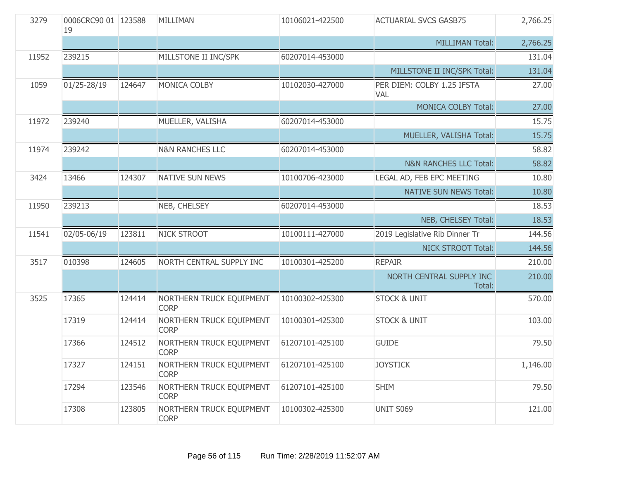| 3279  | 0006CRC90 01 123588<br>19 |        | MILLIMAN                                | 10106021-422500 | <b>ACTUARIAL SVCS GASB75</b>             | 2,766.25 |
|-------|---------------------------|--------|-----------------------------------------|-----------------|------------------------------------------|----------|
|       |                           |        |                                         |                 | <b>MILLIMAN Total:</b>                   | 2,766.25 |
| 11952 | 239215                    |        | MILLSTONE II INC/SPK                    | 60207014-453000 |                                          | 131.04   |
|       |                           |        |                                         |                 | MILLSTONE II INC/SPK Total:              | 131.04   |
| 1059  | 01/25-28/19               | 124647 | MONICA COLBY                            | 10102030-427000 | PER DIEM: COLBY 1.25 IFSTA<br><b>VAL</b> | 27.00    |
|       |                           |        |                                         |                 | <b>MONICA COLBY Total:</b>               | 27.00    |
| 11972 | 239240                    |        | MUELLER, VALISHA                        | 60207014-453000 |                                          | 15.75    |
|       |                           |        |                                         |                 | MUELLER, VALISHA Total:                  | 15.75    |
| 11974 | 239242                    |        | <b>N&amp;N RANCHES LLC</b>              | 60207014-453000 |                                          | 58.82    |
|       |                           |        |                                         |                 | <b>N&amp;N RANCHES LLC Total:</b>        | 58.82    |
| 3424  | 13466                     | 124307 | <b>NATIVE SUN NEWS</b>                  | 10100706-423000 | LEGAL AD, FEB EPC MEETING                | 10.80    |
|       |                           |        |                                         |                 | <b>NATIVE SUN NEWS Total:</b>            | 10.80    |
| 11950 | 239213                    |        | NEB, CHELSEY                            | 60207014-453000 |                                          | 18.53    |
|       |                           |        |                                         |                 | NEB, CHELSEY Total:                      | 18.53    |
| 11541 | 02/05-06/19               | 123811 | <b>NICK STROOT</b>                      | 10100111-427000 | 2019 Legislative Rib Dinner Tr           | 144.56   |
|       |                           |        |                                         |                 | <b>NICK STROOT Total:</b>                | 144.56   |
| 3517  | 010398                    | 124605 | NORTH CENTRAL SUPPLY INC                | 10100301-425200 | <b>REPAIR</b>                            | 210.00   |
|       |                           |        |                                         |                 | NORTH CENTRAL SUPPLY INC<br>Total:       | 210.00   |
| 3525  | 17365                     | 124414 | NORTHERN TRUCK EQUIPMENT<br><b>CORP</b> | 10100302-425300 | <b>STOCK &amp; UNIT</b>                  | 570.00   |
|       | 17319                     | 124414 | NORTHERN TRUCK EQUIPMENT<br><b>CORP</b> | 10100301-425300 | <b>STOCK &amp; UNIT</b>                  | 103.00   |
|       | 17366                     | 124512 | NORTHERN TRUCK EQUIPMENT<br><b>CORP</b> | 61207101-425100 | <b>GUIDE</b>                             | 79.50    |
|       | 17327                     | 124151 | NORTHERN TRUCK EQUIPMENT<br><b>CORP</b> | 61207101-425100 | <b>JOYSTICK</b>                          | 1,146.00 |
|       | 17294                     | 123546 | NORTHERN TRUCK EQUIPMENT<br><b>CORP</b> | 61207101-425100 | <b>SHIM</b>                              | 79.50    |
|       | 17308                     | 123805 | NORTHERN TRUCK EQUIPMENT<br><b>CORP</b> | 10100302-425300 | UNIT S069                                | 121.00   |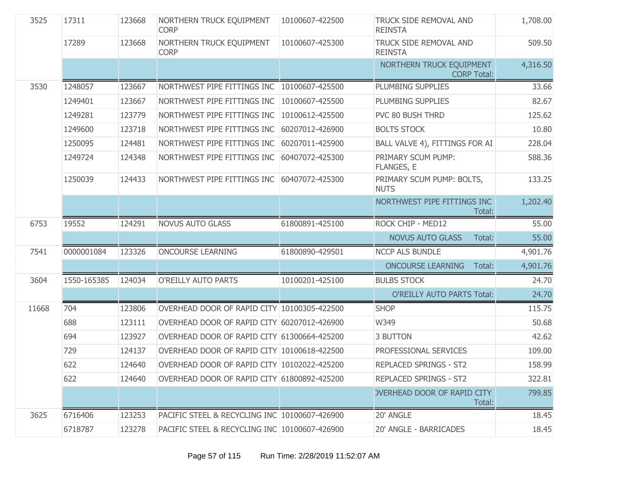| 3525  | 17311       | 123668 | NORTHERN TRUCK EQUIPMENT<br><b>CORP</b>       | 10100607-422500 | TRUCK SIDE REMOVAL AND<br><b>REINSTA</b>       | 1,708.00 |
|-------|-------------|--------|-----------------------------------------------|-----------------|------------------------------------------------|----------|
|       | 17289       | 123668 | NORTHERN TRUCK EQUIPMENT<br><b>CORP</b>       | 10100607-425300 | TRUCK SIDE REMOVAL AND<br><b>REINSTA</b>       | 509.50   |
|       |             |        |                                               |                 | NORTHERN TRUCK EQUIPMENT<br><b>CORP Total:</b> | 4,316.50 |
| 3530  | 1248057     | 123667 | NORTHWEST PIPE FITTINGS INC 10100607-425500   |                 | PLUMBING SUPPLIES                              | 33.66    |
|       | 1249401     | 123667 | NORTHWEST PIPE FITTINGS INC                   | 10100607-425500 | PLUMBING SUPPLIES                              | 82.67    |
|       | 1249281     | 123779 | NORTHWEST PIPE FITTINGS INC                   | 10100612-425500 | PVC 80 BUSH THRD                               | 125.62   |
|       | 1249600     | 123718 | NORTHWEST PIPE FITTINGS INC                   | 60207012-426900 | <b>BOLTS STOCK</b>                             | 10.80    |
|       | 1250095     | 124481 | NORTHWEST PIPE FITTINGS INC                   | 60207011-425900 | BALL VALVE 4), FITTINGS FOR AI                 | 228.04   |
|       | 1249724     | 124348 | NORTHWEST PIPE FITTINGS INC                   | 60407072-425300 | PRIMARY SCUM PUMP:<br>FLANGES, E               | 588.36   |
|       | 1250039     | 124433 | NORTHWEST PIPE FITTINGS INC                   | 60407072-425300 | PRIMARY SCUM PUMP: BOLTS,<br><b>NUTS</b>       | 133.25   |
|       |             |        |                                               |                 | NORTHWEST PIPE FITTINGS INC<br>Total:          | 1,202.40 |
| 6753  | 19552       | 124291 | <b>NOVUS AUTO GLASS</b>                       | 61800891-425100 | ROCK CHIP - MED12                              | 55.00    |
|       |             |        |                                               |                 | <b>NOVUS AUTO GLASS</b><br>Total:              | 55.00    |
| 7541  | 0000001084  | 123326 | <b>ONCOURSE LEARNING</b>                      | 61800890-429501 | <b>NCCP ALS BUNDLE</b>                         | 4,901.76 |
|       |             |        |                                               |                 | <b>ONCOURSE LEARNING</b><br>Total:             | 4,901.76 |
| 3604  | 1550-165385 | 124034 | O'REILLY AUTO PARTS                           | 10100201-425100 | <b>BULBS STOCK</b>                             | 24.70    |
|       |             |        |                                               |                 | <b>O'REILLY AUTO PARTS Total:</b>              | 24.70    |
| 11668 | 704         | 123806 | OVERHEAD DOOR OF RAPID CITY 10100305-422500   |                 | <b>SHOP</b>                                    | 115.75   |
|       | 688         | 123111 | OVERHEAD DOOR OF RAPID CITY 60207012-426900   |                 | W349                                           | 50.68    |
|       | 694         | 123927 | OVERHEAD DOOR OF RAPID CITY 61300664-425200   |                 | 3 BUTTON                                       | 42.62    |
|       | 729         | 124137 | OVERHEAD DOOR OF RAPID CITY 10100618-422500   |                 | PROFESSIONAL SERVICES                          | 109.00   |
|       | 622         | 124640 | OVERHEAD DOOR OF RAPID CITY 10102022-425200   |                 | REPLACED SPRINGS - ST2                         | 158.99   |
|       | 622         | 124640 | OVERHEAD DOOR OF RAPID CITY 61800892-425200   |                 | <b>REPLACED SPRINGS - ST2</b>                  | 322.81   |
|       |             |        |                                               |                 | <b>OVERHEAD DOOR OF RAPID CITY</b><br>Total:   | 799.85   |
| 3625  | 6716406     | 123253 | PACIFIC STEEL & RECYCLING INC 10100607-426900 |                 | 20' ANGLE                                      | 18.45    |
|       | 6718787     | 123278 | PACIFIC STEEL & RECYCLING INC 10100607-426900 |                 | 20' ANGLE - BARRICADES                         | 18.45    |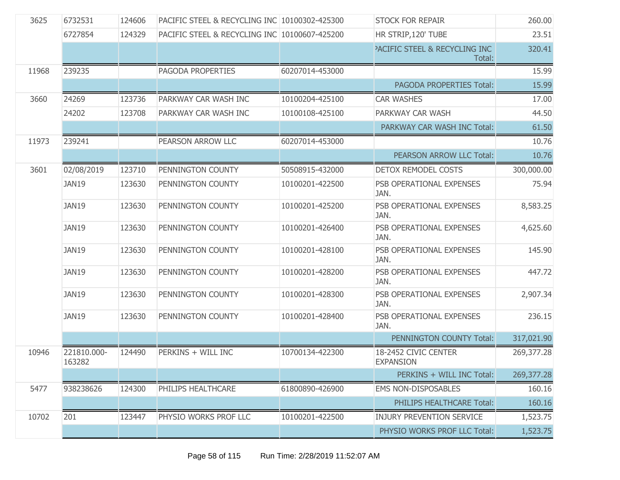| 3625  | 6732531               | 124606 | PACIFIC STEEL & RECYCLING INC 10100302-425300 |                 | <b>STOCK FOR REPAIR</b>                            | 260.00     |
|-------|-----------------------|--------|-----------------------------------------------|-----------------|----------------------------------------------------|------------|
|       | 6727854               | 124329 | PACIFIC STEEL & RECYCLING INC 10100607-425200 |                 | HR STRIP, 120' TUBE                                | 23.51      |
|       |                       |        |                                               |                 | <b>PACIFIC STEEL &amp; RECYCLING INC</b><br>Total: | 320.41     |
| 11968 | 239235                |        | PAGODA PROPERTIES                             | 60207014-453000 |                                                    | 15.99      |
|       |                       |        |                                               |                 | PAGODA PROPERTIES Total:                           | 15.99      |
| 3660  | 24269                 | 123736 | PARKWAY CAR WASH INC                          | 10100204-425100 | <b>CAR WASHES</b>                                  | 17.00      |
|       | 24202                 | 123708 | PARKWAY CAR WASH INC                          | 10100108-425100 | PARKWAY CAR WASH                                   | 44.50      |
|       |                       |        |                                               |                 | PARKWAY CAR WASH INC Total:                        | 61.50      |
| 11973 | 239241                |        | PEARSON ARROW LLC                             | 60207014-453000 |                                                    | 10.76      |
|       |                       |        |                                               |                 | PEARSON ARROW LLC Total:                           | 10.76      |
| 3601  | 02/08/2019            | 123710 | PENNINGTON COUNTY                             | 50508915-432000 | DETOX REMODEL COSTS                                | 300,000.00 |
|       | JAN19                 | 123630 | PENNINGTON COUNTY                             | 10100201-422500 | PSB OPERATIONAL EXPENSES<br>JAN.                   | 75.94      |
|       | <b>JAN19</b>          | 123630 | PENNINGTON COUNTY                             | 10100201-425200 | PSB OPERATIONAL EXPENSES<br>JAN.                   | 8,583.25   |
|       | <b>JAN19</b>          | 123630 | PENNINGTON COUNTY                             | 10100201-426400 | PSB OPERATIONAL EXPENSES<br>JAN.                   | 4,625.60   |
|       | <b>JAN19</b>          | 123630 | PENNINGTON COUNTY                             | 10100201-428100 | PSB OPERATIONAL EXPENSES<br>JAN.                   | 145.90     |
|       | <b>JAN19</b>          | 123630 | PENNINGTON COUNTY                             | 10100201-428200 | PSB OPERATIONAL EXPENSES<br>JAN.                   | 447.72     |
|       | JAN19                 | 123630 | PENNINGTON COUNTY                             | 10100201-428300 | PSB OPERATIONAL EXPENSES<br>JAN.                   | 2,907.34   |
|       | JAN19                 | 123630 | PENNINGTON COUNTY                             | 10100201-428400 | PSB OPERATIONAL EXPENSES<br>JAN.                   | 236.15     |
|       |                       |        |                                               |                 | PENNINGTON COUNTY Total:                           | 317,021.90 |
| 10946 | 221810.000-<br>163282 | 124490 | PERKINS + WILL INC                            | 10700134-422300 | 18-2452 CIVIC CENTER<br><b>EXPANSION</b>           | 269,377.28 |
|       |                       |        |                                               |                 | PERKINS + WILL INC Total:                          | 269,377.28 |
| 5477  | 938238626             | 124300 | PHILIPS HEALTHCARE                            | 61800890-426900 | <b>EMS NON-DISPOSABLES</b>                         | 160.16     |
|       |                       |        |                                               |                 | PHILIPS HEALTHCARE Total:                          | 160.16     |
| 10702 | 201                   | 123447 | PHYSIO WORKS PROF LLC                         | 10100201-422500 | <b>INJURY PREVENTION SERVICE</b>                   | 1,523.75   |
|       |                       |        |                                               |                 | PHYSIO WORKS PROF LLC Total:                       | 1,523.75   |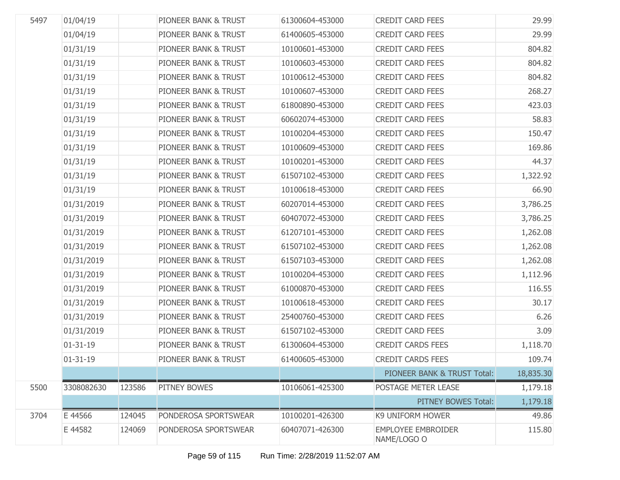| 5497 | 01/04/19       |        | PIONEER BANK & TRUST | 61300604-453000 | <b>CREDIT CARD FEES</b>                  | 29.99     |
|------|----------------|--------|----------------------|-----------------|------------------------------------------|-----------|
|      | 01/04/19       |        | PIONEER BANK & TRUST | 61400605-453000 | <b>CREDIT CARD FEES</b>                  | 29.99     |
|      | 01/31/19       |        | PIONEER BANK & TRUST | 10100601-453000 | <b>CREDIT CARD FEES</b>                  | 804.82    |
|      | 01/31/19       |        | PIONEER BANK & TRUST | 10100603-453000 | <b>CREDIT CARD FEES</b>                  | 804.82    |
|      | 01/31/19       |        | PIONEER BANK & TRUST | 10100612-453000 | <b>CREDIT CARD FEES</b>                  | 804.82    |
|      | 01/31/19       |        | PIONEER BANK & TRUST | 10100607-453000 | <b>CREDIT CARD FEES</b>                  | 268.27    |
|      | 01/31/19       |        | PIONEER BANK & TRUST | 61800890-453000 | <b>CREDIT CARD FEES</b>                  | 423.03    |
|      | 01/31/19       |        | PIONEER BANK & TRUST | 60602074-453000 | <b>CREDIT CARD FEES</b>                  | 58.83     |
|      | 01/31/19       |        | PIONEER BANK & TRUST | 10100204-453000 | <b>CREDIT CARD FEES</b>                  | 150.47    |
|      | 01/31/19       |        | PIONEER BANK & TRUST | 10100609-453000 | <b>CREDIT CARD FEES</b>                  | 169.86    |
|      | 01/31/19       |        | PIONEER BANK & TRUST | 10100201-453000 | <b>CREDIT CARD FEES</b>                  | 44.37     |
|      | 01/31/19       |        | PIONEER BANK & TRUST | 61507102-453000 | <b>CREDIT CARD FEES</b>                  | 1,322.92  |
|      | 01/31/19       |        | PIONEER BANK & TRUST | 10100618-453000 | <b>CREDIT CARD FEES</b>                  | 66.90     |
|      | 01/31/2019     |        | PIONEER BANK & TRUST | 60207014-453000 | <b>CREDIT CARD FEES</b>                  | 3,786.25  |
|      | 01/31/2019     |        | PIONEER BANK & TRUST | 60407072-453000 | <b>CREDIT CARD FEES</b>                  | 3,786.25  |
|      | 01/31/2019     |        | PIONEER BANK & TRUST | 61207101-453000 | <b>CREDIT CARD FEES</b>                  | 1,262.08  |
|      | 01/31/2019     |        | PIONEER BANK & TRUST | 61507102-453000 | <b>CREDIT CARD FEES</b>                  | 1,262.08  |
|      | 01/31/2019     |        | PIONEER BANK & TRUST | 61507103-453000 | <b>CREDIT CARD FEES</b>                  | 1,262.08  |
|      | 01/31/2019     |        | PIONEER BANK & TRUST | 10100204-453000 | <b>CREDIT CARD FEES</b>                  | 1,112.96  |
|      | 01/31/2019     |        | PIONEER BANK & TRUST | 61000870-453000 | <b>CREDIT CARD FEES</b>                  | 116.55    |
|      | 01/31/2019     |        | PIONEER BANK & TRUST | 10100618-453000 | <b>CREDIT CARD FEES</b>                  | 30.17     |
|      | 01/31/2019     |        | PIONEER BANK & TRUST | 25400760-453000 | <b>CREDIT CARD FEES</b>                  | 6.26      |
|      | 01/31/2019     |        | PIONEER BANK & TRUST | 61507102-453000 | <b>CREDIT CARD FEES</b>                  | 3.09      |
|      | $01 - 31 - 19$ |        | PIONEER BANK & TRUST | 61300604-453000 | <b>CREDIT CARDS FEES</b>                 | 1,118.70  |
|      | $01 - 31 - 19$ |        | PIONEER BANK & TRUST | 61400605-453000 | <b>CREDIT CARDS FEES</b>                 | 109.74    |
|      |                |        |                      |                 | PIONEER BANK & TRUST Total:              | 18,835.30 |
| 5500 | 3308082630     | 123586 | <b>PITNEY BOWES</b>  | 10106061-425300 | POSTAGE METER LEASE                      | 1,179.18  |
|      |                |        |                      |                 | PITNEY BOWES Total:                      | 1,179.18  |
| 3704 | E 44566        | 124045 | PONDEROSA SPORTSWEAR | 10100201-426300 | <b>K9 UNIFORM HOWER</b>                  | 49.86     |
|      | E 44582        | 124069 | PONDEROSA SPORTSWEAR | 60407071-426300 | <b>EMPLOYEE EMBROIDER</b><br>NAME/LOGO O | 115.80    |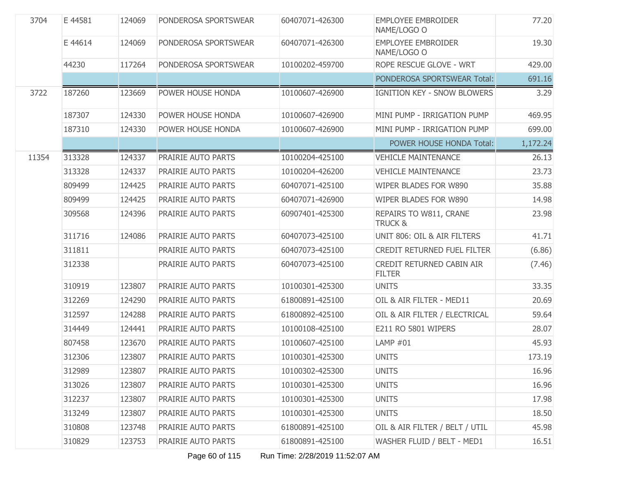| 3704  | E 44581 | 124069 | PONDEROSA SPORTSWEAR | 60407071-426300 | <b>EMPLOYEE EMBROIDER</b><br>NAME/LOGO O     | 77.20    |
|-------|---------|--------|----------------------|-----------------|----------------------------------------------|----------|
|       | E 44614 | 124069 | PONDEROSA SPORTSWEAR | 60407071-426300 | <b>EMPLOYEE EMBROIDER</b><br>NAME/LOGO O     | 19.30    |
|       | 44230   | 117264 | PONDEROSA SPORTSWEAR | 10100202-459700 | ROPE RESCUE GLOVE - WRT                      | 429.00   |
|       |         |        |                      |                 | PONDEROSA SPORTSWEAR Total:                  | 691.16   |
| 3722  | 187260  | 123669 | POWER HOUSE HONDA    | 10100607-426900 | IGNITION KEY - SNOW BLOWERS                  | 3.29     |
|       | 187307  | 124330 | POWER HOUSE HONDA    | 10100607-426900 | MINI PUMP - IRRIGATION PUMP                  | 469.95   |
|       | 187310  | 124330 | POWER HOUSE HONDA    | 10100607-426900 | MINI PUMP - IRRIGATION PUMP                  | 699.00   |
|       |         |        |                      |                 | POWER HOUSE HONDA Total:                     | 1,172.24 |
| 11354 | 313328  | 124337 | PRAIRIE AUTO PARTS   | 10100204-425100 | <b>VEHICLE MAINTENANCE</b>                   | 26.13    |
|       | 313328  | 124337 | PRAIRIE AUTO PARTS   | 10100204-426200 | <b>VEHICLE MAINTENANCE</b>                   | 23.73    |
|       | 809499  | 124425 | PRAIRIE AUTO PARTS   | 60407071-425100 | WIPER BLADES FOR W890                        | 35.88    |
|       | 809499  | 124425 | PRAIRIE AUTO PARTS   | 60407071-426900 | WIPER BLADES FOR W890                        | 14.98    |
|       | 309568  | 124396 | PRAIRIE AUTO PARTS   | 60907401-425300 | REPAIRS TO W811, CRANE<br><b>TRUCK &amp;</b> | 23.98    |
|       | 311716  | 124086 | PRAIRIE AUTO PARTS   | 60407073-425100 | UNIT 806: OIL & AIR FILTERS                  | 41.71    |
|       | 311811  |        | PRAIRIE AUTO PARTS   | 60407073-425100 | <b>CREDIT RETURNED FUEL FILTER</b>           | (6.86)   |
|       | 312338  |        | PRAIRIE AUTO PARTS   | 60407073-425100 | CREDIT RETURNED CABIN AIR<br><b>FILTER</b>   | (7.46)   |
|       | 310919  | 123807 | PRAIRIE AUTO PARTS   | 10100301-425300 | <b>UNITS</b>                                 | 33.35    |
|       | 312269  | 124290 | PRAIRIE AUTO PARTS   | 61800891-425100 | OIL & AIR FILTER - MED11                     | 20.69    |
|       | 312597  | 124288 | PRAIRIE AUTO PARTS   | 61800892-425100 | OIL & AIR FILTER / ELECTRICAL                | 59.64    |
|       | 314449  | 124441 | PRAIRIE AUTO PARTS   | 10100108-425100 | E211 RO 5801 WIPERS                          | 28.07    |
|       | 807458  | 123670 | PRAIRIE AUTO PARTS   | 10100607-425100 | LAMP #01                                     | 45.93    |
|       | 312306  | 123807 | PRAIRIE AUTO PARTS   | 10100301-425300 | <b>UNITS</b>                                 | 173.19   |
|       | 312989  | 123807 | PRAIRIE AUTO PARTS   | 10100302-425300 | <b>UNITS</b>                                 | 16.96    |
|       | 313026  | 123807 | PRAIRIE AUTO PARTS   | 10100301-425300 | <b>UNITS</b>                                 | 16.96    |
|       | 312237  | 123807 | PRAIRIE AUTO PARTS   | 10100301-425300 | <b>UNITS</b>                                 | 17.98    |
|       | 313249  | 123807 | PRAIRIE AUTO PARTS   | 10100301-425300 | <b>UNITS</b>                                 | 18.50    |
|       | 310808  | 123748 | PRAIRIE AUTO PARTS   | 61800891-425100 | OIL & AIR FILTER / BELT / UTIL               | 45.98    |
|       | 310829  | 123753 | PRAIRIE AUTO PARTS   | 61800891-425100 | WASHER FLUID / BELT - MED1                   | 16.51    |

Page 60 of 115 Run Time: 2/28/2019 11:52:07 AM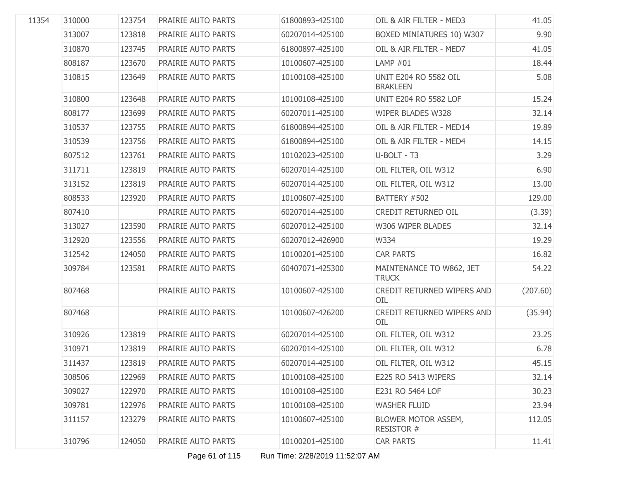| 11354 | 310000 | 123754 | PRAIRIE AUTO PARTS        | 61800893-425100 | OIL & AIR FILTER - MED3                  | 41.05    |
|-------|--------|--------|---------------------------|-----------------|------------------------------------------|----------|
|       | 313007 | 123818 | PRAIRIE AUTO PARTS        | 60207014-425100 | BOXED MINIATURES 10) W307                | 9.90     |
|       | 310870 | 123745 | PRAIRIE AUTO PARTS        | 61800897-425100 | OIL & AIR FILTER - MED7                  | 41.05    |
|       | 808187 | 123670 | PRAIRIE AUTO PARTS        | 10100607-425100 | LAMP $#01$                               | 18.44    |
|       | 310815 | 123649 | PRAIRIE AUTO PARTS        | 10100108-425100 | UNIT E204 RO 5582 OIL<br><b>BRAKLEEN</b> | 5.08     |
|       | 310800 | 123648 | <b>PRAIRIE AUTO PARTS</b> | 10100108-425100 | UNIT E204 RO 5582 LOF                    | 15.24    |
|       | 808177 | 123699 | PRAIRIE AUTO PARTS        | 60207011-425100 | WIPER BLADES W328                        | 32.14    |
|       | 310537 | 123755 | PRAIRIE AUTO PARTS        | 61800894-425100 | OIL & AIR FILTER - MED14                 | 19.89    |
|       | 310539 | 123756 | PRAIRIE AUTO PARTS        | 61800894-425100 | OIL & AIR FILTER - MED4                  | 14.15    |
|       | 807512 | 123761 | PRAIRIE AUTO PARTS        | 10102023-425100 | U-BOLT - T3                              | 3.29     |
|       | 311711 | 123819 | PRAIRIE AUTO PARTS        | 60207014-425100 | OIL FILTER, OIL W312                     | 6.90     |
|       | 313152 | 123819 | PRAIRIE AUTO PARTS        | 60207014-425100 | OIL FILTER, OIL W312                     | 13.00    |
|       | 808533 | 123920 | PRAIRIE AUTO PARTS        | 10100607-425100 | BATTERY #502                             | 129.00   |
|       | 807410 |        | PRAIRIE AUTO PARTS        | 60207014-425100 | <b>CREDIT RETURNED OIL</b>               | (3.39)   |
|       | 313027 | 123590 | PRAIRIE AUTO PARTS        | 60207012-425100 | W306 WIPER BLADES                        | 32.14    |
|       | 312920 | 123556 | PRAIRIE AUTO PARTS        | 60207012-426900 | W334                                     | 19.29    |
|       | 312542 | 124050 | PRAIRIE AUTO PARTS        | 10100201-425100 | <b>CAR PARTS</b>                         | 16.82    |
|       | 309784 | 123581 | PRAIRIE AUTO PARTS        | 60407071-425300 | MAINTENANCE TO W862, JET<br><b>TRUCK</b> | 54.22    |
|       | 807468 |        | PRAIRIE AUTO PARTS        | 10100607-425100 | CREDIT RETURNED WIPERS AND<br>OIL        | (207.60) |
|       | 807468 |        | PRAIRIE AUTO PARTS        | 10100607-426200 | CREDIT RETURNED WIPERS AND<br>OIL        | (35.94)  |
|       | 310926 | 123819 | PRAIRIE AUTO PARTS        | 60207014-425100 | OIL FILTER, OIL W312                     | 23.25    |
|       | 310971 | 123819 | PRAIRIE AUTO PARTS        | 60207014-425100 | OIL FILTER, OIL W312                     | 6.78     |
|       | 311437 | 123819 | PRAIRIE AUTO PARTS        | 60207014-425100 | OIL FILTER, OIL W312                     | 45.15    |
|       | 308506 | 122969 | PRAIRIE AUTO PARTS        | 10100108-425100 | E225 RO 5413 WIPERS                      | 32.14    |
|       | 309027 | 122970 | PRAIRIE AUTO PARTS        | 10100108-425100 | E231 RO 5464 LOF                         | 30.23    |
|       | 309781 | 122976 | PRAIRIE AUTO PARTS        | 10100108-425100 | <b>WASHER FLUID</b>                      | 23.94    |
|       | 311157 | 123279 | PRAIRIE AUTO PARTS        | 10100607-425100 | BLOWER MOTOR ASSEM,<br><b>RESISTOR #</b> | 112.05   |
|       | 310796 | 124050 | PRAIRIE AUTO PARTS        | 10100201-425100 | <b>CAR PARTS</b>                         | 11.41    |

Page 61 of 115 Run Time: 2/28/2019 11:52:07 AM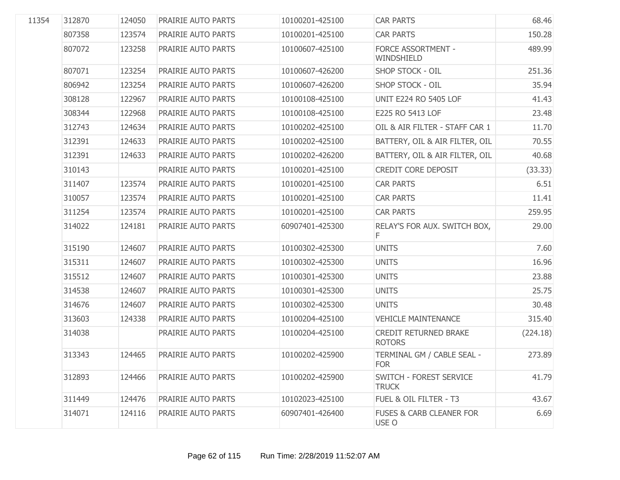| 11354 | 312870 | 124050 | PRAIRIE AUTO PARTS        | 10100201-425100 | <b>CAR PARTS</b>                              | 68.46    |
|-------|--------|--------|---------------------------|-----------------|-----------------------------------------------|----------|
|       | 807358 | 123574 | PRAIRIE AUTO PARTS        | 10100201-425100 | <b>CAR PARTS</b>                              | 150.28   |
|       | 807072 | 123258 | PRAIRIE AUTO PARTS        | 10100607-425100 | FORCE ASSORTMENT -<br>WINDSHIELD              | 489.99   |
|       | 807071 | 123254 | <b>PRAIRIE AUTO PARTS</b> | 10100607-426200 | <b>SHOP STOCK - OIL</b>                       | 251.36   |
|       | 806942 | 123254 | PRAIRIE AUTO PARTS        | 10100607-426200 | <b>SHOP STOCK - OIL</b>                       | 35.94    |
|       | 308128 | 122967 | PRAIRIE AUTO PARTS        | 10100108-425100 | <b>UNIT E224 RO 5405 LOF</b>                  | 41.43    |
|       | 308344 | 122968 | PRAIRIE AUTO PARTS        | 10100108-425100 | E225 RO 5413 LOF                              | 23.48    |
|       | 312743 | 124634 | PRAIRIE AUTO PARTS        | 10100202-425100 | OIL & AIR FILTER - STAFF CAR 1                | 11.70    |
|       | 312391 | 124633 | PRAIRIE AUTO PARTS        | 10100202-425100 | BATTERY, OIL & AIR FILTER, OIL                | 70.55    |
|       | 312391 | 124633 | PRAIRIE AUTO PARTS        | 10100202-426200 | BATTERY, OIL & AIR FILTER, OIL                | 40.68    |
|       | 310143 |        | PRAIRIE AUTO PARTS        | 10100201-425100 | CREDIT CORE DEPOSIT                           | (33.33)  |
|       | 311407 | 123574 | PRAIRIE AUTO PARTS        | 10100201-425100 | <b>CAR PARTS</b>                              | 6.51     |
|       | 310057 | 123574 | PRAIRIE AUTO PARTS        | 10100201-425100 | <b>CAR PARTS</b>                              | 11.41    |
|       | 311254 | 123574 | PRAIRIE AUTO PARTS        | 10100201-425100 | <b>CAR PARTS</b>                              | 259.95   |
|       | 314022 | 124181 | PRAIRIE AUTO PARTS        | 60907401-425300 | RELAY'S FOR AUX. SWITCH BOX,<br>F.            | 29.00    |
|       | 315190 | 124607 | PRAIRIE AUTO PARTS        | 10100302-425300 | <b>UNITS</b>                                  | 7.60     |
|       | 315311 | 124607 | PRAIRIE AUTO PARTS        | 10100302-425300 | <b>UNITS</b>                                  | 16.96    |
|       | 315512 | 124607 | PRAIRIE AUTO PARTS        | 10100301-425300 | <b>UNITS</b>                                  | 23.88    |
|       | 314538 | 124607 | PRAIRIE AUTO PARTS        | 10100301-425300 | <b>UNITS</b>                                  | 25.75    |
|       | 314676 | 124607 | PRAIRIE AUTO PARTS        | 10100302-425300 | <b>UNITS</b>                                  | 30.48    |
|       | 313603 | 124338 | PRAIRIE AUTO PARTS        | 10100204-425100 | <b>VEHICLE MAINTENANCE</b>                    | 315.40   |
|       | 314038 |        | PRAIRIE AUTO PARTS        | 10100204-425100 | <b>CREDIT RETURNED BRAKE</b><br><b>ROTORS</b> | (224.18) |
|       | 313343 | 124465 | PRAIRIE AUTO PARTS        | 10100202-425900 | TERMINAL GM / CABLE SEAL -<br><b>FOR</b>      | 273.89   |
|       | 312893 | 124466 | PRAIRIE AUTO PARTS        | 10100202-425900 | SWITCH - FOREST SERVICE<br><b>TRUCK</b>       | 41.79    |
|       | 311449 | 124476 | PRAIRIE AUTO PARTS        | 10102023-425100 | FUEL & OIL FILTER - T3                        | 43.67    |
|       | 314071 | 124116 | PRAIRIE AUTO PARTS        | 60907401-426400 | <b>FUSES &amp; CARB CLEANER FOR</b><br>USE O  | 6.69     |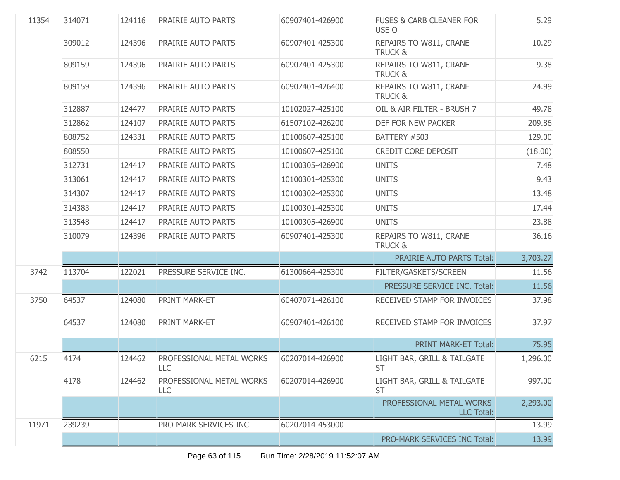| 11354 | 314071 | 124116 | PRAIRIE AUTO PARTS                     | 60907401-426900 | <b>FUSES &amp; CARB CLEANER FOR</b><br>USE O  | 5.29     |
|-------|--------|--------|----------------------------------------|-----------------|-----------------------------------------------|----------|
|       | 309012 | 124396 | PRAIRIE AUTO PARTS                     | 60907401-425300 | REPAIRS TO W811, CRANE<br><b>TRUCK &amp;</b>  | 10.29    |
|       | 809159 | 124396 | PRAIRIE AUTO PARTS                     | 60907401-425300 | REPAIRS TO W811, CRANE<br><b>TRUCK &amp;</b>  | 9.38     |
|       | 809159 | 124396 | PRAIRIE AUTO PARTS                     | 60907401-426400 | REPAIRS TO W811, CRANE<br><b>TRUCK &amp;</b>  | 24.99    |
|       | 312887 | 124477 | PRAIRIE AUTO PARTS                     | 10102027-425100 | OIL & AIR FILTER - BRUSH 7                    | 49.78    |
|       | 312862 | 124107 | PRAIRIE AUTO PARTS                     | 61507102-426200 | DEF FOR NEW PACKER                            | 209.86   |
|       | 808752 | 124331 | PRAIRIE AUTO PARTS                     | 10100607-425100 | BATTERY #503                                  | 129.00   |
|       | 808550 |        | PRAIRIE AUTO PARTS                     | 10100607-425100 | CREDIT CORE DEPOSIT                           | (18.00)  |
|       | 312731 | 124417 | PRAIRIE AUTO PARTS                     | 10100305-426900 | <b>UNITS</b>                                  | 7.48     |
|       | 313061 | 124417 | PRAIRIE AUTO PARTS                     | 10100301-425300 | <b>UNITS</b>                                  | 9.43     |
|       | 314307 | 124417 | PRAIRIE AUTO PARTS                     | 10100302-425300 | <b>UNITS</b>                                  | 13.48    |
|       | 314383 | 124417 | PRAIRIE AUTO PARTS                     | 10100301-425300 | <b>UNITS</b>                                  | 17.44    |
|       | 313548 | 124417 | PRAIRIE AUTO PARTS                     | 10100305-426900 | <b>UNITS</b>                                  | 23.88    |
|       | 310079 | 124396 | PRAIRIE AUTO PARTS                     | 60907401-425300 | REPAIRS TO W811, CRANE<br><b>TRUCK &amp;</b>  | 36.16    |
|       |        |        |                                        |                 | <b>PRAIRIE AUTO PARTS Total:</b>              | 3,703.27 |
| 3742  | 113704 | 122021 | PRESSURE SERVICE INC.                  | 61300664-425300 | FILTER/GASKETS/SCREEN                         | 11.56    |
|       |        |        |                                        |                 | PRESSURE SERVICE INC. Total:                  | 11.56    |
| 3750  | 64537  | 124080 | PRINT MARK-ET                          | 60407071-426100 | RECEIVED STAMP FOR INVOICES                   | 37.98    |
|       | 64537  | 124080 | PRINT MARK-ET                          | 60907401-426100 | RECEIVED STAMP FOR INVOICES                   | 37.97    |
|       |        |        |                                        |                 | <b>PRINT MARK-ET Total:</b>                   | 75.95    |
| 6215  | 4174   | 124462 | PROFESSIONAL METAL WORKS<br><b>LLC</b> | 60207014-426900 | LIGHT BAR, GRILL & TAILGATE<br><b>ST</b>      | 1,296.00 |
|       | 4178   | 124462 | PROFESSIONAL METAL WORKS<br>LLC        | 60207014-426900 | LIGHT BAR, GRILL & TAILGATE<br><b>ST</b>      | 997.00   |
|       |        |        |                                        |                 | PROFESSIONAL METAL WORKS<br><b>LLC Total:</b> | 2,293.00 |
| 11971 | 239239 |        | PRO-MARK SERVICES INC                  | 60207014-453000 |                                               | 13.99    |
|       |        |        |                                        |                 | PRO-MARK SERVICES INC Total:                  | 13.99    |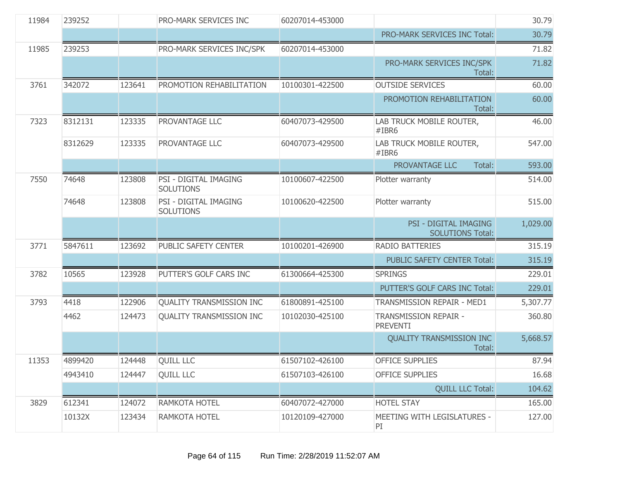| 11984 | 239252  |        | <b>PRO-MARK SERVICES INC</b>              | 60207014-453000 |                                                         | 30.79    |
|-------|---------|--------|-------------------------------------------|-----------------|---------------------------------------------------------|----------|
|       |         |        |                                           |                 | PRO-MARK SERVICES INC Total:                            | 30.79    |
| 11985 | 239253  |        | PRO-MARK SERVICES INC/SPK                 | 60207014-453000 |                                                         | 71.82    |
|       |         |        |                                           |                 | PRO-MARK SERVICES INC/SPK<br>Total:                     | 71.82    |
| 3761  | 342072  | 123641 | PROMOTION REHABILITATION                  | 10100301-422500 | <b>OUTSIDE SERVICES</b>                                 | 60.00    |
|       |         |        |                                           |                 | PROMOTION REHABILITATION<br>Total:                      | 60.00    |
| 7323  | 8312131 | 123335 | PROVANTAGE LLC                            | 60407073-429500 | LAB TRUCK MOBILE ROUTER,<br>#IBR6                       | 46.00    |
|       | 8312629 | 123335 | PROVANTAGE LLC                            | 60407073-429500 | LAB TRUCK MOBILE ROUTER,<br>#IBR6                       | 547.00   |
|       |         |        |                                           |                 | PROVANTAGE LLC<br>Total:                                | 593.00   |
| 7550  | 74648   | 123808 | PSI - DIGITAL IMAGING<br><b>SOLUTIONS</b> | 10100607-422500 | Plotter warranty                                        | 514.00   |
|       | 74648   | 123808 | PSI - DIGITAL IMAGING<br><b>SOLUTIONS</b> | 10100620-422500 | Plotter warranty                                        | 515.00   |
|       |         |        |                                           |                 | <b>PSI - DIGITAL IMAGING</b><br><b>SOLUTIONS Total:</b> | 1,029.00 |
| 3771  | 5847611 | 123692 | PUBLIC SAFETY CENTER                      | 10100201-426900 | <b>RADIO BATTERIES</b>                                  | 315.19   |
|       |         |        |                                           |                 | PUBLIC SAFETY CENTER Total:                             | 315.19   |
| 3782  | 10565   | 123928 | PUTTER'S GOLF CARS INC                    | 61300664-425300 | <b>SPRINGS</b>                                          | 229.01   |
|       |         |        |                                           |                 | PUTTER'S GOLF CARS INC Total:                           | 229.01   |
| 3793  | 4418    | 122906 | <b>QUALITY TRANSMISSION INC</b>           | 61800891-425100 | TRANSMISSION REPAIR - MED1                              | 5,307.77 |
|       | 4462    | 124473 | QUALITY TRANSMISSION INC                  | 10102030-425100 | <b>TRANSMISSION REPAIR -</b><br><b>PREVENTI</b>         | 360.80   |
|       |         |        |                                           |                 | <b>QUALITY TRANSMISSION INC</b><br>Total:               | 5,668.57 |
| 11353 | 4899420 | 124448 | <b>OUILL LLC</b>                          | 61507102-426100 | <b>OFFICE SUPPLIES</b>                                  | 87.94    |
|       | 4943410 | 124447 | <b>QUILL LLC</b>                          | 61507103-426100 | <b>OFFICE SUPPLIES</b>                                  | 16.68    |
|       |         |        |                                           |                 | <b>QUILL LLC Total:</b>                                 | 104.62   |
| 3829  | 612341  | 124072 | RAMKOTA HOTEL                             | 60407072-427000 | <b>HOTEL STAY</b>                                       | 165.00   |
|       | 10132X  | 123434 | RAMKOTA HOTEL                             | 10120109-427000 | MEETING WITH LEGISLATURES -<br>PI                       | 127.00   |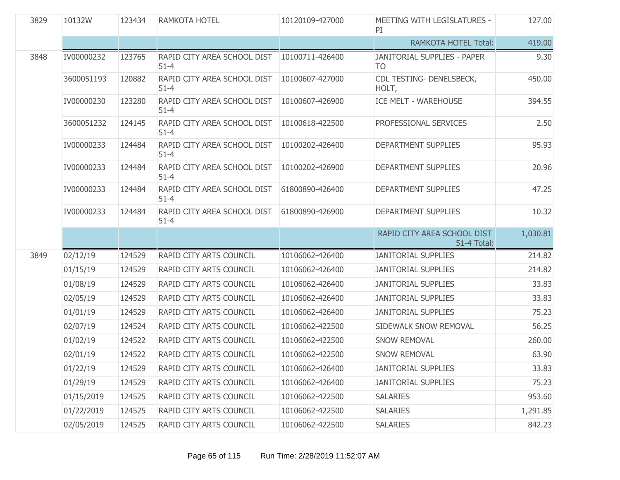| 3829 | 10132W     | 123434 | <b>RAMKOTA HOTEL</b>                    | 10120109-427000 | MEETING WITH LEGISLATURES -<br>PI                    | 127.00   |
|------|------------|--------|-----------------------------------------|-----------------|------------------------------------------------------|----------|
|      |            |        |                                         |                 | <b>RAMKOTA HOTEL Total:</b>                          | 419.00   |
| 3848 | IV00000232 | 123765 | RAPID CITY AREA SCHOOL DIST<br>$51 - 4$ | 10100711-426400 | <b>JANITORIAL SUPPLIES - PAPER</b><br>T <sub>O</sub> | 9.30     |
|      | 3600051193 | 120882 | RAPID CITY AREA SCHOOL DIST<br>$51 - 4$ | 10100607-427000 | CDL TESTING- DENELSBECK,<br>HOLT,                    | 450.00   |
|      | IV00000230 | 123280 | RAPID CITY AREA SCHOOL DIST<br>$51 - 4$ | 10100607-426900 | ICE MELT - WAREHOUSE                                 | 394.55   |
|      | 3600051232 | 124145 | RAPID CITY AREA SCHOOL DIST<br>$51 - 4$ | 10100618-422500 | PROFESSIONAL SERVICES                                | 2.50     |
|      | IV00000233 | 124484 | RAPID CITY AREA SCHOOL DIST<br>$51 - 4$ | 10100202-426400 | <b>DEPARTMENT SUPPLIES</b>                           | 95.93    |
|      | IV00000233 | 124484 | RAPID CITY AREA SCHOOL DIST<br>$51 - 4$ | 10100202-426900 | <b>DEPARTMENT SUPPLIES</b>                           | 20.96    |
|      | IV00000233 | 124484 | RAPID CITY AREA SCHOOL DIST<br>$51 - 4$ | 61800890-426400 | DEPARTMENT SUPPLIES                                  | 47.25    |
|      | IV00000233 | 124484 | RAPID CITY AREA SCHOOL DIST<br>$51 - 4$ | 61800890-426900 | DEPARTMENT SUPPLIES                                  | 10.32    |
|      |            |        |                                         |                 |                                                      |          |
|      |            |        |                                         |                 | RAPID CITY AREA SCHOOL DIST<br>51-4 Total:           | 1,030.81 |
| 3849 | 02/12/19   | 124529 | RAPID CITY ARTS COUNCIL                 | 10106062-426400 | <b>JANITORIAL SUPPLIES</b>                           | 214.82   |
|      | 01/15/19   | 124529 | RAPID CITY ARTS COUNCIL                 | 10106062-426400 | <b>JANITORIAL SUPPLIES</b>                           | 214.82   |
|      | 01/08/19   | 124529 | RAPID CITY ARTS COUNCIL                 | 10106062-426400 | <b>JANITORIAL SUPPLIES</b>                           | 33.83    |
|      | 02/05/19   | 124529 | RAPID CITY ARTS COUNCIL                 | 10106062-426400 | <b>JANITORIAL SUPPLIES</b>                           | 33.83    |
|      | 01/01/19   | 124529 | RAPID CITY ARTS COUNCIL                 | 10106062-426400 | <b>JANITORIAL SUPPLIES</b>                           | 75.23    |
|      | 02/07/19   | 124524 | RAPID CITY ARTS COUNCIL                 | 10106062-422500 | SIDEWALK SNOW REMOVAL                                | 56.25    |
|      | 01/02/19   | 124522 | RAPID CITY ARTS COUNCIL                 | 10106062-422500 | SNOW REMOVAL                                         | 260.00   |
|      | 02/01/19   | 124522 | RAPID CITY ARTS COUNCIL                 | 10106062-422500 | SNOW REMOVAL                                         | 63.90    |
|      | 01/22/19   | 124529 | RAPID CITY ARTS COUNCIL                 | 10106062-426400 | <b>JANITORIAL SUPPLIES</b>                           | 33.83    |
|      | 01/29/19   | 124529 | RAPID CITY ARTS COUNCIL                 | 10106062-426400 | <b>JANITORIAL SUPPLIES</b>                           | 75.23    |
|      | 01/15/2019 | 124525 | RAPID CITY ARTS COUNCIL                 | 10106062-422500 | <b>SALARIES</b>                                      | 953.60   |
|      | 01/22/2019 | 124525 | RAPID CITY ARTS COUNCIL                 | 10106062-422500 | <b>SALARIES</b>                                      | 1,291.85 |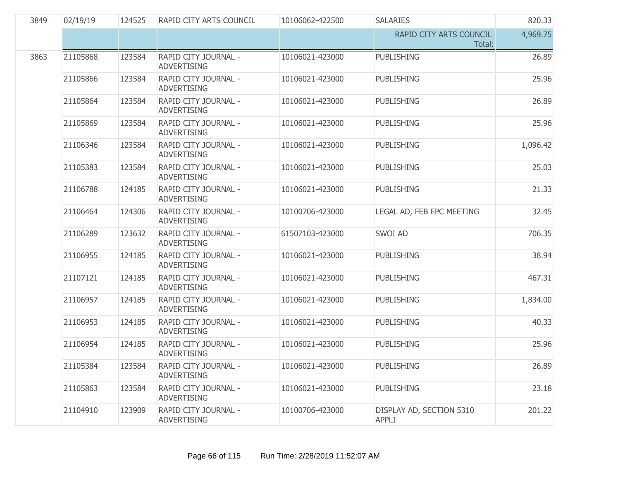| 3849 | 02/19/19 | 124525 | RAPID CITY ARTS COUNCIL                    | 10106062-422500 | <b>SALARIES</b>                          | 820.33   |
|------|----------|--------|--------------------------------------------|-----------------|------------------------------------------|----------|
|      |          |        |                                            |                 | RAPID CITY ARTS COUNCIL<br>Total:        | 4,969.75 |
| 3863 | 21105868 | 123584 | RAPID CITY JOURNAL -<br><b>ADVERTISING</b> | 10106021-423000 | <b>PUBLISHING</b>                        | 26.89    |
|      | 21105866 | 123584 | RAPID CITY JOURNAL -<br><b>ADVERTISING</b> | 10106021-423000 | <b>PUBLISHING</b>                        | 25.96    |
|      | 21105864 | 123584 | RAPID CITY JOURNAL -<br><b>ADVERTISING</b> | 10106021-423000 | <b>PUBLISHING</b>                        | 26.89    |
|      | 21105869 | 123584 | RAPID CITY JOURNAL -<br><b>ADVERTISING</b> | 10106021-423000 | <b>PUBLISHING</b>                        | 25.96    |
|      | 21106346 | 123584 | RAPID CITY JOURNAL -<br><b>ADVERTISING</b> | 10106021-423000 | <b>PUBLISHING</b>                        | 1,096.42 |
|      | 21105383 | 123584 | RAPID CITY JOURNAL -<br><b>ADVERTISING</b> | 10106021-423000 | <b>PUBLISHING</b>                        | 25.03    |
|      | 21106788 | 124185 | RAPID CITY JOURNAL -<br><b>ADVERTISING</b> | 10106021-423000 | <b>PUBLISHING</b>                        | 21.33    |
|      | 21106464 | 124306 | RAPID CITY JOURNAL -<br><b>ADVERTISING</b> | 10100706-423000 | LEGAL AD, FEB EPC MEETING                | 32.45    |
|      | 21106289 | 123632 | RAPID CITY JOURNAL -<br><b>ADVERTISING</b> | 61507103-423000 | SWOI AD                                  | 706.35   |
|      | 21106955 | 124185 | RAPID CITY JOURNAL -<br><b>ADVERTISING</b> | 10106021-423000 | <b>PUBLISHING</b>                        | 38.94    |
|      | 21107121 | 124185 | RAPID CITY JOURNAL -<br><b>ADVERTISING</b> | 10106021-423000 | <b>PUBLISHING</b>                        | 467.31   |
|      | 21106957 | 124185 | RAPID CITY JOURNAL -<br><b>ADVERTISING</b> | 10106021-423000 | <b>PUBLISHING</b>                        | 1,834.00 |
|      | 21106953 | 124185 | RAPID CITY JOURNAL -<br><b>ADVERTISING</b> | 10106021-423000 | <b>PUBLISHING</b>                        | 40.33    |
|      | 21106954 | 124185 | RAPID CITY JOURNAL -<br><b>ADVERTISING</b> | 10106021-423000 | <b>PUBLISHING</b>                        | 25.96    |
|      | 21105384 | 123584 | RAPID CITY JOURNAL -<br><b>ADVERTISING</b> | 10106021-423000 | <b>PUBLISHING</b>                        | 26.89    |
|      | 21105863 | 123584 | RAPID CITY JOURNAL -<br><b>ADVERTISING</b> | 10106021-423000 | <b>PUBLISHING</b>                        | 23.18    |
|      | 21104910 | 123909 | RAPID CITY JOURNAL -<br><b>ADVERTISING</b> | 10100706-423000 | DISPLAY AD, SECTION 5310<br><b>APPLI</b> | 201.22   |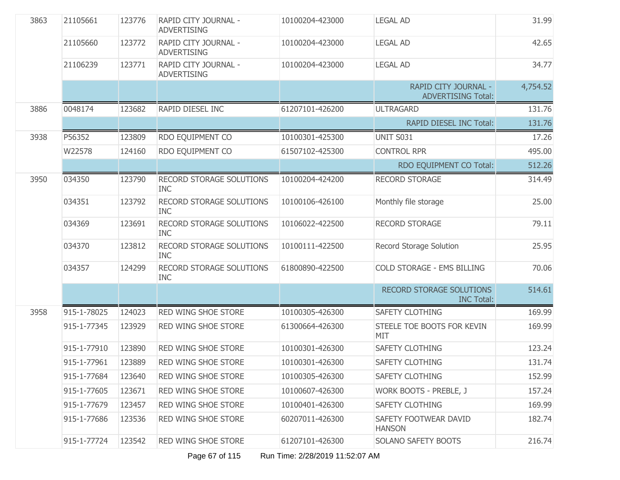| 3863 | 21105661    | 123776 | RAPID CITY JOURNAL -<br><b>ADVERTISING</b>    | 10100204-423000 | <b>LEGAL AD</b>                                   | 31.99    |
|------|-------------|--------|-----------------------------------------------|-----------------|---------------------------------------------------|----------|
|      | 21105660    | 123772 | RAPID CITY JOURNAL -<br><b>ADVERTISING</b>    | 10100204-423000 | <b>LEGAL AD</b>                                   | 42.65    |
|      | 21106239    | 123771 | RAPID CITY JOURNAL -<br><b>ADVERTISING</b>    | 10100204-423000 | <b>LEGAL AD</b>                                   | 34.77    |
|      |             |        |                                               |                 | RAPID CITY JOURNAL -<br><b>ADVERTISING Total:</b> | 4,754.52 |
| 3886 | 0048174     | 123682 | RAPID DIESEL INC                              | 61207101-426200 | <b>ULTRAGARD</b>                                  | 131.76   |
|      |             |        |                                               |                 | <b>RAPID DIESEL INC Total:</b>                    | 131.76   |
| 3938 | P56352      | 123809 | RDO EQUIPMENT CO                              | 10100301-425300 | <b>UNIT S031</b>                                  | 17.26    |
|      | W22578      | 124160 | RDO EQUIPMENT CO                              | 61507102-425300 | <b>CONTROL RPR</b>                                | 495.00   |
|      |             |        |                                               |                 | RDO EQUIPMENT CO Total:                           | 512.26   |
| 3950 | 034350      | 123790 | RECORD STORAGE SOLUTIONS<br><b>INC</b>        | 10100204-424200 | <b>RECORD STORAGE</b>                             | 314.49   |
|      | 034351      | 123792 | RECORD STORAGE SOLUTIONS<br><b>INC</b>        | 10100106-426100 | Monthly file storage                              | 25.00    |
|      | 034369      | 123691 | RECORD STORAGE SOLUTIONS<br><b>INC</b>        | 10106022-422500 | <b>RECORD STORAGE</b>                             | 79.11    |
|      | 034370      | 123812 | RECORD STORAGE SOLUTIONS<br><b>INC</b>        | 10100111-422500 | Record Storage Solution                           | 25.95    |
|      | 034357      | 124299 | <b>RECORD STORAGE SOLUTIONS</b><br><b>INC</b> | 61800890-422500 | <b>COLD STORAGE - EMS BILLING</b>                 | 70.06    |
|      |             |        |                                               |                 | RECORD STORAGE SOLUTIONS<br><b>INC Total:</b>     | 514.61   |
| 3958 | 915-1-78025 | 124023 | RED WING SHOE STORE                           | 10100305-426300 | SAFETY CLOTHING                                   | 169.99   |
|      | 915-1-77345 | 123929 | RED WING SHOE STORE                           | 61300664-426300 | STEELE TOE BOOTS FOR KEVIN<br>MIT                 | 169.99   |
|      | 915-1-77910 | 123890 | RED WING SHOE STORE                           | 10100301-426300 | <b>SAFETY CLOTHING</b>                            | 123.24   |
|      | 915-1-77961 | 123889 | RED WING SHOE STORE                           | 10100301-426300 | <b>SAFETY CLOTHING</b>                            | 131.74   |
|      | 915-1-77684 | 123640 | RED WING SHOE STORE                           | 10100305-426300 | <b>SAFETY CLOTHING</b>                            | 152.99   |
|      | 915-1-77605 | 123671 | RED WING SHOE STORE                           | 10100607-426300 | WORK BOOTS - PREBLE, J                            | 157.24   |
|      | 915-1-77679 | 123457 | RED WING SHOE STORE                           | 10100401-426300 | <b>SAFETY CLOTHING</b>                            | 169.99   |
|      | 915-1-77686 | 123536 | RED WING SHOE STORE                           | 60207011-426300 | SAFETY FOOTWEAR DAVID<br><b>HANSON</b>            | 182.74   |
|      | 915-1-77724 | 123542 | RED WING SHOE STORE                           | 61207101-426300 | SOLANO SAFETY BOOTS                               | 216.74   |

Page 67 of 115 Run Time: 2/28/2019 11:52:07 AM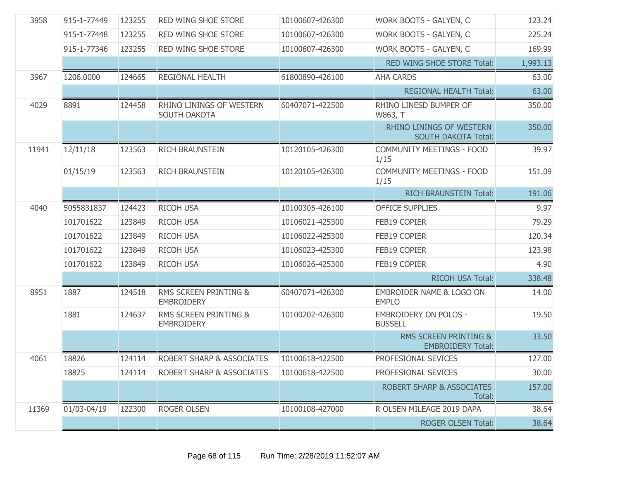| 3958  | 915-1-77449 | 123255 | <b>RED WING SHOE STORE</b>                            | 10100607-426300 | WORK BOOTS - GALYEN, C                                        | 123.24   |
|-------|-------------|--------|-------------------------------------------------------|-----------------|---------------------------------------------------------------|----------|
|       | 915-1-77448 | 123255 | RED WING SHOE STORE                                   | 10100607-426300 | WORK BOOTS - GALYEN, C                                        | 225.24   |
|       | 915-1-77346 | 123255 | RED WING SHOE STORE                                   | 10100607-426300 | WORK BOOTS - GALYEN, C                                        | 169.99   |
|       |             |        |                                                       |                 | RED WING SHOE STORE Total:                                    | 1,993.13 |
| 3967  | 1206.0000   | 124665 | REGIONAL HEALTH                                       | 61800890-426100 | <b>AHA CARDS</b>                                              | 63.00    |
|       |             |        |                                                       |                 | <b>REGIONAL HEALTH Total:</b>                                 | 63.00    |
| 4029  | 8891        | 124458 | RHINO LININGS OF WESTERN<br><b>SOUTH DAKOTA</b>       | 60407071-422500 | RHINO LINESD BUMPER OF<br>W863, T                             | 350.00   |
|       |             |        |                                                       |                 | <b>RHINO LININGS OF WESTERN</b><br><b>SOUTH DAKOTA Total:</b> | 350.00   |
| 11941 | 12/11/18    | 123563 | <b>RICH BRAUNSTEIN</b>                                | 10120105-426300 | COMMUNITY MEETINGS - FOOD<br>1/15                             | 39.97    |
|       | 01/15/19    | 123563 | <b>RICH BRAUNSTEIN</b>                                | 10120105-426300 | <b>COMMUNITY MEETINGS - FOOD</b><br>1/15                      | 151.09   |
|       |             |        |                                                       |                 | <b>RICH BRAUNSTEIN Total:</b>                                 | 191.06   |
| 4040  | 5055831837  | 124423 | <b>RICOH USA</b>                                      | 10100305-426100 | <b>OFFICE SUPPLIES</b>                                        | 9.97     |
|       | 101701622   | 123849 | <b>RICOH USA</b>                                      | 10106021-425300 | FEB19 COPIER                                                  | 79.29    |
|       | 101701622   | 123849 | <b>RICOH USA</b>                                      | 10106022-425300 | FEB19 COPIER                                                  | 120.34   |
|       | 101701622   | 123849 | <b>RICOH USA</b>                                      | 10106023-425300 | FEB19 COPIER                                                  | 123.98   |
|       | 101701622   | 123849 | <b>RICOH USA</b>                                      | 10106026-425300 | <b>FEB19 COPIER</b>                                           | 4.90     |
|       |             |        |                                                       |                 | <b>RICOH USA Total:</b>                                       | 338.48   |
| 8951  | 1887        | 124518 | RMS SCREEN PRINTING &<br><b>EMBROIDERY</b>            | 60407071-426300 | EMBROIDER NAME & LOGO ON<br><b>EMPLO</b>                      | 14.00    |
|       | 1881        | 124637 | <b>RMS SCREEN PRINTING &amp;</b><br><b>EMBROIDERY</b> | 10100202-426300 | <b>EMBROIDERY ON POLOS -</b><br><b>BUSSELL</b>                | 19.50    |
|       |             |        |                                                       |                 | RMS SCREEN PRINTING &<br><b>EMBROIDERY Total:</b>             | 33.50    |
| 4061  | 18826       | 124114 | ROBERT SHARP & ASSOCIATES                             | 10100618-422500 | PROFESIONAL SEVICES                                           | 127.00   |
|       | 18825       | 124114 | <b>ROBERT SHARP &amp; ASSOCIATES</b>                  | 10100618-422500 | PROFESIONAL SEVICES                                           | 30.00    |
|       |             |        |                                                       |                 | <b>ROBERT SHARP &amp; ASSOCIATES</b><br>Total:                | 157.00   |
| 11369 | 01/03-04/19 | 122300 | <b>ROGER OLSEN</b>                                    | 10100108-427000 | R OLSEN MILEAGE 2019 DAPA                                     | 38.64    |
|       |             |        |                                                       |                 | <b>ROGER OLSEN Total:</b>                                     | 38.64    |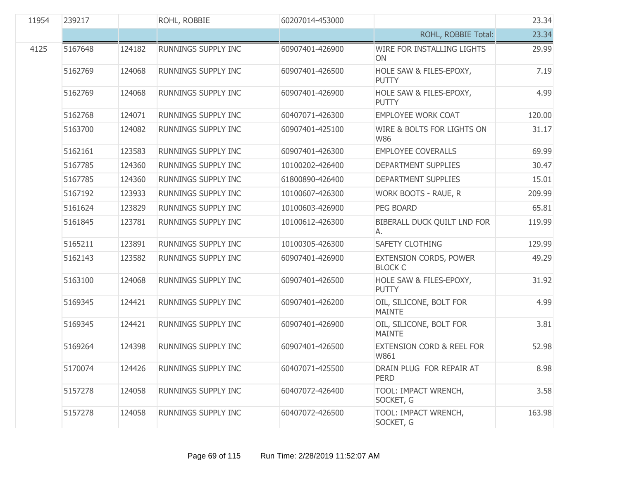| 11954 | 239217  |        | ROHL, ROBBIE               | 60207014-453000 |                                              | 23.34  |
|-------|---------|--------|----------------------------|-----------------|----------------------------------------------|--------|
|       |         |        |                            |                 | ROHL, ROBBIE Total:                          | 23.34  |
| 4125  | 5167648 | 124182 | RUNNINGS SUPPLY INC        | 60907401-426900 | WIRE FOR INSTALLING LIGHTS<br>ON             | 29.99  |
|       | 5162769 | 124068 | RUNNINGS SUPPLY INC        | 60907401-426500 | HOLE SAW & FILES-EPOXY,<br><b>PUTTY</b>      | 7.19   |
|       | 5162769 | 124068 | RUNNINGS SUPPLY INC        | 60907401-426900 | HOLE SAW & FILES-EPOXY,<br><b>PUTTY</b>      | 4.99   |
|       | 5162768 | 124071 | RUNNINGS SUPPLY INC        | 60407071-426300 | <b>EMPLOYEE WORK COAT</b>                    | 120.00 |
|       | 5163700 | 124082 | RUNNINGS SUPPLY INC        | 60907401-425100 | WIRE & BOLTS FOR LIGHTS ON<br><b>W86</b>     | 31.17  |
|       | 5162161 | 123583 | RUNNINGS SUPPLY INC        | 60907401-426300 | <b>EMPLOYEE COVERALLS</b>                    | 69.99  |
|       | 5167785 | 124360 | RUNNINGS SUPPLY INC        | 10100202-426400 | DEPARTMENT SUPPLIES                          | 30.47  |
|       | 5167785 | 124360 | RUNNINGS SUPPLY INC        | 61800890-426400 | DEPARTMENT SUPPLIES                          | 15.01  |
|       | 5167192 | 123933 | RUNNINGS SUPPLY INC        | 10100607-426300 | WORK BOOTS - RAUE, R                         | 209.99 |
|       | 5161624 | 123829 | RUNNINGS SUPPLY INC        | 10100603-426900 | PEG BOARD                                    | 65.81  |
|       | 5161845 | 123781 | RUNNINGS SUPPLY INC        | 10100612-426300 | BIBERALL DUCK QUILT LND FOR<br>А.            | 119.99 |
|       | 5165211 | 123891 | RUNNINGS SUPPLY INC        | 10100305-426300 | <b>SAFETY CLOTHING</b>                       | 129.99 |
|       | 5162143 | 123582 | RUNNINGS SUPPLY INC        | 60907401-426900 | EXTENSION CORDS, POWER<br><b>BLOCK C</b>     | 49.29  |
|       | 5163100 | 124068 | RUNNINGS SUPPLY INC        | 60907401-426500 | HOLE SAW & FILES-EPOXY,<br><b>PUTTY</b>      | 31.92  |
|       | 5169345 | 124421 | RUNNINGS SUPPLY INC        | 60907401-426200 | OIL, SILICONE, BOLT FOR<br><b>MAINTE</b>     | 4.99   |
|       | 5169345 | 124421 | <b>RUNNINGS SUPPLY INC</b> | 60907401-426900 | OIL, SILICONE, BOLT FOR<br><b>MAINTE</b>     | 3.81   |
|       | 5169264 | 124398 | RUNNINGS SUPPLY INC        | 60907401-426500 | <b>EXTENSION CORD &amp; REEL FOR</b><br>W861 | 52.98  |
|       | 5170074 | 124426 | RUNNINGS SUPPLY INC        | 60407071-425500 | DRAIN PLUG FOR REPAIR AT<br><b>PERD</b>      | 8.98   |
|       | 5157278 | 124058 | RUNNINGS SUPPLY INC        | 60407072-426400 | TOOL: IMPACT WRENCH,<br>SOCKET, G            | 3.58   |
|       | 5157278 | 124058 | RUNNINGS SUPPLY INC        | 60407072-426500 | TOOL: IMPACT WRENCH,<br>SOCKET, G            | 163.98 |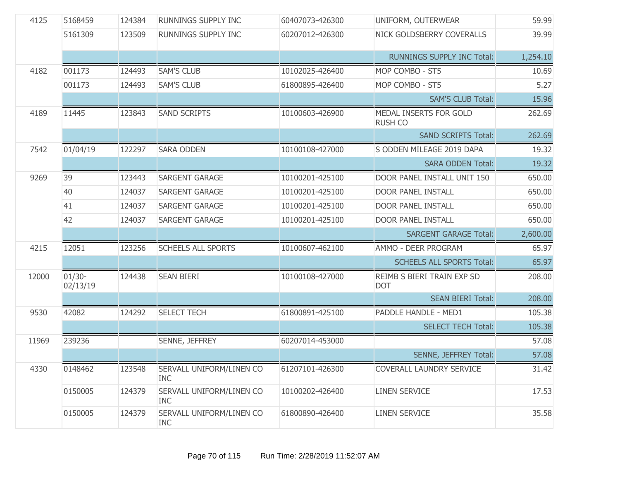| 4125  | 5168459               | 124384 | RUNNINGS SUPPLY INC                    | 60407073-426300 | UNIFORM, OUTERWEAR                       | 59.99    |
|-------|-----------------------|--------|----------------------------------------|-----------------|------------------------------------------|----------|
|       | 5161309               | 123509 | RUNNINGS SUPPLY INC                    | 60207012-426300 | NICK GOLDSBERRY COVERALLS                | 39.99    |
|       |                       |        |                                        |                 | <b>RUNNINGS SUPPLY INC Total:</b>        | 1,254.10 |
| 4182  | 001173                | 124493 | <b>SAM'S CLUB</b>                      | 10102025-426400 | MOP COMBO - ST5                          | 10.69    |
|       | 001173                | 124493 | <b>SAM'S CLUB</b>                      | 61800895-426400 | MOP COMBO - ST5                          | 5.27     |
|       |                       |        |                                        |                 | <b>SAM'S CLUB Total:</b>                 | 15.96    |
| 4189  | 11445                 | 123843 | <b>SAND SCRIPTS</b>                    | 10100603-426900 | MEDAL INSERTS FOR GOLD<br><b>RUSH CO</b> | 262.69   |
|       |                       |        |                                        |                 | <b>SAND SCRIPTS Total:</b>               | 262.69   |
| 7542  | 01/04/19              | 122297 | <b>SARA ODDEN</b>                      | 10100108-427000 | S ODDEN MILEAGE 2019 DAPA                | 19.32    |
|       |                       |        |                                        |                 | <b>SARA ODDEN Total:</b>                 | 19.32    |
| 9269  | 39                    | 123443 | SARGENT GARAGE                         | 10100201-425100 | DOOR PANEL INSTALL UNIT 150              | 650.00   |
|       | 40                    | 124037 | SARGENT GARAGE                         | 10100201-425100 | <b>DOOR PANEL INSTALL</b>                | 650.00   |
|       | 41                    | 124037 | SARGENT GARAGE                         | 10100201-425100 | <b>DOOR PANEL INSTALL</b>                | 650.00   |
|       | 42                    | 124037 | SARGENT GARAGE                         | 10100201-425100 | <b>DOOR PANEL INSTALL</b>                | 650.00   |
|       |                       |        |                                        |                 | <b>SARGENT GARAGE Total:</b>             | 2,600.00 |
| 4215  | 12051                 | 123256 | <b>SCHEELS ALL SPORTS</b>              | 10100607-462100 | AMMO - DEER PROGRAM                      | 65.97    |
|       |                       |        |                                        |                 | <b>SCHEELS ALL SPORTS Total:</b>         | 65.97    |
| 12000 | $01/30 -$<br>02/13/19 | 124438 | <b>SEAN BIERI</b>                      | 10100108-427000 | REIMB S BIERI TRAIN EXP SD<br><b>DOT</b> | 208.00   |
|       |                       |        |                                        |                 | <b>SEAN BIERI Total:</b>                 | 208.00   |
| 9530  | 42082                 | 124292 | <b>SELECT TECH</b>                     | 61800891-425100 | PADDLE HANDLE - MED1                     | 105.38   |
|       |                       |        |                                        |                 | <b>SELECT TECH Total:</b>                | 105.38   |
| 11969 | 239236                |        | SENNE, JEFFREY                         | 60207014-453000 |                                          | 57.08    |
|       |                       |        |                                        |                 | SENNE, JEFFREY Total:                    | 57.08    |
| 4330  | 0148462               | 123548 | SERVALL UNIFORM/LINEN CO<br><b>INC</b> | 61207101-426300 | COVERALL LAUNDRY SERVICE                 | 31.42    |
|       | 0150005               | 124379 | SERVALL UNIFORM/LINEN CO<br><b>INC</b> | 10100202-426400 | <b>LINEN SERVICE</b>                     | 17.53    |
|       | 0150005               | 124379 | SERVALL UNIFORM/LINEN CO<br><b>INC</b> | 61800890-426400 | <b>LINEN SERVICE</b>                     | 35.58    |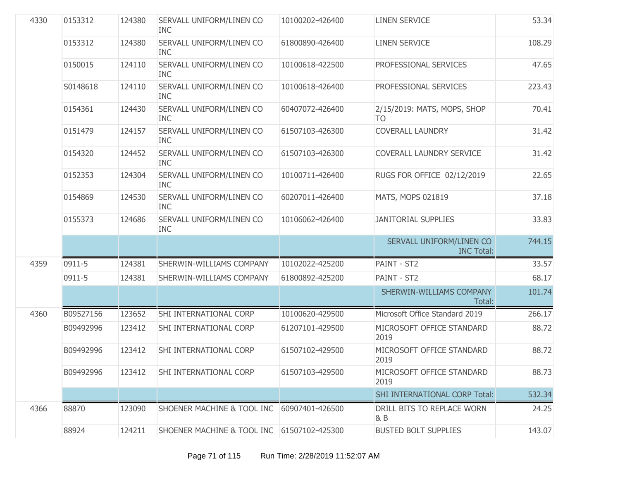| 4330 | 0153312   | 124380 | SERVALL UNIFORM/LINEN CO<br><b>INC</b>     | 10100202-426400 | <b>LINEN SERVICE</b>                          | 53.34  |
|------|-----------|--------|--------------------------------------------|-----------------|-----------------------------------------------|--------|
|      | 0153312   | 124380 | SERVALL UNIFORM/LINEN CO<br><b>INC</b>     | 61800890-426400 | <b>LINEN SERVICE</b>                          | 108.29 |
|      | 0150015   | 124110 | SERVALL UNIFORM/LINEN CO<br><b>INC</b>     | 10100618-422500 | PROFESSIONAL SERVICES                         | 47.65  |
|      | S0148618  | 124110 | SERVALL UNIFORM/LINEN CO<br><b>INC</b>     | 10100618-426400 | PROFESSIONAL SERVICES                         | 223.43 |
|      | 0154361   | 124430 | SERVALL UNIFORM/LINEN CO<br><b>INC</b>     | 60407072-426400 | 2/15/2019: MATS, MOPS, SHOP<br>TO.            | 70.41  |
|      | 0151479   | 124157 | SERVALL UNIFORM/LINEN CO<br><b>INC</b>     | 61507103-426300 | <b>COVERALL LAUNDRY</b>                       | 31.42  |
|      | 0154320   | 124452 | SERVALL UNIFORM/LINEN CO<br><b>INC</b>     | 61507103-426300 | COVERALL LAUNDRY SERVICE                      | 31.42  |
|      | 0152353   | 124304 | SERVALL UNIFORM/LINEN CO<br><b>INC</b>     | 10100711-426400 | RUGS FOR OFFICE 02/12/2019                    | 22.65  |
|      | 0154869   | 124530 | SERVALL UNIFORM/LINEN CO<br><b>INC</b>     | 60207011-426400 | MATS, MOPS 021819                             | 37.18  |
|      | 0155373   | 124686 | SERVALL UNIFORM/LINEN CO<br><b>INC</b>     | 10106062-426400 | <b>JANITORIAL SUPPLIES</b>                    | 33.83  |
|      |           |        |                                            |                 | SERVALL UNIFORM/LINEN CO<br><b>INC Total:</b> | 744.15 |
| 4359 | 0911-5    | 124381 | SHERWIN-WILLIAMS COMPANY                   | 10102022-425200 | PAINT - ST2                                   | 33.57  |
|      | 0911-5    | 124381 | SHERWIN-WILLIAMS COMPANY                   | 61800892-425200 | PAINT - ST2                                   | 68.17  |
|      |           |        |                                            |                 | SHERWIN-WILLIAMS COMPANY<br>Total:            | 101.74 |
| 4360 | B09527156 | 123652 | SHI INTERNATIONAL CORP                     | 10100620-429500 | Microsoft Office Standard 2019                | 266.17 |
|      | B09492996 | 123412 | SHI INTERNATIONAL CORP                     | 61207101-429500 | MICROSOFT OFFICE STANDARD<br>2019             | 88.72  |
|      | B09492996 | 123412 | SHI INTERNATIONAL CORP                     | 61507102-429500 | MICROSOFT OFFICE STANDARD<br>2019             | 88.72  |
|      | B09492996 | 123412 | SHI INTERNATIONAL CORP                     | 61507103-429500 | MICROSOFT OFFICE STANDARD<br>2019             | 88.73  |
|      |           |        |                                            |                 | <b>SHI INTERNATIONAL CORP Total:</b>          | 532.34 |
| 4366 | 88870     | 123090 | SHOENER MACHINE & TOOL INC 60907401-426500 |                 | DRILL BITS TO REPLACE WORN<br>$\& B$          | 24.25  |
|      | 88924     | 124211 | SHOENER MACHINE & TOOL INC 61507102-425300 |                 | <b>BUSTED BOLT SUPPLIES</b>                   | 143.07 |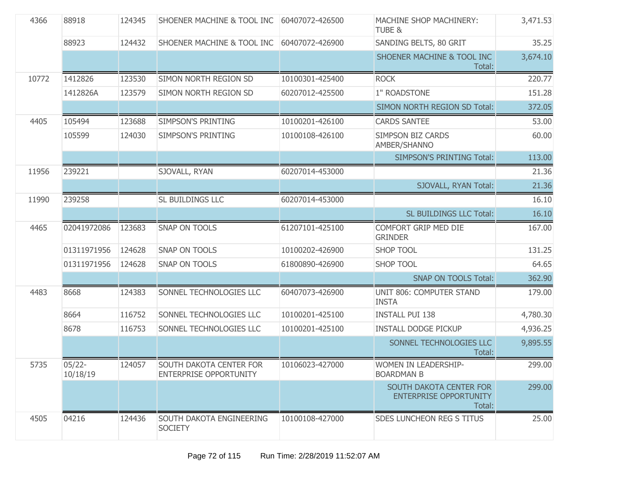| 4366  | 88918                 | 124345 | <b>SHOENER MACHINE &amp; TOOL INC</b>                    | 60407072-426500 | MACHINE SHOP MACHINERY:<br>TUBE &                                  | 3,471.53 |
|-------|-----------------------|--------|----------------------------------------------------------|-----------------|--------------------------------------------------------------------|----------|
|       | 88923                 | 124432 | <b>SHOENER MACHINE &amp; TOOL INC</b>                    | 60407072-426900 | SANDING BELTS, 80 GRIT                                             | 35.25    |
|       |                       |        |                                                          |                 | SHOENER MACHINE & TOOL INC<br>Total:                               | 3,674.10 |
| 10772 | 1412826               | 123530 | SIMON NORTH REGION SD                                    | 10100301-425400 | <b>ROCK</b>                                                        | 220.77   |
|       | 1412826A              | 123579 | SIMON NORTH REGION SD                                    | 60207012-425500 | 1" ROADSTONE                                                       | 151.28   |
|       |                       |        |                                                          |                 | SIMON NORTH REGION SD Total:                                       | 372.05   |
| 4405  | 105494                | 123688 | <b>SIMPSON'S PRINTING</b>                                | 10100201-426100 | <b>CARDS SANTEE</b>                                                | 53.00    |
|       | 105599                | 124030 | <b>SIMPSON'S PRINTING</b>                                | 10100108-426100 | <b>SIMPSON BIZ CARDS</b><br>AMBER/SHANNO                           | 60.00    |
|       |                       |        |                                                          |                 | <b>SIMPSON'S PRINTING Total:</b>                                   | 113.00   |
| 11956 | 239221                |        | SJOVALL, RYAN                                            | 60207014-453000 |                                                                    | 21.36    |
|       |                       |        |                                                          |                 | SJOVALL, RYAN Total:                                               | 21.36    |
| 11990 | 239258                |        | SL BUILDINGS LLC                                         | 60207014-453000 |                                                                    | 16.10    |
|       |                       |        |                                                          |                 | SL BUILDINGS LLC Total:                                            | 16.10    |
| 4465  | 02041972086           | 123683 | <b>SNAP ON TOOLS</b>                                     | 61207101-425100 | COMFORT GRIP MED DIE<br><b>GRINDER</b>                             | 167.00   |
|       | 01311971956           | 124628 | SNAP ON TOOLS                                            | 10100202-426900 | <b>SHOP TOOL</b>                                                   | 131.25   |
|       | 01311971956           | 124628 | <b>SNAP ON TOOLS</b>                                     | 61800890-426900 | <b>SHOP TOOL</b>                                                   | 64.65    |
|       |                       |        |                                                          |                 | <b>SNAP ON TOOLS Total:</b>                                        | 362.90   |
| 4483  | 8668                  | 124383 | SONNEL TECHNOLOGIES LLC                                  | 60407073-426900 | UNIT 806: COMPUTER STAND<br><b>INSTA</b>                           | 179.00   |
|       | 8664                  | 116752 | SONNEL TECHNOLOGIES LLC                                  | 10100201-425100 | <b>INSTALL PUI 138</b>                                             | 4,780.30 |
|       | 8678                  | 116753 | SONNEL TECHNOLOGIES LLC                                  | 10100201-425100 | <b>INSTALL DODGE PICKUP</b>                                        | 4,936.25 |
|       |                       |        |                                                          |                 | SONNEL TECHNOLOGIES LLC<br>Total:                                  | 9,895.55 |
| 5735  | $05/22 -$<br>10/18/19 | 124057 | SOUTH DAKOTA CENTER FOR<br><b>ENTERPRISE OPPORTUNITY</b> | 10106023-427000 | WOMEN IN LEADERSHIP-<br><b>BOARDMAN B</b>                          | 299.00   |
|       |                       |        |                                                          |                 | SOUTH DAKOTA CENTER FOR<br><b>ENTERPRISE OPPORTUNITY</b><br>Total: | 299.00   |
| 4505  | 04216                 | 124436 | SOUTH DAKOTA ENGINEERING<br><b>SOCIETY</b>               | 10100108-427000 | <b>SDES LUNCHEON REG S TITUS</b>                                   | 25.00    |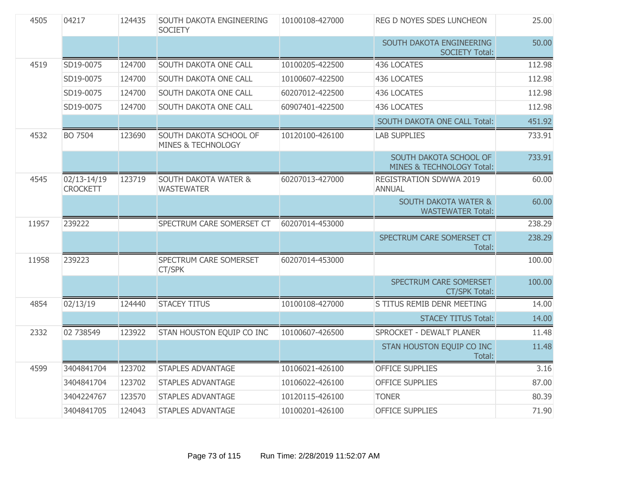| 4505  | 04217                          | 124435 | SOUTH DAKOTA ENGINEERING<br><b>SOCIETY</b>              | 10100108-427000 | REG D NOYES SDES LUNCHEON                                   | 25.00  |
|-------|--------------------------------|--------|---------------------------------------------------------|-----------------|-------------------------------------------------------------|--------|
|       |                                |        |                                                         |                 | SOUTH DAKOTA ENGINEERING<br><b>SOCIETY Total:</b>           | 50.00  |
| 4519  | SD19-0075                      | 124700 | SOUTH DAKOTA ONE CALL                                   | 10100205-422500 | 436 LOCATES                                                 | 112.98 |
|       | SD19-0075                      | 124700 | SOUTH DAKOTA ONE CALL                                   | 10100607-422500 | 436 LOCATES                                                 | 112.98 |
|       | SD19-0075                      | 124700 | SOUTH DAKOTA ONE CALL                                   | 60207012-422500 | 436 LOCATES                                                 | 112.98 |
|       | SD19-0075                      | 124700 | <b>SOUTH DAKOTA ONE CALL</b>                            | 60907401-422500 | 436 LOCATES                                                 | 112.98 |
|       |                                |        |                                                         |                 | SOUTH DAKOTA ONE CALL Total:                                | 451.92 |
| 4532  | <b>BO 7504</b>                 | 123690 | SOUTH DAKOTA SCHOOL OF<br><b>MINES &amp; TECHNOLOGY</b> | 10120100-426100 | <b>LAB SUPPLIES</b>                                         | 733.91 |
|       |                                |        |                                                         |                 | SOUTH DAKOTA SCHOOL OF<br>MINES & TECHNOLOGY Total:         | 733.91 |
| 4545  | 02/13-14/19<br><b>CROCKETT</b> | 123719 | <b>SOUTH DAKOTA WATER &amp;</b><br><b>WASTEWATER</b>    | 60207013-427000 | REGISTRATION SDWWA 2019<br><b>ANNUAL</b>                    | 60.00  |
|       |                                |        |                                                         |                 | <b>SOUTH DAKOTA WATER &amp;</b><br><b>WASTEWATER Total:</b> | 60.00  |
| 11957 | 239222                         |        | SPECTRUM CARE SOMERSET CT                               | 60207014-453000 |                                                             | 238.29 |
|       |                                |        |                                                         |                 | SPECTRUM CARE SOMERSET CT<br>Total:                         | 238.29 |
| 11958 | 239223                         |        | SPECTRUM CARE SOMERSET<br>CT/SPK                        | 60207014-453000 |                                                             | 100.00 |
|       |                                |        |                                                         |                 | SPECTRUM CARE SOMERSET<br><b>CT/SPK Total:</b>              | 100.00 |
| 4854  | 02/13/19                       | 124440 | <b>STACEY TITUS</b>                                     | 10100108-427000 | S TITUS REMIB DENR MEETING                                  | 14.00  |
|       |                                |        |                                                         |                 | <b>STACEY TITUS Total:</b>                                  | 14.00  |
| 2332  | 02 738549                      | 123922 | STAN HOUSTON EQUIP CO INC                               | 10100607-426500 | SPROCKET - DEWALT PLANER                                    | 11.48  |
|       |                                |        |                                                         |                 | STAN HOUSTON EQUIP CO INC<br>Total:                         | 11.48  |
| 4599  | 3404841704                     | 123702 | <b>STAPLES ADVANTAGE</b>                                | 10106021-426100 | <b>OFFICE SUPPLIES</b>                                      | 3.16   |
|       | 3404841704                     | 123702 | <b>STAPLES ADVANTAGE</b>                                | 10106022-426100 | <b>OFFICE SUPPLIES</b>                                      | 87.00  |
|       | 3404224767                     | 123570 | <b>STAPLES ADVANTAGE</b>                                | 10120115-426100 | <b>TONER</b>                                                | 80.39  |
|       | 3404841705                     | 124043 | <b>STAPLES ADVANTAGE</b>                                | 10100201-426100 | <b>OFFICE SUPPLIES</b>                                      | 71.90  |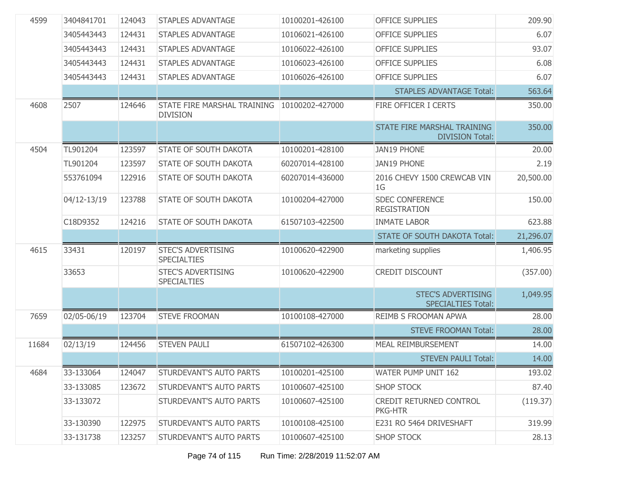| 4599  | 3404841701  | 124043 | <b>STAPLES ADVANTAGE</b>                        | 10100201-426100 | <b>OFFICE SUPPLIES</b>                                 | 209.90    |
|-------|-------------|--------|-------------------------------------------------|-----------------|--------------------------------------------------------|-----------|
|       | 3405443443  | 124431 | <b>STAPLES ADVANTAGE</b>                        | 10106021-426100 | <b>OFFICE SUPPLIES</b>                                 | 6.07      |
|       | 3405443443  | 124431 | <b>STAPLES ADVANTAGE</b>                        | 10106022-426100 | <b>OFFICE SUPPLIES</b>                                 | 93.07     |
|       | 3405443443  | 124431 | <b>STAPLES ADVANTAGE</b>                        | 10106023-426100 | <b>OFFICE SUPPLIES</b>                                 | 6.08      |
|       | 3405443443  | 124431 | <b>STAPLES ADVANTAGE</b>                        | 10106026-426100 | <b>OFFICE SUPPLIES</b>                                 | 6.07      |
|       |             |        |                                                 |                 | <b>STAPLES ADVANTAGE Total:</b>                        | 563.64    |
| 4608  | 2507        | 124646 | STATE FIRE MARSHAL TRAINING<br><b>DIVISION</b>  | 10100202-427000 | FIRE OFFICER I CERTS                                   | 350.00    |
|       |             |        |                                                 |                 | STATE FIRE MARSHAL TRAINING<br><b>DIVISION Total:</b>  | 350.00    |
| 4504  | TL901204    | 123597 | STATE OF SOUTH DAKOTA                           | 10100201-428100 | <b>JAN19 PHONE</b>                                     | 20.00     |
|       | TL901204    | 123597 | STATE OF SOUTH DAKOTA                           | 60207014-428100 | <b>JAN19 PHONE</b>                                     | 2.19      |
|       | 553761094   | 122916 | STATE OF SOUTH DAKOTA                           | 60207014-436000 | 2016 CHEVY 1500 CREWCAB VIN<br>1 <sub>G</sub>          | 20,500.00 |
|       | 04/12-13/19 | 123788 | STATE OF SOUTH DAKOTA                           | 10100204-427000 | <b>SDEC CONFERENCE</b><br><b>REGISTRATION</b>          | 150.00    |
|       | C18D9352    | 124216 | STATE OF SOUTH DAKOTA                           | 61507103-422500 | <b>INMATE LABOR</b>                                    | 623.88    |
|       |             |        |                                                 |                 |                                                        |           |
|       |             |        |                                                 |                 | <b>STATE OF SOUTH DAKOTA Total:</b>                    | 21,296.07 |
| 4615  | 33431       | 120197 | <b>STEC'S ADVERTISING</b><br><b>SPECIALTIES</b> | 10100620-422900 | marketing supplies                                     | 1,406.95  |
|       | 33653       |        | <b>STEC'S ADVERTISING</b><br><b>SPECIALTIES</b> | 10100620-422900 | <b>CREDIT DISCOUNT</b>                                 | (357.00)  |
|       |             |        |                                                 |                 | <b>STEC'S ADVERTISING</b><br><b>SPECIALTIES Total:</b> | 1,049.95  |
| 7659  | 02/05-06/19 | 123704 | <b>STEVE FROOMAN</b>                            | 10100108-427000 | <b>REIMB S FROOMAN APWA</b>                            | 28.00     |
|       |             |        |                                                 |                 | <b>STEVE FROOMAN Total:</b>                            | 28.00     |
| 11684 | 02/13/19    | 124456 | <b>STEVEN PAULI</b>                             | 61507102-426300 | <b>MEAL REIMBURSEMENT</b>                              | 14.00     |
|       |             |        |                                                 |                 | <b>STEVEN PAULI Total:</b>                             | 14.00     |
| 4684  | 33-133064   | 124047 | STURDEVANT'S AUTO PARTS                         | 10100201-425100 | WATER PUMP UNIT 162                                    | 193.02    |
|       | 33-133085   | 123672 | STURDEVANT'S AUTO PARTS                         | 10100607-425100 | <b>SHOP STOCK</b>                                      | 87.40     |
|       | 33-133072   |        | STURDEVANT'S AUTO PARTS                         | 10100607-425100 | CREDIT RETURNED CONTROL<br>PKG-HTR                     | (119.37)  |
|       | 33-130390   | 122975 | STURDEVANT'S AUTO PARTS                         | 10100108-425100 | E231 RO 5464 DRIVESHAFT                                | 319.99    |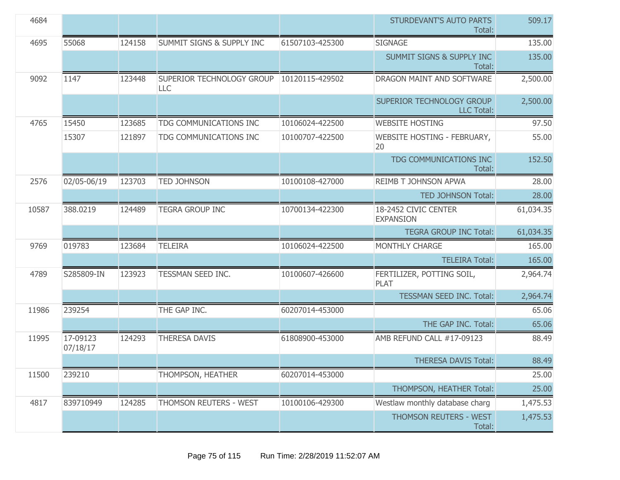| 4684  |                      |        |                                      |                 | STURDEVANT'S AUTO PARTS<br>Total:              | 509.17    |
|-------|----------------------|--------|--------------------------------------|-----------------|------------------------------------------------|-----------|
| 4695  | 55068                | 124158 | <b>SUMMIT SIGNS &amp; SUPPLY INC</b> | 61507103-425300 | <b>SIGNAGE</b>                                 | 135.00    |
|       |                      |        |                                      |                 | <b>SUMMIT SIGNS &amp; SUPPLY INC</b><br>Total: | 135.00    |
| 9092  | 1147                 | 123448 | SUPERIOR TECHNOLOGY GROUP<br>LLC     | 10120115-429502 | DRAGON MAINT AND SOFTWARE                      | 2,500.00  |
|       |                      |        |                                      |                 | SUPERIOR TECHNOLOGY GROUP<br><b>LLC Total:</b> | 2,500.00  |
| 4765  | 15450                | 123685 | TDG COMMUNICATIONS INC               | 10106024-422500 | <b>WEBSITE HOSTING</b>                         | 97.50     |
|       | 15307                | 121897 | TDG COMMUNICATIONS INC               | 10100707-422500 | WEBSITE HOSTING - FEBRUARY,<br>20              | 55.00     |
|       |                      |        |                                      |                 | TDG COMMUNICATIONS INC<br>Total:               | 152.50    |
| 2576  | 02/05-06/19          | 123703 | <b>TED JOHNSON</b>                   | 10100108-427000 | REIMB T JOHNSON APWA                           | 28.00     |
|       |                      |        |                                      |                 | <b>TED JOHNSON Total:</b>                      | 28.00     |
| 10587 | 388,0219             | 124489 | <b>TEGRA GROUP INC</b>               | 10700134-422300 | 18-2452 CIVIC CENTER<br><b>EXPANSION</b>       | 61,034.35 |
|       |                      |        |                                      |                 | <b>TEGRA GROUP INC Total:</b>                  | 61,034.35 |
| 9769  | 019783               | 123684 | <b>TELEIRA</b>                       | 10106024-422500 | MONTHLY CHARGE                                 | 165.00    |
|       |                      |        |                                      |                 | <b>TELEIRA Total:</b>                          | 165.00    |
| 4789  | S285809-IN           | 123923 | TESSMAN SEED INC.                    | 10100607-426600 | FERTILIZER, POTTING SOIL,<br><b>PLAT</b>       | 2,964.74  |
|       |                      |        |                                      |                 | <b>TESSMAN SEED INC. Total:</b>                | 2,964.74  |
| 11986 | 239254               |        | THE GAP INC.                         | 60207014-453000 |                                                | 65.06     |
|       |                      |        |                                      |                 | THE GAP INC. Total:                            | 65.06     |
| 11995 | 17-09123<br>07/18/17 | 124293 | <b>THERESA DAVIS</b>                 | 61808900-453000 | AMB REFUND CALL #17-09123                      | 88.49     |
|       |                      |        |                                      |                 | <b>THERESA DAVIS Total:</b>                    | 88.49     |
| 11500 | 239210               |        | THOMPSON, HEATHER                    | 60207014-453000 |                                                | 25.00     |
|       |                      |        |                                      |                 | THOMPSON, HEATHER Total:                       | 25.00     |
| 4817  | 839710949            | 124285 | THOMSON REUTERS - WEST               | 10100106-429300 | Westlaw monthly database charg                 | 1,475.53  |
|       |                      |        |                                      |                 | THOMSON REUTERS - WEST<br>Total:               | 1,475.53  |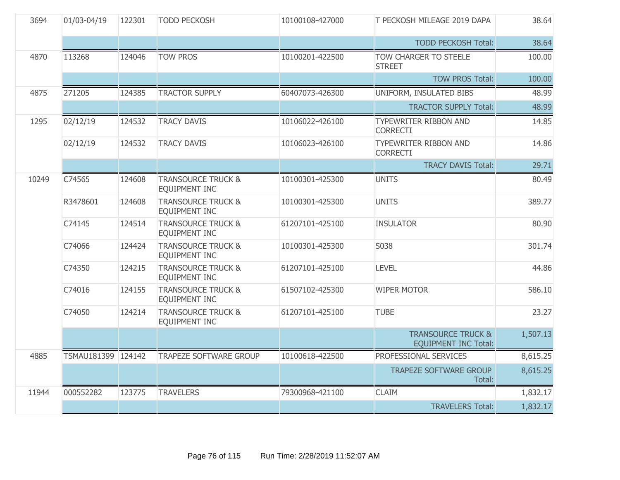| 3694  | 01/03-04/19        | 122301 | <b>TODD PECKOSH</b>                                   | 10100108-427000 | T PECKOSH MILEAGE 2019 DAPA                                  | 38.64    |
|-------|--------------------|--------|-------------------------------------------------------|-----------------|--------------------------------------------------------------|----------|
|       |                    |        |                                                       |                 | <b>TODD PECKOSH Total:</b>                                   | 38.64    |
| 4870  | 113268             | 124046 | <b>TOW PROS</b>                                       | 10100201-422500 | <b>TOW CHARGER TO STEELE</b><br><b>STREET</b>                | 100.00   |
|       |                    |        |                                                       |                 | <b>TOW PROS Total:</b>                                       | 100.00   |
| 4875  | 271205             | 124385 | <b>TRACTOR SUPPLY</b>                                 | 60407073-426300 | UNIFORM, INSULATED BIBS                                      | 48.99    |
|       |                    |        |                                                       |                 | <b>TRACTOR SUPPLY Total:</b>                                 | 48.99    |
| 1295  | 02/12/19           | 124532 | <b>TRACY DAVIS</b>                                    | 10106022-426100 | <b>TYPEWRITER RIBBON AND</b><br><b>CORRECTI</b>              | 14.85    |
|       | 02/12/19           | 124532 | <b>TRACY DAVIS</b>                                    | 10106023-426100 | <b>TYPEWRITER RIBBON AND</b><br><b>CORRECTI</b>              | 14.86    |
|       |                    |        |                                                       |                 | <b>TRACY DAVIS Total:</b>                                    | 29.71    |
| 10249 | C74565             | 124608 | <b>TRANSOURCE TRUCK &amp;</b><br>EQUIPMENT INC        | 10100301-425300 | <b>UNITS</b>                                                 | 80.49    |
|       | R3478601           | 124608 | <b>TRANSOURCE TRUCK &amp;</b><br><b>EQUIPMENT INC</b> | 10100301-425300 | <b>UNITS</b>                                                 | 389.77   |
|       | C74145             | 124514 | <b>TRANSOURCE TRUCK &amp;</b><br><b>EQUIPMENT INC</b> | 61207101-425100 | <b>INSULATOR</b>                                             | 80.90    |
|       | C74066             | 124424 | <b>TRANSOURCE TRUCK &amp;</b><br>EQUIPMENT INC        | 10100301-425300 | S038                                                         | 301.74   |
|       | C74350             | 124215 | <b>TRANSOURCE TRUCK &amp;</b><br><b>EQUIPMENT INC</b> | 61207101-425100 | <b>LEVEL</b>                                                 | 44.86    |
|       | C74016             | 124155 | <b>TRANSOURCE TRUCK &amp;</b><br><b>EQUIPMENT INC</b> | 61507102-425300 | <b>WIPER MOTOR</b>                                           | 586.10   |
|       | C74050             | 124214 | <b>TRANSOURCE TRUCK &amp;</b><br>EQUIPMENT INC        | 61207101-425100 | <b>TUBE</b>                                                  | 23.27    |
|       |                    |        |                                                       |                 | <b>TRANSOURCE TRUCK &amp;</b><br><b>EQUIPMENT INC Total:</b> | 1,507.13 |
| 4885  | TSMAU181399 124142 |        | <b>TRAPEZE SOFTWARE GROUP</b>                         | 10100618-422500 | PROFESSIONAL SERVICES                                        | 8,615.25 |
|       |                    |        |                                                       |                 | <b>TRAPEZE SOFTWARE GROUP</b><br>Total:                      | 8,615.25 |
| 11944 | 000552282          | 123775 | <b>TRAVELERS</b>                                      | 79300968-421100 | <b>CLAIM</b>                                                 | 1,832.17 |
|       |                    |        |                                                       |                 | <b>TRAVELERS Total:</b>                                      | 1,832.17 |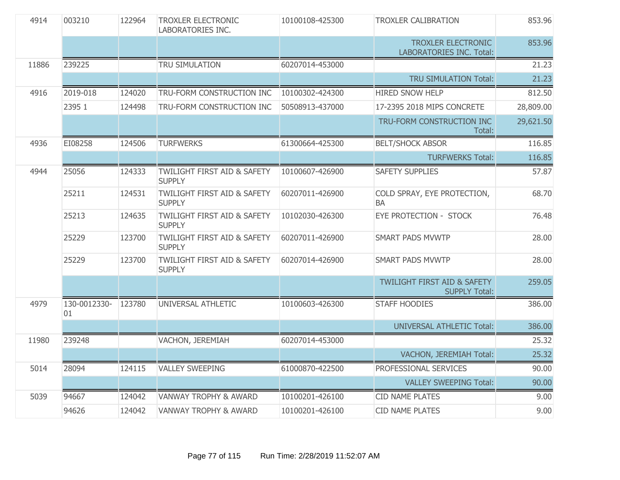| 4914  | 003210             | 122964 | <b>TROXLER ELECTRONIC</b><br><b>LABORATORIES INC.</b>   | 10100108-425300 | <b>TROXLER CALIBRATION</b>                                     | 853.96    |
|-------|--------------------|--------|---------------------------------------------------------|-----------------|----------------------------------------------------------------|-----------|
|       |                    |        |                                                         |                 | TROXLER ELECTRONIC<br><b>LABORATORIES INC. Total:</b>          | 853.96    |
| 11886 | 239225             |        | TRU SIMULATION                                          | 60207014-453000 |                                                                | 21.23     |
|       |                    |        |                                                         |                 | TRU SIMULATION Total:                                          | 21.23     |
| 4916  | 2019-018           | 124020 | TRU-FORM CONSTRUCTION INC                               | 10100302-424300 | <b>HIRED SNOW HELP</b>                                         | 812.50    |
|       | 2395 1             | 124498 | TRU-FORM CONSTRUCTION INC                               | 50508913-437000 | 17-2395 2018 MIPS CONCRETE                                     | 28,809.00 |
|       |                    |        |                                                         |                 | TRU-FORM CONSTRUCTION INC<br>Total:                            | 29,621.50 |
| 4936  | EI08258            | 124506 | <b>TURFWERKS</b>                                        | 61300664-425300 | <b>BELT/SHOCK ABSOR</b>                                        | 116.85    |
|       |                    |        |                                                         |                 | <b>TURFWERKS Total:</b>                                        | 116.85    |
| 4944  | 25056              | 124333 | <b>TWILIGHT FIRST AID &amp; SAFETY</b><br><b>SUPPLY</b> | 10100607-426900 | <b>SAFETY SUPPLIES</b>                                         | 57.87     |
|       | 25211              | 124531 | <b>TWILIGHT FIRST AID &amp; SAFETY</b><br><b>SUPPLY</b> | 60207011-426900 | COLD SPRAY, EYE PROTECTION,<br>BA                              | 68.70     |
|       | 25213              | 124635 | <b>TWILIGHT FIRST AID &amp; SAFETY</b><br><b>SUPPLY</b> | 10102030-426300 | <b>EYE PROTECTION - STOCK</b>                                  | 76.48     |
|       | 25229              | 123700 | <b>TWILIGHT FIRST AID &amp; SAFETY</b><br><b>SUPPLY</b> | 60207011-426900 | <b>SMART PADS MVWTP</b>                                        | 28.00     |
|       | 25229              | 123700 | <b>TWILIGHT FIRST AID &amp; SAFETY</b><br><b>SUPPLY</b> | 60207014-426900 | <b>SMART PADS MVWTP</b>                                        | 28.00     |
|       |                    |        |                                                         |                 | <b>TWILIGHT FIRST AID &amp; SAFETY</b><br><b>SUPPLY Total:</b> | 259.05    |
| 4979  | 130-0012330-<br>01 | 123780 | UNIVERSAL ATHLETIC                                      | 10100603-426300 | <b>STAFF HOODIES</b>                                           | 386.00    |
|       |                    |        |                                                         |                 | <b>UNIVERSAL ATHLETIC Total:</b>                               | 386.00    |
| 11980 | 239248             |        | VACHON, JEREMIAH                                        | 60207014-453000 |                                                                | 25.32     |
|       |                    |        |                                                         |                 | <b>VACHON, JEREMIAH Total:</b>                                 | 25.32     |
| 5014  | 28094              | 124115 | <b>VALLEY SWEEPING</b>                                  | 61000870-422500 | PROFESSIONAL SERVICES                                          | 90.00     |
|       |                    |        |                                                         |                 | <b>VALLEY SWEEPING Total:</b>                                  | 90.00     |
| 5039  | 94667              | 124042 | <b>VANWAY TROPHY &amp; AWARD</b>                        | 10100201-426100 | <b>CID NAME PLATES</b>                                         | 9.00      |
|       | 94626              | 124042 | <b>VANWAY TROPHY &amp; AWARD</b>                        | 10100201-426100 | <b>CID NAME PLATES</b>                                         | 9.00      |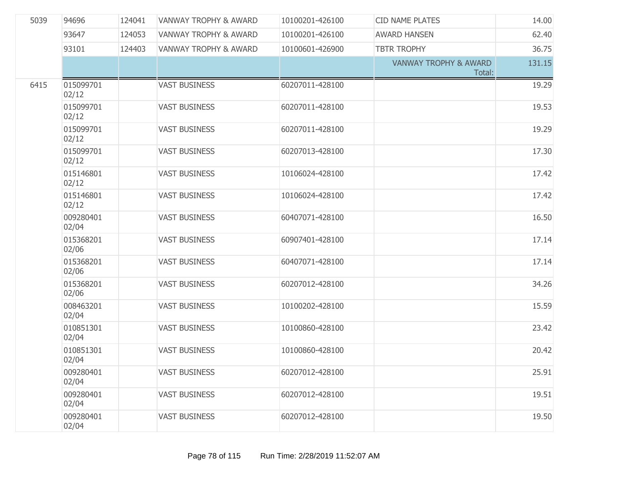| 5039 | 94696              | 124041 | <b>VANWAY TROPHY &amp; AWARD</b> | 10100201-426100 | <b>CID NAME PLATES</b>                     | 14.00  |
|------|--------------------|--------|----------------------------------|-----------------|--------------------------------------------|--------|
|      | 93647              | 124053 | <b>VANWAY TROPHY &amp; AWARD</b> | 10100201-426100 | <b>AWARD HANSEN</b>                        | 62.40  |
|      | 93101              | 124403 | <b>VANWAY TROPHY &amp; AWARD</b> | 10100601-426900 | <b>TBTR TROPHY</b>                         | 36.75  |
|      |                    |        |                                  |                 | <b>VANWAY TROPHY &amp; AWARD</b><br>Total: | 131.15 |
| 6415 | 015099701<br>02/12 |        | <b>VAST BUSINESS</b>             | 60207011-428100 |                                            | 19.29  |
|      | 015099701<br>02/12 |        | <b>VAST BUSINESS</b>             | 60207011-428100 |                                            | 19.53  |
|      | 015099701<br>02/12 |        | <b>VAST BUSINESS</b>             | 60207011-428100 |                                            | 19.29  |
|      | 015099701<br>02/12 |        | <b>VAST BUSINESS</b>             | 60207013-428100 |                                            | 17.30  |
|      | 015146801<br>02/12 |        | <b>VAST BUSINESS</b>             | 10106024-428100 |                                            | 17.42  |
|      | 015146801<br>02/12 |        | <b>VAST BUSINESS</b>             | 10106024-428100 |                                            | 17.42  |
|      | 009280401<br>02/04 |        | <b>VAST BUSINESS</b>             | 60407071-428100 |                                            | 16.50  |
|      | 015368201<br>02/06 |        | <b>VAST BUSINESS</b>             | 60907401-428100 |                                            | 17.14  |
|      | 015368201<br>02/06 |        | <b>VAST BUSINESS</b>             | 60407071-428100 |                                            | 17.14  |
|      | 015368201<br>02/06 |        | <b>VAST BUSINESS</b>             | 60207012-428100 |                                            | 34.26  |
|      | 008463201<br>02/04 |        | <b>VAST BUSINESS</b>             | 10100202-428100 |                                            | 15.59  |
|      | 010851301<br>02/04 |        | <b>VAST BUSINESS</b>             | 10100860-428100 |                                            | 23.42  |
|      | 010851301<br>02/04 |        | <b>VAST BUSINESS</b>             | 10100860-428100 |                                            | 20.42  |
|      | 009280401<br>02/04 |        | <b>VAST BUSINESS</b>             | 60207012-428100 |                                            | 25.91  |
|      | 009280401<br>02/04 |        | <b>VAST BUSINESS</b>             | 60207012-428100 |                                            | 19.51  |
|      | 009280401<br>02/04 |        | <b>VAST BUSINESS</b>             | 60207012-428100 |                                            | 19.50  |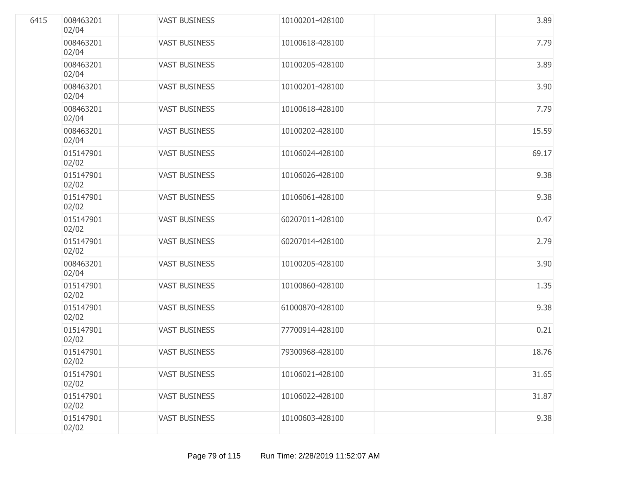| 6415 | 008463201<br>02/04 | <b>VAST BUSINESS</b> | 10100201-428100 | 3.89  |
|------|--------------------|----------------------|-----------------|-------|
|      | 008463201<br>02/04 | <b>VAST BUSINESS</b> | 10100618-428100 | 7.79  |
|      | 008463201<br>02/04 | <b>VAST BUSINESS</b> | 10100205-428100 | 3.89  |
|      | 008463201<br>02/04 | <b>VAST BUSINESS</b> | 10100201-428100 | 3.90  |
|      | 008463201<br>02/04 | <b>VAST BUSINESS</b> | 10100618-428100 | 7.79  |
|      | 008463201<br>02/04 | <b>VAST BUSINESS</b> | 10100202-428100 | 15.59 |
|      | 015147901<br>02/02 | <b>VAST BUSINESS</b> | 10106024-428100 | 69.17 |
|      | 015147901<br>02/02 | <b>VAST BUSINESS</b> | 10106026-428100 | 9.38  |
|      | 015147901<br>02/02 | <b>VAST BUSINESS</b> | 10106061-428100 | 9.38  |
|      | 015147901<br>02/02 | <b>VAST BUSINESS</b> | 60207011-428100 | 0.47  |
|      | 015147901<br>02/02 | <b>VAST BUSINESS</b> | 60207014-428100 | 2.79  |
|      | 008463201<br>02/04 | <b>VAST BUSINESS</b> | 10100205-428100 | 3.90  |
|      | 015147901<br>02/02 | <b>VAST BUSINESS</b> | 10100860-428100 | 1.35  |
|      | 015147901<br>02/02 | <b>VAST BUSINESS</b> | 61000870-428100 | 9.38  |
|      | 015147901<br>02/02 | <b>VAST BUSINESS</b> | 77700914-428100 | 0.21  |
|      | 015147901<br>02/02 | <b>VAST BUSINESS</b> | 79300968-428100 | 18.76 |
|      | 015147901<br>02/02 | <b>VAST BUSINESS</b> | 10106021-428100 | 31.65 |
|      | 015147901<br>02/02 | <b>VAST BUSINESS</b> | 10106022-428100 | 31.87 |
|      | 015147901<br>02/02 | <b>VAST BUSINESS</b> | 10100603-428100 | 9.38  |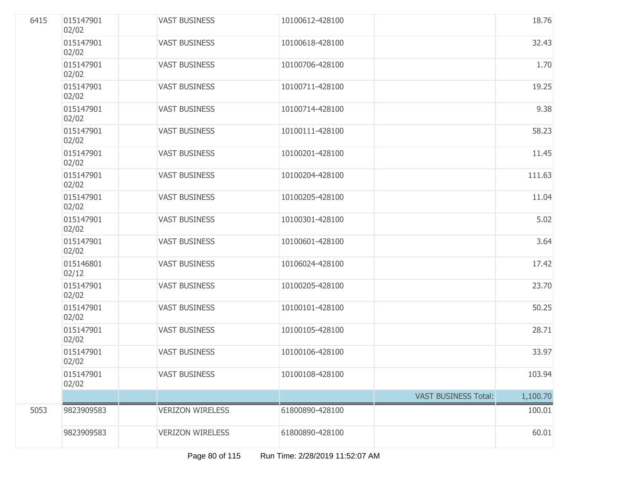| 6415 | 015147901<br>02/02 | <b>VAST BUSINESS</b>    | 10100612-428100 |                             | 18.76    |
|------|--------------------|-------------------------|-----------------|-----------------------------|----------|
|      | 015147901<br>02/02 | <b>VAST BUSINESS</b>    | 10100618-428100 |                             | 32.43    |
|      | 015147901<br>02/02 | <b>VAST BUSINESS</b>    | 10100706-428100 |                             | 1.70     |
|      | 015147901<br>02/02 | <b>VAST BUSINESS</b>    | 10100711-428100 |                             | 19.25    |
|      | 015147901<br>02/02 | <b>VAST BUSINESS</b>    | 10100714-428100 |                             | 9.38     |
|      | 015147901<br>02/02 | <b>VAST BUSINESS</b>    | 10100111-428100 |                             | 58.23    |
|      | 015147901<br>02/02 | <b>VAST BUSINESS</b>    | 10100201-428100 |                             | 11.45    |
|      | 015147901<br>02/02 | <b>VAST BUSINESS</b>    | 10100204-428100 |                             | 111.63   |
|      | 015147901<br>02/02 | <b>VAST BUSINESS</b>    | 10100205-428100 |                             | 11.04    |
|      | 015147901<br>02/02 | <b>VAST BUSINESS</b>    | 10100301-428100 |                             | 5.02     |
|      | 015147901<br>02/02 | <b>VAST BUSINESS</b>    | 10100601-428100 |                             | 3.64     |
|      | 015146801<br>02/12 | <b>VAST BUSINESS</b>    | 10106024-428100 |                             | 17.42    |
|      | 015147901<br>02/02 | <b>VAST BUSINESS</b>    | 10100205-428100 |                             | 23.70    |
|      | 015147901<br>02/02 | <b>VAST BUSINESS</b>    | 10100101-428100 |                             | 50.25    |
|      | 015147901<br>02/02 | <b>VAST BUSINESS</b>    | 10100105-428100 |                             | 28.71    |
|      | 015147901<br>02/02 | <b>VAST BUSINESS</b>    | 10100106-428100 |                             | 33.97    |
|      | 015147901<br>02/02 | <b>VAST BUSINESS</b>    | 10100108-428100 |                             | 103.94   |
|      |                    |                         |                 | <b>VAST BUSINESS Total:</b> | 1,100.70 |
| 5053 | 9823909583         | <b>VERIZON WIRELESS</b> | 61800890-428100 |                             | 100.01   |
|      | 9823909583         | <b>VERIZON WIRELESS</b> | 61800890-428100 |                             | 60.01    |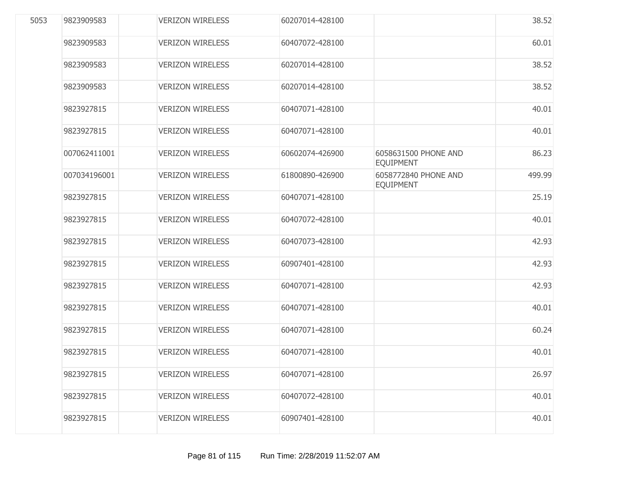| 5053 | 9823909583   | <b>VERIZON WIRELESS</b> | 60207014-428100 |                                          | 38.52  |
|------|--------------|-------------------------|-----------------|------------------------------------------|--------|
|      | 9823909583   | <b>VERIZON WIRELESS</b> | 60407072-428100 |                                          | 60.01  |
|      | 9823909583   | <b>VERIZON WIRELESS</b> | 60207014-428100 |                                          | 38.52  |
|      | 9823909583   | <b>VERIZON WIRELESS</b> | 60207014-428100 |                                          | 38.52  |
|      | 9823927815   | <b>VERIZON WIRELESS</b> | 60407071-428100 |                                          | 40.01  |
|      | 9823927815   | <b>VERIZON WIRELESS</b> | 60407071-428100 |                                          | 40.01  |
|      | 007062411001 | <b>VERIZON WIRELESS</b> | 60602074-426900 | 6058631500 PHONE AND<br><b>EQUIPMENT</b> | 86.23  |
|      | 007034196001 | <b>VERIZON WIRELESS</b> | 61800890-426900 | 6058772840 PHONE AND<br><b>EQUIPMENT</b> | 499.99 |
|      | 9823927815   | <b>VERIZON WIRELESS</b> | 60407071-428100 |                                          | 25.19  |
|      | 9823927815   | <b>VERIZON WIRELESS</b> | 60407072-428100 |                                          | 40.01  |
|      | 9823927815   | <b>VERIZON WIRELESS</b> | 60407073-428100 |                                          | 42.93  |
|      | 9823927815   | <b>VERIZON WIRELESS</b> | 60907401-428100 |                                          | 42.93  |
|      | 9823927815   | <b>VERIZON WIRELESS</b> | 60407071-428100 |                                          | 42.93  |
|      | 9823927815   | <b>VERIZON WIRELESS</b> | 60407071-428100 |                                          | 40.01  |
|      | 9823927815   | <b>VERIZON WIRELESS</b> | 60407071-428100 |                                          | 60.24  |
|      | 9823927815   | <b>VERIZON WIRELESS</b> | 60407071-428100 |                                          | 40.01  |
|      | 9823927815   | <b>VERIZON WIRELESS</b> | 60407071-428100 |                                          | 26.97  |
|      | 9823927815   | <b>VERIZON WIRELESS</b> | 60407072-428100 |                                          | 40.01  |
|      | 9823927815   | <b>VERIZON WIRELESS</b> | 60907401-428100 |                                          | 40.01  |
|      |              |                         |                 |                                          |        |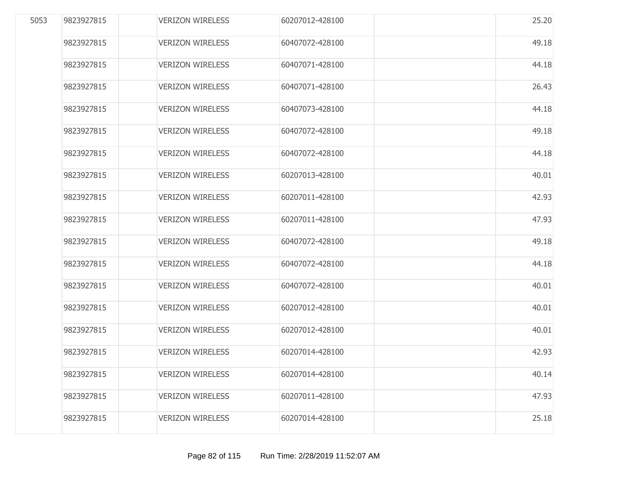| 5053 | 9823927815 | <b>VERIZON WIRELESS</b> | 60207012-428100 | 25.20 |
|------|------------|-------------------------|-----------------|-------|
|      | 9823927815 | <b>VERIZON WIRELESS</b> | 60407072-428100 | 49.18 |
|      | 9823927815 | <b>VERIZON WIRELESS</b> | 60407071-428100 | 44.18 |
|      | 9823927815 | <b>VERIZON WIRELESS</b> | 60407071-428100 | 26.43 |
|      | 9823927815 | <b>VERIZON WIRELESS</b> | 60407073-428100 | 44.18 |
|      | 9823927815 | <b>VERIZON WIRELESS</b> | 60407072-428100 | 49.18 |
|      | 9823927815 | <b>VERIZON WIRELESS</b> | 60407072-428100 | 44.18 |
|      | 9823927815 | <b>VERIZON WIRELESS</b> | 60207013-428100 | 40.01 |
|      | 9823927815 | <b>VERIZON WIRELESS</b> | 60207011-428100 | 42.93 |
|      | 9823927815 | <b>VERIZON WIRELESS</b> | 60207011-428100 | 47.93 |
|      | 9823927815 | <b>VERIZON WIRELESS</b> | 60407072-428100 | 49.18 |
|      | 9823927815 | <b>VERIZON WIRELESS</b> | 60407072-428100 | 44.18 |
|      | 9823927815 | <b>VERIZON WIRELESS</b> | 60407072-428100 | 40.01 |
|      | 9823927815 | <b>VERIZON WIRELESS</b> | 60207012-428100 | 40.01 |
|      | 9823927815 | <b>VERIZON WIRELESS</b> | 60207012-428100 | 40.01 |
|      | 9823927815 | <b>VERIZON WIRELESS</b> | 60207014-428100 | 42.93 |
|      | 9823927815 | <b>VERIZON WIRELESS</b> | 60207014-428100 | 40.14 |
|      | 9823927815 | <b>VERIZON WIRELESS</b> | 60207011-428100 | 47.93 |
|      | 9823927815 | <b>VERIZON WIRELESS</b> | 60207014-428100 | 25.18 |
|      |            |                         |                 |       |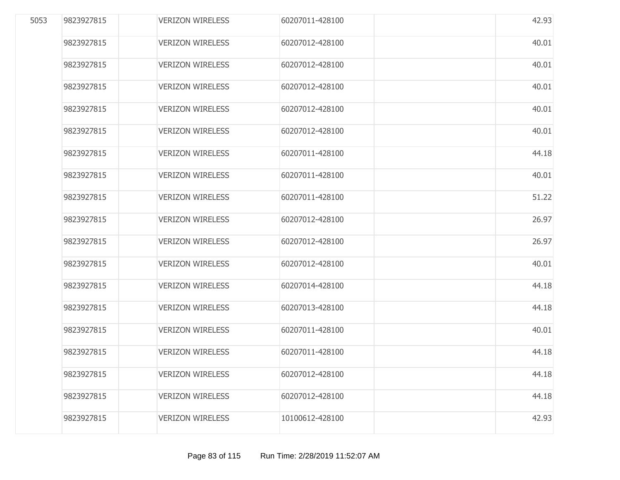| 5053 | 9823927815 | <b>VERIZON WIRELESS</b> | 60207011-428100 | 42.93 |
|------|------------|-------------------------|-----------------|-------|
|      | 9823927815 | <b>VERIZON WIRELESS</b> | 60207012-428100 | 40.01 |
|      | 9823927815 | <b>VERIZON WIRELESS</b> | 60207012-428100 | 40.01 |
|      | 9823927815 | <b>VERIZON WIRELESS</b> | 60207012-428100 | 40.01 |
|      | 9823927815 | <b>VERIZON WIRELESS</b> | 60207012-428100 | 40.01 |
|      | 9823927815 | <b>VERIZON WIRELESS</b> | 60207012-428100 | 40.01 |
|      | 9823927815 | <b>VERIZON WIRELESS</b> | 60207011-428100 | 44.18 |
|      | 9823927815 | <b>VERIZON WIRELESS</b> | 60207011-428100 | 40.01 |
|      | 9823927815 | <b>VERIZON WIRELESS</b> | 60207011-428100 | 51.22 |
|      | 9823927815 | <b>VERIZON WIRELESS</b> | 60207012-428100 | 26.97 |
|      | 9823927815 | <b>VERIZON WIRELESS</b> | 60207012-428100 | 26.97 |
|      | 9823927815 | <b>VERIZON WIRELESS</b> | 60207012-428100 | 40.01 |
|      | 9823927815 | <b>VERIZON WIRELESS</b> | 60207014-428100 | 44.18 |
|      | 9823927815 | <b>VERIZON WIRELESS</b> | 60207013-428100 | 44.18 |
|      | 9823927815 | <b>VERIZON WIRELESS</b> | 60207011-428100 | 40.01 |
|      | 9823927815 | <b>VERIZON WIRELESS</b> | 60207011-428100 | 44.18 |
|      | 9823927815 | <b>VERIZON WIRELESS</b> | 60207012-428100 | 44.18 |
|      | 9823927815 | <b>VERIZON WIRELESS</b> | 60207012-428100 | 44.18 |
|      | 9823927815 | <b>VERIZON WIRELESS</b> | 10100612-428100 | 42.93 |
|      |            |                         |                 |       |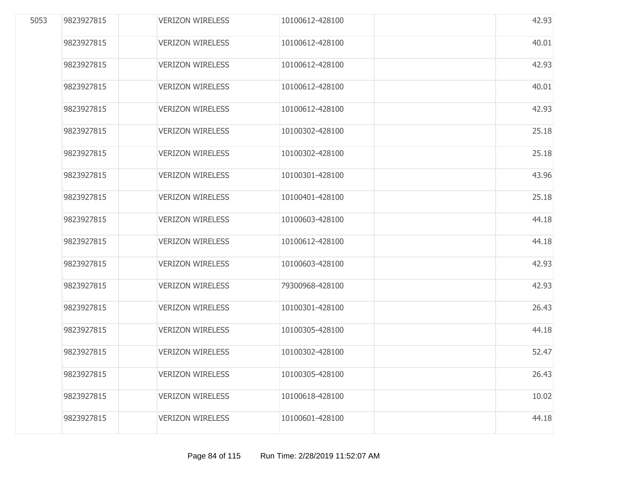| 5053 | 9823927815 | <b>VERIZON WIRELESS</b> | 10100612-428100 | 42.93 |
|------|------------|-------------------------|-----------------|-------|
|      | 9823927815 | <b>VERIZON WIRELESS</b> | 10100612-428100 | 40.01 |
|      | 9823927815 | <b>VERIZON WIRELESS</b> | 10100612-428100 | 42.93 |
|      | 9823927815 | <b>VERIZON WIRELESS</b> | 10100612-428100 | 40.01 |
|      | 9823927815 | <b>VERIZON WIRELESS</b> | 10100612-428100 | 42.93 |
|      | 9823927815 | <b>VERIZON WIRELESS</b> | 10100302-428100 | 25.18 |
|      | 9823927815 | <b>VERIZON WIRELESS</b> | 10100302-428100 | 25.18 |
|      | 9823927815 | <b>VERIZON WIRELESS</b> | 10100301-428100 | 43.96 |
|      | 9823927815 | <b>VERIZON WIRELESS</b> | 10100401-428100 | 25.18 |
|      | 9823927815 | <b>VERIZON WIRELESS</b> | 10100603-428100 | 44.18 |
|      | 9823927815 | <b>VERIZON WIRELESS</b> | 10100612-428100 | 44.18 |
|      | 9823927815 | <b>VERIZON WIRELESS</b> | 10100603-428100 | 42.93 |
|      | 9823927815 | <b>VERIZON WIRELESS</b> | 79300968-428100 | 42.93 |
|      | 9823927815 | <b>VERIZON WIRELESS</b> | 10100301-428100 | 26.43 |
|      | 9823927815 | <b>VERIZON WIRELESS</b> | 10100305-428100 | 44.18 |
|      | 9823927815 | <b>VERIZON WIRELESS</b> | 10100302-428100 | 52.47 |
|      | 9823927815 | <b>VERIZON WIRELESS</b> | 10100305-428100 | 26.43 |
|      | 9823927815 | <b>VERIZON WIRELESS</b> | 10100618-428100 | 10.02 |
|      | 9823927815 | <b>VERIZON WIRELESS</b> | 10100601-428100 | 44.18 |
|      |            |                         |                 |       |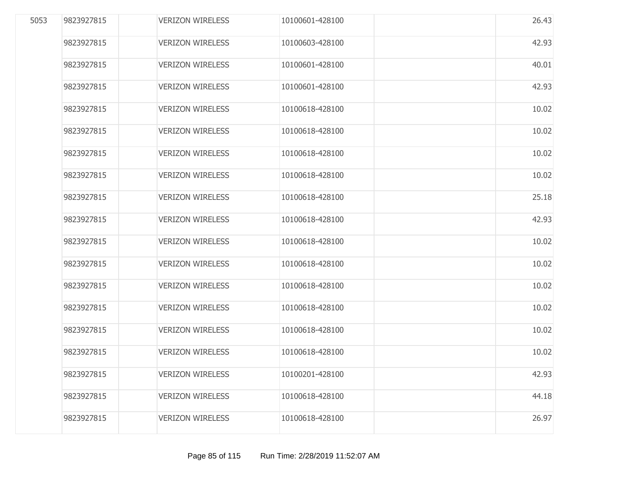| 5053 | 9823927815 | <b>VERIZON WIRELESS</b> | 10100601-428100 | 26.43 |
|------|------------|-------------------------|-----------------|-------|
|      | 9823927815 | <b>VERIZON WIRELESS</b> | 10100603-428100 | 42.93 |
|      | 9823927815 | <b>VERIZON WIRELESS</b> | 10100601-428100 | 40.01 |
|      | 9823927815 | <b>VERIZON WIRELESS</b> | 10100601-428100 | 42.93 |
|      | 9823927815 | <b>VERIZON WIRELESS</b> | 10100618-428100 | 10.02 |
|      | 9823927815 | <b>VERIZON WIRELESS</b> | 10100618-428100 | 10.02 |
|      | 9823927815 | <b>VERIZON WIRELESS</b> | 10100618-428100 | 10.02 |
|      | 9823927815 | <b>VERIZON WIRELESS</b> | 10100618-428100 | 10.02 |
|      | 9823927815 | <b>VERIZON WIRELESS</b> | 10100618-428100 | 25.18 |
|      | 9823927815 | <b>VERIZON WIRELESS</b> | 10100618-428100 | 42.93 |
|      | 9823927815 | <b>VERIZON WIRELESS</b> | 10100618-428100 | 10.02 |
|      | 9823927815 | <b>VERIZON WIRELESS</b> | 10100618-428100 | 10.02 |
|      | 9823927815 | <b>VERIZON WIRELESS</b> | 10100618-428100 | 10.02 |
|      | 9823927815 | <b>VERIZON WIRELESS</b> | 10100618-428100 | 10.02 |
|      | 9823927815 | <b>VERIZON WIRELESS</b> | 10100618-428100 | 10.02 |
|      | 9823927815 | <b>VERIZON WIRELESS</b> | 10100618-428100 | 10.02 |
|      | 9823927815 | <b>VERIZON WIRELESS</b> | 10100201-428100 | 42.93 |
|      | 9823927815 | <b>VERIZON WIRELESS</b> | 10100618-428100 | 44.18 |
|      | 9823927815 | <b>VERIZON WIRELESS</b> | 10100618-428100 | 26.97 |
|      |            |                         |                 |       |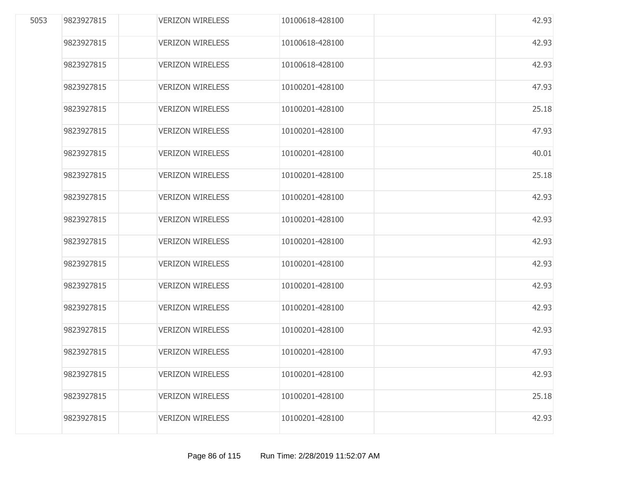| 5053 | 9823927815 | <b>VERIZON WIRELESS</b> | 10100618-428100 | 42.93 |
|------|------------|-------------------------|-----------------|-------|
|      | 9823927815 | <b>VERIZON WIRELESS</b> | 10100618-428100 | 42.93 |
|      | 9823927815 | <b>VERIZON WIRELESS</b> | 10100618-428100 | 42.93 |
|      | 9823927815 | <b>VERIZON WIRELESS</b> | 10100201-428100 | 47.93 |
|      | 9823927815 | <b>VERIZON WIRELESS</b> | 10100201-428100 | 25.18 |
|      | 9823927815 | <b>VERIZON WIRELESS</b> | 10100201-428100 | 47.93 |
|      | 9823927815 | <b>VERIZON WIRELESS</b> | 10100201-428100 | 40.01 |
|      | 9823927815 | <b>VERIZON WIRELESS</b> | 10100201-428100 | 25.18 |
|      | 9823927815 | <b>VERIZON WIRELESS</b> | 10100201-428100 | 42.93 |
|      | 9823927815 | <b>VERIZON WIRELESS</b> | 10100201-428100 | 42.93 |
|      | 9823927815 | <b>VERIZON WIRELESS</b> | 10100201-428100 | 42.93 |
|      | 9823927815 | <b>VERIZON WIRELESS</b> | 10100201-428100 | 42.93 |
|      | 9823927815 | <b>VERIZON WIRELESS</b> | 10100201-428100 | 42.93 |
|      | 9823927815 | <b>VERIZON WIRELESS</b> | 10100201-428100 | 42.93 |
|      | 9823927815 | <b>VERIZON WIRELESS</b> | 10100201-428100 | 42.93 |
|      | 9823927815 | <b>VERIZON WIRELESS</b> | 10100201-428100 | 47.93 |
|      | 9823927815 | <b>VERIZON WIRELESS</b> | 10100201-428100 | 42.93 |
|      | 9823927815 | <b>VERIZON WIRELESS</b> | 10100201-428100 | 25.18 |
|      | 9823927815 | <b>VERIZON WIRELESS</b> | 10100201-428100 | 42.93 |
|      |            |                         |                 |       |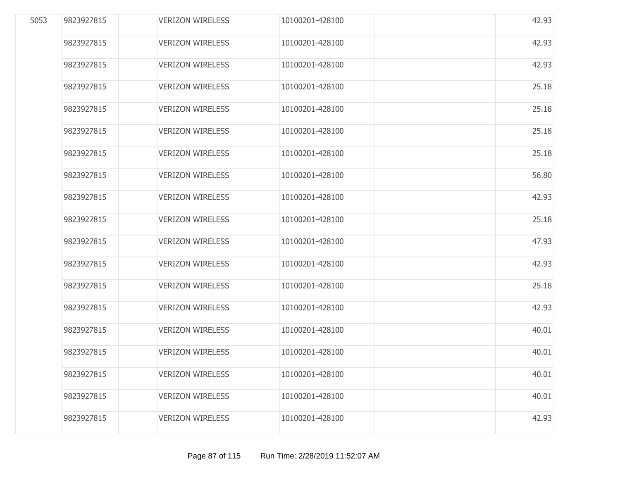| 5053 | 9823927815 | <b>VERIZON WIRELESS</b> | 10100201-428100 | 42.93 |
|------|------------|-------------------------|-----------------|-------|
|      | 9823927815 | <b>VERIZON WIRELESS</b> | 10100201-428100 | 42.93 |
|      | 9823927815 | <b>VERIZON WIRELESS</b> | 10100201-428100 | 42.93 |
|      | 9823927815 | <b>VERIZON WIRELESS</b> | 10100201-428100 | 25.18 |
|      | 9823927815 | <b>VERIZON WIRELESS</b> | 10100201-428100 | 25.18 |
|      | 9823927815 | <b>VERIZON WIRELESS</b> | 10100201-428100 | 25.18 |
|      | 9823927815 | <b>VERIZON WIRELESS</b> | 10100201-428100 | 25.18 |
|      | 9823927815 | <b>VERIZON WIRELESS</b> | 10100201-428100 | 56.80 |
|      | 9823927815 | <b>VERIZON WIRELESS</b> | 10100201-428100 | 42.93 |
|      | 9823927815 | <b>VERIZON WIRELESS</b> | 10100201-428100 | 25.18 |
|      | 9823927815 | <b>VERIZON WIRELESS</b> | 10100201-428100 | 47.93 |
|      | 9823927815 | <b>VERIZON WIRELESS</b> | 10100201-428100 | 42.93 |
|      | 9823927815 | <b>VERIZON WIRELESS</b> | 10100201-428100 | 25.18 |
|      | 9823927815 | <b>VERIZON WIRELESS</b> | 10100201-428100 | 42.93 |
|      | 9823927815 | <b>VERIZON WIRELESS</b> | 10100201-428100 | 40.01 |
|      | 9823927815 | <b>VERIZON WIRELESS</b> | 10100201-428100 | 40.01 |
|      | 9823927815 | <b>VERIZON WIRELESS</b> | 10100201-428100 | 40.01 |
|      | 9823927815 | <b>VERIZON WIRELESS</b> | 10100201-428100 | 40.01 |
|      | 9823927815 | <b>VERIZON WIRELESS</b> | 10100201-428100 | 42.93 |
|      |            |                         |                 |       |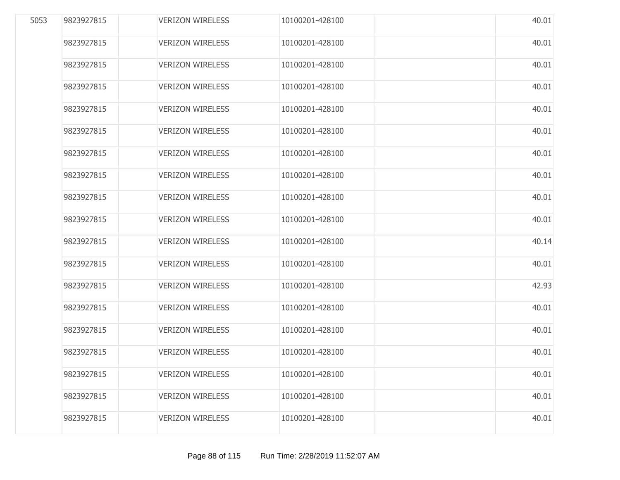| 5053 | 9823927815 | <b>VERIZON WIRELESS</b> | 10100201-428100 | 40.01 |
|------|------------|-------------------------|-----------------|-------|
|      | 9823927815 | <b>VERIZON WIRELESS</b> | 10100201-428100 | 40.01 |
|      | 9823927815 | <b>VERIZON WIRELESS</b> | 10100201-428100 | 40.01 |
|      | 9823927815 | <b>VERIZON WIRELESS</b> | 10100201-428100 | 40.01 |
|      | 9823927815 | <b>VERIZON WIRELESS</b> | 10100201-428100 | 40.01 |
|      | 9823927815 | <b>VERIZON WIRELESS</b> | 10100201-428100 | 40.01 |
|      | 9823927815 | <b>VERIZON WIRELESS</b> | 10100201-428100 | 40.01 |
|      | 9823927815 | <b>VERIZON WIRELESS</b> | 10100201-428100 | 40.01 |
|      | 9823927815 | <b>VERIZON WIRELESS</b> | 10100201-428100 | 40.01 |
|      | 9823927815 | <b>VERIZON WIRELESS</b> | 10100201-428100 | 40.01 |
|      | 9823927815 | <b>VERIZON WIRELESS</b> | 10100201-428100 | 40.14 |
|      | 9823927815 | <b>VERIZON WIRELESS</b> | 10100201-428100 | 40.01 |
|      | 9823927815 | <b>VERIZON WIRELESS</b> | 10100201-428100 | 42.93 |
|      | 9823927815 | <b>VERIZON WIRELESS</b> | 10100201-428100 | 40.01 |
|      | 9823927815 | <b>VERIZON WIRELESS</b> | 10100201-428100 | 40.01 |
|      | 9823927815 | <b>VERIZON WIRELESS</b> | 10100201-428100 | 40.01 |
|      | 9823927815 | <b>VERIZON WIRELESS</b> | 10100201-428100 | 40.01 |
|      | 9823927815 | <b>VERIZON WIRELESS</b> | 10100201-428100 | 40.01 |
|      | 9823927815 | <b>VERIZON WIRELESS</b> | 10100201-428100 | 40.01 |
|      |            |                         |                 |       |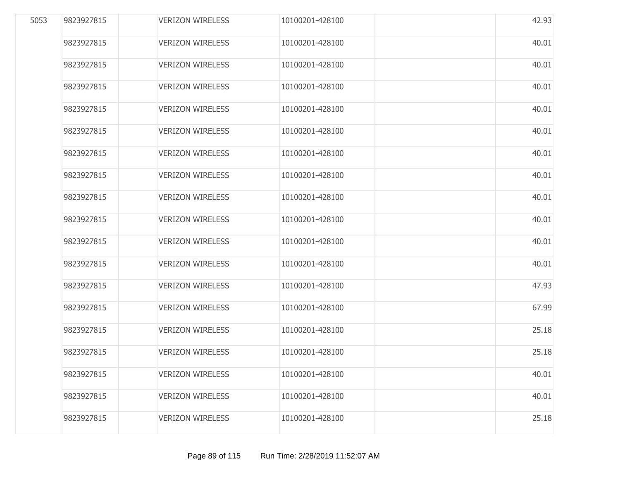| 5053 | 9823927815 | <b>VERIZON WIRELESS</b> | 10100201-428100 | 42.93 |
|------|------------|-------------------------|-----------------|-------|
|      | 9823927815 | <b>VERIZON WIRELESS</b> | 10100201-428100 | 40.01 |
|      | 9823927815 | <b>VERIZON WIRELESS</b> | 10100201-428100 | 40.01 |
|      | 9823927815 | <b>VERIZON WIRELESS</b> | 10100201-428100 | 40.01 |
|      | 9823927815 | <b>VERIZON WIRELESS</b> | 10100201-428100 | 40.01 |
|      | 9823927815 | <b>VERIZON WIRELESS</b> | 10100201-428100 | 40.01 |
|      | 9823927815 | <b>VERIZON WIRELESS</b> | 10100201-428100 | 40.01 |
|      | 9823927815 | <b>VERIZON WIRELESS</b> | 10100201-428100 | 40.01 |
|      | 9823927815 | <b>VERIZON WIRELESS</b> | 10100201-428100 | 40.01 |
|      | 9823927815 | <b>VERIZON WIRELESS</b> | 10100201-428100 | 40.01 |
|      | 9823927815 | <b>VERIZON WIRELESS</b> | 10100201-428100 | 40.01 |
|      | 9823927815 | <b>VERIZON WIRELESS</b> | 10100201-428100 | 40.01 |
|      | 9823927815 | <b>VERIZON WIRELESS</b> | 10100201-428100 | 47.93 |
|      | 9823927815 | <b>VERIZON WIRELESS</b> | 10100201-428100 | 67.99 |
|      | 9823927815 | <b>VERIZON WIRELESS</b> | 10100201-428100 | 25.18 |
|      | 9823927815 | <b>VERIZON WIRELESS</b> | 10100201-428100 | 25.18 |
|      | 9823927815 | <b>VERIZON WIRELESS</b> | 10100201-428100 | 40.01 |
|      | 9823927815 | <b>VERIZON WIRELESS</b> | 10100201-428100 | 40.01 |
|      | 9823927815 | <b>VERIZON WIRELESS</b> | 10100201-428100 | 25.18 |
|      |            |                         |                 |       |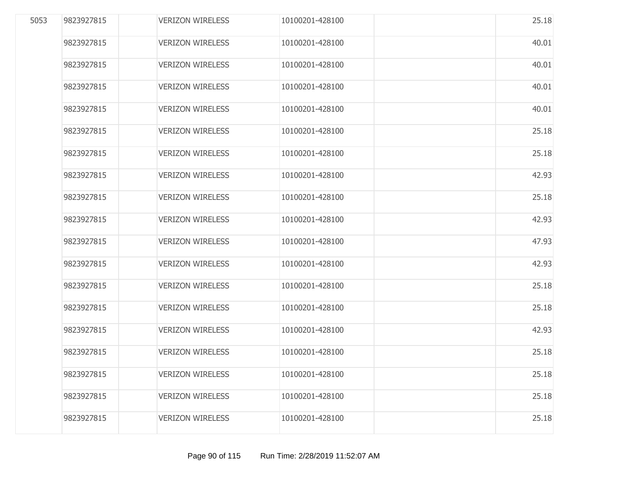| 5053 | 9823927815 | <b>VERIZON WIRELESS</b> | 10100201-428100 | 25.18 |
|------|------------|-------------------------|-----------------|-------|
|      | 9823927815 | <b>VERIZON WIRELESS</b> | 10100201-428100 | 40.01 |
|      | 9823927815 | <b>VERIZON WIRELESS</b> | 10100201-428100 | 40.01 |
|      | 9823927815 | <b>VERIZON WIRELESS</b> | 10100201-428100 | 40.01 |
|      | 9823927815 | <b>VERIZON WIRELESS</b> | 10100201-428100 | 40.01 |
|      | 9823927815 | <b>VERIZON WIRELESS</b> | 10100201-428100 | 25.18 |
|      | 9823927815 | <b>VERIZON WIRELESS</b> | 10100201-428100 | 25.18 |
|      | 9823927815 | <b>VERIZON WIRELESS</b> | 10100201-428100 | 42.93 |
|      | 9823927815 | <b>VERIZON WIRELESS</b> | 10100201-428100 | 25.18 |
|      | 9823927815 | <b>VERIZON WIRELESS</b> | 10100201-428100 | 42.93 |
|      | 9823927815 | <b>VERIZON WIRELESS</b> | 10100201-428100 | 47.93 |
|      | 9823927815 | <b>VERIZON WIRELESS</b> | 10100201-428100 | 42.93 |
|      | 9823927815 | <b>VERIZON WIRELESS</b> | 10100201-428100 | 25.18 |
|      | 9823927815 | <b>VERIZON WIRELESS</b> | 10100201-428100 | 25.18 |
|      | 9823927815 | <b>VERIZON WIRELESS</b> | 10100201-428100 | 42.93 |
|      | 9823927815 | <b>VERIZON WIRELESS</b> | 10100201-428100 | 25.18 |
|      | 9823927815 | <b>VERIZON WIRELESS</b> | 10100201-428100 | 25.18 |
|      | 9823927815 | <b>VERIZON WIRELESS</b> | 10100201-428100 | 25.18 |
|      | 9823927815 | <b>VERIZON WIRELESS</b> | 10100201-428100 | 25.18 |
|      |            |                         |                 |       |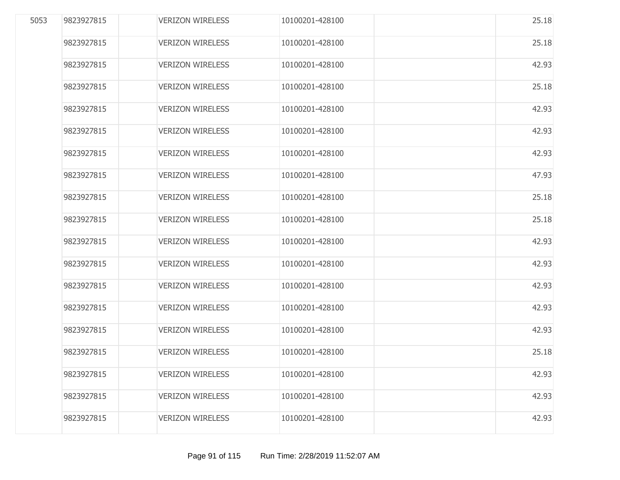| 5053 | 9823927815 | <b>VERIZON WIRELESS</b> | 10100201-428100 | 25.18 |
|------|------------|-------------------------|-----------------|-------|
|      | 9823927815 | <b>VERIZON WIRELESS</b> | 10100201-428100 | 25.18 |
|      | 9823927815 | <b>VERIZON WIRELESS</b> | 10100201-428100 | 42.93 |
|      | 9823927815 | <b>VERIZON WIRELESS</b> | 10100201-428100 | 25.18 |
|      | 9823927815 | <b>VERIZON WIRELESS</b> | 10100201-428100 | 42.93 |
|      | 9823927815 | <b>VERIZON WIRELESS</b> | 10100201-428100 | 42.93 |
|      | 9823927815 | <b>VERIZON WIRELESS</b> | 10100201-428100 | 42.93 |
|      | 9823927815 | <b>VERIZON WIRELESS</b> | 10100201-428100 | 47.93 |
|      | 9823927815 | <b>VERIZON WIRELESS</b> | 10100201-428100 | 25.18 |
|      | 9823927815 | <b>VERIZON WIRELESS</b> | 10100201-428100 | 25.18 |
|      | 9823927815 | <b>VERIZON WIRELESS</b> | 10100201-428100 | 42.93 |
|      | 9823927815 | <b>VERIZON WIRELESS</b> | 10100201-428100 | 42.93 |
|      | 9823927815 | <b>VERIZON WIRELESS</b> | 10100201-428100 | 42.93 |
|      | 9823927815 | <b>VERIZON WIRELESS</b> | 10100201-428100 | 42.93 |
|      | 9823927815 | <b>VERIZON WIRELESS</b> | 10100201-428100 | 42.93 |
|      | 9823927815 | <b>VERIZON WIRELESS</b> | 10100201-428100 | 25.18 |
|      | 9823927815 | <b>VERIZON WIRELESS</b> | 10100201-428100 | 42.93 |
|      | 9823927815 | <b>VERIZON WIRELESS</b> | 10100201-428100 | 42.93 |
|      | 9823927815 | <b>VERIZON WIRELESS</b> | 10100201-428100 | 42.93 |
|      |            |                         |                 |       |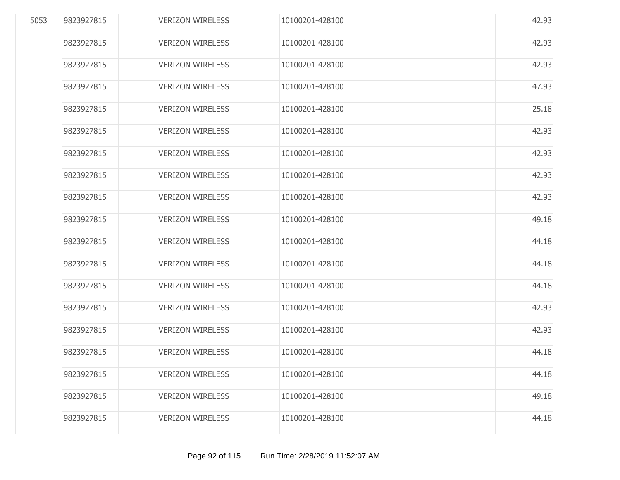| 5053 | 9823927815 | <b>VERIZON WIRELESS</b> | 10100201-428100 | 42.93 |
|------|------------|-------------------------|-----------------|-------|
|      | 9823927815 | <b>VERIZON WIRELESS</b> | 10100201-428100 | 42.93 |
|      | 9823927815 | <b>VERIZON WIRELESS</b> | 10100201-428100 | 42.93 |
|      | 9823927815 | <b>VERIZON WIRELESS</b> | 10100201-428100 | 47.93 |
|      | 9823927815 | <b>VERIZON WIRELESS</b> | 10100201-428100 | 25.18 |
|      | 9823927815 | <b>VERIZON WIRELESS</b> | 10100201-428100 | 42.93 |
|      | 9823927815 | <b>VERIZON WIRELESS</b> | 10100201-428100 | 42.93 |
|      | 9823927815 | <b>VERIZON WIRELESS</b> | 10100201-428100 | 42.93 |
|      | 9823927815 | <b>VERIZON WIRELESS</b> | 10100201-428100 | 42.93 |
|      | 9823927815 | <b>VERIZON WIRELESS</b> | 10100201-428100 | 49.18 |
|      | 9823927815 | <b>VERIZON WIRELESS</b> | 10100201-428100 | 44.18 |
|      | 9823927815 | <b>VERIZON WIRELESS</b> | 10100201-428100 | 44.18 |
|      | 9823927815 | <b>VERIZON WIRELESS</b> | 10100201-428100 | 44.18 |
|      | 9823927815 | <b>VERIZON WIRELESS</b> | 10100201-428100 | 42.93 |
|      | 9823927815 | <b>VERIZON WIRELESS</b> | 10100201-428100 | 42.93 |
|      | 9823927815 | <b>VERIZON WIRELESS</b> | 10100201-428100 | 44.18 |
|      | 9823927815 | <b>VERIZON WIRELESS</b> | 10100201-428100 | 44.18 |
|      | 9823927815 | <b>VERIZON WIRELESS</b> | 10100201-428100 | 49.18 |
|      | 9823927815 | <b>VERIZON WIRELESS</b> | 10100201-428100 | 44.18 |
|      |            |                         |                 |       |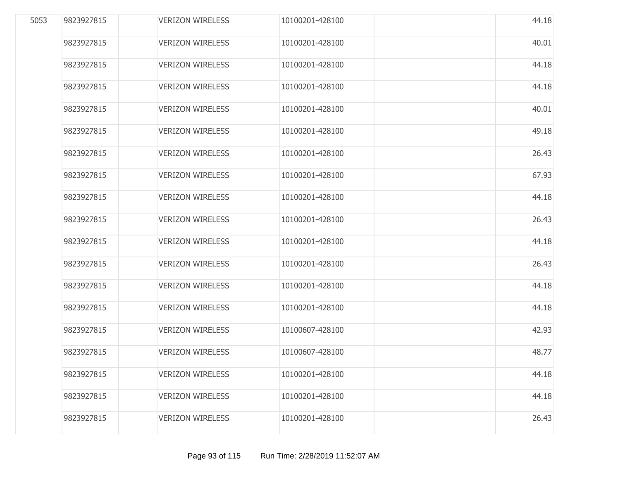| 5053 | 9823927815 | <b>VERIZON WIRELESS</b> | 10100201-428100 | 44.18 |
|------|------------|-------------------------|-----------------|-------|
|      | 9823927815 | <b>VERIZON WIRELESS</b> | 10100201-428100 | 40.01 |
|      | 9823927815 | <b>VERIZON WIRELESS</b> | 10100201-428100 | 44.18 |
|      | 9823927815 | <b>VERIZON WIRELESS</b> | 10100201-428100 | 44.18 |
|      | 9823927815 | <b>VERIZON WIRELESS</b> | 10100201-428100 | 40.01 |
|      | 9823927815 | <b>VERIZON WIRELESS</b> | 10100201-428100 | 49.18 |
|      | 9823927815 | <b>VERIZON WIRELESS</b> | 10100201-428100 | 26.43 |
|      | 9823927815 | <b>VERIZON WIRELESS</b> | 10100201-428100 | 67.93 |
|      | 9823927815 | <b>VERIZON WIRELESS</b> | 10100201-428100 | 44.18 |
|      | 9823927815 | <b>VERIZON WIRELESS</b> | 10100201-428100 | 26.43 |
|      | 9823927815 | <b>VERIZON WIRELESS</b> | 10100201-428100 | 44.18 |
|      | 9823927815 | <b>VERIZON WIRELESS</b> | 10100201-428100 | 26.43 |
|      | 9823927815 | <b>VERIZON WIRELESS</b> | 10100201-428100 | 44.18 |
|      | 9823927815 | <b>VERIZON WIRELESS</b> | 10100201-428100 | 44.18 |
|      | 9823927815 | <b>VERIZON WIRELESS</b> | 10100607-428100 | 42.93 |
|      | 9823927815 | <b>VERIZON WIRELESS</b> | 10100607-428100 | 48.77 |
|      | 9823927815 | <b>VERIZON WIRELESS</b> | 10100201-428100 | 44.18 |
|      | 9823927815 | <b>VERIZON WIRELESS</b> | 10100201-428100 | 44.18 |
|      | 9823927815 | <b>VERIZON WIRELESS</b> | 10100201-428100 | 26.43 |
|      |            |                         |                 |       |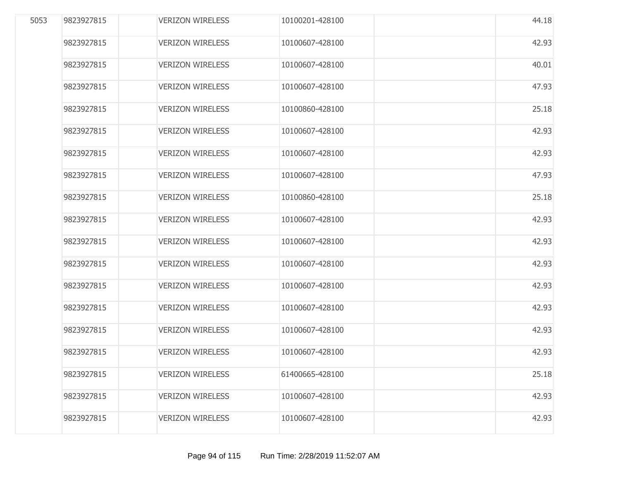| 5053 | 9823927815 | <b>VERIZON WIRELESS</b> | 10100201-428100 | 44.18 |
|------|------------|-------------------------|-----------------|-------|
|      | 9823927815 | <b>VERIZON WIRELESS</b> | 10100607-428100 | 42.93 |
|      | 9823927815 | <b>VERIZON WIRELESS</b> | 10100607-428100 | 40.01 |
|      | 9823927815 | <b>VERIZON WIRELESS</b> | 10100607-428100 | 47.93 |
|      | 9823927815 | <b>VERIZON WIRELESS</b> | 10100860-428100 | 25.18 |
|      | 9823927815 | <b>VERIZON WIRELESS</b> | 10100607-428100 | 42.93 |
|      | 9823927815 | <b>VERIZON WIRELESS</b> | 10100607-428100 | 42.93 |
|      | 9823927815 | <b>VERIZON WIRELESS</b> | 10100607-428100 | 47.93 |
|      | 9823927815 | <b>VERIZON WIRELESS</b> | 10100860-428100 | 25.18 |
|      | 9823927815 | <b>VERIZON WIRELESS</b> | 10100607-428100 | 42.93 |
|      | 9823927815 | <b>VERIZON WIRELESS</b> | 10100607-428100 | 42.93 |
|      | 9823927815 | <b>VERIZON WIRELESS</b> | 10100607-428100 | 42.93 |
|      | 9823927815 | <b>VERIZON WIRELESS</b> | 10100607-428100 | 42.93 |
|      | 9823927815 | <b>VERIZON WIRELESS</b> | 10100607-428100 | 42.93 |
|      | 9823927815 | <b>VERIZON WIRELESS</b> | 10100607-428100 | 42.93 |
|      | 9823927815 | <b>VERIZON WIRELESS</b> | 10100607-428100 | 42.93 |
|      | 9823927815 | <b>VERIZON WIRELESS</b> | 61400665-428100 | 25.18 |
|      | 9823927815 | <b>VERIZON WIRELESS</b> | 10100607-428100 | 42.93 |
|      | 9823927815 | <b>VERIZON WIRELESS</b> | 10100607-428100 | 42.93 |
|      |            |                         |                 |       |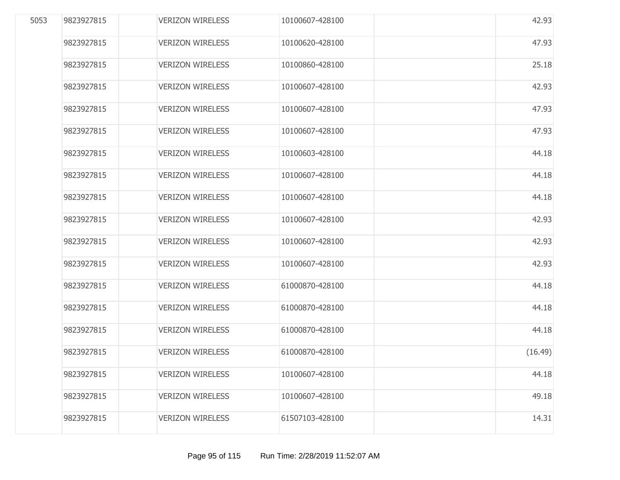| 5053 | 9823927815 | <b>VERIZON WIRELESS</b> | 10100607-428100 | 42.93   |
|------|------------|-------------------------|-----------------|---------|
|      | 9823927815 | <b>VERIZON WIRELESS</b> | 10100620-428100 | 47.93   |
|      | 9823927815 | <b>VERIZON WIRELESS</b> | 10100860-428100 | 25.18   |
|      | 9823927815 | <b>VERIZON WIRELESS</b> | 10100607-428100 | 42.93   |
|      | 9823927815 | <b>VERIZON WIRELESS</b> | 10100607-428100 | 47.93   |
|      | 9823927815 | <b>VERIZON WIRELESS</b> | 10100607-428100 | 47.93   |
|      | 9823927815 | <b>VERIZON WIRELESS</b> | 10100603-428100 | 44.18   |
|      | 9823927815 | <b>VERIZON WIRELESS</b> | 10100607-428100 | 44.18   |
|      | 9823927815 | <b>VERIZON WIRELESS</b> | 10100607-428100 | 44.18   |
|      | 9823927815 | <b>VERIZON WIRELESS</b> | 10100607-428100 | 42.93   |
|      | 9823927815 | <b>VERIZON WIRELESS</b> | 10100607-428100 | 42.93   |
|      | 9823927815 | <b>VERIZON WIRELESS</b> | 10100607-428100 | 42.93   |
|      | 9823927815 | <b>VERIZON WIRELESS</b> | 61000870-428100 | 44.18   |
|      | 9823927815 | <b>VERIZON WIRELESS</b> | 61000870-428100 | 44.18   |
|      | 9823927815 | <b>VERIZON WIRELESS</b> | 61000870-428100 | 44.18   |
|      | 9823927815 | <b>VERIZON WIRELESS</b> | 61000870-428100 | (16.49) |
|      | 9823927815 | <b>VERIZON WIRELESS</b> | 10100607-428100 | 44.18   |
|      | 9823927815 | <b>VERIZON WIRELESS</b> | 10100607-428100 | 49.18   |
|      | 9823927815 | <b>VERIZON WIRELESS</b> | 61507103-428100 | 14.31   |
|      |            |                         |                 |         |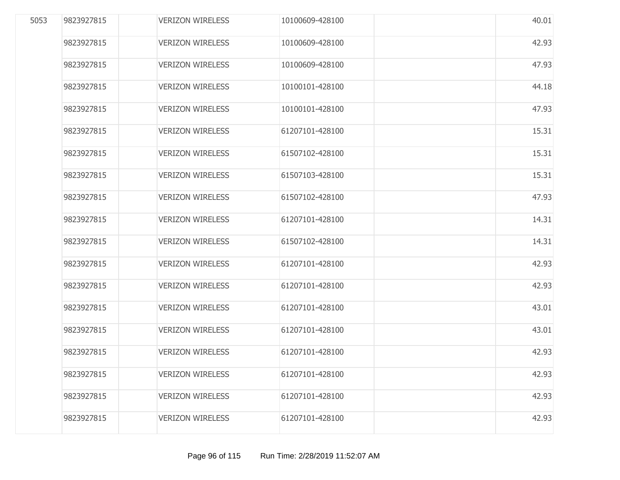| 5053 | 9823927815 | <b>VERIZON WIRELESS</b> | 10100609-428100 | 40.01 |
|------|------------|-------------------------|-----------------|-------|
|      | 9823927815 | <b>VERIZON WIRELESS</b> | 10100609-428100 | 42.93 |
|      | 9823927815 | <b>VERIZON WIRELESS</b> | 10100609-428100 | 47.93 |
|      | 9823927815 | <b>VERIZON WIRELESS</b> | 10100101-428100 | 44.18 |
|      | 9823927815 | <b>VERIZON WIRELESS</b> | 10100101-428100 | 47.93 |
|      | 9823927815 | <b>VERIZON WIRELESS</b> | 61207101-428100 | 15.31 |
|      | 9823927815 | <b>VERIZON WIRELESS</b> | 61507102-428100 | 15.31 |
|      | 9823927815 | <b>VERIZON WIRELESS</b> | 61507103-428100 | 15.31 |
|      | 9823927815 | <b>VERIZON WIRELESS</b> | 61507102-428100 | 47.93 |
|      | 9823927815 | <b>VERIZON WIRELESS</b> | 61207101-428100 | 14.31 |
|      | 9823927815 | <b>VERIZON WIRELESS</b> | 61507102-428100 | 14.31 |
|      | 9823927815 | <b>VERIZON WIRELESS</b> | 61207101-428100 | 42.93 |
|      | 9823927815 | <b>VERIZON WIRELESS</b> | 61207101-428100 | 42.93 |
|      | 9823927815 | <b>VERIZON WIRELESS</b> | 61207101-428100 | 43.01 |
|      | 9823927815 | <b>VERIZON WIRELESS</b> | 61207101-428100 | 43.01 |
|      | 9823927815 | <b>VERIZON WIRELESS</b> | 61207101-428100 | 42.93 |
|      | 9823927815 | <b>VERIZON WIRELESS</b> | 61207101-428100 | 42.93 |
|      | 9823927815 | <b>VERIZON WIRELESS</b> | 61207101-428100 | 42.93 |
|      | 9823927815 | <b>VERIZON WIRELESS</b> | 61207101-428100 | 42.93 |
|      |            |                         |                 |       |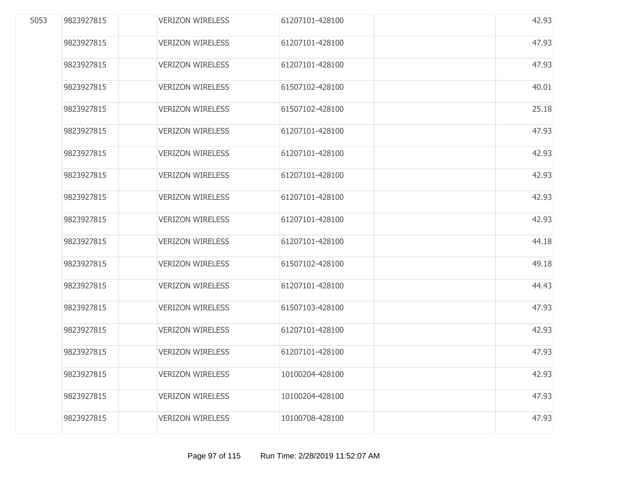| 5053 | 9823927815 | <b>VERIZON WIRELESS</b> | 61207101-428100 | 42.93 |
|------|------------|-------------------------|-----------------|-------|
|      | 9823927815 | <b>VERIZON WIRELESS</b> | 61207101-428100 | 47.93 |
|      | 9823927815 | <b>VERIZON WIRELESS</b> | 61207101-428100 | 47.93 |
|      | 9823927815 | <b>VERIZON WIRELESS</b> | 61507102-428100 | 40.01 |
|      | 9823927815 | <b>VERIZON WIRELESS</b> | 61507102-428100 | 25.18 |
|      | 9823927815 | <b>VERIZON WIRELESS</b> | 61207101-428100 | 47.93 |
|      | 9823927815 | <b>VERIZON WIRELESS</b> | 61207101-428100 | 42.93 |
|      | 9823927815 | <b>VERIZON WIRELESS</b> | 61207101-428100 | 42.93 |
|      | 9823927815 | <b>VERIZON WIRELESS</b> | 61207101-428100 | 42.93 |
|      | 9823927815 | <b>VERIZON WIRELESS</b> | 61207101-428100 | 42.93 |
|      | 9823927815 | <b>VERIZON WIRELESS</b> | 61207101-428100 | 44.18 |
|      | 9823927815 | <b>VERIZON WIRELESS</b> | 61507102-428100 | 49.18 |
|      | 9823927815 | <b>VERIZON WIRELESS</b> | 61207101-428100 | 44.43 |
|      | 9823927815 | <b>VERIZON WIRELESS</b> | 61507103-428100 | 47.93 |
|      | 9823927815 | <b>VERIZON WIRELESS</b> | 61207101-428100 | 42.93 |
|      | 9823927815 | <b>VERIZON WIRELESS</b> | 61207101-428100 | 47.93 |
|      | 9823927815 | <b>VERIZON WIRELESS</b> | 10100204-428100 | 42.93 |
|      | 9823927815 | <b>VERIZON WIRELESS</b> | 10100204-428100 | 47.93 |
|      | 9823927815 | <b>VERIZON WIRELESS</b> | 10100708-428100 | 47.93 |
|      |            |                         |                 |       |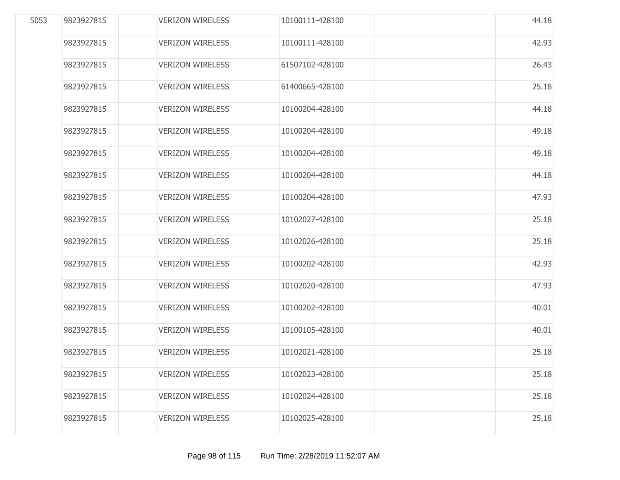| 5053 | 9823927815 | <b>VERIZON WIRELESS</b> | 10100111-428100 | 44.18 |
|------|------------|-------------------------|-----------------|-------|
|      | 9823927815 | <b>VERIZON WIRELESS</b> | 10100111-428100 | 42.93 |
|      | 9823927815 | <b>VERIZON WIRELESS</b> | 61507102-428100 | 26.43 |
|      | 9823927815 | <b>VERIZON WIRELESS</b> | 61400665-428100 | 25.18 |
|      | 9823927815 | <b>VERIZON WIRELESS</b> | 10100204-428100 | 44.18 |
|      | 9823927815 | <b>VERIZON WIRELESS</b> | 10100204-428100 | 49.18 |
|      | 9823927815 | <b>VERIZON WIRELESS</b> | 10100204-428100 | 49.18 |
|      | 9823927815 | <b>VERIZON WIRELESS</b> | 10100204-428100 | 44.18 |
|      | 9823927815 | <b>VERIZON WIRELESS</b> | 10100204-428100 | 47.93 |
|      | 9823927815 | <b>VERIZON WIRELESS</b> | 10102027-428100 | 25.18 |
|      | 9823927815 | <b>VERIZON WIRELESS</b> | 10102026-428100 | 25.18 |
|      | 9823927815 | <b>VERIZON WIRELESS</b> | 10100202-428100 | 42.93 |
|      | 9823927815 | <b>VERIZON WIRELESS</b> | 10102020-428100 | 47.93 |
|      | 9823927815 | <b>VERIZON WIRELESS</b> | 10100202-428100 | 40.01 |
|      | 9823927815 | <b>VERIZON WIRELESS</b> | 10100105-428100 | 40.01 |
|      | 9823927815 | <b>VERIZON WIRELESS</b> | 10102021-428100 | 25.18 |
|      | 9823927815 | <b>VERIZON WIRELESS</b> | 10102023-428100 | 25.18 |
|      | 9823927815 | <b>VERIZON WIRELESS</b> | 10102024-428100 | 25.18 |
|      | 9823927815 | <b>VERIZON WIRELESS</b> | 10102025-428100 | 25.18 |
|      |            |                         |                 |       |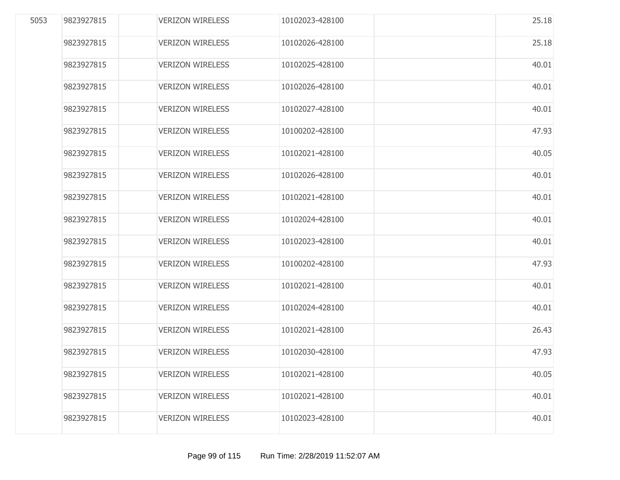| 5053 | 9823927815 | <b>VERIZON WIRELESS</b> | 10102023-428100 | 25.18 |
|------|------------|-------------------------|-----------------|-------|
|      | 9823927815 | <b>VERIZON WIRELESS</b> | 10102026-428100 | 25.18 |
|      | 9823927815 | <b>VERIZON WIRELESS</b> | 10102025-428100 | 40.01 |
|      | 9823927815 | <b>VERIZON WIRELESS</b> | 10102026-428100 | 40.01 |
|      | 9823927815 | <b>VERIZON WIRELESS</b> | 10102027-428100 | 40.01 |
|      | 9823927815 | <b>VERIZON WIRELESS</b> | 10100202-428100 | 47.93 |
|      | 9823927815 | <b>VERIZON WIRELESS</b> | 10102021-428100 | 40.05 |
|      | 9823927815 | <b>VERIZON WIRELESS</b> | 10102026-428100 | 40.01 |
|      | 9823927815 | <b>VERIZON WIRELESS</b> | 10102021-428100 | 40.01 |
|      | 9823927815 | <b>VERIZON WIRELESS</b> | 10102024-428100 | 40.01 |
|      | 9823927815 | <b>VERIZON WIRELESS</b> | 10102023-428100 | 40.01 |
|      | 9823927815 | <b>VERIZON WIRELESS</b> | 10100202-428100 | 47.93 |
|      | 9823927815 | <b>VERIZON WIRELESS</b> | 10102021-428100 | 40.01 |
|      | 9823927815 | <b>VERIZON WIRELESS</b> | 10102024-428100 | 40.01 |
|      | 9823927815 | <b>VERIZON WIRELESS</b> | 10102021-428100 | 26.43 |
|      | 9823927815 | <b>VERIZON WIRELESS</b> | 10102030-428100 | 47.93 |
|      | 9823927815 | <b>VERIZON WIRELESS</b> | 10102021-428100 | 40.05 |
|      | 9823927815 | <b>VERIZON WIRELESS</b> | 10102021-428100 | 40.01 |
|      | 9823927815 | <b>VERIZON WIRELESS</b> | 10102023-428100 | 40.01 |
|      |            |                         |                 |       |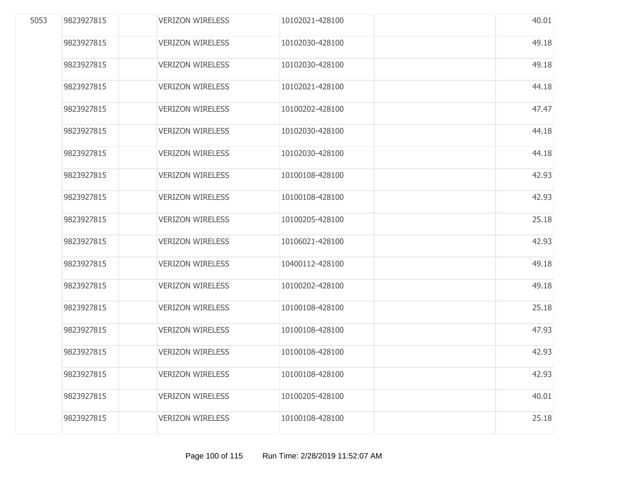| 5053 | 9823927815 | <b>VERIZON WIRELESS</b> | 10102021-428100 | 40.01 |
|------|------------|-------------------------|-----------------|-------|
|      | 9823927815 | <b>VERIZON WIRELESS</b> | 10102030-428100 | 49.18 |
|      | 9823927815 | <b>VERIZON WIRELESS</b> | 10102030-428100 | 49.18 |
|      | 9823927815 | <b>VERIZON WIRELESS</b> | 10102021-428100 | 44.18 |
|      | 9823927815 | <b>VERIZON WIRELESS</b> | 10100202-428100 | 47.47 |
|      | 9823927815 | <b>VERIZON WIRELESS</b> | 10102030-428100 | 44.18 |
|      | 9823927815 | <b>VERIZON WIRELESS</b> | 10102030-428100 | 44.18 |
|      | 9823927815 | <b>VERIZON WIRELESS</b> | 10100108-428100 | 42.93 |
|      | 9823927815 | <b>VERIZON WIRELESS</b> | 10100108-428100 | 42.93 |
|      | 9823927815 | <b>VERIZON WIRELESS</b> | 10100205-428100 | 25.18 |
|      | 9823927815 | <b>VERIZON WIRELESS</b> | 10106021-428100 | 42.93 |
|      | 9823927815 | <b>VERIZON WIRELESS</b> | 10400112-428100 | 49.18 |
|      | 9823927815 | <b>VERIZON WIRELESS</b> | 10100202-428100 | 49.18 |
|      | 9823927815 | <b>VERIZON WIRELESS</b> | 10100108-428100 | 25.18 |
|      | 9823927815 | <b>VERIZON WIRELESS</b> | 10100108-428100 | 47.93 |
|      | 9823927815 | <b>VERIZON WIRELESS</b> | 10100108-428100 | 42.93 |
|      | 9823927815 | <b>VERIZON WIRELESS</b> | 10100108-428100 | 42.93 |
|      | 9823927815 | <b>VERIZON WIRELESS</b> | 10100205-428100 | 40.01 |
|      | 9823927815 | <b>VERIZON WIRELESS</b> | 10100108-428100 | 25.18 |
|      |            |                         |                 |       |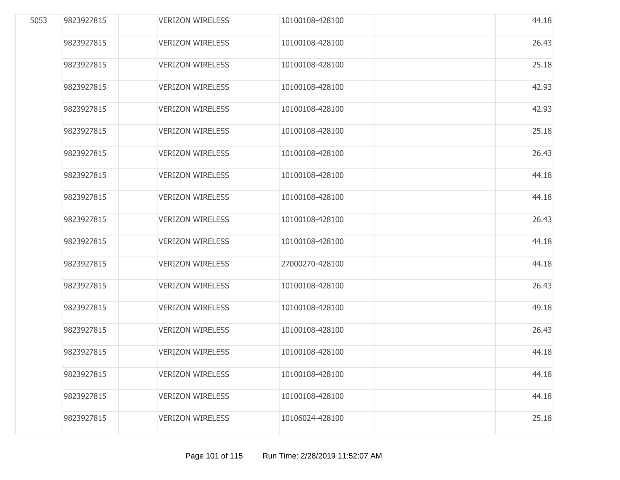| 5053 | 9823927815 | <b>VERIZON WIRELESS</b> | 10100108-428100 | 44.18 |
|------|------------|-------------------------|-----------------|-------|
|      | 9823927815 | <b>VERIZON WIRELESS</b> | 10100108-428100 | 26.43 |
|      | 9823927815 | <b>VERIZON WIRELESS</b> | 10100108-428100 | 25.18 |
|      | 9823927815 | <b>VERIZON WIRELESS</b> | 10100108-428100 | 42.93 |
|      | 9823927815 | <b>VERIZON WIRELESS</b> | 10100108-428100 | 42.93 |
|      | 9823927815 | <b>VERIZON WIRELESS</b> | 10100108-428100 | 25.18 |
|      | 9823927815 | <b>VERIZON WIRELESS</b> | 10100108-428100 | 26.43 |
|      | 9823927815 | <b>VERIZON WIRELESS</b> | 10100108-428100 | 44.18 |
|      | 9823927815 | <b>VERIZON WIRELESS</b> | 10100108-428100 | 44.18 |
|      | 9823927815 | <b>VERIZON WIRELESS</b> | 10100108-428100 | 26.43 |
|      | 9823927815 | <b>VERIZON WIRELESS</b> | 10100108-428100 | 44.18 |
|      | 9823927815 | <b>VERIZON WIRELESS</b> | 27000270-428100 | 44.18 |
|      | 9823927815 | <b>VERIZON WIRELESS</b> | 10100108-428100 | 26.43 |
|      | 9823927815 | <b>VERIZON WIRELESS</b> | 10100108-428100 | 49.18 |
|      | 9823927815 | <b>VERIZON WIRELESS</b> | 10100108-428100 | 26.43 |
|      | 9823927815 | <b>VERIZON WIRELESS</b> | 10100108-428100 | 44.18 |
|      | 9823927815 | <b>VERIZON WIRELESS</b> | 10100108-428100 | 44.18 |
|      | 9823927815 | <b>VERIZON WIRELESS</b> | 10100108-428100 | 44.18 |
|      | 9823927815 | <b>VERIZON WIRELESS</b> | 10106024-428100 | 25.18 |
|      |            |                         |                 |       |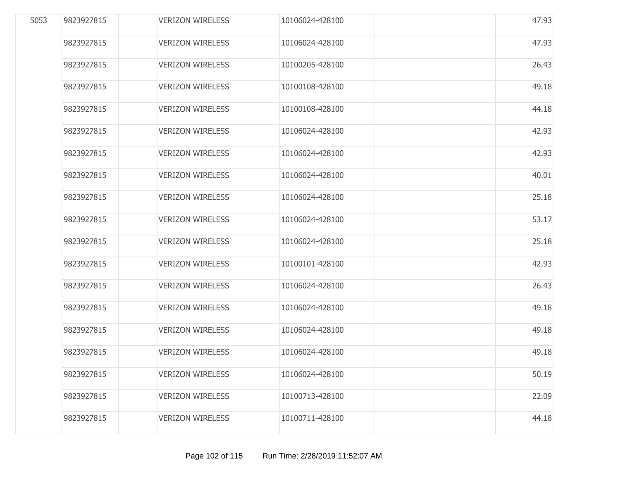| 5053 | 9823927815 | <b>VERIZON WIRELESS</b> | 10106024-428100 | 47.93 |
|------|------------|-------------------------|-----------------|-------|
|      | 9823927815 | <b>VERIZON WIRELESS</b> | 10106024-428100 | 47.93 |
|      | 9823927815 | <b>VERIZON WIRELESS</b> | 10100205-428100 | 26.43 |
|      | 9823927815 | <b>VERIZON WIRELESS</b> | 10100108-428100 | 49.18 |
|      | 9823927815 | <b>VERIZON WIRELESS</b> | 10100108-428100 | 44.18 |
|      | 9823927815 | <b>VERIZON WIRELESS</b> | 10106024-428100 | 42.93 |
|      | 9823927815 | <b>VERIZON WIRELESS</b> | 10106024-428100 | 42.93 |
|      | 9823927815 | <b>VERIZON WIRELESS</b> | 10106024-428100 | 40.01 |
|      | 9823927815 | <b>VERIZON WIRELESS</b> | 10106024-428100 | 25.18 |
|      | 9823927815 | <b>VERIZON WIRELESS</b> | 10106024-428100 | 53.17 |
|      | 9823927815 | <b>VERIZON WIRELESS</b> | 10106024-428100 | 25.18 |
|      | 9823927815 | <b>VERIZON WIRELESS</b> | 10100101-428100 | 42.93 |
|      | 9823927815 | <b>VERIZON WIRELESS</b> | 10106024-428100 | 26.43 |
|      | 9823927815 | <b>VERIZON WIRELESS</b> | 10106024-428100 | 49.18 |
|      | 9823927815 | <b>VERIZON WIRELESS</b> | 10106024-428100 | 49.18 |
|      | 9823927815 | <b>VERIZON WIRELESS</b> | 10106024-428100 | 49.18 |
|      | 9823927815 | <b>VERIZON WIRELESS</b> | 10106024-428100 | 50.19 |
|      | 9823927815 | <b>VERIZON WIRELESS</b> | 10100713-428100 | 22.09 |
|      | 9823927815 | <b>VERIZON WIRELESS</b> | 10100711-428100 | 44.18 |
|      |            |                         |                 |       |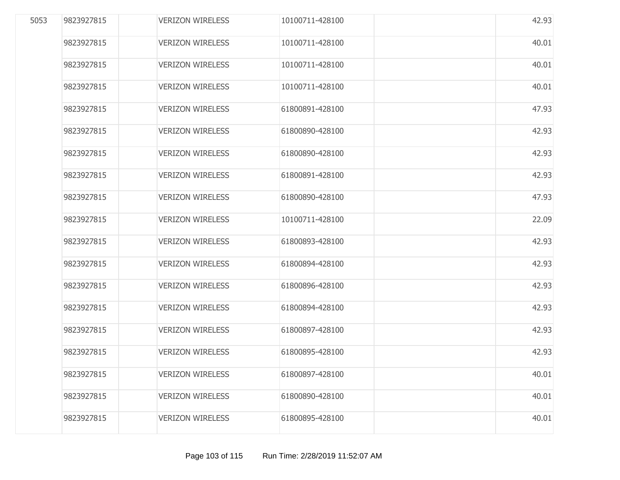| 5053 | 9823927815 | <b>VERIZON WIRELESS</b> | 10100711-428100 | 42.93 |
|------|------------|-------------------------|-----------------|-------|
|      | 9823927815 | <b>VERIZON WIRELESS</b> | 10100711-428100 | 40.01 |
|      | 9823927815 | <b>VERIZON WIRELESS</b> | 10100711-428100 | 40.01 |
|      | 9823927815 | <b>VERIZON WIRELESS</b> | 10100711-428100 | 40.01 |
|      | 9823927815 | <b>VERIZON WIRELESS</b> | 61800891-428100 | 47.93 |
|      | 9823927815 | <b>VERIZON WIRELESS</b> | 61800890-428100 | 42.93 |
|      | 9823927815 | <b>VERIZON WIRELESS</b> | 61800890-428100 | 42.93 |
|      | 9823927815 | <b>VERIZON WIRELESS</b> | 61800891-428100 | 42.93 |
|      | 9823927815 | <b>VERIZON WIRELESS</b> | 61800890-428100 | 47.93 |
|      | 9823927815 | <b>VERIZON WIRELESS</b> | 10100711-428100 | 22.09 |
|      | 9823927815 | <b>VERIZON WIRELESS</b> | 61800893-428100 | 42.93 |
|      | 9823927815 | <b>VERIZON WIRELESS</b> | 61800894-428100 | 42.93 |
|      | 9823927815 | <b>VERIZON WIRELESS</b> | 61800896-428100 | 42.93 |
|      | 9823927815 | <b>VERIZON WIRELESS</b> | 61800894-428100 | 42.93 |
|      | 9823927815 | <b>VERIZON WIRELESS</b> | 61800897-428100 | 42.93 |
|      | 9823927815 | <b>VERIZON WIRELESS</b> | 61800895-428100 | 42.93 |
|      | 9823927815 | <b>VERIZON WIRELESS</b> | 61800897-428100 | 40.01 |
|      | 9823927815 | <b>VERIZON WIRELESS</b> | 61800890-428100 | 40.01 |
|      | 9823927815 | <b>VERIZON WIRELESS</b> | 61800895-428100 | 40.01 |
|      |            |                         |                 |       |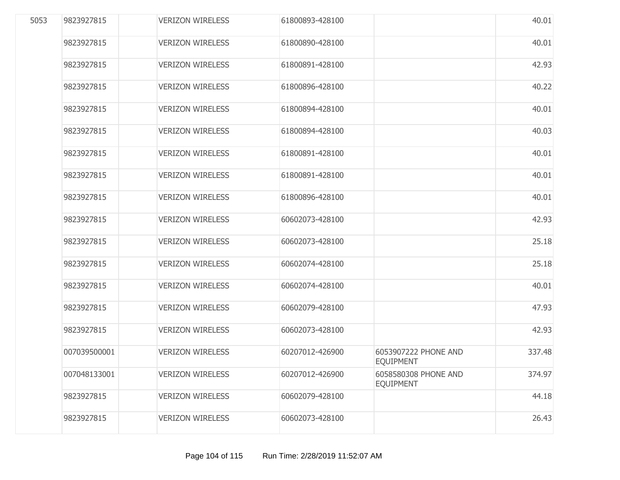| 5053 | 9823927815   | <b>VERIZON WIRELESS</b> | 61800893-428100 |                                          | 40.01  |
|------|--------------|-------------------------|-----------------|------------------------------------------|--------|
|      | 9823927815   | <b>VERIZON WIRELESS</b> | 61800890-428100 |                                          | 40.01  |
|      | 9823927815   | <b>VERIZON WIRELESS</b> | 61800891-428100 |                                          | 42.93  |
|      | 9823927815   | <b>VERIZON WIRELESS</b> | 61800896-428100 |                                          | 40.22  |
|      | 9823927815   | <b>VERIZON WIRELESS</b> | 61800894-428100 |                                          | 40.01  |
|      | 9823927815   | <b>VERIZON WIRELESS</b> | 61800894-428100 |                                          | 40.03  |
|      | 9823927815   | <b>VERIZON WIRELESS</b> | 61800891-428100 |                                          | 40.01  |
|      | 9823927815   | <b>VERIZON WIRELESS</b> | 61800891-428100 |                                          | 40.01  |
|      | 9823927815   | <b>VERIZON WIRELESS</b> | 61800896-428100 |                                          | 40.01  |
|      | 9823927815   | <b>VERIZON WIRELESS</b> | 60602073-428100 |                                          | 42.93  |
|      | 9823927815   | <b>VERIZON WIRELESS</b> | 60602073-428100 |                                          | 25.18  |
|      | 9823927815   | <b>VERIZON WIRELESS</b> | 60602074-428100 |                                          | 25.18  |
|      | 9823927815   | <b>VERIZON WIRELESS</b> | 60602074-428100 |                                          | 40.01  |
|      | 9823927815   | <b>VERIZON WIRELESS</b> | 60602079-428100 |                                          | 47.93  |
|      | 9823927815   | <b>VERIZON WIRELESS</b> | 60602073-428100 |                                          | 42.93  |
|      | 007039500001 | <b>VERIZON WIRELESS</b> | 60207012-426900 | 6053907222 PHONE AND<br><b>EOUIPMENT</b> | 337.48 |
|      | 007048133001 | <b>VERIZON WIRELESS</b> | 60207012-426900 | 6058580308 PHONE AND<br><b>EQUIPMENT</b> | 374.97 |
|      | 9823927815   | <b>VERIZON WIRELESS</b> | 60602079-428100 |                                          | 44.18  |
|      | 9823927815   | <b>VERIZON WIRELESS</b> | 60602073-428100 |                                          | 26.43  |
|      |              |                         |                 |                                          |        |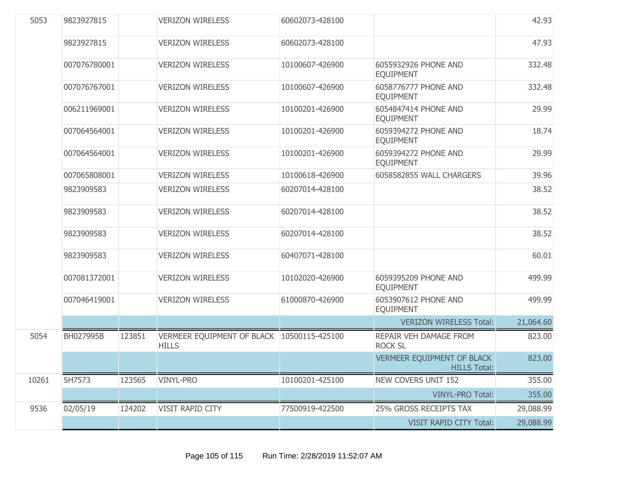| 5053  | 9823927815   |        | <b>VERIZON WIRELESS</b>                                    | 60602073-428100 |                                                   | 42.93     |
|-------|--------------|--------|------------------------------------------------------------|-----------------|---------------------------------------------------|-----------|
|       | 9823927815   |        | <b>VERIZON WIRELESS</b>                                    | 60602073-428100 |                                                   | 47.93     |
|       | 007076780001 |        | <b>VERIZON WIRELESS</b>                                    | 10100607-426900 | 6055932926 PHONE AND<br><b>EQUIPMENT</b>          | 332.48    |
|       | 007076767001 |        | <b>VERIZON WIRELESS</b>                                    | 10100607-426900 | 6058776777 PHONE AND<br><b>EQUIPMENT</b>          | 332.48    |
|       | 006211969001 |        | <b>VERIZON WIRELESS</b>                                    | 10100201-426900 | 6054847414 PHONE AND<br><b>EQUIPMENT</b>          | 29.99     |
|       | 007064564001 |        | <b>VERIZON WIRELESS</b>                                    | 10100201-426900 | 6059394272 PHONE AND<br><b>EQUIPMENT</b>          | 18.74     |
|       | 007064564001 |        | <b>VERIZON WIRELESS</b>                                    | 10100201-426900 | 6059394272 PHONE AND<br><b>EQUIPMENT</b>          | 29.99     |
|       | 007065808001 |        | <b>VERIZON WIRELESS</b>                                    | 10100618-426900 | 6058582855 WALL CHARGERS                          | 39.96     |
|       | 9823909583   |        | <b>VERIZON WIRELESS</b>                                    | 60207014-428100 |                                                   | 38.52     |
|       | 9823909583   |        | <b>VERIZON WIRELESS</b>                                    | 60207014-428100 |                                                   | 38.52     |
|       | 9823909583   |        | <b>VERIZON WIRELESS</b>                                    | 60207014-428100 |                                                   | 38.52     |
|       | 9823909583   |        | <b>VERIZON WIRELESS</b>                                    | 60407071-428100 |                                                   | 60.01     |
|       | 007081372001 |        | <b>VERIZON WIRELESS</b>                                    | 10102020-426900 | 6059395209 PHONE AND<br><b>EQUIPMENT</b>          | 499.99    |
|       | 007046419001 |        | <b>VERIZON WIRELESS</b>                                    | 61000870-426900 | 6053907612 PHONE AND<br><b>EQUIPMENT</b>          | 499.99    |
|       |              |        |                                                            |                 | <b>VERIZON WIRELESS Total:</b>                    | 21,064.60 |
| 5054  | BH027995B    | 123851 | VERMEER EQUIPMENT OF BLACK 10500115-425100<br><b>HILLS</b> |                 | REPAIR VEH DAMAGE FROM<br><b>ROCK SL</b>          | 823.00    |
|       |              |        |                                                            |                 | VERMEER EQUIPMENT OF BLACK<br><b>HILLS Total:</b> | 823.00    |
| 10261 | SH7573       | 123565 | <b>VINYL-PRO</b>                                           | 10100201-425100 | <b>NEW COVERS UNIT 152</b>                        | 355.00    |
|       |              |        |                                                            |                 | <b>VINYL-PRO Total:</b>                           | 355.00    |
| 9536  | 02/05/19     | 124202 | VISIT RAPID CITY                                           | 77500919-422500 | 25% GROSS RECEIPTS TAX                            | 29,088.99 |
|       |              |        |                                                            |                 | <b>VISIT RAPID CITY Total:</b>                    | 29,088.99 |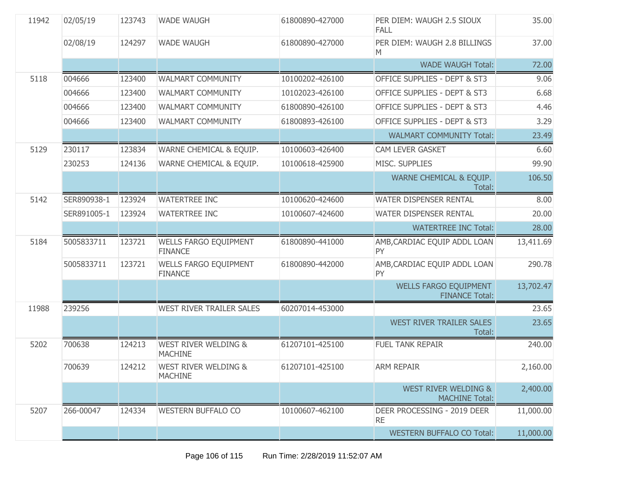| 11942 | 02/05/19    | 123743 | <b>WADE WAUGH</b>                                 | 61800890-427000 | PER DIEM: WAUGH 2.5 SIOUX<br><b>FALL</b>                 | 35.00     |
|-------|-------------|--------|---------------------------------------------------|-----------------|----------------------------------------------------------|-----------|
|       | 02/08/19    | 124297 | <b>WADE WAUGH</b>                                 | 61800890-427000 | PER DIEM: WAUGH 2.8 BILLINGS<br>M                        | 37.00     |
|       |             |        |                                                   |                 | <b>WADE WAUGH Total:</b>                                 | 72.00     |
| 5118  | 004666      | 123400 | <b>WALMART COMMUNITY</b>                          | 10100202-426100 | OFFICE SUPPLIES - DEPT & ST3                             | 9.06      |
|       | 004666      | 123400 | <b>WALMART COMMUNITY</b>                          | 10102023-426100 | OFFICE SUPPLIES - DEPT & ST3                             | 6.68      |
|       | 004666      | 123400 | <b>WALMART COMMUNITY</b>                          | 61800890-426100 | OFFICE SUPPLIES - DEPT & ST3                             | 4.46      |
|       | 004666      | 123400 | <b>WALMART COMMUNITY</b>                          | 61800893-426100 | OFFICE SUPPLIES - DEPT & ST3                             | 3.29      |
|       |             |        |                                                   |                 | <b>WALMART COMMUNITY Total:</b>                          | 23.49     |
| 5129  | 230117      | 123834 | WARNE CHEMICAL & EQUIP.                           | 10100603-426400 | <b>CAM LEVER GASKET</b>                                  | 6.60      |
|       | 230253      | 124136 | WARNE CHEMICAL & EQUIP.                           | 10100618-425900 | MISC. SUPPLIES                                           | 99.90     |
|       |             |        |                                                   |                 | WARNE CHEMICAL & EQUIP.<br>Total:                        | 106.50    |
| 5142  | SER890938-1 | 123924 | <b>WATERTREE INC</b>                              | 10100620-424600 | WATER DISPENSER RENTAL                                   | 8.00      |
|       | SER891005-1 | 123924 | <b>WATERTREE INC</b>                              | 10100607-424600 | WATER DISPENSER RENTAL                                   | 20.00     |
|       |             |        |                                                   |                 | <b>WATERTREE INC Total:</b>                              | 28.00     |
| 5184  | 5005833711  | 123721 | <b>WELLS FARGO EQUIPMENT</b><br><b>FINANCE</b>    | 61800890-441000 | AMB, CARDIAC EQUIP ADDL LOAN<br>PY                       | 13,411.69 |
|       | 5005833711  | 123721 | <b>WELLS FARGO EQUIPMENT</b><br><b>FINANCE</b>    | 61800890-442000 | AMB, CARDIAC EQUIP ADDL LOAN<br><b>PY</b>                | 290.78    |
|       |             |        |                                                   |                 | <b>WELLS FARGO EQUIPMENT</b><br><b>FINANCE Total:</b>    | 13,702.47 |
| 11988 | 239256      |        | <b>WEST RIVER TRAILER SALES</b>                   | 60207014-453000 |                                                          | 23.65     |
|       |             |        |                                                   |                 | <b>WEST RIVER TRAILER SALES</b><br>Total:                | 23.65     |
| 5202  | 700638      | 124213 | <b>WEST RIVER WELDING &amp;</b><br><b>MACHINE</b> | 61207101-425100 | <b>FUEL TANK REPAIR</b>                                  | 240.00    |
|       | 700639      | 124212 | <b>WEST RIVER WELDING &amp;</b><br><b>MACHINE</b> | 61207101-425100 | <b>ARM REPAIR</b>                                        | 2,160.00  |
|       |             |        |                                                   |                 | <b>WEST RIVER WELDING &amp;</b><br><b>MACHINE Total:</b> | 2,400.00  |
| 5207  | 266-00047   | 124334 | <b>WESTERN BUFFALO CO</b>                         | 10100607-462100 | DEER PROCESSING - 2019 DEER<br><b>RE</b>                 | 11,000.00 |
|       |             |        |                                                   |                 | <b>WESTERN BUFFALO CO Total:</b>                         | 11,000.00 |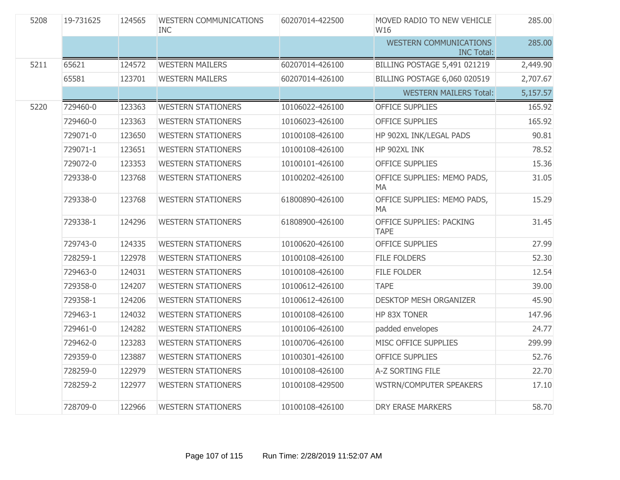| 5208 | 19-731625 | 124565 | <b>WESTERN COMMUNICATIONS</b><br><b>INC</b> | 60207014-422500 | MOVED RADIO TO NEW VEHICLE<br>W16                  | 285.00   |
|------|-----------|--------|---------------------------------------------|-----------------|----------------------------------------------------|----------|
|      |           |        |                                             |                 | <b>WESTERN COMMUNICATIONS</b><br><b>INC Total:</b> | 285.00   |
| 5211 | 65621     | 124572 | <b>WESTERN MAILERS</b>                      | 60207014-426100 | <b>BILLING POSTAGE 5,491 021219</b>                | 2,449.90 |
|      | 65581     | 123701 | <b>WESTERN MAILERS</b>                      | 60207014-426100 | <b>BILLING POSTAGE 6,060 020519</b>                | 2,707.67 |
|      |           |        |                                             |                 | <b>WESTERN MAILERS Total:</b>                      | 5,157.57 |
| 5220 | 729460-0  | 123363 | <b>WESTERN STATIONERS</b>                   | 10106022-426100 | <b>OFFICE SUPPLIES</b>                             | 165.92   |
|      | 729460-0  | 123363 | <b>WESTERN STATIONERS</b>                   | 10106023-426100 | <b>OFFICE SUPPLIES</b>                             | 165.92   |
|      | 729071-0  | 123650 | <b>WESTERN STATIONERS</b>                   | 10100108-426100 | HP 902XL INK/LEGAL PADS                            | 90.81    |
|      | 729071-1  | 123651 | <b>WESTERN STATIONERS</b>                   | 10100108-426100 | HP 902XL INK                                       | 78.52    |
|      | 729072-0  | 123353 | <b>WESTERN STATIONERS</b>                   | 10100101-426100 | <b>OFFICE SUPPLIES</b>                             | 15.36    |
|      | 729338-0  | 123768 | <b>WESTERN STATIONERS</b>                   | 10100202-426100 | OFFICE SUPPLIES: MEMO PADS,<br><b>MA</b>           | 31.05    |
|      | 729338-0  | 123768 | <b>WESTERN STATIONERS</b>                   | 61800890-426100 | OFFICE SUPPLIES: MEMO PADS,<br>MA                  | 15.29    |
|      | 729338-1  | 124296 | <b>WESTERN STATIONERS</b>                   | 61808900-426100 | OFFICE SUPPLIES: PACKING<br><b>TAPE</b>            | 31.45    |
|      | 729743-0  | 124335 | <b>WESTERN STATIONERS</b>                   | 10100620-426100 | <b>OFFICE SUPPLIES</b>                             | 27.99    |
|      | 728259-1  | 122978 | <b>WESTERN STATIONERS</b>                   | 10100108-426100 | <b>FILE FOLDERS</b>                                | 52.30    |
|      | 729463-0  | 124031 | <b>WESTERN STATIONERS</b>                   | 10100108-426100 | <b>FILE FOLDER</b>                                 | 12.54    |
|      | 729358-0  | 124207 | <b>WESTERN STATIONERS</b>                   | 10100612-426100 | <b>TAPE</b>                                        | 39.00    |
|      | 729358-1  | 124206 | <b>WESTERN STATIONERS</b>                   | 10100612-426100 | <b>DESKTOP MESH ORGANIZER</b>                      | 45.90    |
|      | 729463-1  | 124032 | <b>WESTERN STATIONERS</b>                   | 10100108-426100 | HP 83X TONER                                       | 147.96   |
|      | 729461-0  | 124282 | <b>WESTERN STATIONERS</b>                   | 10100106-426100 | padded envelopes                                   | 24.77    |
|      | 729462-0  | 123283 | <b>WESTERN STATIONERS</b>                   | 10100706-426100 | MISC OFFICE SUPPLIES                               | 299.99   |
|      | 729359-0  | 123887 | <b>WESTERN STATIONERS</b>                   | 10100301-426100 | <b>OFFICE SUPPLIES</b>                             | 52.76    |
|      | 728259-0  | 122979 | <b>WESTERN STATIONERS</b>                   | 10100108-426100 | A-Z SORTING FILE                                   | 22.70    |
|      | 728259-2  | 122977 | <b>WESTERN STATIONERS</b>                   | 10100108-429500 | <b>WSTRN/COMPUTER SPEAKERS</b>                     | 17.10    |
|      | 728709-0  | 122966 | <b>WESTERN STATIONERS</b>                   | 10100108-426100 | <b>DRY ERASE MARKERS</b>                           | 58.70    |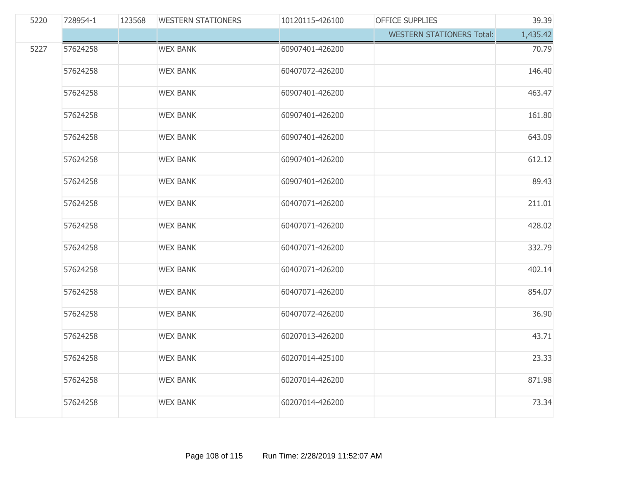| 5220 | 728954-1 | 123568 | <b>WESTERN STATIONERS</b> | 10120115-426100 | <b>OFFICE SUPPLIES</b>           | 39.39    |
|------|----------|--------|---------------------------|-----------------|----------------------------------|----------|
|      |          |        |                           |                 | <b>WESTERN STATIONERS Total:</b> | 1,435.42 |
| 5227 | 57624258 |        | <b>WEX BANK</b>           | 60907401-426200 |                                  | 70.79    |
|      | 57624258 |        | <b>WEX BANK</b>           | 60407072-426200 |                                  | 146.40   |
|      | 57624258 |        | <b>WEX BANK</b>           | 60907401-426200 |                                  | 463.47   |
|      | 57624258 |        | <b>WEX BANK</b>           | 60907401-426200 |                                  | 161.80   |
|      | 57624258 |        | <b>WEX BANK</b>           | 60907401-426200 |                                  | 643.09   |
|      | 57624258 |        | <b>WEX BANK</b>           | 60907401-426200 |                                  | 612.12   |
|      | 57624258 |        | <b>WEX BANK</b>           | 60907401-426200 |                                  | 89.43    |
|      | 57624258 |        | <b>WEX BANK</b>           | 60407071-426200 |                                  | 211.01   |
|      | 57624258 |        | <b>WEX BANK</b>           | 60407071-426200 |                                  | 428.02   |
|      | 57624258 |        | <b>WEX BANK</b>           | 60407071-426200 |                                  | 332.79   |
|      | 57624258 |        | <b>WEX BANK</b>           | 60407071-426200 |                                  | 402.14   |
|      | 57624258 |        | <b>WEX BANK</b>           | 60407071-426200 |                                  | 854.07   |
|      | 57624258 |        | <b>WEX BANK</b>           | 60407072-426200 |                                  | 36.90    |
|      | 57624258 |        | <b>WEX BANK</b>           | 60207013-426200 |                                  | 43.71    |
|      | 57624258 |        | <b>WEX BANK</b>           | 60207014-425100 |                                  | 23.33    |
|      | 57624258 |        | <b>WEX BANK</b>           | 60207014-426200 |                                  | 871.98   |
|      | 57624258 |        | <b>WEX BANK</b>           | 60207014-426200 |                                  | 73.34    |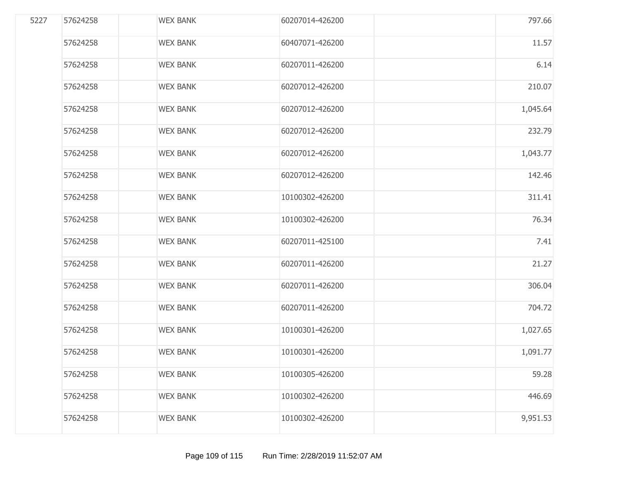| 5227 | 57624258 | <b>WEX BANK</b> | 60207014-426200 | 797.66   |
|------|----------|-----------------|-----------------|----------|
|      | 57624258 | <b>WEX BANK</b> | 60407071-426200 | 11.57    |
|      | 57624258 | <b>WEX BANK</b> | 60207011-426200 | 6.14     |
|      | 57624258 | <b>WEX BANK</b> | 60207012-426200 | 210.07   |
|      | 57624258 | <b>WEX BANK</b> | 60207012-426200 | 1,045.64 |
|      | 57624258 | <b>WEX BANK</b> | 60207012-426200 | 232.79   |
|      | 57624258 | <b>WEX BANK</b> | 60207012-426200 | 1,043.77 |
|      | 57624258 | <b>WEX BANK</b> | 60207012-426200 | 142.46   |
|      | 57624258 | <b>WEX BANK</b> | 10100302-426200 | 311.41   |
|      | 57624258 | <b>WEX BANK</b> | 10100302-426200 | 76.34    |
|      | 57624258 | <b>WEX BANK</b> | 60207011-425100 | 7.41     |
|      | 57624258 | <b>WEX BANK</b> | 60207011-426200 | 21.27    |
|      | 57624258 | <b>WEX BANK</b> | 60207011-426200 | 306.04   |
|      | 57624258 | <b>WEX BANK</b> | 60207011-426200 | 704.72   |
|      | 57624258 | <b>WEX BANK</b> | 10100301-426200 | 1,027.65 |
|      | 57624258 | <b>WEX BANK</b> | 10100301-426200 | 1,091.77 |
|      | 57624258 | <b>WEX BANK</b> | 10100305-426200 | 59.28    |
|      | 57624258 | <b>WEX BANK</b> | 10100302-426200 | 446.69   |
|      | 57624258 | <b>WEX BANK</b> | 10100302-426200 | 9,951.53 |
|      |          |                 |                 |          |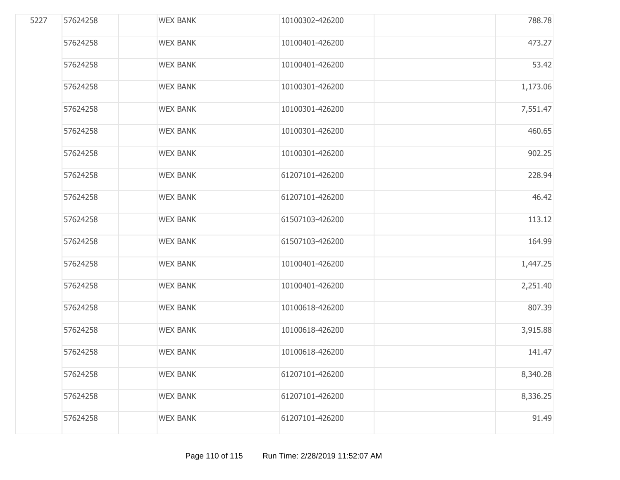| 5227 | 57624258 | <b>WEX BANK</b> | 10100302-426200 | 788.78   |
|------|----------|-----------------|-----------------|----------|
|      | 57624258 | <b>WEX BANK</b> | 10100401-426200 | 473.27   |
|      | 57624258 | <b>WEX BANK</b> | 10100401-426200 | 53.42    |
|      | 57624258 | <b>WEX BANK</b> | 10100301-426200 | 1,173.06 |
|      | 57624258 | <b>WEX BANK</b> | 10100301-426200 | 7,551.47 |
|      | 57624258 | <b>WEX BANK</b> | 10100301-426200 | 460.65   |
|      | 57624258 | <b>WEX BANK</b> | 10100301-426200 | 902.25   |
|      | 57624258 | <b>WEX BANK</b> | 61207101-426200 | 228.94   |
|      | 57624258 | <b>WEX BANK</b> | 61207101-426200 | 46.42    |
|      | 57624258 | <b>WEX BANK</b> | 61507103-426200 | 113.12   |
|      | 57624258 | <b>WEX BANK</b> | 61507103-426200 | 164.99   |
|      | 57624258 | <b>WEX BANK</b> | 10100401-426200 | 1,447.25 |
|      | 57624258 | <b>WEX BANK</b> | 10100401-426200 | 2,251.40 |
|      | 57624258 | <b>WEX BANK</b> | 10100618-426200 | 807.39   |
|      | 57624258 | <b>WEX BANK</b> | 10100618-426200 | 3,915.88 |
|      | 57624258 | <b>WEX BANK</b> | 10100618-426200 | 141.47   |
|      | 57624258 | <b>WEX BANK</b> | 61207101-426200 | 8,340.28 |
|      | 57624258 | <b>WEX BANK</b> | 61207101-426200 | 8,336.25 |
|      | 57624258 | <b>WEX BANK</b> | 61207101-426200 | 91.49    |
|      |          |                 |                 |          |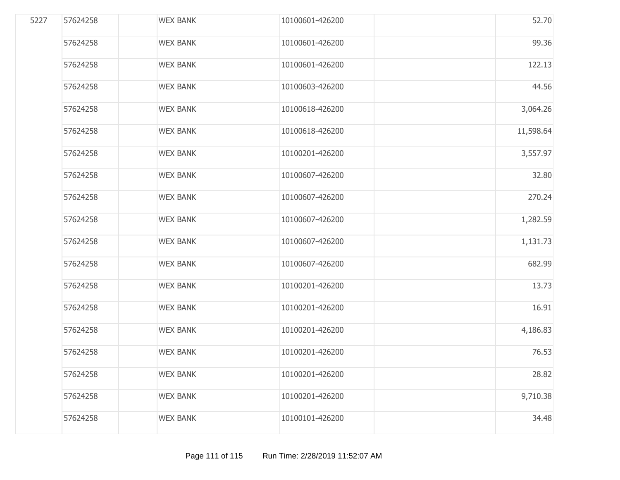| 5227 | 57624258 | <b>WEX BANK</b> | 10100601-426200 | 52.70     |
|------|----------|-----------------|-----------------|-----------|
|      | 57624258 | <b>WEX BANK</b> | 10100601-426200 | 99.36     |
|      | 57624258 | <b>WEX BANK</b> | 10100601-426200 | 122.13    |
|      | 57624258 | <b>WEX BANK</b> | 10100603-426200 | 44.56     |
|      | 57624258 | <b>WEX BANK</b> | 10100618-426200 | 3,064.26  |
|      | 57624258 | <b>WEX BANK</b> | 10100618-426200 | 11,598.64 |
|      | 57624258 | <b>WEX BANK</b> | 10100201-426200 | 3,557.97  |
|      | 57624258 | <b>WEX BANK</b> | 10100607-426200 | 32.80     |
|      | 57624258 | <b>WEX BANK</b> | 10100607-426200 | 270.24    |
|      | 57624258 | <b>WEX BANK</b> | 10100607-426200 | 1,282.59  |
|      | 57624258 | <b>WEX BANK</b> | 10100607-426200 | 1,131.73  |
|      | 57624258 | <b>WEX BANK</b> | 10100607-426200 | 682.99    |
|      | 57624258 | <b>WEX BANK</b> | 10100201-426200 | 13.73     |
|      | 57624258 | <b>WEX BANK</b> | 10100201-426200 | 16.91     |
|      | 57624258 | <b>WEX BANK</b> | 10100201-426200 | 4,186.83  |
|      | 57624258 | <b>WEX BANK</b> | 10100201-426200 | 76.53     |
|      | 57624258 | <b>WEX BANK</b> | 10100201-426200 | 28.82     |
|      | 57624258 | <b>WEX BANK</b> | 10100201-426200 | 9,710.38  |
|      | 57624258 | <b>WEX BANK</b> | 10100101-426200 | 34.48     |
|      |          |                 |                 |           |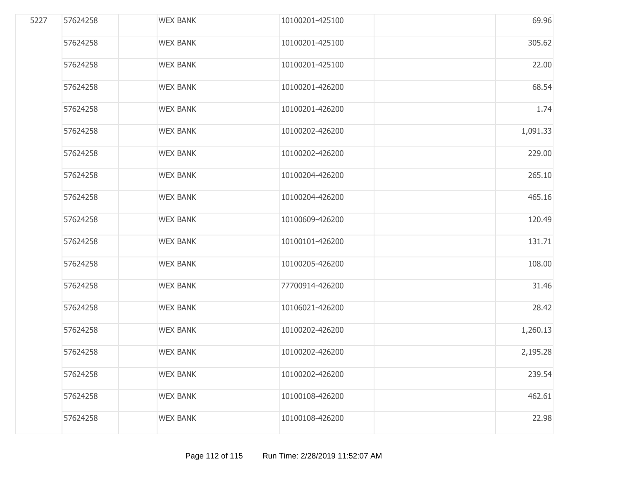| 5227 | 57624258 | <b>WEX BANK</b> | 10100201-425100 | 69.96    |
|------|----------|-----------------|-----------------|----------|
|      | 57624258 | <b>WEX BANK</b> | 10100201-425100 | 305.62   |
|      | 57624258 | <b>WEX BANK</b> | 10100201-425100 | 22.00    |
|      | 57624258 | <b>WEX BANK</b> | 10100201-426200 | 68.54    |
|      | 57624258 | <b>WEX BANK</b> | 10100201-426200 | 1.74     |
|      | 57624258 | <b>WEX BANK</b> | 10100202-426200 | 1,091.33 |
|      | 57624258 | <b>WEX BANK</b> | 10100202-426200 | 229.00   |
|      | 57624258 | <b>WEX BANK</b> | 10100204-426200 | 265.10   |
|      | 57624258 | <b>WEX BANK</b> | 10100204-426200 | 465.16   |
|      | 57624258 | <b>WEX BANK</b> | 10100609-426200 | 120.49   |
|      | 57624258 | <b>WEX BANK</b> | 10100101-426200 | 131.71   |
|      | 57624258 | <b>WEX BANK</b> | 10100205-426200 | 108.00   |
|      | 57624258 | <b>WEX BANK</b> | 77700914-426200 | 31.46    |
|      | 57624258 | <b>WEX BANK</b> | 10106021-426200 | 28.42    |
|      | 57624258 | <b>WEX BANK</b> | 10100202-426200 | 1,260.13 |
|      | 57624258 | <b>WEX BANK</b> | 10100202-426200 | 2,195.28 |
|      | 57624258 | <b>WEX BANK</b> | 10100202-426200 | 239.54   |
|      | 57624258 | <b>WEX BANK</b> | 10100108-426200 | 462.61   |
|      | 57624258 | <b>WEX BANK</b> | 10100108-426200 | 22.98    |
|      |          |                 |                 |          |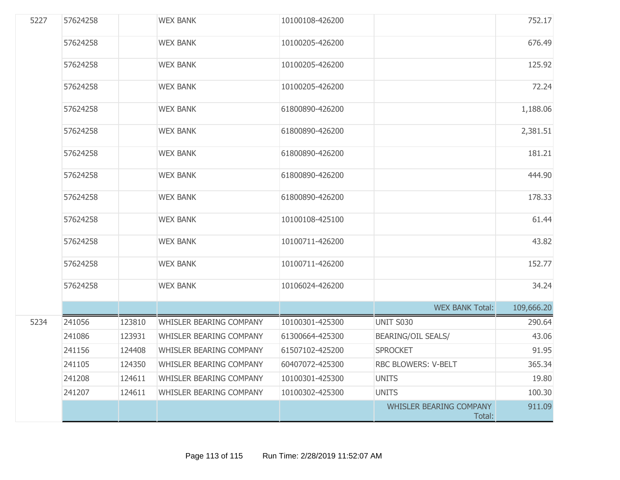| 5227 | 57624258 |        | <b>WEX BANK</b>         | 10100108-426200 |                                          | 752.17     |
|------|----------|--------|-------------------------|-----------------|------------------------------------------|------------|
|      | 57624258 |        | <b>WEX BANK</b>         | 10100205-426200 |                                          | 676.49     |
|      | 57624258 |        | <b>WEX BANK</b>         | 10100205-426200 |                                          | 125.92     |
|      | 57624258 |        | <b>WEX BANK</b>         | 10100205-426200 |                                          | 72.24      |
|      | 57624258 |        | <b>WEX BANK</b>         | 61800890-426200 |                                          | 1,188.06   |
|      | 57624258 |        | <b>WEX BANK</b>         | 61800890-426200 |                                          | 2,381.51   |
|      | 57624258 |        | <b>WEX BANK</b>         | 61800890-426200 |                                          | 181.21     |
|      | 57624258 |        | <b>WEX BANK</b>         | 61800890-426200 |                                          | 444.90     |
|      | 57624258 |        | <b>WEX BANK</b>         | 61800890-426200 |                                          | 178.33     |
|      | 57624258 |        | <b>WEX BANK</b>         | 10100108-425100 |                                          | 61.44      |
|      | 57624258 |        | <b>WEX BANK</b>         | 10100711-426200 |                                          | 43.82      |
|      | 57624258 |        | <b>WEX BANK</b>         | 10100711-426200 |                                          | 152.77     |
|      | 57624258 |        | <b>WEX BANK</b>         | 10106024-426200 |                                          | 34.24      |
|      |          |        |                         |                 | <b>WEX BANK Total:</b>                   | 109,666.20 |
| 5234 | 241056   | 123810 | WHISLER BEARING COMPANY | 10100301-425300 | UNIT S030                                | 290.64     |
|      | 241086   | 123931 | WHISLER BEARING COMPANY | 61300664-425300 | <b>BEARING/OIL SEALS/</b>                | 43.06      |
|      | 241156   | 124408 | WHISLER BEARING COMPANY | 61507102-425200 | <b>SPROCKET</b>                          | 91.95      |
|      | 241105   | 124350 | WHISLER BEARING COMPANY | 60407072-425300 | RBC BLOWERS: V-BELT                      | 365.34     |
|      | 241208   | 124611 | WHISLER BEARING COMPANY | 10100301-425300 | <b>UNITS</b>                             | 19.80      |
|      | 241207   | 124611 | WHISLER BEARING COMPANY | 10100302-425300 | <b>UNITS</b>                             | 100.30     |
|      |          |        |                         |                 | <b>WHISLER BEARING COMPANY</b><br>Total: | 911.09     |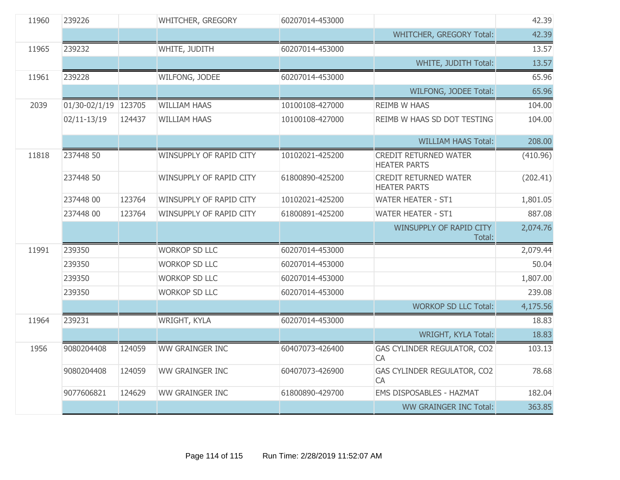| 11960 | 239226               |        | WHITCHER, GREGORY       | 60207014-453000 |                                                     | 42.39    |
|-------|----------------------|--------|-------------------------|-----------------|-----------------------------------------------------|----------|
|       |                      |        |                         |                 | <b>WHITCHER, GREGORY Total:</b>                     | 42.39    |
| 11965 | 239232               |        | WHITE, JUDITH           | 60207014-453000 |                                                     | 13.57    |
|       |                      |        |                         |                 | WHITE, JUDITH Total:                                | 13.57    |
| 11961 | 239228               |        | WILFONG, JODEE          | 60207014-453000 |                                                     | 65.96    |
|       |                      |        |                         |                 | WILFONG, JODEE Total:                               | 65.96    |
| 2039  | 01/30-02/1/19 123705 |        | <b>WILLIAM HAAS</b>     | 10100108-427000 | <b>REIMB W HAAS</b>                                 | 104.00   |
|       | $02/11 - 13/19$      | 124437 | <b>WILLIAM HAAS</b>     | 10100108-427000 | REIMB W HAAS SD DOT TESTING                         | 104.00   |
|       |                      |        |                         |                 | <b>WILLIAM HAAS Total:</b>                          | 208.00   |
| 11818 | 237448 50            |        | WINSUPPLY OF RAPID CITY | 10102021-425200 | <b>CREDIT RETURNED WATER</b><br><b>HEATER PARTS</b> | (410.96) |
|       | 237448 50            |        | WINSUPPLY OF RAPID CITY | 61800890-425200 | <b>CREDIT RETURNED WATER</b><br><b>HEATER PARTS</b> | (202.41) |
|       | 237448 00            | 123764 | WINSUPPLY OF RAPID CITY | 10102021-425200 | <b>WATER HEATER - ST1</b>                           | 1,801.05 |
|       | 237448 00            | 123764 | WINSUPPLY OF RAPID CITY | 61800891-425200 | <b>WATER HEATER - ST1</b>                           | 887.08   |
|       |                      |        |                         |                 | WINSUPPLY OF RAPID CITY<br>Total:                   | 2,074.76 |
| 11991 | 239350               |        | <b>WORKOP SD LLC</b>    | 60207014-453000 |                                                     | 2,079.44 |
|       | 239350               |        | <b>WORKOP SD LLC</b>    | 60207014-453000 |                                                     | 50.04    |
|       | 239350               |        | <b>WORKOP SD LLC</b>    | 60207014-453000 |                                                     | 1,807.00 |
|       | 239350               |        | <b>WORKOP SD LLC</b>    | 60207014-453000 |                                                     | 239.08   |
|       |                      |        |                         |                 | <b>WORKOP SD LLC Total:</b>                         | 4,175.56 |
| 11964 | 239231               |        | WRIGHT, KYLA            | 60207014-453000 |                                                     | 18.83    |
|       |                      |        |                         |                 | WRIGHT, KYLA Total:                                 | 18.83    |
| 1956  | 9080204408           | 124059 | <b>WW GRAINGER INC</b>  | 60407073-426400 | GAS CYLINDER REGULATOR, CO2<br><b>CA</b>            | 103.13   |
|       | 9080204408           | 124059 | WW GRAINGER INC         | 60407073-426900 | GAS CYLINDER REGULATOR, CO2<br><b>CA</b>            | 78.68    |
|       | 9077606821           | 124629 | WW GRAINGER INC         | 61800890-429700 | <b>EMS DISPOSABLES - HAZMAT</b>                     | 182.04   |
|       |                      |        |                         |                 | <b>WW GRAINGER INC Total:</b>                       | 363.85   |